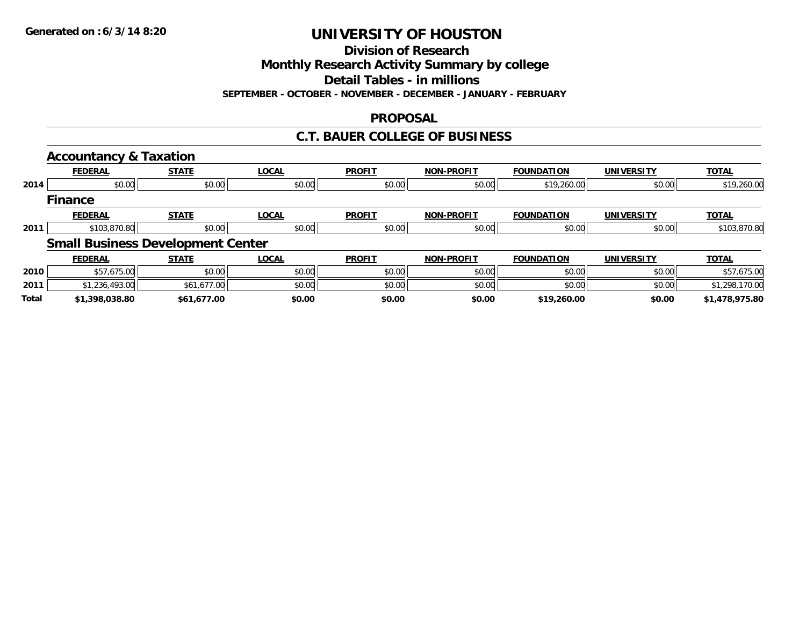**Division of Research**

**Monthly Research Activity Summary by college**

**Detail Tables - in millions**

**SEPTEMBER - OCTOBER - NOVEMBER - DECEMBER - JANUARY - FEBRUARY**

## **PROPOSAL**

## **C.T. BAUER COLLEGE OF BUSINESS**

|       | <b>Accountancy &amp; Taxation</b> |                                          |              |               |                   |                   |                   |                |
|-------|-----------------------------------|------------------------------------------|--------------|---------------|-------------------|-------------------|-------------------|----------------|
|       | <b>FEDERAL</b>                    | <b>STATE</b>                             | <b>LOCAL</b> | <b>PROFIT</b> | <b>NON-PROFIT</b> | <b>FOUNDATION</b> | <b>UNIVERSITY</b> | <b>TOTAL</b>   |
| 2014  | \$0.00                            | \$0.00                                   | \$0.00       | \$0.00        | \$0.00            | \$19,260.00       | \$0.00            | \$19,260.00    |
|       | <b>Finance</b>                    |                                          |              |               |                   |                   |                   |                |
|       | <b>FEDERAL</b>                    | <b>STATE</b>                             | <b>LOCAL</b> | <b>PROFIT</b> | <b>NON-PROFIT</b> | <b>FOUNDATION</b> | <b>UNIVERSITY</b> | <b>TOTAL</b>   |
| 2011  | \$103,870.80                      | \$0.00                                   | \$0.00       | \$0.00        | \$0.00            | \$0.00            | \$0.00            | \$103,870.80   |
|       |                                   | <b>Small Business Development Center</b> |              |               |                   |                   |                   |                |
|       | <b>FEDERAL</b>                    | <b>STATE</b>                             | <b>LOCAL</b> | <b>PROFIT</b> | NON-PROFIT        | <b>FOUNDATION</b> | <b>UNIVERSITY</b> | <b>TOTAL</b>   |
| 2010  | \$57,675.00                       | \$0.00                                   | \$0.00       | \$0.00        | \$0.00            | \$0.00            | \$0.00            | \$57,675.00    |
| 2011  | \$1,236,493.00                    | \$61,677.00                              | \$0.00       | \$0.00        | \$0.00            | \$0.00            | \$0.00            | \$1,298,170.00 |
| Total | \$1,398,038.80                    | \$61,677.00                              | \$0.00       | \$0.00        | \$0.00            | \$19,260.00       | \$0.00            | \$1,478,975.80 |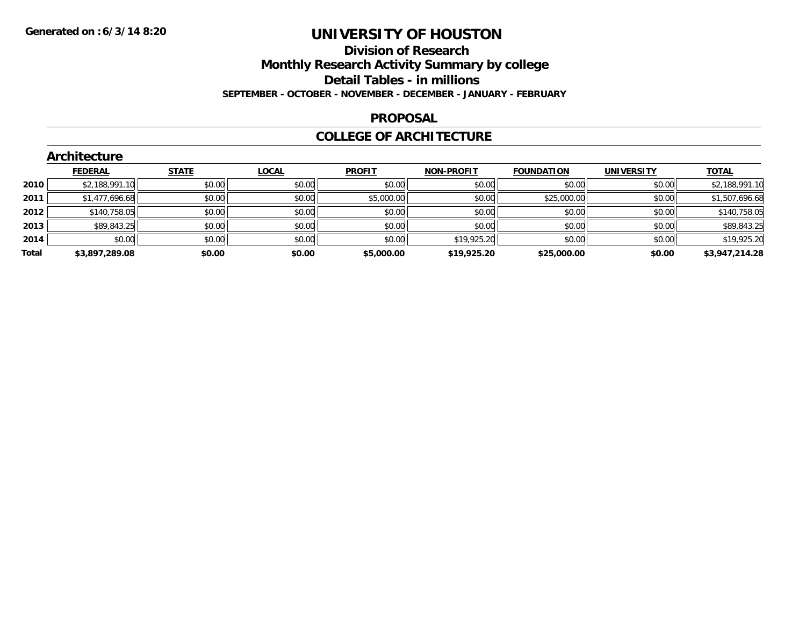## **Division of Research Monthly Research Activity Summary by college Detail Tables - in millions**

#### **SEPTEMBER - OCTOBER - NOVEMBER - DECEMBER - JANUARY - FEBRUARY**

### **PROPOSAL**

### **COLLEGE OF ARCHITECTURE**

|       | <b>Architecture</b> |              |              |               |                   |                   |                   |                |
|-------|---------------------|--------------|--------------|---------------|-------------------|-------------------|-------------------|----------------|
|       | <b>FEDERAL</b>      | <b>STATE</b> | <b>LOCAL</b> | <b>PROFIT</b> | <b>NON-PROFIT</b> | <b>FOUNDATION</b> | <b>UNIVERSITY</b> | <b>TOTAL</b>   |
| 2010  | \$2,188,991.10      | \$0.00       | \$0.00       | \$0.00        | \$0.00            | \$0.00            | \$0.00            | \$2,188,991.10 |
| 2011  | \$1,477,696.68      | \$0.00       | \$0.00       | \$5,000.00    | \$0.00            | \$25,000.00       | \$0.00            | \$1,507,696.68 |
| 2012  | \$140,758.05        | \$0.00       | \$0.00       | \$0.00        | \$0.00            | \$0.00            | \$0.00            | \$140,758.05   |
| 2013  | \$89,843.25         | \$0.00       | \$0.00       | \$0.00        | \$0.00            | \$0.00            | \$0.00            | \$89,843.25    |
| 2014  | \$0.00              | \$0.00       | \$0.00       | \$0.00        | \$19,925.20       | \$0.00            | \$0.00            | \$19,925.20    |
| Total | \$3,897,289.08      | \$0.00       | \$0.00       | \$5,000.00    | \$19,925.20       | \$25,000.00       | \$0.00            | \$3,947,214.28 |

## **Architecture**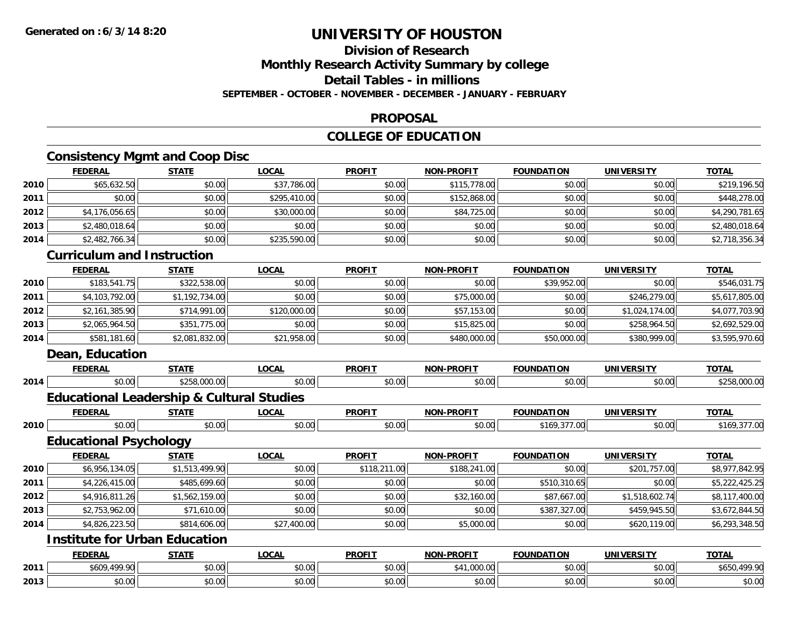## **Division of ResearchMonthly Research Activity Summary by college**

#### **Detail Tables - in millions**

**SEPTEMBER - OCTOBER - NOVEMBER - DECEMBER - JANUARY - FEBRUARY**

### **PROPOSAL**

## **COLLEGE OF EDUCATION**

## **Consistency Mgmt and Coop Disc**

|      | <b>FEDERAL</b>                                       | <b>STATE</b>   | <b>LOCAL</b> | <b>PROFIT</b> | <b>NON-PROFIT</b> | <b>FOUNDATION</b> | <b>UNIVERSITY</b> | <b>TOTAL</b>   |
|------|------------------------------------------------------|----------------|--------------|---------------|-------------------|-------------------|-------------------|----------------|
| 2010 | \$65,632.50                                          | \$0.00         | \$37,786.00  | \$0.00        | \$115,778.00      | \$0.00            | \$0.00            | \$219,196.50   |
| 2011 | \$0.00                                               | \$0.00         | \$295,410.00 | \$0.00        | \$152,868.00      | \$0.00            | \$0.00            | \$448,278.00   |
| 2012 | \$4,176,056.65                                       | \$0.00         | \$30,000.00  | \$0.00        | \$84,725.00       | \$0.00            | \$0.00            | \$4,290,781.65 |
| 2013 | \$2,480,018.64                                       | \$0.00         | \$0.00       | \$0.00        | \$0.00            | \$0.00            | \$0.00            | \$2,480,018.64 |
| 2014 | \$2,482,766.34                                       | \$0.00         | \$235,590.00 | \$0.00        | \$0.00            | \$0.00            | \$0.00            | \$2,718,356.34 |
|      | <b>Curriculum and Instruction</b>                    |                |              |               |                   |                   |                   |                |
|      | <b>FEDERAL</b>                                       | <b>STATE</b>   | <b>LOCAL</b> | <b>PROFIT</b> | <b>NON-PROFIT</b> | <b>FOUNDATION</b> | <b>UNIVERSITY</b> | <b>TOTAL</b>   |
| 2010 | \$183,541.75                                         | \$322,538.00   | \$0.00       | \$0.00        | \$0.00            | \$39,952.00       | \$0.00            | \$546,031.75   |
| 2011 | \$4,103,792.00                                       | \$1,192,734.00 | \$0.00       | \$0.00        | \$75,000.00       | \$0.00            | \$246,279.00      | \$5,617,805.00 |
| 2012 | \$2,161,385.90                                       | \$714,991.00   | \$120,000.00 | \$0.00        | \$57,153.00       | \$0.00            | \$1,024,174.00    | \$4,077,703.90 |
| 2013 | \$2,065,964.50                                       | \$351,775.00   | \$0.00       | \$0.00        | \$15,825.00       | \$0.00            | \$258,964.50      | \$2,692,529.00 |
| 2014 | \$581,181.60                                         | \$2,081,832.00 | \$21,958.00  | \$0.00        | \$480,000.00      | \$50,000.00       | \$380,999.00      | \$3,595,970.60 |
|      | Dean, Education                                      |                |              |               |                   |                   |                   |                |
|      | <b>FEDERAL</b>                                       | <b>STATE</b>   | <b>LOCAL</b> | <b>PROFIT</b> | <b>NON-PROFIT</b> | <b>FOUNDATION</b> | <b>UNIVERSITY</b> | <b>TOTAL</b>   |
| 2014 | \$0.00                                               | \$258,000.00   | \$0.00       | \$0.00        | \$0.00            | \$0.00            | \$0.00            | \$258,000.00   |
|      | <b>Educational Leadership &amp; Cultural Studies</b> |                |              |               |                   |                   |                   |                |
|      | <b>FEDERAL</b>                                       | <b>STATE</b>   | <b>LOCAL</b> | <b>PROFIT</b> | <b>NON-PROFIT</b> | <b>FOUNDATION</b> | <b>UNIVERSITY</b> | <b>TOTAL</b>   |
| 2010 | \$0.00                                               | \$0.00         | \$0.00       | \$0.00        | \$0.00            | \$169,377.00      | \$0.00            | \$169,377.00   |
|      | <b>Educational Psychology</b>                        |                |              |               |                   |                   |                   |                |
|      | <b>FEDERAL</b>                                       | <b>STATE</b>   | <b>LOCAL</b> | <b>PROFIT</b> | <b>NON-PROFIT</b> | <b>FOUNDATION</b> | <b>UNIVERSITY</b> | <b>TOTAL</b>   |
| 2010 | \$6,956,134.05                                       | \$1,513,499.90 | \$0.00       | \$118,211.00  | \$188,241.00      | \$0.00            | \$201,757.00      | \$8,977,842.95 |
| 2011 | \$4,226,415.00                                       | \$485,699.60   | \$0.00       | \$0.00        | \$0.00            | \$510,310.65      | \$0.00            | \$5,222,425.25 |
| 2012 | \$4,916,811.26                                       | \$1,562,159.00 | \$0.00       | \$0.00        | \$32,160.00       | \$87,667.00       | \$1,518,602.74    | \$8,117,400.00 |
| 2013 | \$2,753,962.00                                       | \$71,610.00    | \$0.00       | \$0.00        | \$0.00            | \$387,327.00      | \$459,945.50      | \$3,672,844.50 |
| 2014 | \$4,826,223.50                                       | \$814,606.00   | \$27,400.00  | \$0.00        | \$5,000.00        | \$0.00            | \$620,119.00      | \$6,293,348.50 |
|      | <b>Institute for Urban Education</b>                 |                |              |               |                   |                   |                   |                |
|      | <b>FEDERAL</b>                                       | <b>STATE</b>   | <b>LOCAL</b> | <b>PROFIT</b> | <b>NON-PROFIT</b> | <b>FOUNDATION</b> | <b>UNIVERSITY</b> | <b>TOTAL</b>   |
| 2011 | \$609,499.90                                         | \$0.00         | \$0.00       | \$0.00        | \$41,000.00       | \$0.00            | \$0.00            | \$650,499.90   |
| 2013 | \$0.00                                               | \$0.00         | \$0.00       | \$0.00        | \$0.00            | \$0.00            | \$0.00            | \$0.00         |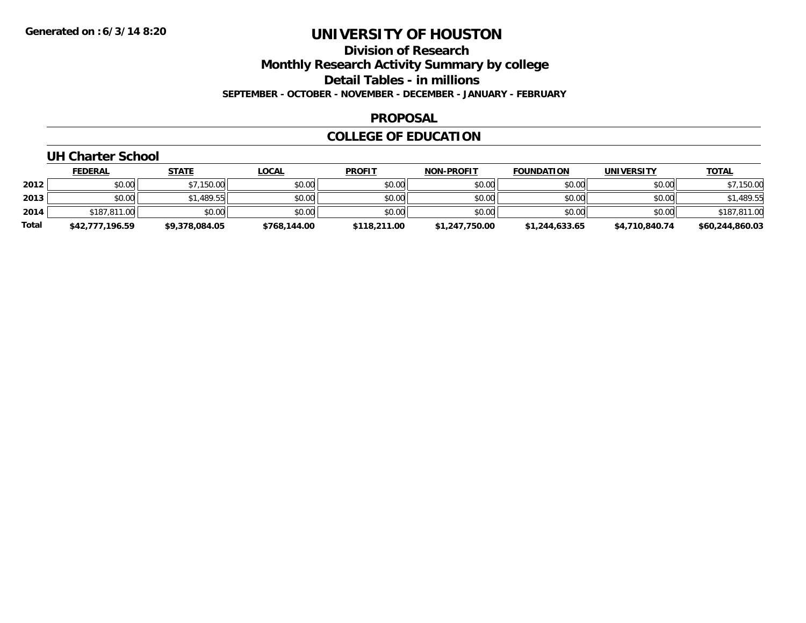**Division of Research**

**Monthly Research Activity Summary by college**

**Detail Tables - in millions**

**SEPTEMBER - OCTOBER - NOVEMBER - DECEMBER - JANUARY - FEBRUARY**

### **PROPOSAL**

### **COLLEGE OF EDUCATION**

## **UH Charter School**

|              | <b>FEDERAL</b>  | <u>STATE</u>   | <u>LOCAL</u> | <b>PROFIT</b> | <b>NON-PROFIT</b> | <b>FOUNDATION</b> | <b>UNIVERSITY</b> | <b>TOTAL</b>    |
|--------------|-----------------|----------------|--------------|---------------|-------------------|-------------------|-------------------|-----------------|
| 2012         | \$0.00          | \$7,150.00     | \$0.00       | \$0.00        | \$0.00            | \$0.00            | \$0.00            | \$7,150.00      |
| 2013         | \$0.00          | \$1,489.55     | \$0.00       | \$0.00        | \$0.00            | \$0.00            | \$0.00            | \$1,489.55      |
| 2014         | \$187,811.00    | \$0.00         | \$0.00       | \$0.00        | \$0.00            | \$0.00            | \$0.00            | \$187,811.00    |
| <b>Total</b> | \$42,777,196.59 | \$9,378,084.05 | \$768,144.00 | \$118,211.00  | \$1,247,750.00    | \$1,244,633.65    | \$4,710,840.74    | \$60,244,860.03 |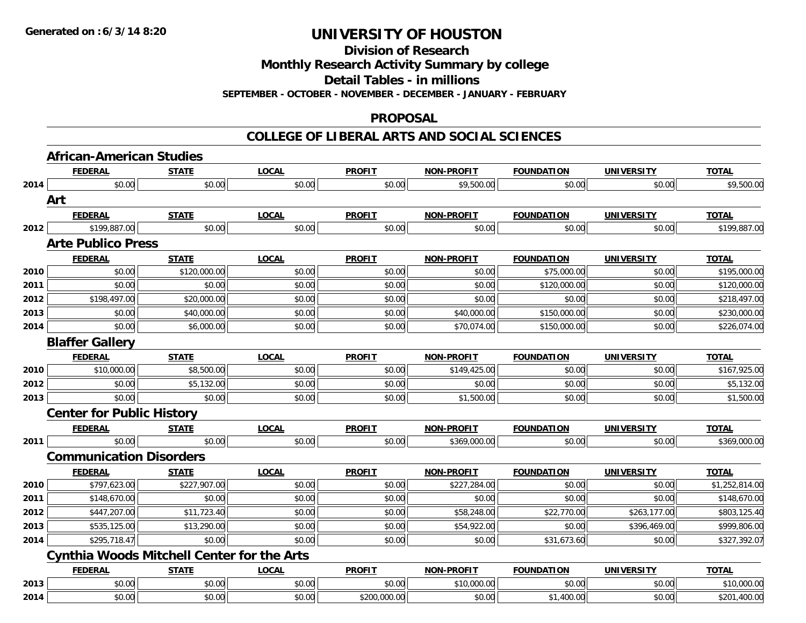**Division of Research**

**Monthly Research Activity Summary by college**

**Detail Tables - in millions**

**SEPTEMBER - OCTOBER - NOVEMBER - DECEMBER - JANUARY - FEBRUARY**

### **PROPOSAL**

### **COLLEGE OF LIBERAL ARTS AND SOCIAL SCIENCES**

|      | <b>African-American Studies</b>                   |              |              |               |                   |                   |                   |                |
|------|---------------------------------------------------|--------------|--------------|---------------|-------------------|-------------------|-------------------|----------------|
|      | <b>FEDERAL</b>                                    | <b>STATE</b> | <b>LOCAL</b> | <b>PROFIT</b> | <b>NON-PROFIT</b> | <b>FOUNDATION</b> | <b>UNIVERSITY</b> | <b>TOTAL</b>   |
| 2014 | \$0.00                                            | \$0.00       | \$0.00       | \$0.00        | \$9,500.00        | \$0.00            | \$0.00            | \$9,500.00     |
|      | Art                                               |              |              |               |                   |                   |                   |                |
|      | <b>FEDERAL</b>                                    | <b>STATE</b> | <b>LOCAL</b> | <b>PROFIT</b> | <b>NON-PROFIT</b> | <b>FOUNDATION</b> | <b>UNIVERSITY</b> | <b>TOTAL</b>   |
| 2012 | \$199,887.00                                      | \$0.00       | \$0.00       | \$0.00        | \$0.00            | \$0.00            | \$0.00            | \$199,887.00   |
|      | <b>Arte Publico Press</b>                         |              |              |               |                   |                   |                   |                |
|      | <b>FEDERAL</b>                                    | <b>STATE</b> | <b>LOCAL</b> | <b>PROFIT</b> | <b>NON-PROFIT</b> | <b>FOUNDATION</b> | <b>UNIVERSITY</b> | <b>TOTAL</b>   |
| 2010 | \$0.00                                            | \$120,000.00 | \$0.00       | \$0.00        | \$0.00            | \$75,000.00       | \$0.00            | \$195,000.00   |
| 2011 | \$0.00                                            | \$0.00       | \$0.00       | \$0.00        | \$0.00            | \$120,000.00      | \$0.00            | \$120,000.00   |
| 2012 | \$198,497.00                                      | \$20,000.00  | \$0.00       | \$0.00        | \$0.00            | \$0.00            | \$0.00            | \$218,497.00   |
| 2013 | \$0.00                                            | \$40,000.00  | \$0.00       | \$0.00        | \$40,000.00       | \$150,000.00      | \$0.00            | \$230,000.00   |
| 2014 | \$0.00                                            | \$6,000.00   | \$0.00       | \$0.00        | \$70,074.00       | \$150,000.00      | \$0.00            | \$226,074.00   |
|      | <b>Blaffer Gallery</b>                            |              |              |               |                   |                   |                   |                |
|      | <b>FEDERAL</b>                                    | <b>STATE</b> | <b>LOCAL</b> | <b>PROFIT</b> | NON-PROFIT        | <b>FOUNDATION</b> | <b>UNIVERSITY</b> | <b>TOTAL</b>   |
| 2010 | \$10,000.00                                       | \$8,500.00   | \$0.00       | \$0.00        | \$149,425.00      | \$0.00            | \$0.00            | \$167,925.00   |
| 2012 | \$0.00                                            | \$5,132.00   | \$0.00       | \$0.00        | \$0.00            | \$0.00            | \$0.00            | \$5,132.00     |
| 2013 | \$0.00                                            | \$0.00       | \$0.00       | \$0.00        | \$1,500.00        | \$0.00            | \$0.00            | \$1,500.00     |
|      | <b>Center for Public History</b>                  |              |              |               |                   |                   |                   |                |
|      | <b>FEDERAL</b>                                    | <b>STATE</b> | <b>LOCAL</b> | <b>PROFIT</b> | <b>NON-PROFIT</b> | <b>FOUNDATION</b> | <b>UNIVERSITY</b> | <b>TOTAL</b>   |
| 2011 | \$0.00                                            | \$0.00       | \$0.00       | \$0.00        | \$369,000.00      | \$0.00            | \$0.00            | \$369,000.00   |
|      | <b>Communication Disorders</b>                    |              |              |               |                   |                   |                   |                |
|      | <b>FEDERAL</b>                                    | <b>STATE</b> | <b>LOCAL</b> | <b>PROFIT</b> | <b>NON-PROFIT</b> | <b>FOUNDATION</b> | <b>UNIVERSITY</b> | <b>TOTAL</b>   |
| 2010 | \$797,623.00                                      | \$227,907.00 | \$0.00       | \$0.00        | \$227,284.00      | \$0.00            | \$0.00            | \$1,252,814.00 |
| 2011 | \$148,670.00                                      | \$0.00       | \$0.00       | \$0.00        | \$0.00            | \$0.00            | \$0.00            | \$148,670.00   |
| 2012 | \$447,207.00                                      | \$11,723.40  | \$0.00       | \$0.00        | \$58,248.00       | \$22,770.00       | \$263,177.00      | \$803,125.40   |
| 2013 | \$535,125.00                                      | \$13,290.00  | \$0.00       | \$0.00        | \$54,922.00       | \$0.00            | \$396,469.00      | \$999,806.00   |
| 2014 | \$295,718.47                                      | \$0.00       | \$0.00       | \$0.00        | \$0.00            | \$31,673.60       | \$0.00            | \$327,392.07   |
|      | <b>Cynthia Woods Mitchell Center for the Arts</b> |              |              |               |                   |                   |                   |                |
|      | <b>FEDERAL</b>                                    | <b>STATE</b> | <b>LOCAL</b> | <b>PROFIT</b> | <b>NON-PROFIT</b> | <b>FOUNDATION</b> | <b>UNIVERSITY</b> | <b>TOTAL</b>   |
| 2013 | \$0.00                                            | \$0.00       | \$0.00       | \$0.00        | \$10,000.00       | \$0.00            | \$0.00            | \$10,000.00    |
| 2014 | \$0.00                                            | \$0.00       | \$0.00       | \$200,000.00  | \$0.00            | \$1,400.00        | \$0.00            | \$201,400.00   |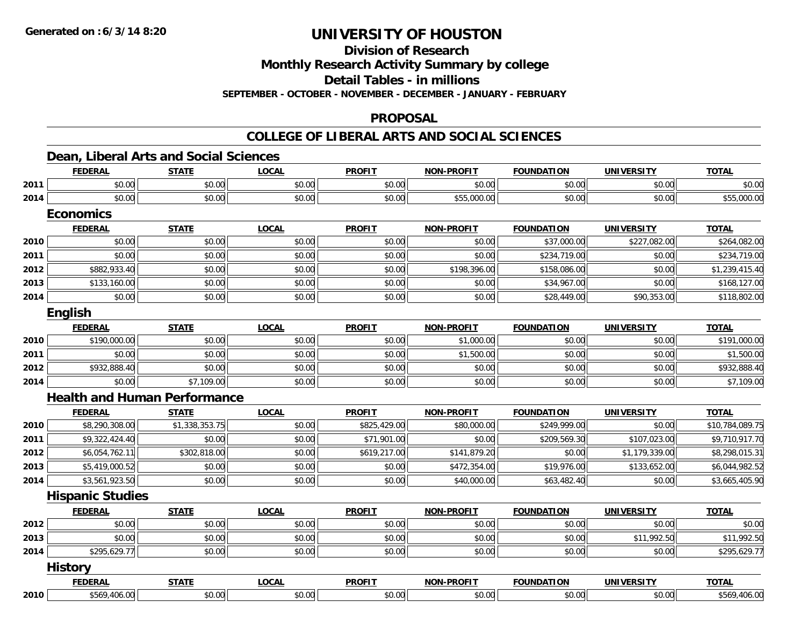**Division of Research**

**Monthly Research Activity Summary by college**

**Detail Tables - in millions**

**SEPTEMBER - OCTOBER - NOVEMBER - DECEMBER - JANUARY - FEBRUARY**

### **PROPOSAL**

## **COLLEGE OF LIBERAL ARTS AND SOCIAL SCIENCES**

## **Dean, Liberal Arts and Social Sciences**

|      | <b>FEDERAL</b>                      | <b>STATE</b>   | <b>LOCAL</b> | <b>PROFIT</b> | <b>NON-PROFIT</b> | <b>FOUNDATION</b> | <b>UNIVERSITY</b> | <b>TOTAL</b>    |
|------|-------------------------------------|----------------|--------------|---------------|-------------------|-------------------|-------------------|-----------------|
| 2011 | \$0.00                              | \$0.00         | \$0.00       | \$0.00        | \$0.00            | \$0.00            | \$0.00            | \$0.00          |
| 2014 | \$0.00                              | \$0.00         | \$0.00       | \$0.00        | \$55,000.00       | \$0.00            | \$0.00            | \$55,000.00     |
|      | <b>Economics</b>                    |                |              |               |                   |                   |                   |                 |
|      | <b>FEDERAL</b>                      | <b>STATE</b>   | <b>LOCAL</b> | <b>PROFIT</b> | <b>NON-PROFIT</b> | <b>FOUNDATION</b> | <b>UNIVERSITY</b> | <b>TOTAL</b>    |
| 2010 | \$0.00                              | \$0.00         | \$0.00       | \$0.00        | \$0.00            | \$37,000.00       | \$227,082.00      | \$264,082.00    |
| 2011 | \$0.00                              | \$0.00         | \$0.00       | \$0.00        | \$0.00            | \$234,719.00      | \$0.00            | \$234,719.00    |
| 2012 | \$882,933.40                        | \$0.00         | \$0.00       | \$0.00        | \$198,396.00      | \$158,086.00      | \$0.00            | \$1,239,415.40  |
| 2013 | \$133,160.00                        | \$0.00         | \$0.00       | \$0.00        | \$0.00            | \$34,967.00       | \$0.00            | \$168,127.00    |
| 2014 | \$0.00                              | \$0.00         | \$0.00       | \$0.00        | \$0.00            | \$28,449.00       | \$90,353.00       | \$118,802.00    |
|      | English                             |                |              |               |                   |                   |                   |                 |
|      | <b>FEDERAL</b>                      | <b>STATE</b>   | <b>LOCAL</b> | <b>PROFIT</b> | <b>NON-PROFIT</b> | <b>FOUNDATION</b> | <b>UNIVERSITY</b> | <b>TOTAL</b>    |
| 2010 | \$190,000.00                        | \$0.00         | \$0.00       | \$0.00        | \$1,000.00        | \$0.00            | \$0.00            | \$191,000.00    |
| 2011 | \$0.00                              | \$0.00         | \$0.00       | \$0.00        | \$1,500.00        | \$0.00            | \$0.00            | \$1,500.00      |
| 2012 | \$932,888.40                        | \$0.00         | \$0.00       | \$0.00        | \$0.00            | \$0.00            | \$0.00            | \$932,888.40    |
| 2014 | \$0.00                              | \$7,109.00     | \$0.00       | \$0.00        | \$0.00            | \$0.00            | \$0.00            | \$7,109.00      |
|      | <b>Health and Human Performance</b> |                |              |               |                   |                   |                   |                 |
|      | <b>FEDERAL</b>                      | <b>STATE</b>   | <b>LOCAL</b> | <b>PROFIT</b> | <b>NON-PROFIT</b> | <b>FOUNDATION</b> | <b>UNIVERSITY</b> | <b>TOTAL</b>    |
| 2010 | \$8,290,308.00                      | \$1,338,353.75 | \$0.00       | \$825,429.00  | \$80,000.00       | \$249,999.00      | \$0.00            | \$10,784,089.75 |
| 2011 | \$9,322,424.40                      | \$0.00         | \$0.00       | \$71,901.00   | \$0.00            | \$209,569.30      | \$107,023.00      | \$9,710,917.70  |
| 2012 | \$6,054,762.11                      | \$302,818.00   | \$0.00       | \$619,217.00  | \$141,879.20      | \$0.00            | \$1,179,339.00    | \$8,298,015.31  |
| 2013 | \$5,419,000.52                      | \$0.00         | \$0.00       | \$0.00        | \$472,354.00      | \$19,976.00       | \$133,652.00      | \$6,044,982.52  |
| 2014 | \$3,561,923.50                      | \$0.00         | \$0.00       | \$0.00        | \$40,000.00       | \$63,482.40       | \$0.00            | \$3,665,405.90  |
|      | <b>Hispanic Studies</b>             |                |              |               |                   |                   |                   |                 |
|      | <b>FEDERAL</b>                      | <b>STATE</b>   | <b>LOCAL</b> | <b>PROFIT</b> | <b>NON-PROFIT</b> | <b>FOUNDATION</b> | <b>UNIVERSITY</b> | <b>TOTAL</b>    |
| 2012 | \$0.00                              | \$0.00         | \$0.00       | \$0.00        | \$0.00            | \$0.00            | \$0.00            | \$0.00          |
| 2013 | \$0.00                              | \$0.00         | \$0.00       | \$0.00        | \$0.00            | \$0.00            | \$11,992.50       | \$11,992.50     |
| 2014 | \$295,629.77                        | \$0.00         | \$0.00       | \$0.00        | \$0.00            | \$0.00            | \$0.00            | \$295,629.77    |
|      | <b>History</b>                      |                |              |               |                   |                   |                   |                 |
|      | <b>FEDERAL</b>                      | <b>STATE</b>   | <b>LOCAL</b> | <b>PROFIT</b> | <b>NON-PROFIT</b> | <b>FOUNDATION</b> | <b>UNIVERSITY</b> | <b>TOTAL</b>    |
| 2010 | \$569,406.00                        | \$0.00         | \$0.00       | \$0.00        | \$0.00            | \$0.00            | \$0.00            | \$569,406.00    |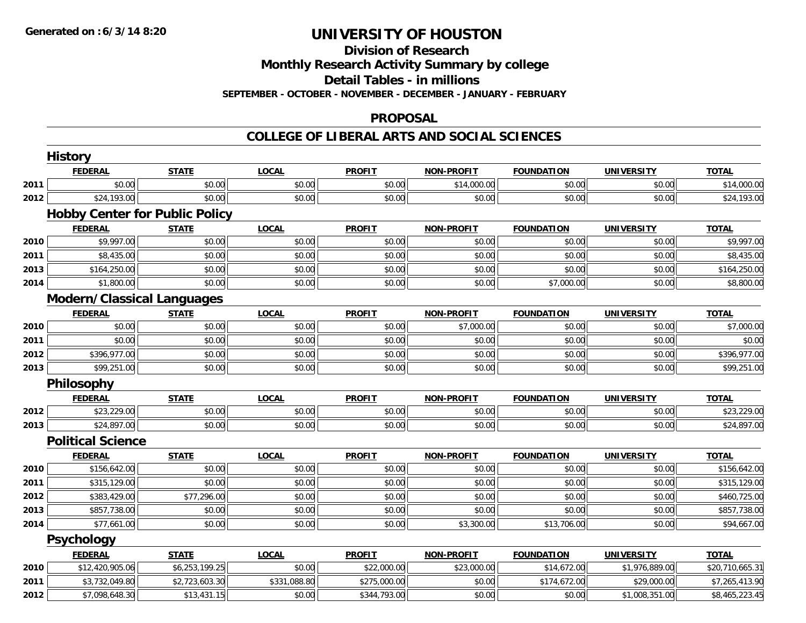#### **Division of Research**

**Monthly Research Activity Summary by college**

**Detail Tables - in millions**

**SEPTEMBER - OCTOBER - NOVEMBER - DECEMBER - JANUARY - FEBRUARY**

### **PROPOSAL**

### **COLLEGE OF LIBERAL ARTS AND SOCIAL SCIENCES**

|      | <b>History</b>                        |                |              |               |                   |                   |                   |                 |
|------|---------------------------------------|----------------|--------------|---------------|-------------------|-------------------|-------------------|-----------------|
|      | <b>FEDERAL</b>                        | <b>STATE</b>   | <b>LOCAL</b> | <b>PROFIT</b> | <b>NON-PROFIT</b> | <b>FOUNDATION</b> | <b>UNIVERSITY</b> | <b>TOTAL</b>    |
| 2011 | \$0.00                                | \$0.00         | \$0.00       | \$0.00        | \$14,000.00       | \$0.00            | \$0.00            | \$14,000.00     |
| 2012 | \$24,193.00                           | \$0.00         | \$0.00       | \$0.00        | \$0.00            | \$0.00            | \$0.00            | \$24,193.00     |
|      | <b>Hobby Center for Public Policy</b> |                |              |               |                   |                   |                   |                 |
|      | <b>FEDERAL</b>                        | <b>STATE</b>   | <b>LOCAL</b> | <b>PROFIT</b> | <b>NON-PROFIT</b> | <b>FOUNDATION</b> | <b>UNIVERSITY</b> | <b>TOTAL</b>    |
| 2010 | \$9,997.00                            | \$0.00         | \$0.00       | \$0.00        | \$0.00            | \$0.00            | \$0.00            | \$9,997.00      |
| 2011 | \$8,435.00                            | \$0.00         | \$0.00       | \$0.00        | \$0.00            | \$0.00            | \$0.00            | \$8,435.00      |
| 2013 | \$164,250.00                          | \$0.00         | \$0.00       | \$0.00        | \$0.00            | \$0.00            | \$0.00            | \$164,250.00    |
| 2014 | \$1,800.00                            | \$0.00         | \$0.00       | \$0.00        | \$0.00            | \$7,000.00        | \$0.00            | \$8,800.00      |
|      | <b>Modern/Classical Languages</b>     |                |              |               |                   |                   |                   |                 |
|      | <b>FEDERAL</b>                        | <b>STATE</b>   | <b>LOCAL</b> | <b>PROFIT</b> | <b>NON-PROFIT</b> | <b>FOUNDATION</b> | <b>UNIVERSITY</b> | <b>TOTAL</b>    |
| 2010 | \$0.00                                | \$0.00         | \$0.00       | \$0.00        | \$7,000.00        | \$0.00            | \$0.00            | \$7,000.00      |
| 2011 | \$0.00                                | \$0.00         | \$0.00       | \$0.00        | \$0.00            | \$0.00            | \$0.00            | \$0.00          |
| 2012 | \$396,977.00                          | \$0.00         | \$0.00       | \$0.00        | \$0.00            | \$0.00            | \$0.00            | \$396,977.00    |
| 2013 | \$99,251.00                           | \$0.00         | \$0.00       | \$0.00        | \$0.00            | \$0.00            | \$0.00            | \$99,251.00     |
|      | Philosophy                            |                |              |               |                   |                   |                   |                 |
|      | <b>FEDERAL</b>                        | <b>STATE</b>   | <b>LOCAL</b> | <b>PROFIT</b> | <b>NON-PROFIT</b> | <b>FOUNDATION</b> | <b>UNIVERSITY</b> | <b>TOTAL</b>    |
| 2012 | \$23,229.00                           | \$0.00         | \$0.00       | \$0.00        | \$0.00            | \$0.00            | \$0.00            | \$23,229.00     |
| 2013 | \$24,897.00                           | \$0.00         | \$0.00       | \$0.00        | \$0.00            | \$0.00            | \$0.00            | \$24,897.00     |
|      | <b>Political Science</b>              |                |              |               |                   |                   |                   |                 |
|      | <b>FEDERAL</b>                        | <b>STATE</b>   | <b>LOCAL</b> | <b>PROFIT</b> | <b>NON-PROFIT</b> | <b>FOUNDATION</b> | <b>UNIVERSITY</b> | <b>TOTAL</b>    |
| 2010 | \$156,642.00                          | \$0.00         | \$0.00       | \$0.00        | \$0.00            | \$0.00            | \$0.00            | \$156,642.00    |
| 2011 | \$315,129.00                          | \$0.00         | \$0.00       | \$0.00        | \$0.00            | \$0.00            | \$0.00            | \$315,129.00    |
| 2012 | \$383,429.00                          | \$77,296.00    | \$0.00       | \$0.00        | \$0.00            | \$0.00            | \$0.00            | \$460,725.00    |
| 2013 | \$857,738.00                          | \$0.00         | \$0.00       | \$0.00        | \$0.00            | \$0.00            | \$0.00            | \$857,738.00    |
| 2014 | \$77,661.00                           | \$0.00         | \$0.00       | \$0.00        | \$3,300.00        | \$13,706.00       | \$0.00            | \$94,667.00     |
|      | <b>Psychology</b>                     |                |              |               |                   |                   |                   |                 |
|      | <b>FEDERAL</b>                        | <b>STATE</b>   | <b>LOCAL</b> | <b>PROFIT</b> | <b>NON-PROFIT</b> | <b>FOUNDATION</b> | <b>UNIVERSITY</b> | <b>TOTAL</b>    |
| 2010 | \$12,420,905.06                       | \$6,253,199.25 | \$0.00       | \$22,000.00   | \$23,000.00       | \$14,672.00       | \$1,976,889.00    | \$20,710,665.31 |
| 2011 | \$3,732,049.80                        | \$2,723,603.30 | \$331,088.80 | \$275,000.00  | \$0.00            | \$174,672.00      | \$29,000.00       | \$7,265,413.90  |
| 2012 | \$7,098,648.30                        | \$13,431.15    | \$0.00       | \$344,793.00  | \$0.00            | \$0.00            | \$1,008,351.00    | \$8,465,223.45  |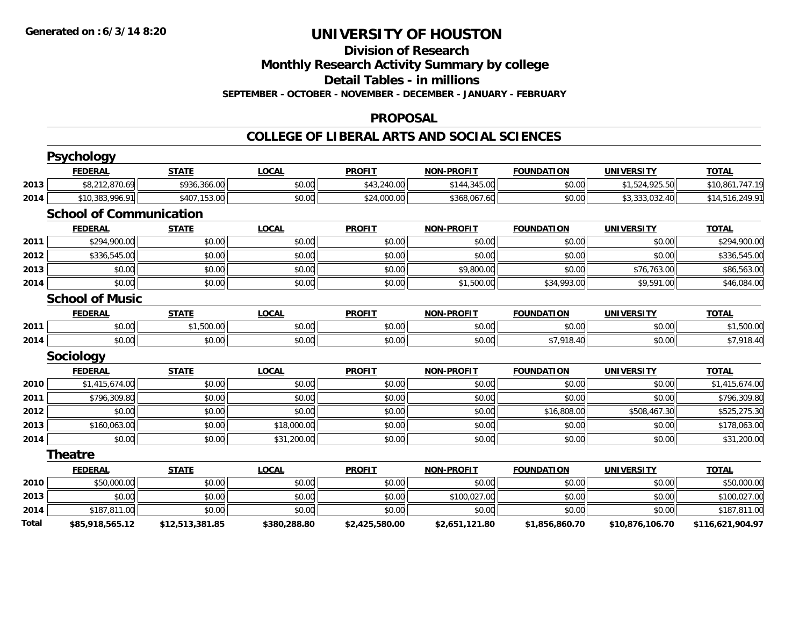## **Division of Research**

**Monthly Research Activity Summary by college**

**Detail Tables - in millions**

**SEPTEMBER - OCTOBER - NOVEMBER - DECEMBER - JANUARY - FEBRUARY**

### **PROPOSAL**

### **COLLEGE OF LIBERAL ARTS AND SOCIAL SCIENCES**

|              | <b>Psychology</b>              |                 |              |                |                   |                   |                   |                  |
|--------------|--------------------------------|-----------------|--------------|----------------|-------------------|-------------------|-------------------|------------------|
|              | <b>FEDERAL</b>                 | <b>STATE</b>    | <b>LOCAL</b> | <b>PROFIT</b>  | <b>NON-PROFIT</b> | <b>FOUNDATION</b> | <b>UNIVERSITY</b> | <b>TOTAL</b>     |
| 2013         | \$8,212,870.69                 | \$936,366.00    | \$0.00       | \$43,240.00    | \$144,345.00      | \$0.00            | \$1,524,925.50    | \$10,861,747.19  |
| 2014         | \$10,383,996.91                | \$407,153.00    | \$0.00       | \$24,000.00    | \$368,067.60      | \$0.00            | \$3,333,032.40    | \$14,516,249.91  |
|              | <b>School of Communication</b> |                 |              |                |                   |                   |                   |                  |
|              | <b>FEDERAL</b>                 | <b>STATE</b>    | <b>LOCAL</b> | <b>PROFIT</b>  | <b>NON-PROFIT</b> | <b>FOUNDATION</b> | <b>UNIVERSITY</b> | <b>TOTAL</b>     |
| 2011         | \$294,900.00                   | \$0.00          | \$0.00       | \$0.00         | \$0.00            | \$0.00            | \$0.00            | \$294,900.00     |
| 2012         | \$336,545.00                   | \$0.00          | \$0.00       | \$0.00         | \$0.00            | \$0.00            | \$0.00            | \$336,545.00     |
| 2013         | \$0.00                         | \$0.00          | \$0.00       | \$0.00         | \$9,800.00        | \$0.00            | \$76,763.00       | \$86,563.00      |
| 2014         | \$0.00                         | \$0.00          | \$0.00       | \$0.00         | \$1,500.00        | \$34,993.00       | \$9,591.00        | \$46,084.00      |
|              | <b>School of Music</b>         |                 |              |                |                   |                   |                   |                  |
|              | <b>FEDERAL</b>                 | <b>STATE</b>    | <b>LOCAL</b> | <b>PROFIT</b>  | <b>NON-PROFIT</b> | <b>FOUNDATION</b> | <b>UNIVERSITY</b> | <b>TOTAL</b>     |
| 2011         | \$0.00                         | \$1,500.00      | \$0.00       | \$0.00         | \$0.00            | \$0.00            | \$0.00            | \$1,500.00       |
| 2014         | \$0.00                         | \$0.00          | \$0.00       | \$0.00         | \$0.00            | \$7,918.40        | \$0.00            | \$7,918.40       |
|              | Sociology                      |                 |              |                |                   |                   |                   |                  |
|              | <b>FEDERAL</b>                 | <b>STATE</b>    | <b>LOCAL</b> | <b>PROFIT</b>  | <b>NON-PROFIT</b> | <b>FOUNDATION</b> | <b>UNIVERSITY</b> | <b>TOTAL</b>     |
| 2010         | \$1,415,674.00                 | \$0.00          | \$0.00       | \$0.00         | \$0.00            | \$0.00            | \$0.00            | \$1,415,674.00   |
| 2011         | \$796,309.80                   | \$0.00          | \$0.00       | \$0.00         | \$0.00            | \$0.00            | \$0.00            | \$796,309.80     |
| 2012         | \$0.00                         | \$0.00          | \$0.00       | \$0.00         | \$0.00            | \$16,808.00       | \$508,467.30      | \$525,275.30     |
| 2013         | \$160,063.00                   | \$0.00          | \$18,000.00  | \$0.00         | \$0.00            | \$0.00            | \$0.00            | \$178,063.00     |
| 2014         | \$0.00                         | \$0.00          | \$31,200.00  | \$0.00         | \$0.00            | \$0.00            | \$0.00            | \$31,200.00      |
|              | <b>Theatre</b>                 |                 |              |                |                   |                   |                   |                  |
|              | <b>FEDERAL</b>                 | <b>STATE</b>    | <b>LOCAL</b> | <b>PROFIT</b>  | <b>NON-PROFIT</b> | <b>FOUNDATION</b> | <b>UNIVERSITY</b> | <b>TOTAL</b>     |
| 2010         | \$50,000.00                    | \$0.00          | \$0.00       | \$0.00         | \$0.00            | \$0.00            | \$0.00            | \$50,000.00      |
| 2013         | \$0.00                         | \$0.00          | \$0.00       | \$0.00         | \$100,027.00      | \$0.00            | \$0.00            | \$100,027.00     |
| 2014         | \$187,811.00                   | \$0.00          | \$0.00       | \$0.00         | \$0.00            | \$0.00            | \$0.00            | \$187,811.00     |
| <b>Total</b> | \$85,918,565.12                | \$12,513,381.85 | \$380,288.80 | \$2,425,580.00 | \$2,651,121.80    | \$1,856,860.70    | \$10,876,106.70   | \$116,621,904.97 |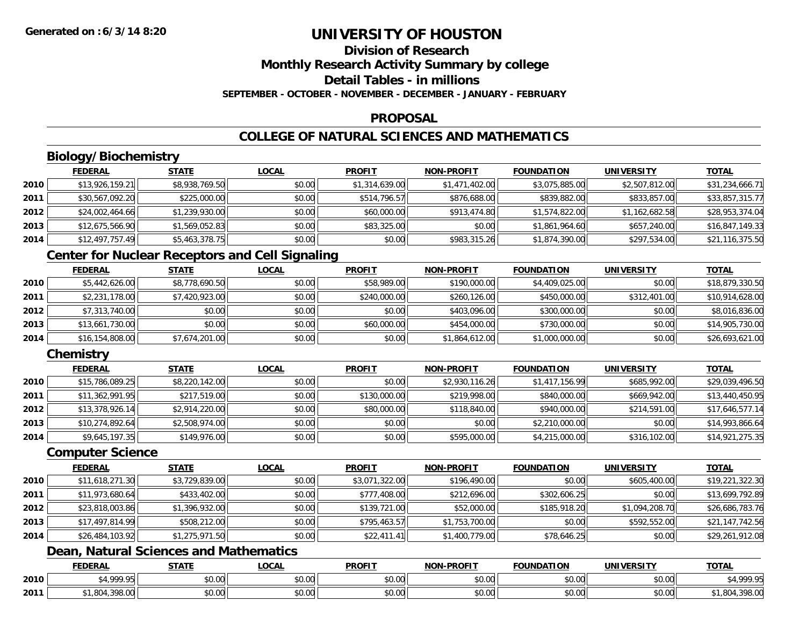## **Division of Research**

**Monthly Research Activity Summary by college**

**Detail Tables - in millions**

**SEPTEMBER - OCTOBER - NOVEMBER - DECEMBER - JANUARY - FEBRUARY**

## **PROPOSAL**

## **COLLEGE OF NATURAL SCIENCES AND MATHEMATICS**

## **Biology/Biochemistry**

|      | <b>FEDERAL</b>  | <b>STATE</b>   | <b>LOCAL</b> | <b>PROFIT</b>  | <b>NON-PROFIT</b> | <b>FOUNDATION</b> | UNIVERSITY     | <u>TOTAL</u>    |
|------|-----------------|----------------|--------------|----------------|-------------------|-------------------|----------------|-----------------|
| 2010 | \$13,926,159.21 | \$8,938,769.50 | \$0.00       | \$1,314,639.00 | \$1,471,402.00    | \$3,075,885.00    | \$2,507,812.00 | \$31,234,666.71 |
| 2011 | \$30,567,092.20 | \$225,000.00   | \$0.00       | \$514,796.57   | \$876,688.00      | \$839,882.00      | \$833,857,00   | \$33,857,315.77 |
| 2012 | \$24,002,464.66 | \$1,239,930.00 | \$0.00       | \$60,000.00    | \$913,474.80      | \$1,574,822.00    | \$1,162,682.58 | \$28,953,374.04 |
| 2013 | \$12,675,566.90 | \$1,569,052.83 | \$0.00       | \$83,325.00    | \$0.00            | \$1,861,964.60    | \$657,240.00   | \$16,847,149.33 |
| 2014 | \$12,497,757.49 | \$5,463,378.75 | \$0.00       | \$0.00         | \$983,315.26      | \$1,874,390.00    | \$297,534.00   | \$21,116,375.50 |

## **Center for Nuclear Receptors and Cell Signaling**

|      | <b>FEDERAL</b>  | <b>STATE</b>   | <b>LOCAL</b> | <b>PROFIT</b> | <b>NON-PROFIT</b> | <b>FOUNDATION</b> | <b>UNIVERSITY</b> | <u>TOTAL</u>    |
|------|-----------------|----------------|--------------|---------------|-------------------|-------------------|-------------------|-----------------|
| 2010 | \$5,442,626.00  | \$8,778,690.50 | \$0.00       | \$58,989.00   | \$190,000.00      | \$4,409,025.00    | \$0.00            | \$18,879,330.50 |
| 2011 | \$2,231,178.00  | \$7,420,923.00 | \$0.00       | \$240,000.00  | \$260,126.00      | \$450,000.00      | \$312,401.00      | \$10,914,628.00 |
| 2012 | \$7,313,740.00  | \$0.00         | \$0.00       | \$0.00        | \$403,096.00      | \$300,000.00      | \$0.00            | \$8,016,836.00  |
| 2013 | \$13,661,730.00 | \$0.00         | \$0.00       | \$60,000.00   | \$454,000.00      | \$730,000.00      | \$0.00            | \$14,905,730.00 |
| 2014 | \$16,154,808.00 | \$7,674,201.00 | \$0.00       | \$0.00        | \$1,864,612.00    | \$1,000,000.00    | \$0.00            | \$26,693,621.00 |

## **Chemistry**

|      | <b>FEDERAL</b>  | <b>STATE</b>   | <b>LOCAL</b> | <b>PROFIT</b> | <b>NON-PROFIT</b> | <b>FOUNDATION</b> | <b>UNIVERSITY</b> | <b>TOTAL</b>    |
|------|-----------------|----------------|--------------|---------------|-------------------|-------------------|-------------------|-----------------|
| 2010 | \$15,786,089.25 | \$8,220,142.00 | \$0.00       | \$0.00        | \$2,930,116.26    | \$1,417,156.99    | \$685,992,00      | \$29,039,496.50 |
| 2011 | \$11,362,991.95 | \$217,519.00   | \$0.00       | \$130,000.00  | \$219,998.00      | \$840,000.00      | \$669,942.00      | \$13,440,450.95 |
| 2012 | \$13,378,926.14 | \$2,914,220.00 | \$0.00       | \$80,000.00   | \$118,840.00      | \$940,000.00      | \$214,591.00      | \$17,646,577.14 |
| 2013 | \$10,274,892.64 | \$2,508,974.00 | \$0.00       | \$0.00        | \$0.00            | \$2,210,000.00    | \$0.00            | \$14,993,866.64 |
| 2014 | \$9,645,197.35  | \$149,976.00   | \$0.00       | \$0.00        | \$595,000.00      | \$4,215,000.00    | \$316,102.00      | \$14,921,275.35 |

### **Computer Science**

|      | <b>FEDERAL</b>  | <b>STATE</b>   | <b>LOCAL</b> | <b>PROFIT</b>  | <b>NON-PROFIT</b> | <b>FOUNDATION</b> | <b>UNIVERSITY</b> | <b>TOTAL</b>    |
|------|-----------------|----------------|--------------|----------------|-------------------|-------------------|-------------------|-----------------|
| 2010 | \$11,618,271.30 | \$3,729,839.00 | \$0.00       | \$3,071,322.00 | \$196,490.00      | \$0.00            | \$605,400.00      | \$19,221,322.30 |
| 2011 | \$11,973,680.64 | \$433,402.00   | \$0.00       | \$777,408.00   | \$212,696.00      | \$302,606.25      | \$0.00            | \$13,699,792.89 |
| 2012 | \$23,818,003.86 | \$1,396,932.00 | \$0.00       | \$139,721.00   | \$52,000.00       | \$185,918.20      | \$1,094,208.70    | \$26,686,783.76 |
| 2013 | \$17,497,814.99 | \$508,212.00   | \$0.00       | \$795,463.57   | \$1,753,700.00    | \$0.00            | \$592,552.00      | \$21,147,742.56 |
| 2014 | \$26,484,103.92 | \$1,275,971.50 | \$0.00       | \$22,411.41    | \$1,400,779.00    | \$78,646.25       | \$0.00            | \$29,261,912.08 |

## **Dean, Natural Sciences and Mathematics**

|      | <b>FEDERAL</b>                       | <b>STATE</b> | <b>LOCAL</b>              | <b>PROFIT</b>        | <b>NON-PROFIT</b>                          | <b>FOUNDATION</b> | UNIVERSITY                | <b>TOTAL</b>                                        |
|------|--------------------------------------|--------------|---------------------------|----------------------|--------------------------------------------|-------------------|---------------------------|-----------------------------------------------------|
| 2010 | 1.0000<br>                           | \$0.00       | $\sim$<br>$\sim$<br>vv.vv | ልስ ስስ<br>DU.UU       | $\theta$ $\theta$ $\theta$<br>DU.UU        | \$0.00            | $\sim$ 00<br><b>JU.UU</b> | $\mathcal{C}$ $\Lambda$ 000 $\mathcal{C}$<br>. т, з |
| 2011 | $\sim$ $\sim$ $\sim$<br>- -<br>70.UU | \$0.00       | ሖ ∩<br>$\sim$<br>PU.UU    | 0000<br><b>DU.UU</b> | $\theta$ $\theta$ $\theta$<br><b>DU.UU</b> | \$0.00            | $\sim$ 00<br><b>JU.UU</b> | .004<br>, J 70. UU                                  |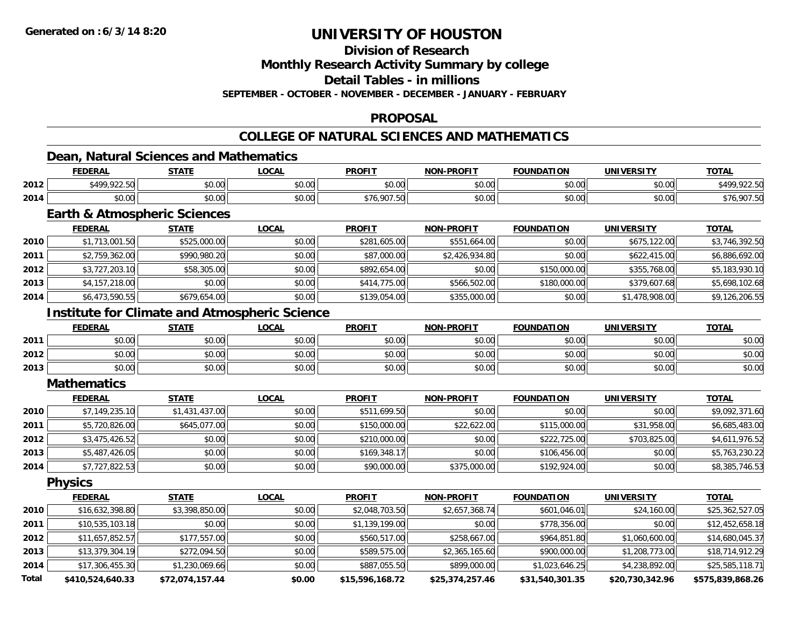## **Division of Research**

**Monthly Research Activity Summary by college**

**Detail Tables - in millions**

**SEPTEMBER - OCTOBER - NOVEMBER - DECEMBER - JANUARY - FEBRUARY**

## **PROPOSAL**

## **COLLEGE OF NATURAL SCIENCES AND MATHEMATICS**

## **Dean, Natural Sciences and Mathematics**

|      | <b>FEDERAL</b>  | <b>STATE</b>   | 00 <sub>n</sub><br>.UUAI | <b>PROFIT</b>          | <b>NON-PROFIT</b> | <b>FOUNDATION</b> | UNIVERSITY    | <b>TOTAL</b>     |
|------|-----------------|----------------|--------------------------|------------------------|-------------------|-------------------|---------------|------------------|
| 2012 | \$100.0227<br>. | ስስ ስስ<br>JU.UU | 0.00<br>pu.uu            | $\sim$ $\sim$<br>JU.UU | 0000<br>vv.vv     | \$0.00            | 0000<br>JU.UU | $-0.00$ For      |
| 2014 | \$0.00          | ተስ ስስ<br>JU.UU | 0.00<br>DU.UU            | \$76,907.50            | 0000<br>vv.vv     | \$0.00            | 0000<br>JU.UU | 907.50 د<br>\$76 |

## **Earth & Atmospheric Sciences**

|      | <b>FEDERAL</b> | <b>STATE</b> | <u>LOCAL</u> | <b>PROFIT</b> | <b>NON-PROFIT</b> | <b>FOUNDATION</b> | <b>UNIVERSITY</b> | <b>TOTAL</b>   |
|------|----------------|--------------|--------------|---------------|-------------------|-------------------|-------------------|----------------|
| 2010 | \$1,713,001.50 | \$525,000.00 | \$0.00       | \$281,605.00  | \$551,664.00      | \$0.00            | \$675,122,00      | \$3,746,392.50 |
| 2011 | \$2,759,362.00 | \$990,980.20 | \$0.00       | \$87,000.00   | \$2,426,934.80    | \$0.00            | \$622,415.00      | \$6,886,692.00 |
| 2012 | \$3,727,203.10 | \$58,305.00  | \$0.00       | \$892,654.00  | \$0.00            | \$150,000.00      | \$355,768.00      | \$5,183,930.10 |
| 2013 | \$4,157,218.00 | \$0.00       | \$0.00       | \$414,775.00  | \$566,502.00      | \$180,000.00      | \$379,607.68      | \$5,698,102.68 |
| 2014 | \$6,473,590.55 | \$679,654.00 | \$0.00       | \$139,054.00  | \$355,000.00      | \$0.00            | \$1,478,908.00    | \$9,126,206.55 |

## **Institute for Climate and Atmospheric Science**

|      | <b>FEDERAL</b>         | <b>STATE</b> | <u>LOCAL</u> | <b>PROFIT</b>          | <b>NON-PROFIT</b> | <b>FOUNDATION</b> | <b>UNIVERSITY</b> | <b>TOTAL</b> |
|------|------------------------|--------------|--------------|------------------------|-------------------|-------------------|-------------------|--------------|
| 2011 | φΟ.<br>pv.uu           | \$0.00       | \$0.00       | \$0.00<br><b>SU.UU</b> | \$0.00            | \$0.00            | \$0.00            | \$0.00       |
| 2012 | ልስ ሰሰ<br>DU.UG         | \$0.00       | \$0.00       | \$0.00                 | \$0.00            | \$0.00            | \$0.00            | \$0.00       |
| 2013 | rn.<br>$\cap$<br>DU.UU | \$0.00       | \$0.00       | \$0.00                 | \$0.00            | \$0.00            | \$0.00            | \$0.00       |

#### **Mathematics**

|      | <b>FEDERAL</b> | <b>STATE</b>   | <b>LOCAL</b> | <b>PROFIT</b> | <b>NON-PROFIT</b> | <b>FOUNDATION</b> | <b>UNIVERSITY</b> | <b>TOTAL</b>   |
|------|----------------|----------------|--------------|---------------|-------------------|-------------------|-------------------|----------------|
| 2010 | \$7,149,235.10 | \$1,431,437.00 | \$0.00       | \$511,699.50  | \$0.00            | \$0.00            | \$0.00            | \$9,092,371.60 |
| 2011 | \$5,720,826.00 | \$645,077,00   | \$0.00       | \$150,000.00  | \$22,622.00       | \$115,000.00      | \$31,958.00       | \$6,685,483.00 |
| 2012 | \$3,475,426.52 | \$0.00         | \$0.00       | \$210,000.00  | \$0.00            | \$222,725,00      | \$703,825,00      | \$4,611,976.52 |
| 2013 | \$5,487,426.05 | \$0.00         | \$0.00       | \$169,348.17  | \$0.00            | \$106,456.00      | \$0.00            | \$5,763,230.22 |
| 2014 | \$7,727,822.53 | \$0.00         | \$0.00       | \$90,000.00   | \$375,000.00      | \$192,924.00      | \$0.00            | \$8,385,746.53 |

**Physics**

|       | <b>FEDERAL</b>   | <b>STATE</b>    | <b>LOCAL</b> | <b>PROFIT</b>   | <b>NON-PROFIT</b> | <b>FOUNDATION</b> | <b>UNIVERSITY</b> | <b>TOTAL</b>     |
|-------|------------------|-----------------|--------------|-----------------|-------------------|-------------------|-------------------|------------------|
| 2010  | \$16,632,398.80  | \$3,398,850.00  | \$0.00       | \$2,048,703.50  | \$2,657,368.74    | \$601,046.01      | \$24,160.00       | \$25,362,527.05  |
| 2011  | \$10,535,103.18  | \$0.00          | \$0.00       | \$1,139,199.00  | \$0.00            | \$778,356.00      | \$0.00            | \$12,452,658.18  |
| 2012  | \$11,657,852.57  | \$177,557.00    | \$0.00       | \$560,517.00    | \$258,667.00      | \$964,851.80      | \$1,060,600.00    | \$14,680,045.37  |
| 2013  | \$13,379,304.19  | \$272,094.50    | \$0.00       | \$589,575.00    | \$2,365,165.60    | \$900,000.00      | \$1,208,773.00    | \$18,714,912.29  |
| 2014  | \$17,306,455.30  | \$1,230,069.66  | \$0.00       | \$887,055.50    | \$899,000.00      | \$1,023,646.25    | \$4,238,892.00    | \$25,585,118.71  |
| Total | \$410,524,640.33 | \$72,074,157.44 | \$0.00       | \$15,596,168.72 | \$25,374,257.46   | \$31,540,301.35   | \$20,730,342.96   | \$575,839,868.26 |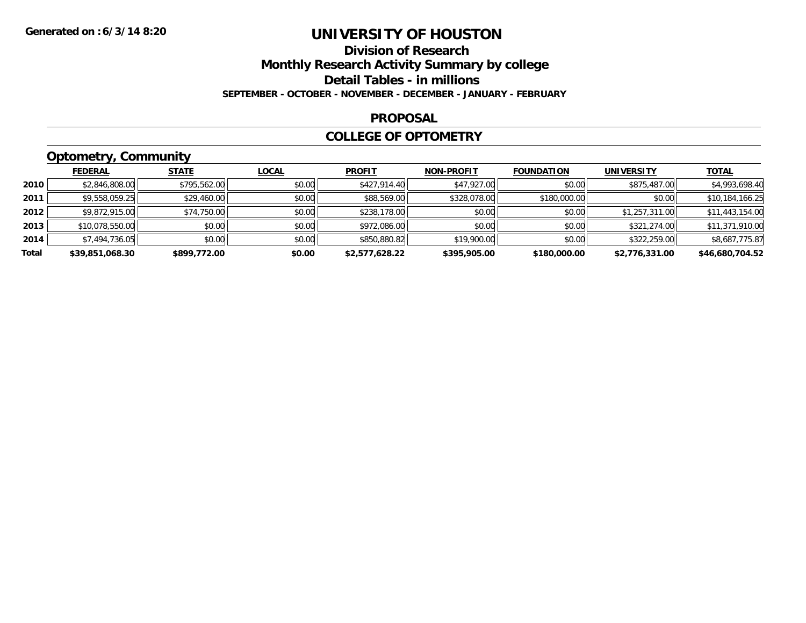## **Division of Research Monthly Research Activity Summary by college Detail Tables - in millions SEPTEMBER - OCTOBER - NOVEMBER - DECEMBER - JANUARY - FEBRUARY**

### **PROPOSAL**

### **COLLEGE OF OPTOMETRY**

## **Optometry, Community**

|       | <b>FEDERAL</b>  | <b>STATE</b> | <b>LOCAL</b> | <b>PROFIT</b>  | <b>NON-PROFIT</b> | <b>FOUNDATION</b> | <b>UNIVERSITY</b> | <b>TOTAL</b>    |
|-------|-----------------|--------------|--------------|----------------|-------------------|-------------------|-------------------|-----------------|
| 2010  | \$2,846,808.00  | \$795,562.00 | \$0.00       | \$427,914.40   | \$47,927.00       | \$0.00            | \$875,487.00      | \$4,993,698.40  |
| 2011  | \$9,558,059.25  | \$29,460.00  | \$0.00       | \$88,569.00    | \$328,078.00      | \$180,000.00      | \$0.00            | \$10,184,166.25 |
| 2012  | \$9,872,915.00  | \$74,750.00  | \$0.00       | \$238,178.00   | \$0.00            | \$0.00            | \$1,257,311.00    | \$11,443,154.00 |
| 2013  | \$10,078,550.00 | \$0.00       | \$0.00       | \$972,086.00   | \$0.00            | \$0.00            | \$321,274.00      | \$11,371,910.00 |
| 2014  | \$7,494,736.05  | \$0.00       | \$0.00       | \$850,880.82   | \$19,900.00       | \$0.00            | \$322,259.00      | \$8,687,775.87  |
| Total | \$39,851,068.30 | \$899,772.00 | \$0.00       | \$2,577,628.22 | \$395,905.00      | \$180,000.00      | \$2,776,331.00    | \$46,680,704.52 |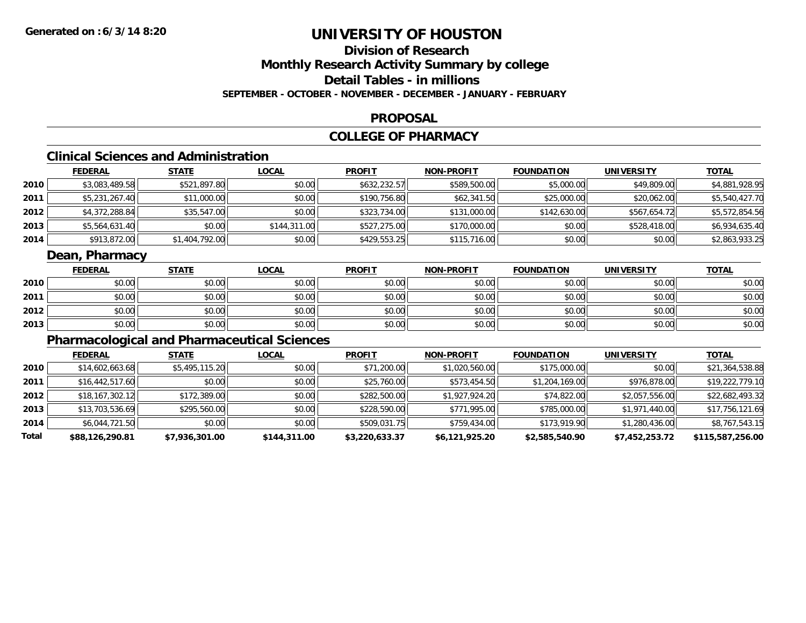## **Division of ResearchMonthly Research Activity Summary by college Detail Tables - in millionsSEPTEMBER - OCTOBER - NOVEMBER - DECEMBER - JANUARY - FEBRUARY**

### **PROPOSAL**

## **COLLEGE OF PHARMACY**

## **Clinical Sciences and Administration**

|      | <b>FEDERAL</b> | <b>STATE</b>   | <b>LOCAL</b> | <b>PROFIT</b> | <b>NON-PROFIT</b> | <b>FOUNDATION</b> | <b>UNIVERSITY</b> | <u>TOTAL</u>   |
|------|----------------|----------------|--------------|---------------|-------------------|-------------------|-------------------|----------------|
| 2010 | \$3,083,489.58 | \$521,897.80   | \$0.00       | \$632,232.57  | \$589,500.00      | \$5,000.00        | \$49,809.00       | \$4,881,928.95 |
| 2011 | \$5,231,267.40 | \$11,000.00    | \$0.00       | \$190.756.80  | \$62,341.50       | \$25,000.00       | \$20,062,00       | \$5,540,427.70 |
| 2012 | \$4,372,288.84 | \$35,547.00    | \$0.00       | \$323,734.00  | \$131,000.00      | \$142,630.00      | \$567,654.72      | \$5,572,854.56 |
| 2013 | \$5,564,631.40 | \$0.00         | \$144,311.00 | \$527,275.00  | \$170,000.00      | \$0.00            | \$528,418.00      | \$6,934,635.40 |
| 2014 | \$913,872.00   | \$1,404,792.00 | \$0.00       | \$429,553.25  | \$115,716.00      | \$0.00            | \$0.00            | \$2,863,933.25 |

## **Dean, Pharmacy**

|      | <b>FEDERAL</b> | <b>STATE</b> | <u>LOCAL</u> | <b>PROFIT</b> | <b>NON-PROFIT</b> | <b>FOUNDATION</b> | <b>UNIVERSITY</b> | <b>TOTAL</b> |
|------|----------------|--------------|--------------|---------------|-------------------|-------------------|-------------------|--------------|
| 2010 | \$0.00         | \$0.00       | \$0.00       | \$0.00        | \$0.00            | \$0.00            | \$0.00            | \$0.00       |
| 2011 | \$0.00         | \$0.00       | \$0.00       | \$0.00        | \$0.00            | \$0.00            | \$0.00            | \$0.00       |
| 2012 | \$0.00         | \$0.00       | \$0.00       | \$0.00        | \$0.00            | \$0.00            | \$0.00            | \$0.00       |
| 2013 | \$0.00         | \$0.00       | \$0.00       | \$0.00        | \$0.00            | \$0.00            | \$0.00            | \$0.00       |

## **Pharmacological and Pharmaceutical Sciences**

|       | <b>FEDERAL</b>    | <b>STATE</b>   | <u>LOCAL</u> | <b>PROFIT</b>  | <b>NON-PROFIT</b> | <b>FOUNDATION</b> | UNIVERSITY     | <b>TOTAL</b>     |
|-------|-------------------|----------------|--------------|----------------|-------------------|-------------------|----------------|------------------|
| 2010  | \$14,602,663.68   | \$5,495,115.20 | \$0.00       | \$71,200.00    | \$1,020,560.00    | \$175,000.00      | \$0.00         | \$21,364,538.88  |
| 2011  | \$16,442,517.60   | \$0.00         | \$0.00       | \$25,760.00    | \$573,454.50      | \$1,204,169.00    | \$976,878.00   | \$19,222,779.10  |
| 2012  | \$18, 167, 302.12 | \$172,389.00   | \$0.00       | \$282,500.00   | \$1,927,924.20    | \$74,822.00       | \$2,057,556.00 | \$22,682,493.32  |
| 2013  | \$13,703,536.69   | \$295,560.00   | \$0.00       | \$228,590.00   | \$771,995.00      | \$785,000.00      | \$1,971,440.00 | \$17,756,121.69  |
| 2014  | \$6,044,721.50    | \$0.00         | \$0.00       | \$509,031.75   | \$759,434.00      | \$173,919.90      | \$1,280,436.00 | \$8,767,543.15   |
| Total | \$88,126,290.81   | \$7,936,301.00 | \$144,311.00 | \$3,220,633.37 | \$6,121,925.20    | \$2,585,540.90    | \$7,452,253.72 | \$115,587,256.00 |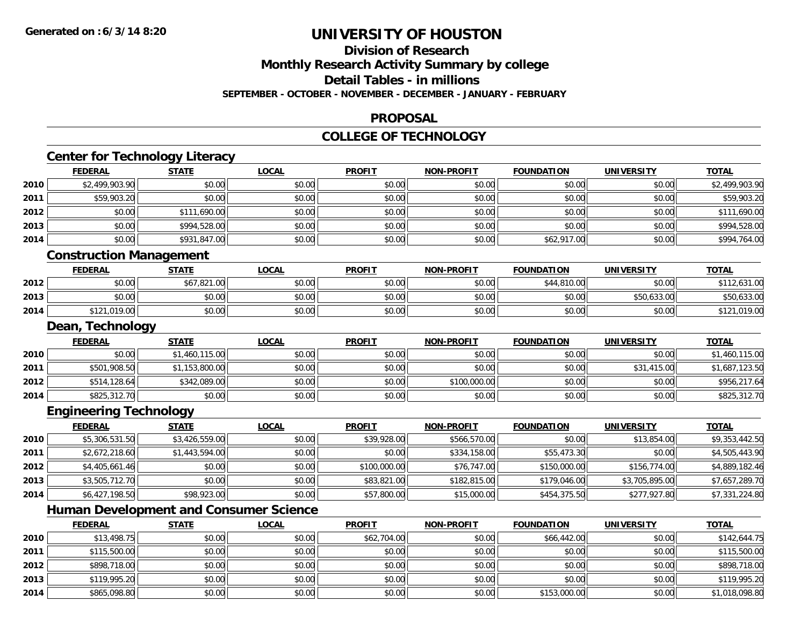**2014**

## **UNIVERSITY OF HOUSTON**

# **Division of Research**

**Monthly Research Activity Summary by college**

**Detail Tables - in millions**

**SEPTEMBER - OCTOBER - NOVEMBER - DECEMBER - JANUARY - FEBRUARY**

## **PROPOSAL**

### **COLLEGE OF TECHNOLOGY**

|      | <b>FEDERAL</b>                                | <b>STATE</b>   | <b>LOCAL</b> | <b>PROFIT</b> | <b>NON-PROFIT</b> | <b>FOUNDATION</b> | <b>UNIVERSITY</b> | <b>TOTAL</b>   |
|------|-----------------------------------------------|----------------|--------------|---------------|-------------------|-------------------|-------------------|----------------|
| 2010 | \$2,499,903.90                                | \$0.00         | \$0.00       | \$0.00        | \$0.00            | \$0.00            | \$0.00            | \$2,499,903.90 |
| 2011 | \$59,903.20                                   | \$0.00         | \$0.00       | \$0.00        | \$0.00            | \$0.00            | \$0.00            | \$59,903.20    |
| 2012 | \$0.00                                        | \$111,690.00   | \$0.00       | \$0.00        | \$0.00            | \$0.00            | \$0.00            | \$111,690.00   |
| 2013 | \$0.00                                        | \$994,528.00   | \$0.00       | \$0.00        | \$0.00            | \$0.00            | \$0.00            | \$994,528.00   |
| 2014 | \$0.00                                        | \$931,847.00   | \$0.00       | \$0.00        | \$0.00            | \$62,917.00       | \$0.00            | \$994,764.00   |
|      | <b>Construction Management</b>                |                |              |               |                   |                   |                   |                |
|      | <b>FEDERAL</b>                                | <b>STATE</b>   | <b>LOCAL</b> | <b>PROFIT</b> | <b>NON-PROFIT</b> | <b>FOUNDATION</b> | <b>UNIVERSITY</b> | <b>TOTAL</b>   |
| 2012 | \$0.00                                        | \$67,821.00    | \$0.00       | \$0.00        | \$0.00            | \$44,810.00       | \$0.00            | \$112,631.00   |
| 2013 | \$0.00                                        | \$0.00         | \$0.00       | \$0.00        | \$0.00            | \$0.00            | \$50,633.00       | \$50,633.00    |
| 2014 | \$121,019.00                                  | \$0.00         | \$0.00       | \$0.00        | \$0.00            | \$0.00            | \$0.00            | \$121,019.00   |
|      | Dean, Technology                              |                |              |               |                   |                   |                   |                |
|      | <b>FEDERAL</b>                                | <b>STATE</b>   | <b>LOCAL</b> | <b>PROFIT</b> | <b>NON-PROFIT</b> | <b>FOUNDATION</b> | <b>UNIVERSITY</b> | <b>TOTAL</b>   |
| 2010 | \$0.00                                        | \$1,460,115.00 | \$0.00       | \$0.00        | \$0.00            | \$0.00            | \$0.00            | \$1,460,115.00 |
| 2011 | \$501,908.50                                  | \$1,153,800.00 | \$0.00       | \$0.00        | \$0.00            | \$0.00            | \$31,415.00       | \$1,687,123.50 |
| 2012 | \$514,128.64                                  | \$342,089.00   | \$0.00       | \$0.00        | \$100,000.00      | \$0.00            | \$0.00            | \$956,217.64   |
| 2014 | \$825,312.70                                  | \$0.00         | \$0.00       | \$0.00        | \$0.00            | \$0.00            | \$0.00            | \$825,312.70   |
|      | <b>Engineering Technology</b>                 |                |              |               |                   |                   |                   |                |
|      | <b>FEDERAL</b>                                | <b>STATE</b>   | <b>LOCAL</b> | <b>PROFIT</b> | <b>NON-PROFIT</b> | <b>FOUNDATION</b> | <b>UNIVERSITY</b> | <b>TOTAL</b>   |
| 2010 | \$5,306,531.50                                | \$3,426,559.00 | \$0.00       | \$39,928.00   | \$566,570.00      | \$0.00            | \$13,854.00       | \$9,353,442.50 |
| 2011 | \$2,672,218.60                                | \$1,443,594.00 | \$0.00       | \$0.00        | \$334,158.00      | \$55,473.30       | \$0.00            | \$4,505,443.90 |
| 2012 | \$4,405,661.46                                | \$0.00         | \$0.00       | \$100,000.00  | \$76,747.00       | \$150,000.00      | \$156,774.00      | \$4,889,182.46 |
| 2013 | \$3,505,712.70                                | \$0.00         | \$0.00       | \$83,821.00   | \$182,815.00      | \$179,046.00      | \$3,705,895.00    | \$7,657,289.70 |
| 2014 | \$6,427,198.50                                | \$98,923.00    | \$0.00       | \$57,800.00   | \$15,000.00       | \$454,375.50      | \$277,927.80      | \$7,331,224.80 |
|      | <b>Human Development and Consumer Science</b> |                |              |               |                   |                   |                   |                |
|      | <b>FEDERAL</b>                                | <b>STATE</b>   | <b>LOCAL</b> | <b>PROFIT</b> | <b>NON-PROFIT</b> | <b>FOUNDATION</b> | <b>UNIVERSITY</b> | <b>TOTAL</b>   |
| 2010 | \$13,498.75                                   | \$0.00         | \$0.00       | \$62,704.00   | \$0.00            | \$66,442.00       | \$0.00            | \$142,644.75   |
| 2011 | \$115,500.00                                  | \$0.00         | \$0.00       | \$0.00        | \$0.00            | \$0.00            | \$0.00            | \$115,500.00   |
| 2012 | \$898,718.00                                  | \$0.00         | \$0.00       | \$0.00        | \$0.00            | \$0.00            | \$0.00            | \$898,718.00   |
| 2013 | \$119,995.20                                  | \$0.00         | \$0.00       | \$0.00        | \$0.00            | \$0.00            | \$0.00            | \$119,995.20   |

3 | \$119,995.20| \$0.00| \$0.00| \$0.00| \$0.00| \$0.00| \$0.00| \$0.00| \$0.00| \$119,995.20

4 \$865,098.80 \$0.00 \$0.00 \$0.00 \$0.00 \$0.00 \$0.00 \$0.00 \$0.00 \$153,000.00 \$153,000.00 \$0.00 \$1,018,098.80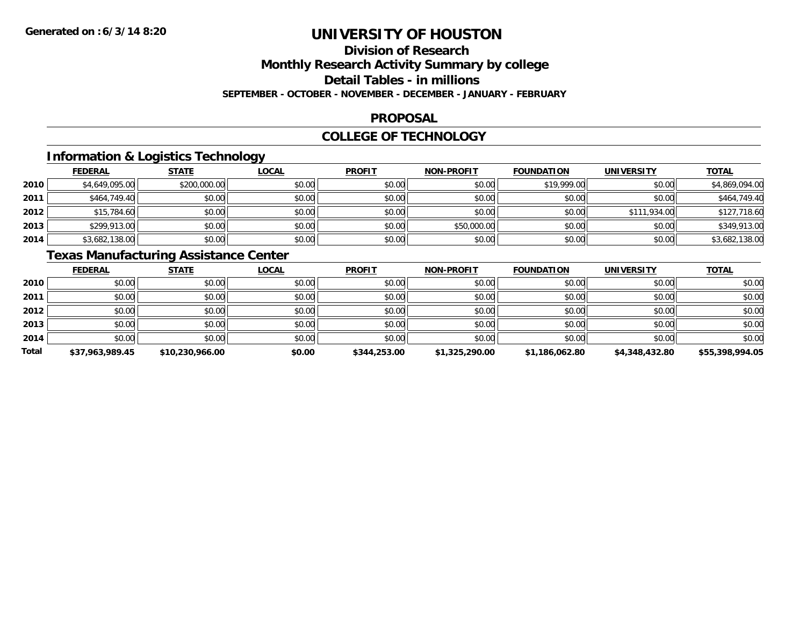# **Division of Research**

## **Monthly Research Activity Summary by college**

#### **Detail Tables - in millions**

#### **SEPTEMBER - OCTOBER - NOVEMBER - DECEMBER - JANUARY - FEBRUARY**

### **PROPOSAL**

### **COLLEGE OF TECHNOLOGY**

## **Information & Logistics Technology**

|      | <b>FEDERAL</b> | <b>STATE</b> | <u>LOCAL</u> | <b>PROFIT</b> | <b>NON-PROFIT</b> | <b>FOUNDATION</b> | <b>UNIVERSITY</b> | <b>TOTAL</b>   |
|------|----------------|--------------|--------------|---------------|-------------------|-------------------|-------------------|----------------|
| 2010 | \$4,649,095.00 | \$200,000.00 | \$0.00       | \$0.00        | \$0.00            | \$19,999.00       | \$0.00            | \$4,869,094.00 |
| 2011 | \$464,749.40   | \$0.00       | \$0.00       | \$0.00        | \$0.00            | \$0.00            | \$0.00            | \$464,749.40   |
| 2012 | \$15,784.60    | \$0.00       | \$0.00       | \$0.00        | \$0.00            | \$0.00            | \$111,934.00      | \$127,718.60   |
| 2013 | \$299,913.00   | \$0.00       | \$0.00       | \$0.00        | \$50,000.00       | \$0.00            | \$0.00            | \$349,913.00   |
| 2014 | \$3,682,138.00 | \$0.00       | \$0.00       | \$0.00        | \$0.00            | \$0.00            | \$0.00            | \$3,682,138.00 |

## **Texas Manufacturing Assistance Center**

|              | <b>FEDERAL</b>  | <b>STATE</b>    | <u>LOCAL</u> | <b>PROFIT</b> | <b>NON-PROFIT</b> | <b>FOUNDATION</b> | <b>UNIVERSITY</b> | <b>TOTAL</b>    |
|--------------|-----------------|-----------------|--------------|---------------|-------------------|-------------------|-------------------|-----------------|
| 2010         | \$0.00          | \$0.00          | \$0.00       | \$0.00        | \$0.00            | \$0.00            | \$0.00            | \$0.00          |
| 2011         | \$0.00          | \$0.00          | \$0.00       | \$0.00        | \$0.00            | \$0.00            | \$0.00            | \$0.00          |
| 2012         | \$0.00          | \$0.00          | \$0.00       | \$0.00        | \$0.00            | \$0.00            | \$0.00            | \$0.00          |
| 2013         | \$0.00          | \$0.00          | \$0.00       | \$0.00        | \$0.00            | \$0.00            | \$0.00            | \$0.00          |
| 2014         | \$0.00          | \$0.00          | \$0.00       | \$0.00        | \$0.00            | \$0.00            | \$0.00            | \$0.00          |
| <b>Total</b> | \$37.963.989.45 | \$10,230,966.00 | \$0.00       | \$344,253.00  | \$1,325,290.00    | \$1.186.062.80    | \$4,348,432.80    | \$55,398,994.05 |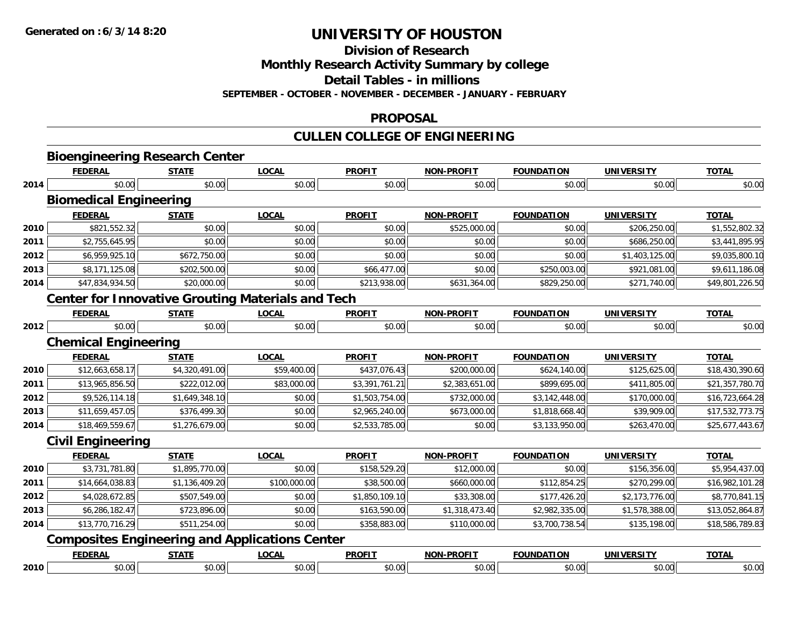**Division of Research**

**Monthly Research Activity Summary by college**

**Detail Tables - in millions**

**SEPTEMBER - OCTOBER - NOVEMBER - DECEMBER - JANUARY - FEBRUARY**

### **PROPOSAL**

## **CULLEN COLLEGE OF ENGINEERING**

|      |                               | <b>Bioengineering Research Center</b> |                                                          |                |                   |                   |                   |                 |
|------|-------------------------------|---------------------------------------|----------------------------------------------------------|----------------|-------------------|-------------------|-------------------|-----------------|
|      | <b>FEDERAL</b>                | <b>STATE</b>                          | <b>LOCAL</b>                                             | <b>PROFIT</b>  | <b>NON-PROFIT</b> | <b>FOUNDATION</b> | <b>UNIVERSITY</b> | <b>TOTAL</b>    |
| 2014 | \$0.00                        | \$0.00                                | \$0.00                                                   | \$0.00         | \$0.00            | \$0.00            | \$0.00            | \$0.00          |
|      | <b>Biomedical Engineering</b> |                                       |                                                          |                |                   |                   |                   |                 |
|      | <b>FEDERAL</b>                | <b>STATE</b>                          | <b>LOCAL</b>                                             | <b>PROFIT</b>  | <b>NON-PROFIT</b> | <b>FOUNDATION</b> | <b>UNIVERSITY</b> | <b>TOTAL</b>    |
| 2010 | \$821,552.32                  | \$0.00                                | \$0.00                                                   | \$0.00         | \$525,000.00      | \$0.00            | \$206,250.00      | \$1,552,802.32  |
| 2011 | \$2,755,645.95                | \$0.00                                | \$0.00                                                   | \$0.00         | \$0.00            | \$0.00            | \$686,250.00      | \$3,441,895.95  |
| 2012 | \$6,959,925.10                | \$672,750.00                          | \$0.00                                                   | \$0.00         | \$0.00            | \$0.00            | \$1,403,125.00    | \$9,035,800.10  |
| 2013 | \$8,171,125.08                | \$202,500.00                          | \$0.00                                                   | \$66,477.00    | \$0.00            | \$250,003.00      | \$921,081.00      | \$9,611,186.08  |
| 2014 | \$47,834,934.50               | \$20,000.00                           | \$0.00                                                   | \$213,938.00   | \$631,364.00      | \$829,250.00      | \$271,740.00      | \$49,801,226.50 |
|      |                               |                                       | <b>Center for Innovative Grouting Materials and Tech</b> |                |                   |                   |                   |                 |
|      | <b>FEDERAL</b>                | <b>STATE</b>                          | <b>LOCAL</b>                                             | <b>PROFIT</b>  | <b>NON-PROFIT</b> | <b>FOUNDATION</b> | <b>UNIVERSITY</b> | <b>TOTAL</b>    |
| 2012 | \$0.00                        | \$0.00                                | \$0.00                                                   | \$0.00         | \$0.00            | \$0.00            | \$0.00            | \$0.00          |
|      | <b>Chemical Engineering</b>   |                                       |                                                          |                |                   |                   |                   |                 |
|      | <b>FEDERAL</b>                | <b>STATE</b>                          | <b>LOCAL</b>                                             | <b>PROFIT</b>  | <b>NON-PROFIT</b> | <b>FOUNDATION</b> | <b>UNIVERSITY</b> | <b>TOTAL</b>    |
| 2010 | \$12,663,658.17               | \$4,320,491.00                        | \$59,400.00                                              | \$437,076.43   | \$200,000.00      | \$624,140.00      | \$125,625.00      | \$18,430,390.60 |
| 2011 | \$13,965,856.50               | \$222,012.00                          | \$83,000.00                                              | \$3,391,761.21 | \$2,383,651.00    | \$899,695.00      | \$411,805.00      | \$21,357,780.70 |
| 2012 | \$9,526,114.18                | \$1,649,348.10                        | \$0.00                                                   | \$1,503,754.00 | \$732,000.00      | \$3,142,448.00    | \$170,000.00      | \$16,723,664.28 |
| 2013 | \$11,659,457.05               | \$376,499.30                          | \$0.00                                                   | \$2,965,240.00 | \$673,000.00      | \$1,818,668.40    | \$39,909.00       | \$17,532,773.75 |
| 2014 | \$18,469,559.67               | \$1,276,679.00                        | \$0.00                                                   | \$2,533,785.00 | \$0.00            | \$3,133,950.00    | \$263,470.00      | \$25,677,443.67 |
|      | <b>Civil Engineering</b>      |                                       |                                                          |                |                   |                   |                   |                 |
|      | <b>FEDERAL</b>                | <b>STATE</b>                          | <b>LOCAL</b>                                             | <b>PROFIT</b>  | <b>NON-PROFIT</b> | <b>FOUNDATION</b> | <b>UNIVERSITY</b> | <b>TOTAL</b>    |
| 2010 | \$3,731,781.80                | \$1,895,770.00                        | \$0.00                                                   | \$158,529.20   | \$12,000.00       | \$0.00            | \$156,356.00      | \$5,954,437.00  |
| 2011 | \$14,664,038.83               | \$1,136,409.20                        | \$100,000.00                                             | \$38,500.00    | \$660,000.00      | \$112,854.25      | \$270,299.00      | \$16,982,101.28 |
| 2012 | \$4,028,672.85                | \$507,549.00                          | \$0.00                                                   | \$1,850,109.10 | \$33,308.00       | \$177,426.20      | \$2,173,776.00    | \$8,770,841.15  |
| 2013 | \$6,286,182.47                | \$723,896.00                          | \$0.00                                                   | \$163,590.00   | \$1,318,473.40    | \$2,982,335.00    | \$1,578,388.00    | \$13,052,864.87 |
| 2014 | \$13,770,716.29               | \$511,254.00                          | \$0.00                                                   | \$358,883.00   | \$110,000.00      | \$3,700,738.54    | \$135,198.00      | \$18,586,789.83 |
|      |                               |                                       | <b>Composites Engineering and Applications Center</b>    |                |                   |                   |                   |                 |
|      | <b>FEDERAL</b>                | <b>STATE</b>                          | <b>LOCAL</b>                                             | <b>PROFIT</b>  | <b>NON-PROFIT</b> | <b>FOUNDATION</b> | <b>UNIVERSITY</b> | <b>TOTAL</b>    |
| 2010 | \$0.00                        | \$0.00                                | \$0.00                                                   | \$0.00         | \$0.00            | \$0.00            | \$0.00            | \$0.00          |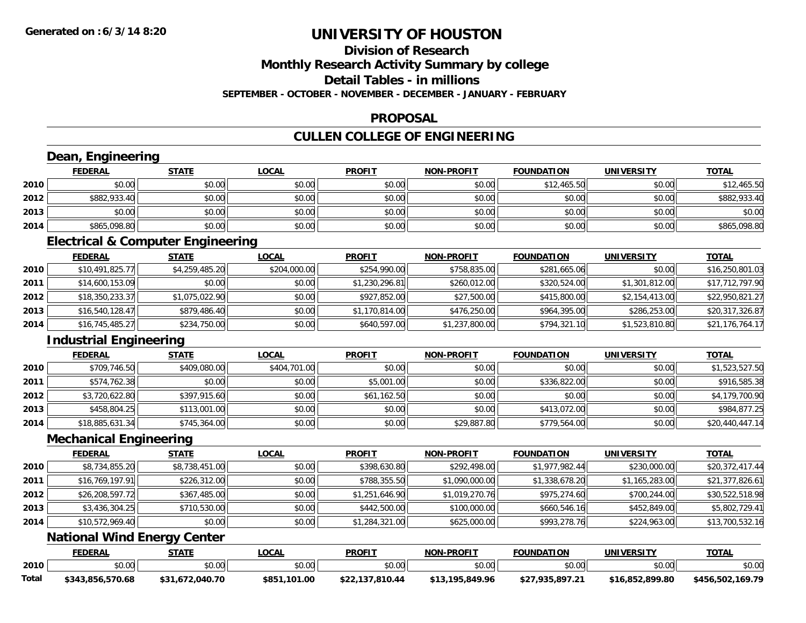# **Division of Research**

**Monthly Research Activity Summary by college**

**Detail Tables - in millions**

**SEPTEMBER - OCTOBER - NOVEMBER - DECEMBER - JANUARY - FEBRUARY**

## **PROPOSAL**

## **CULLEN COLLEGE OF ENGINEERING**

|       | Dean, Engineering                            |                 |              |                 |                   |                   |                   |                  |
|-------|----------------------------------------------|-----------------|--------------|-----------------|-------------------|-------------------|-------------------|------------------|
|       | <b>FEDERAL</b>                               | <b>STATE</b>    | <b>LOCAL</b> | <b>PROFIT</b>   | <b>NON-PROFIT</b> | <b>FOUNDATION</b> | <b>UNIVERSITY</b> | <b>TOTAL</b>     |
| 2010  | \$0.00                                       | \$0.00          | \$0.00       | \$0.00          | \$0.00            | \$12,465.50       | \$0.00            | \$12,465.50      |
| 2012  | \$882,933.40                                 | \$0.00          | \$0.00       | \$0.00          | \$0.00            | \$0.00            | \$0.00            | \$882,933.40     |
| 2013  | \$0.00                                       | \$0.00          | \$0.00       | \$0.00          | \$0.00            | \$0.00            | \$0.00            | \$0.00           |
| 2014  | \$865,098.80                                 | \$0.00          | \$0.00       | \$0.00          | \$0.00            | \$0.00            | \$0.00            | \$865,098.80     |
|       | <b>Electrical &amp; Computer Engineering</b> |                 |              |                 |                   |                   |                   |                  |
|       | <b>FEDERAL</b>                               | <b>STATE</b>    | <b>LOCAL</b> | <b>PROFIT</b>   | <b>NON-PROFIT</b> | <b>FOUNDATION</b> | <b>UNIVERSITY</b> | <b>TOTAL</b>     |
| 2010  | \$10,491,825.77                              | \$4,259,485.20  | \$204,000.00 | \$254,990.00    | \$758,835.00      | \$281,665.06      | \$0.00            | \$16,250,801.03  |
| 2011  | \$14,600,153.09                              | \$0.00          | \$0.00       | \$1,230,296.81  | \$260,012.00      | \$320,524.00      | \$1,301,812.00    | \$17,712,797.90  |
| 2012  | \$18,350,233.37                              | \$1,075,022.90  | \$0.00       | \$927,852.00    | \$27,500.00       | \$415,800.00      | \$2,154,413.00    | \$22,950,821.27  |
| 2013  | \$16,540,128.47                              | \$879,486.40    | \$0.00       | \$1,170,814.00  | \$476,250.00      | \$964,395.00      | \$286,253.00      | \$20,317,326.87  |
| 2014  | \$16,745,485.27                              | \$234,750.00    | \$0.00       | \$640,597.00    | \$1,237,800.00    | \$794,321.10      | \$1,523,810.80    | \$21,176,764.17  |
|       | <b>Industrial Engineering</b>                |                 |              |                 |                   |                   |                   |                  |
|       | <b>FEDERAL</b>                               | <b>STATE</b>    | <b>LOCAL</b> | <b>PROFIT</b>   | <b>NON-PROFIT</b> | <b>FOUNDATION</b> | <b>UNIVERSITY</b> | <b>TOTAL</b>     |
| 2010  | \$709,746.50                                 | \$409,080.00    | \$404,701.00 | \$0.00          | \$0.00            | \$0.00            | \$0.00            | \$1,523,527.50   |
| 2011  | \$574,762.38                                 | \$0.00          | \$0.00       | \$5,001.00      | \$0.00            | \$336,822.00      | \$0.00            | \$916,585.38     |
| 2012  | \$3,720,622.80                               | \$397,915.60    | \$0.00       | \$61,162.50     | \$0.00            | \$0.00            | \$0.00            | \$4,179,700.90   |
| 2013  | \$458,804.25                                 | \$113,001.00    | \$0.00       | \$0.00          | \$0.00            | \$413,072.00      | \$0.00            | \$984,877.25     |
| 2014  | \$18,885,631.34                              | \$745,364.00    | \$0.00       | \$0.00          | \$29,887.80       | \$779,564.00      | \$0.00            | \$20,440,447.14  |
|       | <b>Mechanical Engineering</b>                |                 |              |                 |                   |                   |                   |                  |
|       | <b>FEDERAL</b>                               | <b>STATE</b>    | <b>LOCAL</b> | <b>PROFIT</b>   | <b>NON-PROFIT</b> | <b>FOUNDATION</b> | <b>UNIVERSITY</b> | <b>TOTAL</b>     |
| 2010  | \$8,734,855.20                               | \$8,738,451.00  | \$0.00       | \$398,630.80    | \$292,498.00      | \$1,977,982.44    | \$230,000.00      | \$20,372,417.44  |
| 2011  | \$16,769,197.91                              | \$226,312.00    | \$0.00       | \$788,355.50    | \$1,090,000.00    | \$1,338,678.20    | \$1,165,283.00    | \$21,377,826.61  |
| 2012  | \$26,208,597.72                              | \$367,485.00    | \$0.00       | \$1,251,646.90  | \$1,019,270.76    | \$975,274.60      | \$700,244.00      | \$30,522,518.98  |
| 2013  | \$3,436,304.25                               | \$710,530.00    | \$0.00       | \$442,500.00    | \$100,000.00      | \$660,546.16      | \$452,849.00      | \$5,802,729.41   |
| 2014  | \$10,572,969.40                              | \$0.00          | \$0.00       | \$1,284,321.00  | \$625,000.00      | \$993,278.76      | \$224,963.00      | \$13,700,532.16  |
|       | <b>National Wind Energy Center</b>           |                 |              |                 |                   |                   |                   |                  |
|       | <b>FEDERAL</b>                               | <b>STATE</b>    | <b>LOCAL</b> | <b>PROFIT</b>   | <b>NON-PROFIT</b> | <b>FOUNDATION</b> | <b>UNIVERSITY</b> | <b>TOTAL</b>     |
| 2010  | \$0.00                                       | \$0.00          | \$0.00       | \$0.00          | \$0.00            | \$0.00            | \$0.00            | \$0.00           |
| Total | \$343,856,570.68                             | \$31,672,040.70 | \$851,101.00 | \$22,137,810.44 | \$13,195,849.96   | \$27,935,897.21   | \$16,852,899.80   | \$456,502,169.79 |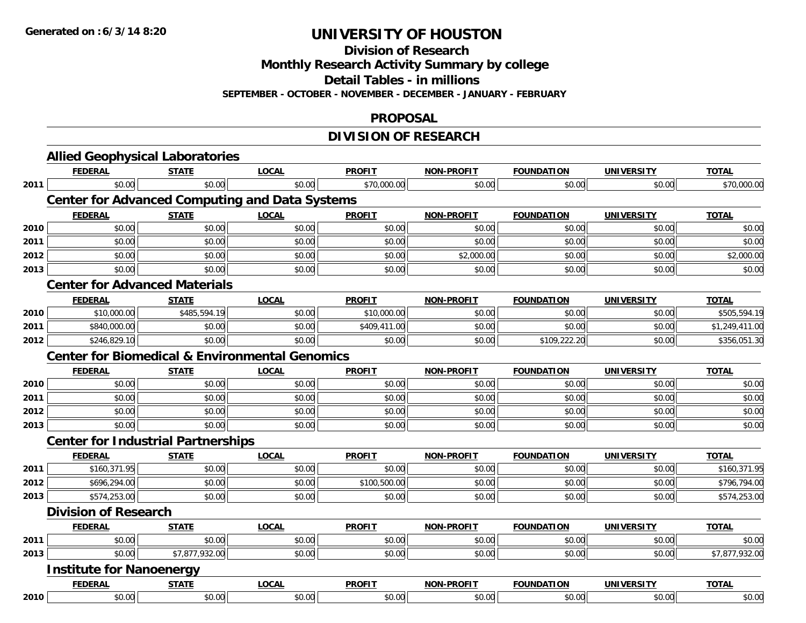**Division of Research**

**Monthly Research Activity Summary by college**

**Detail Tables - in millions**

**SEPTEMBER - OCTOBER - NOVEMBER - DECEMBER - JANUARY - FEBRUARY**

### **PROPOSAL**

## **DIVISION OF RESEARCH**

|      | <b>Allied Geophysical Laboratories</b>                    |                |              |               |                   |                   |                   |                |
|------|-----------------------------------------------------------|----------------|--------------|---------------|-------------------|-------------------|-------------------|----------------|
|      | <b>FEDERAL</b>                                            | <b>STATE</b>   | <b>LOCAL</b> | <b>PROFIT</b> | <b>NON-PROFIT</b> | <b>FOUNDATION</b> | <b>UNIVERSITY</b> | <b>TOTAL</b>   |
| 2011 | \$0.00                                                    | \$0.00         | \$0.00       | \$70,000.00   | \$0.00            | \$0.00            | \$0.00            | \$70,000.00    |
|      | <b>Center for Advanced Computing and Data Systems</b>     |                |              |               |                   |                   |                   |                |
|      | <b>FEDERAL</b>                                            | <b>STATE</b>   | <b>LOCAL</b> | <b>PROFIT</b> | <b>NON-PROFIT</b> | <b>FOUNDATION</b> | <b>UNIVERSITY</b> | <b>TOTAL</b>   |
| 2010 | \$0.00                                                    | \$0.00         | \$0.00       | \$0.00        | \$0.00            | \$0.00            | \$0.00            | \$0.00         |
| 2011 | \$0.00                                                    | \$0.00         | \$0.00       | \$0.00        | \$0.00            | \$0.00            | \$0.00            | \$0.00         |
| 2012 | \$0.00                                                    | \$0.00         | \$0.00       | \$0.00        | \$2,000.00        | \$0.00            | \$0.00            | \$2,000.00     |
| 2013 | \$0.00                                                    | \$0.00         | \$0.00       | \$0.00        | \$0.00            | \$0.00            | \$0.00            | \$0.00         |
|      | <b>Center for Advanced Materials</b>                      |                |              |               |                   |                   |                   |                |
|      | <b>FEDERAL</b>                                            | <b>STATE</b>   | <b>LOCAL</b> | <b>PROFIT</b> | <b>NON-PROFIT</b> | <b>FOUNDATION</b> | <b>UNIVERSITY</b> | <b>TOTAL</b>   |
| 2010 | \$10,000.00                                               | \$485,594.19   | \$0.00       | \$10,000.00   | \$0.00            | \$0.00            | \$0.00            | \$505,594.19   |
| 2011 | \$840,000.00                                              | \$0.00         | \$0.00       | \$409,411.00  | \$0.00            | \$0.00            | \$0.00            | \$1,249,411.00 |
| 2012 | \$246,829.10                                              | \$0.00         | \$0.00       | \$0.00        | \$0.00            | \$109,222.20      | \$0.00            | \$356,051.30   |
|      | <b>Center for Biomedical &amp; Environmental Genomics</b> |                |              |               |                   |                   |                   |                |
|      | <b>FEDERAL</b>                                            | <b>STATE</b>   | <b>LOCAL</b> | <b>PROFIT</b> | <b>NON-PROFIT</b> | <b>FOUNDATION</b> | <b>UNIVERSITY</b> | <b>TOTAL</b>   |
| 2010 | \$0.00                                                    | \$0.00         | \$0.00       | \$0.00        | \$0.00            | \$0.00            | \$0.00            | \$0.00         |
| 2011 | \$0.00                                                    | \$0.00         | \$0.00       | \$0.00        | \$0.00            | \$0.00            | \$0.00            | \$0.00         |
| 2012 | \$0.00                                                    | \$0.00         | \$0.00       | \$0.00        | \$0.00            | \$0.00            | \$0.00            | \$0.00         |
| 2013 | \$0.00                                                    | \$0.00         | \$0.00       | \$0.00        | \$0.00            | \$0.00            | \$0.00            | \$0.00         |
|      | <b>Center for Industrial Partnerships</b>                 |                |              |               |                   |                   |                   |                |
|      | <b>FEDERAL</b>                                            | <b>STATE</b>   | <b>LOCAL</b> | <b>PROFIT</b> | <b>NON-PROFIT</b> | <b>FOUNDATION</b> | <b>UNIVERSITY</b> | <b>TOTAL</b>   |
| 2011 | \$160,371.95                                              | \$0.00         | \$0.00       | \$0.00        | \$0.00            | \$0.00            | \$0.00            | \$160,371.95   |
| 2012 | \$696,294.00                                              | \$0.00         | \$0.00       | \$100,500.00  | \$0.00            | \$0.00            | \$0.00            | \$796,794.00   |
| 2013 | \$574,253.00                                              | \$0.00         | \$0.00       | \$0.00        | \$0.00            | \$0.00            | \$0.00            | \$574,253.00   |
|      | <b>Division of Research</b>                               |                |              |               |                   |                   |                   |                |
|      | <b>FEDERAL</b>                                            | <b>STATE</b>   | <b>LOCAL</b> | <b>PROFIT</b> | <b>NON-PROFIT</b> | <b>FOUNDATION</b> | <b>UNIVERSITY</b> | <b>TOTAL</b>   |
| 2011 | \$0.00                                                    | \$0.00         | \$0.00       | \$0.00        | \$0.00            | \$0.00            | \$0.00            | \$0.00         |
| 2013 | \$0.00                                                    | \$7,877,932.00 | \$0.00       | \$0.00        | \$0.00            | \$0.00            | \$0.00            | \$7,877,932.00 |
|      | <b>Institute for Nanoenergy</b>                           |                |              |               |                   |                   |                   |                |
|      | <b>FEDERAL</b>                                            | <b>STATE</b>   | <b>LOCAL</b> | <b>PROFIT</b> | <b>NON-PROFIT</b> | <b>FOUNDATION</b> | <b>UNIVERSITY</b> | <b>TOTAL</b>   |
| 2010 | \$0.00                                                    | \$0.00         | \$0.00       | \$0.00        | \$0.00            | \$0.00            | \$0.00            | \$0.00         |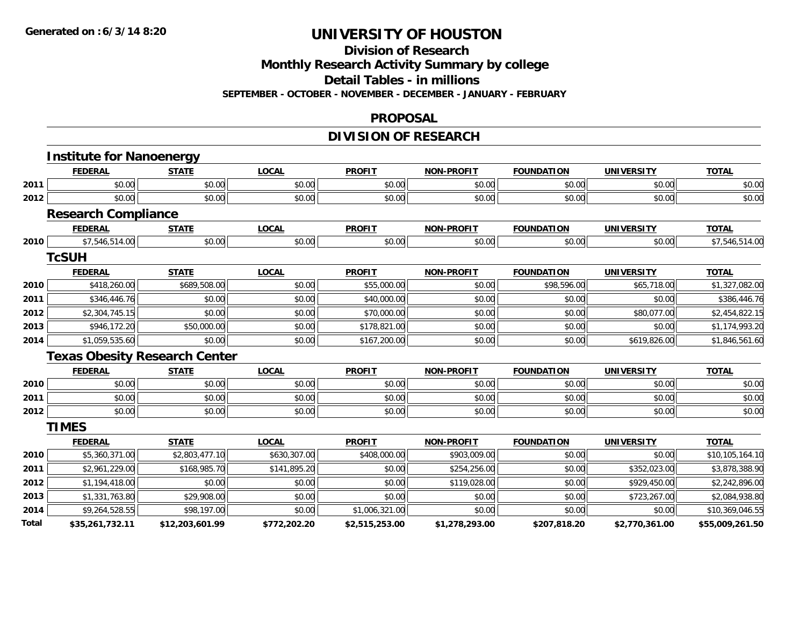#### **Division of Research**

**Monthly Research Activity Summary by college**

**Detail Tables - in millions**

**SEPTEMBER - OCTOBER - NOVEMBER - DECEMBER - JANUARY - FEBRUARY**

### **PROPOSAL**

## **DIVISION OF RESEARCH**

|       | <b>Institute for Nanoenergy</b>      |                 |              |                |                   |                   |                   |                 |
|-------|--------------------------------------|-----------------|--------------|----------------|-------------------|-------------------|-------------------|-----------------|
|       | <b>FEDERAL</b>                       | <b>STATE</b>    | <b>LOCAL</b> | <b>PROFIT</b>  | <b>NON-PROFIT</b> | <b>FOUNDATION</b> | <b>UNIVERSITY</b> | <b>TOTAL</b>    |
| 2011  | \$0.00                               | \$0.00          | \$0.00       | \$0.00         | \$0.00            | \$0.00            | \$0.00            | \$0.00          |
| 2012  | \$0.00                               | \$0.00          | \$0.00       | \$0.00         | \$0.00            | \$0.00            | \$0.00            | \$0.00          |
|       | <b>Research Compliance</b>           |                 |              |                |                   |                   |                   |                 |
|       | <b>FEDERAL</b>                       | <b>STATE</b>    | <b>LOCAL</b> | <b>PROFIT</b>  | <b>NON-PROFIT</b> | <b>FOUNDATION</b> | <b>UNIVERSITY</b> | <b>TOTAL</b>    |
| 2010  | \$7,546,514.00                       | \$0.00          | \$0.00       | \$0.00         | \$0.00            | \$0.00            | \$0.00            | \$7,546,514.00  |
|       | <b>TcSUH</b>                         |                 |              |                |                   |                   |                   |                 |
|       | <b>FEDERAL</b>                       | <b>STATE</b>    | <b>LOCAL</b> | <b>PROFIT</b>  | <b>NON-PROFIT</b> | <b>FOUNDATION</b> | <b>UNIVERSITY</b> | <b>TOTAL</b>    |
| 2010  | \$418,260.00                         | \$689,508.00    | \$0.00       | \$55,000.00    | \$0.00            | \$98,596.00       | \$65,718.00       | \$1,327,082.00  |
| 2011  | \$346,446.76                         | \$0.00          | \$0.00       | \$40,000.00    | \$0.00            | \$0.00            | \$0.00            | \$386,446.76    |
| 2012  | \$2,304,745.15                       | \$0.00          | \$0.00       | \$70,000.00    | \$0.00            | \$0.00            | \$80,077.00       | \$2,454,822.15  |
| 2013  | \$946,172.20                         | \$50,000.00     | \$0.00       | \$178,821.00   | \$0.00            | \$0.00            | \$0.00            | \$1,174,993.20  |
| 2014  | \$1,059,535.60                       | \$0.00          | \$0.00       | \$167,200.00   | \$0.00            | \$0.00            | \$619,826.00      | \$1,846,561.60  |
|       | <b>Texas Obesity Research Center</b> |                 |              |                |                   |                   |                   |                 |
|       | <b>FEDERAL</b>                       | <b>STATE</b>    | <b>LOCAL</b> | <b>PROFIT</b>  | <b>NON-PROFIT</b> | <b>FOUNDATION</b> | <b>UNIVERSITY</b> | <b>TOTAL</b>    |
| 2010  | \$0.00                               | \$0.00          | \$0.00       | \$0.00         | \$0.00            | \$0.00            | \$0.00            | \$0.00          |
| 2011  | \$0.00                               | \$0.00          | \$0.00       | \$0.00         | \$0.00            | \$0.00            | \$0.00            | \$0.00          |
| 2012  | \$0.00                               | \$0.00          | \$0.00       | \$0.00         | \$0.00            | \$0.00            | \$0.00            | \$0.00          |
|       | <b>TIMES</b>                         |                 |              |                |                   |                   |                   |                 |
|       | <b>FEDERAL</b>                       | <b>STATE</b>    | <b>LOCAL</b> | <b>PROFIT</b>  | <b>NON-PROFIT</b> | <b>FOUNDATION</b> | <b>UNIVERSITY</b> | <b>TOTAL</b>    |
| 2010  | \$5,360,371.00                       | \$2,803,477.10  | \$630,307.00 | \$408,000.00   | \$903,009.00      | \$0.00            | \$0.00            | \$10,105,164.10 |
| 2011  | \$2,961,229.00                       | \$168,985.70    | \$141,895.20 | \$0.00         | \$254,256.00      | \$0.00            | \$352,023.00      | \$3,878,388.90  |
| 2012  | \$1,194,418.00                       | \$0.00          | \$0.00       | \$0.00         | \$119,028.00      | \$0.00            | \$929,450.00      | \$2,242,896.00  |
| 2013  | \$1,331,763.80                       | \$29,908.00     | \$0.00       | \$0.00         | \$0.00            | \$0.00            | \$723,267.00      | \$2,084,938.80  |
| 2014  | \$9,264,528.55                       | \$98,197.00     | \$0.00       | \$1,006,321.00 | \$0.00            | \$0.00            | \$0.00            | \$10,369,046.55 |
| Total | \$35,261,732.11                      | \$12,203,601.99 | \$772,202.20 | \$2,515,253.00 | \$1,278,293.00    | \$207,818.20      | \$2,770,361.00    | \$55,009,261.50 |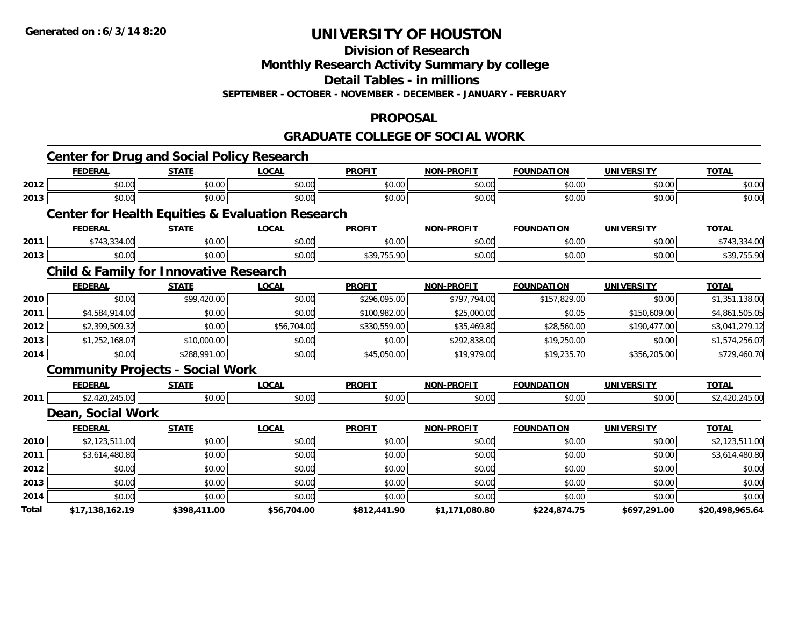#### **Division of Research**

**Monthly Research Activity Summary by college**

**Detail Tables - in millions**

**SEPTEMBER - OCTOBER - NOVEMBER - DECEMBER - JANUARY - FEBRUARY**

### **PROPOSAL**

### **GRADUATE COLLEGE OF SOCIAL WORK**

|       |                   | <b>Center for Drug and Social Policy Research</b> |                                                             |               |                   |                   |                   |                 |              |
|-------|-------------------|---------------------------------------------------|-------------------------------------------------------------|---------------|-------------------|-------------------|-------------------|-----------------|--------------|
|       | <b>FEDERAL</b>    | <b>STATE</b>                                      | <b>LOCAL</b>                                                | <b>PROFIT</b> | <b>NON-PROFIT</b> | <b>FOUNDATION</b> | <b>UNIVERSITY</b> | <b>TOTAL</b>    |              |
| 2012  | \$0.00            | \$0.00                                            | \$0.00                                                      | \$0.00        | \$0.00            | \$0.00            | \$0.00            | \$0.00          |              |
| 2013  | \$0.00            | \$0.00                                            | \$0.00                                                      | \$0.00        | \$0.00            | \$0.00            | \$0.00            | \$0.00          |              |
|       |                   |                                                   | <b>Center for Health Equities &amp; Evaluation Research</b> |               |                   |                   |                   |                 |              |
|       | <b>FEDERAL</b>    | <b>STATE</b>                                      | <b>LOCAL</b>                                                | <b>PROFIT</b> | <b>NON-PROFIT</b> | <b>FOUNDATION</b> | <b>UNIVERSITY</b> | <b>TOTAL</b>    |              |
| 2011  | \$743,334.00      | \$0.00                                            | \$0.00                                                      | \$0.00        | \$0.00            | \$0.00            | \$0.00            | \$743,334.00    |              |
| 2013  | \$0.00            | \$0.00                                            | \$0.00                                                      | \$39,755.90   | \$0.00            | \$0.00            | \$0.00            | \$39,755.90     |              |
|       |                   | <b>Child &amp; Family for Innovative Research</b> |                                                             |               |                   |                   |                   |                 |              |
|       | <b>FEDERAL</b>    | <b>STATE</b>                                      | <b>LOCAL</b>                                                | <b>PROFIT</b> | <b>NON-PROFIT</b> | <b>FOUNDATION</b> | <b>UNIVERSITY</b> | <b>TOTAL</b>    |              |
| 2010  | \$0.00            | \$99,420.00                                       | \$0.00                                                      | \$296,095.00  | \$797,794.00      | \$157,829.00      | \$0.00            | \$1,351,138.00  |              |
| 2011  | \$4,584,914.00    | \$0.00                                            | \$0.00                                                      | \$100,982.00  | \$25,000.00       | \$0.05            | \$150,609.00      | \$4,861,505.05  |              |
| 2012  | \$2,399,509.32    | \$0.00                                            | \$56,704.00                                                 | \$330,559.00  | \$35,469.80       | \$28,560.00       | \$190,477.00      | \$3,041,279.12  |              |
| 2013  | \$1,252,168.07    | \$10,000.00                                       | \$0.00                                                      | \$0.00        | \$292,838.00      | \$19,250.00       | \$0.00            | \$1,574,256.07  |              |
| 2014  | \$0.00            | \$288,991.00                                      | \$0.00                                                      | \$45,050.00   | \$19,979.00       | \$19,235.70       | \$356,205.00      |                 | \$729,460.70 |
|       |                   | <b>Community Projects - Social Work</b>           |                                                             |               |                   |                   |                   |                 |              |
|       | <b>FEDERAL</b>    | <b>STATE</b>                                      | <b>LOCAL</b>                                                | <b>PROFIT</b> | <b>NON-PROFIT</b> | <b>FOUNDATION</b> | <b>UNIVERSITY</b> | <b>TOTAL</b>    |              |
| 2011  | \$2,420,245.00    | \$0.00                                            | \$0.00                                                      | \$0.00        | \$0.00            | \$0.00            | \$0.00            | \$2,420,245.00  |              |
|       | Dean, Social Work |                                                   |                                                             |               |                   |                   |                   |                 |              |
|       | <b>FEDERAL</b>    | <b>STATE</b>                                      | <b>LOCAL</b>                                                | <b>PROFIT</b> | <b>NON-PROFIT</b> | <b>FOUNDATION</b> | <b>UNIVERSITY</b> | <b>TOTAL</b>    |              |
| 2010  | \$2,123,511.00    | \$0.00                                            | \$0.00                                                      | \$0.00        | \$0.00            | \$0.00            | \$0.00            | \$2,123,511.00  |              |
| 2011  | \$3,614,480.80    | \$0.00                                            | \$0.00                                                      | \$0.00        | \$0.00            | \$0.00            | \$0.00            | \$3,614,480.80  |              |
| 2012  | \$0.00            | \$0.00                                            | \$0.00                                                      | \$0.00        | \$0.00            | \$0.00            | \$0.00            | \$0.00          |              |
| 2013  | \$0.00            | \$0.00                                            | \$0.00                                                      | \$0.00        | \$0.00            | \$0.00            | \$0.00            | \$0.00          |              |
| 2014  | \$0.00            | \$0.00                                            | \$0.00                                                      | \$0.00        | \$0.00            | \$0.00            | \$0.00            | \$0.00          |              |
| Total | \$17,138,162.19   | \$398,411.00                                      | \$56,704.00                                                 | \$812,441.90  | \$1,171,080.80    | \$224,874.75      | \$697,291.00      | \$20,498,965.64 |              |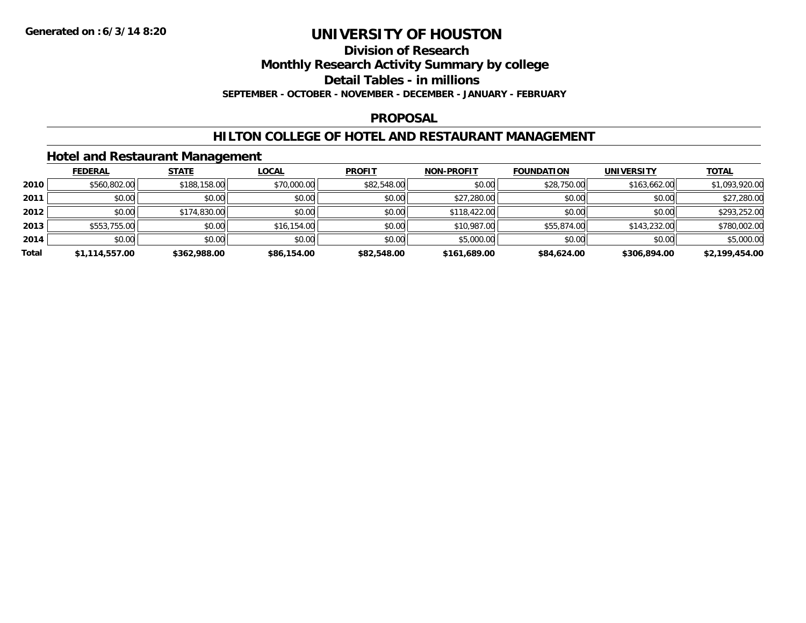#### **Division of Research**

**Monthly Research Activity Summary by college**

**Detail Tables - in millions**

**SEPTEMBER - OCTOBER - NOVEMBER - DECEMBER - JANUARY - FEBRUARY**

### **PROPOSAL**

## **HILTON COLLEGE OF HOTEL AND RESTAURANT MANAGEMENT**

## **Hotel and Restaurant Management**

|       | <b>FEDERAL</b> | <b>STATE</b> | <b>LOCAL</b> | <b>PROFIT</b> | <b>NON-PROFIT</b> | <b>FOUNDATION</b> | <b>UNIVERSITY</b> | <b>TOTAL</b>   |
|-------|----------------|--------------|--------------|---------------|-------------------|-------------------|-------------------|----------------|
| 2010  | \$560,802.00   | \$188,158.00 | \$70,000.00  | \$82,548.00   | \$0.00            | \$28,750.00       | \$163,662.00      | \$1,093,920.00 |
| 2011  | \$0.00         | \$0.00       | \$0.00       | \$0.00        | \$27,280.00       | \$0.00            | \$0.00            | \$27,280.00    |
| 2012  | \$0.00         | \$174,830.00 | \$0.00       | \$0.00        | \$118,422.00      | \$0.00            | \$0.00            | \$293,252.00   |
| 2013  | \$553,755.00   | \$0.00       | \$16,154.00  | \$0.00        | \$10,987.00       | \$55,874.00       | \$143,232.00      | \$780,002.00   |
| 2014  | \$0.00         | \$0.00       | \$0.00       | \$0.00        | \$5,000.00        | \$0.00            | \$0.00            | \$5,000.00     |
| Total | \$1,114,557.00 | \$362,988.00 | \$86,154.00  | \$82,548.00   | \$161,689.00      | \$84,624.00       | \$306,894.00      | \$2,199,454.00 |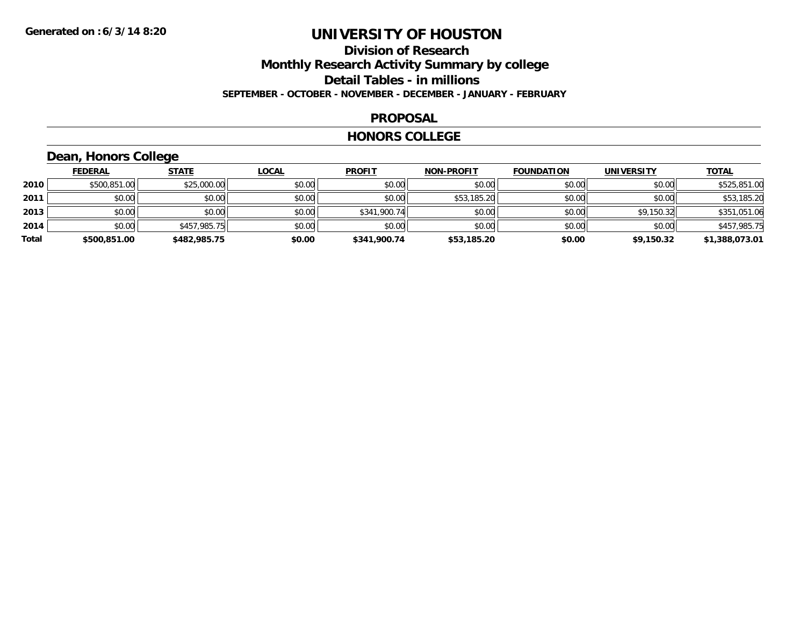## **Division of Research Monthly Research Activity Summary by college Detail Tables - in millions SEPTEMBER - OCTOBER - NOVEMBER - DECEMBER - JANUARY - FEBRUARY**

### **PROPOSAL**

### **HONORS COLLEGE**

## **Dean, Honors College**

|       | <b>FEDERAL</b> | <u>STATE</u> | <u>LOCAL</u> | <b>PROFIT</b> | <b>NON-PROFIT</b> | <b>FOUNDATION</b> | <b>UNIVERSITY</b> | <b>TOTAL</b>   |
|-------|----------------|--------------|--------------|---------------|-------------------|-------------------|-------------------|----------------|
| 2010  | \$500.851.00   | \$25,000.00  | \$0.00       | \$0.00        | \$0.00            | \$0.00            | \$0.00            | \$525,851.00   |
| 2011  | \$0.00         | \$0.00       | \$0.00       | \$0.00        | \$53,185.20       | \$0.00            | \$0.00            | \$53,185.20    |
| 2013  | \$0.00         | \$0.00       | \$0.00       | \$341,900.74  | \$0.00            | \$0.00            | \$9,150.32        | \$351,051.06   |
| 2014  | \$0.00         | \$457,985.75 | \$0.00       | \$0.00        | \$0.00            | \$0.00            | \$0.00            | \$457,985.75   |
| Total | \$500,851.00   | \$482,985.75 | \$0.00       | \$341,900.74  | \$53,185.20       | \$0.00            | \$9,150.32        | \$1,388,073.01 |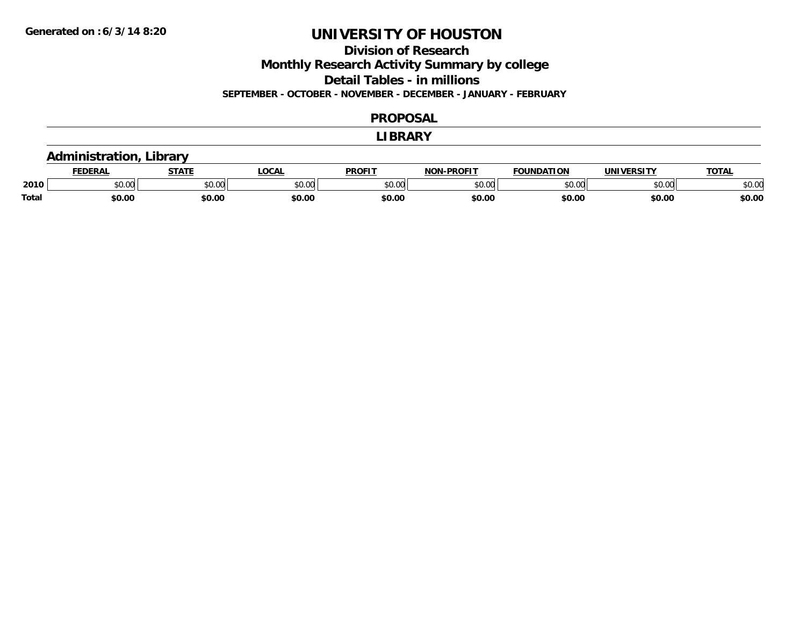**Division of Research**

**Monthly Research Activity Summary by college**

**Detail Tables - in millions**

**SEPTEMBER - OCTOBER - NOVEMBER - DECEMBER - JANUARY - FEBRUARY**

#### **PROPOSAL**

#### **LIBRARY**

## **Administration, Library**

|       | DERAI  | <b>STATE</b>             | <b>LOCAL</b>                                          | <b>PROFIT</b> | -PROFIT<br>חרות | <b>FOUNDATION</b> | UNIVERSITY | TOTA.  |
|-------|--------|--------------------------|-------------------------------------------------------|---------------|-----------------|-------------------|------------|--------|
| 2010  | \$0.00 | $\sim$ 0.0 $\sim$<br>JU. | $\mathsf{A} \cap \mathsf{A} \cap \mathsf{A}$<br>50.Ul | 0000<br>JU.UU | 0000<br>,u.uu   | $n \cap \Omega$   | \$0.00     | \$0.00 |
| Total | \$0.00 | \$0.00                   | \$0.00                                                | \$0.00        | \$0.00          | \$0.00            | \$0.00     | \$0.00 |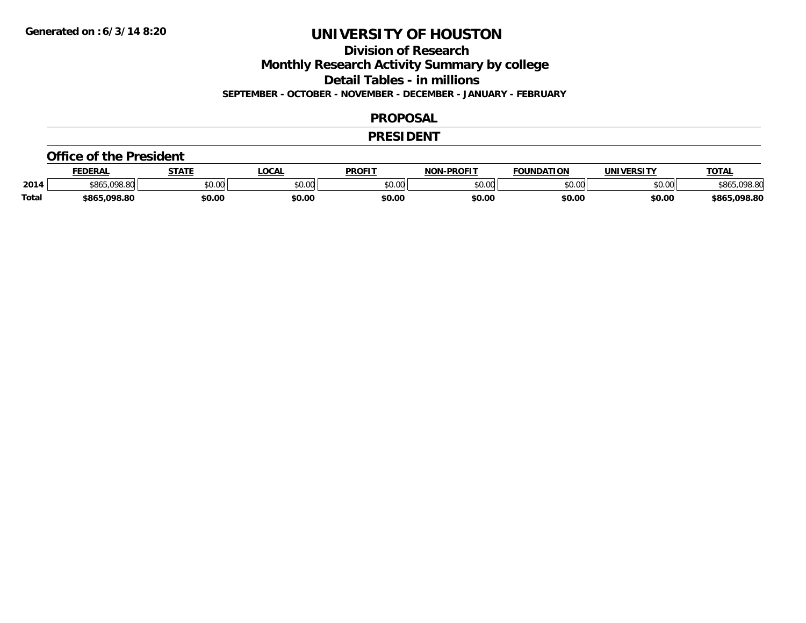**Division of Research**

**Monthly Research Activity Summary by college**

**Detail Tables - in millions**

**SEPTEMBER - OCTOBER - NOVEMBER - DECEMBER - JANUARY - FEBRUARY**

### **PROPOSAL**

### **PRESIDENT**

#### **Office of the President**

|              | <b>FEDERAL</b>   | <b>STATE</b> | <b>OCAL</b>             | <b>PROFIT</b> | <b>-PROFIT</b><br><b>NON</b> | <b>FOUNDATION</b> | UNIVERSITY | <u> ΤΟΤΑ.</u> |
|--------------|------------------|--------------|-------------------------|---------------|------------------------------|-------------------|------------|---------------|
| 2014         | .098.80<br>\$86. | \$0.00       | 0 <sub>n</sub><br>JU.UU | \$0.00        | ልስ ባህ<br>pv.uu               | \$0.00            | \$0.00     | <b>198.80</b> |
| <b>Total</b> | . uas su<br>toze | \$0.00       | \$0.00                  | \$0.00        | \$0.00                       | \$0.00            | \$0.00     | \$865,098.80  |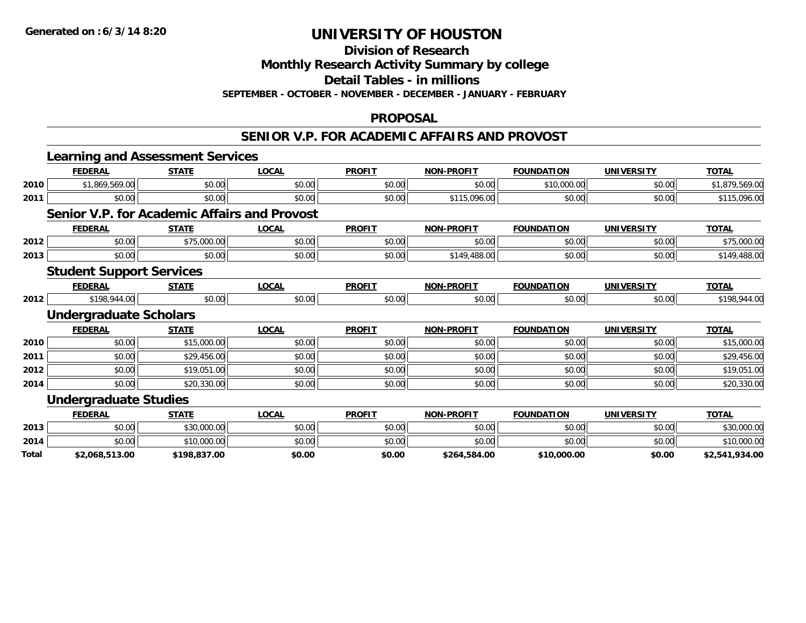**Division of Research**

**Monthly Research Activity Summary by college**

**Detail Tables - in millions**

**SEPTEMBER - OCTOBER - NOVEMBER - DECEMBER - JANUARY - FEBRUARY**

### **PROPOSAL**

### **SENIOR V.P. FOR ACADEMIC AFFAIRS AND PROVOST**

|              | <b>Learning and Assessment Services</b>             |              |              |               |                   |                   |                   |                |
|--------------|-----------------------------------------------------|--------------|--------------|---------------|-------------------|-------------------|-------------------|----------------|
|              | <b>FEDERAL</b>                                      | <b>STATE</b> | <b>LOCAL</b> | <b>PROFIT</b> | <b>NON-PROFIT</b> | <b>FOUNDATION</b> | <b>UNIVERSITY</b> | <b>TOTAL</b>   |
| 2010         | \$1,869,569.00                                      | \$0.00       | \$0.00       | \$0.00        | \$0.00            | \$10,000.00       | \$0.00            | \$1,879,569.00 |
| 2011         | \$0.00                                              | \$0.00       | \$0.00       | \$0.00        | \$115,096.00      | \$0.00            | \$0.00            | \$115,096.00   |
|              | <b>Senior V.P. for Academic Affairs and Provost</b> |              |              |               |                   |                   |                   |                |
|              | <b>FEDERAL</b>                                      | <b>STATE</b> | <b>LOCAL</b> | <b>PROFIT</b> | <b>NON-PROFIT</b> | <b>FOUNDATION</b> | <b>UNIVERSITY</b> | <b>TOTAL</b>   |
| 2012         | \$0.00                                              | \$75,000.00  | \$0.00       | \$0.00        | \$0.00            | \$0.00            | \$0.00            | \$75,000.00    |
| 2013         | \$0.00                                              | \$0.00       | \$0.00       | \$0.00        | \$149,488.00      | \$0.00            | \$0.00            | \$149,488.00   |
|              | <b>Student Support Services</b>                     |              |              |               |                   |                   |                   |                |
|              | <b>FEDERAL</b>                                      | <b>STATE</b> | <b>LOCAL</b> | <b>PROFIT</b> | <b>NON-PROFIT</b> | <b>FOUNDATION</b> | <b>UNIVERSITY</b> | <b>TOTAL</b>   |
| 2012         | \$198,944.00                                        | \$0.00       | \$0.00       | \$0.00        | \$0.00            | \$0.00            | \$0.00            | \$198,944.00   |
|              | <b>Undergraduate Scholars</b>                       |              |              |               |                   |                   |                   |                |
|              | <b>FEDERAL</b>                                      | <b>STATE</b> | <b>LOCAL</b> | <b>PROFIT</b> | <b>NON-PROFIT</b> | <b>FOUNDATION</b> | <b>UNIVERSITY</b> | <b>TOTAL</b>   |
| 2010         | \$0.00                                              | \$15,000.00  | \$0.00       | \$0.00        | \$0.00            | \$0.00            | \$0.00            | \$15,000.00    |
| 2011         | \$0.00                                              | \$29,456.00  | \$0.00       | \$0.00        | \$0.00            | \$0.00            | \$0.00            | \$29,456.00    |
| 2012         | \$0.00                                              | \$19,051.00  | \$0.00       | \$0.00        | \$0.00            | \$0.00            | \$0.00            | \$19,051.00    |
| 2014         | \$0.00                                              | \$20,330.00  | \$0.00       | \$0.00        | \$0.00            | \$0.00            | \$0.00            | \$20,330.00    |
|              | <b>Undergraduate Studies</b>                        |              |              |               |                   |                   |                   |                |
|              | <b>FEDERAL</b>                                      | <b>STATE</b> | <b>LOCAL</b> | <b>PROFIT</b> | <b>NON-PROFIT</b> | <b>FOUNDATION</b> | <b>UNIVERSITY</b> | <b>TOTAL</b>   |
| 2013         | \$0.00                                              | \$30,000.00  | \$0.00       | \$0.00        | \$0.00            | \$0.00            | \$0.00            | \$30,000.00    |
| 2014         | \$0.00                                              | \$10,000.00  | \$0.00       | \$0.00        | \$0.00            | \$0.00            | \$0.00            | \$10,000.00    |
| <b>Total</b> | \$2,068,513.00                                      | \$198,837.00 | \$0.00       | \$0.00        | \$264,584.00      | \$10,000.00       | \$0.00            | \$2,541,934.00 |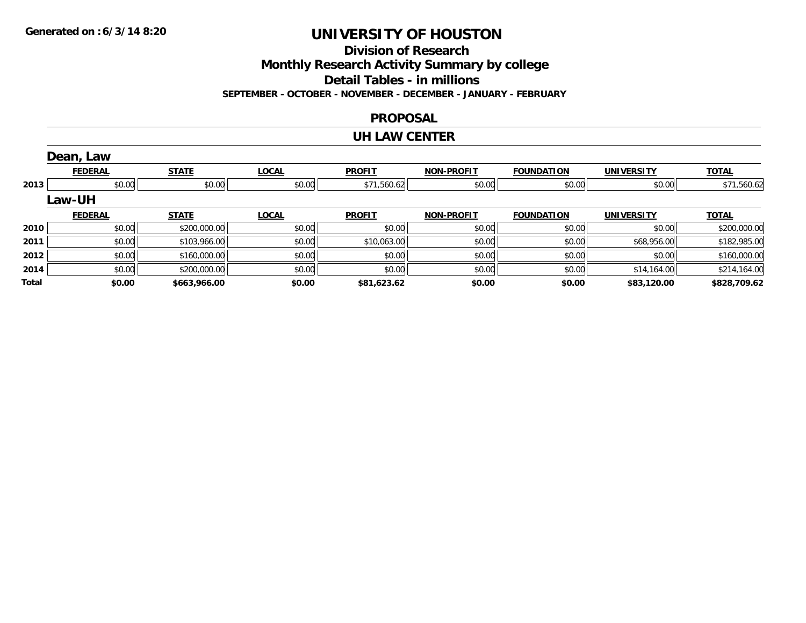**Division of Research**

**Monthly Research Activity Summary by college**

**Detail Tables - in millions**

**SEPTEMBER - OCTOBER - NOVEMBER - DECEMBER - JANUARY - FEBRUARY**

## **PROPOSAL**

### **UH LAW CENTER**

|       | Dean, Law      |              |              |               |                   |                   |                   |              |
|-------|----------------|--------------|--------------|---------------|-------------------|-------------------|-------------------|--------------|
|       | <b>FEDERAL</b> | <b>STATE</b> | <b>LOCAL</b> | <b>PROFIT</b> | <b>NON-PROFIT</b> | <b>FOUNDATION</b> | <b>UNIVERSITY</b> | <b>TOTAL</b> |
| 2013  | \$0.00         | \$0.00       | \$0.00       | \$71,560.62   | \$0.00            | \$0.00            | \$0.00            | \$71,560.62  |
|       | <b>Law-UH</b>  |              |              |               |                   |                   |                   |              |
|       | <b>FEDERAL</b> | <b>STATE</b> | <b>LOCAL</b> | <b>PROFIT</b> | <b>NON-PROFIT</b> | <b>FOUNDATION</b> | <b>UNIVERSITY</b> | <b>TOTAL</b> |
| 2010  | \$0.00         | \$200,000.00 | \$0.00       | \$0.00        | \$0.00            | \$0.00            | \$0.00            | \$200,000.00 |
| 2011  | \$0.00         | \$103,966.00 | \$0.00       | \$10,063.00   | \$0.00            | \$0.00            | \$68,956.00       | \$182,985.00 |
| 2012  | \$0.00         | \$160,000.00 | \$0.00       | \$0.00        | \$0.00            | \$0.00            | \$0.00            | \$160,000.00 |
| 2014  | \$0.00         | \$200,000.00 | \$0.00       | \$0.00        | \$0.00            | \$0.00            | \$14,164.00       | \$214,164.00 |
| Total | \$0.00         | \$663,966.00 | \$0.00       | \$81,623.62   | \$0.00            | \$0.00            | \$83,120.00       | \$828,709.62 |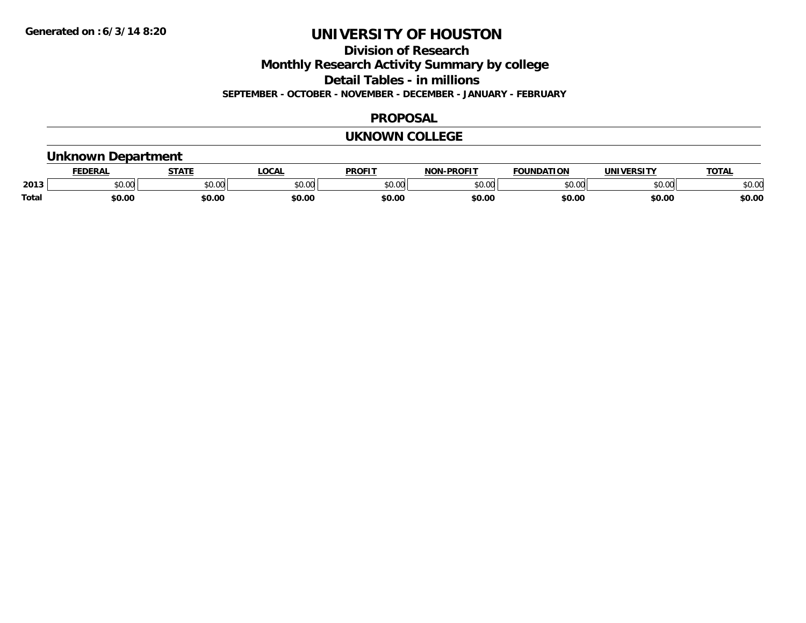**Division of Research**

**Monthly Research Activity Summary by college**

**Detail Tables - in millions**

**SEPTEMBER - OCTOBER - NOVEMBER - DECEMBER - JANUARY - FEBRUARY**

### **PROPOSAL**

### **UKNOWN COLLEGE**

## **Unknown Department**

|              | DERAI         | CTATL         | .OCAI          | <b>PROFIT</b> | <b>DDOEL1</b><br>810 R | <b>FOUNDATION</b> | UNIVERSITY | TOTAL  |
|--------------|---------------|---------------|----------------|---------------|------------------------|-------------------|------------|--------|
| 2013         | 0.00<br>JU.UU | 0.00<br>JU.UU | ≮∩ ∩r<br>JU.UL | 0000<br>JU.UU | $\sim$ 00<br>וטט.טי    | 0000              | \$0.00     | \$0.00 |
| <b>Total</b> | \$0.00        | \$0.00        | \$0.00         | \$0.00        | \$0.00                 | \$0.00            | \$0.00     | \$0.00 |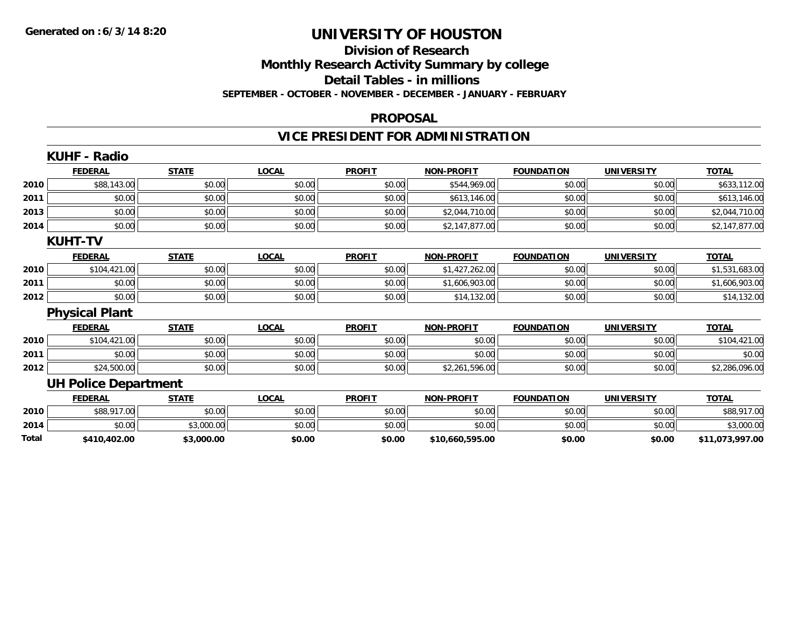### **Division of Research Monthly Research Activity Summary by college Detail Tables - in millions SEPTEMBER - OCTOBER - NOVEMBER - DECEMBER - JANUARY - FEBRUARY**

### **PROPOSAL**

## **VICE PRESIDENT FOR ADMINISTRATION**

|       | <b>KUHF - Radio</b>         |              |              |               |                   |                   |                   |                 |
|-------|-----------------------------|--------------|--------------|---------------|-------------------|-------------------|-------------------|-----------------|
|       | <b>FEDERAL</b>              | <b>STATE</b> | <b>LOCAL</b> | <b>PROFIT</b> | <b>NON-PROFIT</b> | <b>FOUNDATION</b> | <b>UNIVERSITY</b> | <b>TOTAL</b>    |
| 2010  | \$88,143.00                 | \$0.00       | \$0.00       | \$0.00        | \$544,969.00      | \$0.00            | \$0.00            | \$633,112.00    |
| 2011  | \$0.00                      | \$0.00       | \$0.00       | \$0.00        | \$613,146.00      | \$0.00            | \$0.00            | \$613,146.00    |
| 2013  | \$0.00                      | \$0.00       | \$0.00       | \$0.00        | \$2,044,710.00    | \$0.00            | \$0.00            | \$2,044,710.00  |
| 2014  | \$0.00                      | \$0.00       | \$0.00       | \$0.00        | \$2,147,877.00    | \$0.00            | \$0.00            | \$2,147,877.00  |
|       | <b>KUHT-TV</b>              |              |              |               |                   |                   |                   |                 |
|       | <b>FEDERAL</b>              | <b>STATE</b> | <b>LOCAL</b> | <b>PROFIT</b> | <b>NON-PROFIT</b> | <b>FOUNDATION</b> | <b>UNIVERSITY</b> | <b>TOTAL</b>    |
| 2010  | \$104,421.00                | \$0.00       | \$0.00       | \$0.00        | \$1,427,262.00    | \$0.00            | \$0.00            | \$1,531,683.00  |
| 2011  | \$0.00                      | \$0.00       | \$0.00       | \$0.00        | \$1,606,903.00    | \$0.00            | \$0.00            | \$1,606,903.00  |
| 2012  | \$0.00                      | \$0.00       | \$0.00       | \$0.00        | \$14,132.00       | \$0.00            | \$0.00            | \$14,132.00     |
|       | <b>Physical Plant</b>       |              |              |               |                   |                   |                   |                 |
|       | <b>FEDERAL</b>              | <b>STATE</b> | <b>LOCAL</b> | <b>PROFIT</b> | <b>NON-PROFIT</b> | <b>FOUNDATION</b> | <b>UNIVERSITY</b> | <b>TOTAL</b>    |
| 2010  | \$104,421.00                | \$0.00       | \$0.00       | \$0.00        | \$0.00            | \$0.00            | \$0.00            | \$104,421.00    |
| 2011  | \$0.00                      | \$0.00       | \$0.00       | \$0.00        | \$0.00            | \$0.00            | \$0.00            | \$0.00          |
| 2012  | \$24,500.00                 | \$0.00       | \$0.00       | \$0.00        | \$2,261,596.00    | \$0.00            | \$0.00            | \$2,286,096.00  |
|       | <b>UH Police Department</b> |              |              |               |                   |                   |                   |                 |
|       | <b>FEDERAL</b>              | <b>STATE</b> | <b>LOCAL</b> | <b>PROFIT</b> | <b>NON-PROFIT</b> | <b>FOUNDATION</b> | <b>UNIVERSITY</b> | <b>TOTAL</b>    |
| 2010  | \$88,917.00                 | \$0.00       | \$0.00       | \$0.00        | \$0.00            | \$0.00            | \$0.00            | \$88,917.00     |
| 2014  | \$0.00                      | \$3,000.00   | \$0.00       | \$0.00        | \$0.00            | \$0.00            | \$0.00            | \$3,000.00      |
| Total | \$410,402.00                | \$3,000.00   | \$0.00       | \$0.00        | \$10,660,595.00   | \$0.00            | \$0.00            | \$11,073,997.00 |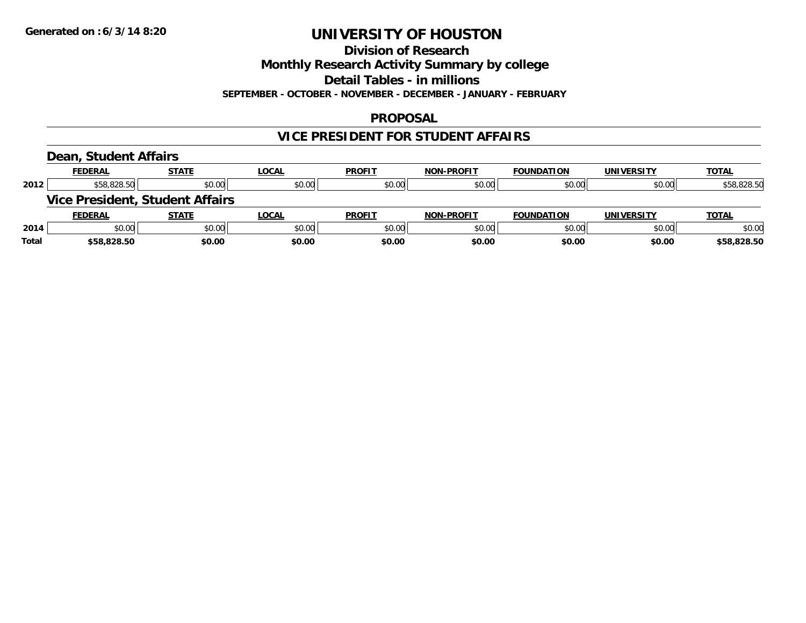**Division of Research**

**Monthly Research Activity Summary by college**

**Detail Tables - in millions**

**SEPTEMBER - OCTOBER - NOVEMBER - DECEMBER - JANUARY - FEBRUARY**

## **PROPOSAL**

## **VICE PRESIDENT FOR STUDENT AFFAIRS**

### **Dean, Student Affairs**

|       | <b>FEDERAL</b>                         | <b>STATE</b> | <b>LOCAL</b> | <b>PROFIT</b> | <b>NON-PROFIT</b> | <b>FOUNDATION</b> | <b>UNIVERSITY</b> | <b>TOTAL</b> |
|-------|----------------------------------------|--------------|--------------|---------------|-------------------|-------------------|-------------------|--------------|
| 2012  | \$58,828.50                            | \$0.00       | \$0.00       | \$0.00        | \$0.00            | \$0.00            | \$0.00            | \$58,828.50  |
|       | <b>Vice President, Student Affairs</b> |              |              |               |                   |                   |                   |              |
|       | <b>FEDERAL</b>                         | STATE        | <b>LOCAL</b> | <b>PROFIT</b> | <b>NON-PROFIT</b> | <b>FOUNDATION</b> | <b>UNIVERSITY</b> | <b>TOTAL</b> |
| 2014  | \$0.00                                 | \$0.00       | \$0.00       | \$0.00        | \$0.00            | \$0.00            | \$0.00            | \$0.00       |
| Total | \$58,828.50                            | \$0.00       | \$0.00       | \$0.00        | \$0.00            | \$0.00            | \$0.00            | \$58,828.50  |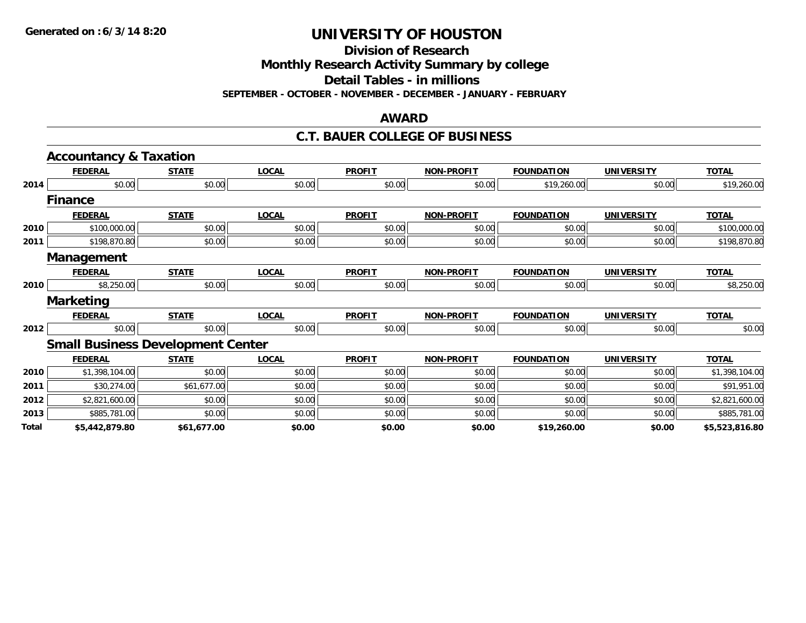**Division of Research**

**Monthly Research Activity Summary by college**

**Detail Tables - in millions**

**SEPTEMBER - OCTOBER - NOVEMBER - DECEMBER - JANUARY - FEBRUARY**

#### **AWARD**

### **C.T. BAUER COLLEGE OF BUSINESS**

|       | <b>Accountancy &amp; Taxation</b> |                                          |              |               |                   |                   |                   |                |
|-------|-----------------------------------|------------------------------------------|--------------|---------------|-------------------|-------------------|-------------------|----------------|
|       | <b>FEDERAL</b>                    | <b>STATE</b>                             | <b>LOCAL</b> | <b>PROFIT</b> | <b>NON-PROFIT</b> | <b>FOUNDATION</b> | <b>UNIVERSITY</b> | <b>TOTAL</b>   |
| 2014  | \$0.00                            | \$0.00                                   | \$0.00       | \$0.00        | \$0.00            | \$19,260.00       | \$0.00            | \$19,260.00    |
|       | <b>Finance</b>                    |                                          |              |               |                   |                   |                   |                |
|       | <b>FEDERAL</b>                    | <b>STATE</b>                             | <b>LOCAL</b> | <b>PROFIT</b> | <b>NON-PROFIT</b> | <b>FOUNDATION</b> | <b>UNIVERSITY</b> | <b>TOTAL</b>   |
| 2010  | \$100,000.00                      | \$0.00                                   | \$0.00       | \$0.00        | \$0.00            | \$0.00            | \$0.00            | \$100,000.00   |
| 2011  | \$198,870.80                      | \$0.00                                   | \$0.00       | \$0.00        | \$0.00            | \$0.00            | \$0.00            | \$198,870.80   |
|       | Management                        |                                          |              |               |                   |                   |                   |                |
|       | <b>FEDERAL</b>                    | <b>STATE</b>                             | <b>LOCAL</b> | <b>PROFIT</b> | <b>NON-PROFIT</b> | <b>FOUNDATION</b> | <b>UNIVERSITY</b> | <b>TOTAL</b>   |
| 2010  | \$8,250.00                        | \$0.00                                   | \$0.00       | \$0.00        | \$0.00            | \$0.00            | \$0.00            | \$8,250.00     |
|       | <b>Marketing</b>                  |                                          |              |               |                   |                   |                   |                |
|       | <b>FEDERAL</b>                    | <b>STATE</b>                             | <b>LOCAL</b> | <b>PROFIT</b> | <b>NON-PROFIT</b> | <b>FOUNDATION</b> | <b>UNIVERSITY</b> | <b>TOTAL</b>   |
| 2012  | \$0.00                            | \$0.00                                   | \$0.00       | \$0.00        | \$0.00            | \$0.00            | \$0.00            | \$0.00         |
|       |                                   | <b>Small Business Development Center</b> |              |               |                   |                   |                   |                |
|       | <b>FEDERAL</b>                    | <b>STATE</b>                             | <b>LOCAL</b> | <b>PROFIT</b> | <b>NON-PROFIT</b> | <b>FOUNDATION</b> | <b>UNIVERSITY</b> | <b>TOTAL</b>   |
| 2010  | \$1,398,104.00                    | \$0.00                                   | \$0.00       | \$0.00        | \$0.00            | \$0.00            | \$0.00            | \$1,398,104.00 |
| 2011  | \$30,274.00                       | \$61,677.00                              | \$0.00       | \$0.00        | \$0.00            | \$0.00            | \$0.00            | \$91,951.00    |
| 2012  | \$2,821,600.00                    | \$0.00                                   | \$0.00       | \$0.00        | \$0.00            | \$0.00            | \$0.00            | \$2,821,600.00 |
| 2013  | \$885,781.00                      | \$0.00                                   | \$0.00       | \$0.00        | \$0.00            | \$0.00            | \$0.00            | \$885,781.00   |
| Total | \$5,442,879.80                    | \$61,677.00                              | \$0.00       | \$0.00        | \$0.00            | \$19,260.00       | \$0.00            | \$5,523,816.80 |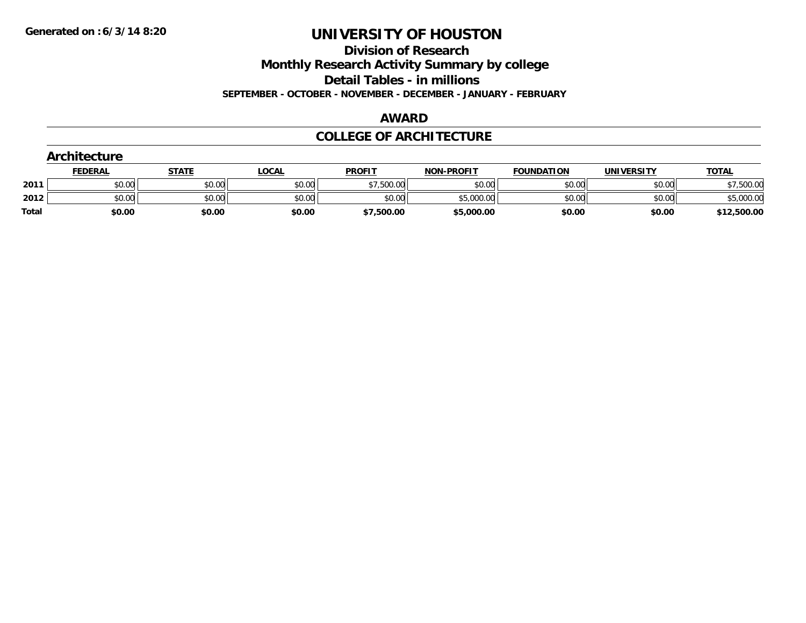**Division of Research**

**Monthly Research Activity Summary by college**

**Detail Tables - in millions**

**SEPTEMBER - OCTOBER - NOVEMBER - DECEMBER - JANUARY - FEBRUARY**

### **AWARD**

## **COLLEGE OF ARCHITECTURE**

| Architecture |                |              |              |               |                   |                   |                   |              |
|--------------|----------------|--------------|--------------|---------------|-------------------|-------------------|-------------------|--------------|
|              | <b>FEDERAL</b> | <b>STATE</b> | <b>LOCAL</b> | <b>PROFIT</b> | <b>NON-PROFIT</b> | <b>FOUNDATION</b> | <b>UNIVERSITY</b> | <b>TOTAL</b> |
| 2011         | \$0.00         | \$0.00       | \$0.00       | \$7,500.00    | \$0.00            | \$0.00            | \$0.00            | \$7,500.00   |
| 2012         | \$0.00         | \$0.00       | \$0.00       | \$0.00        | \$5,000.00        | \$0.00            | \$0.00            | \$5,000.00   |
| <b>Total</b> | \$0.00         | \$0.00       | \$0.00       | \$7,500.00    | \$5,000.00        | \$0.00            | \$0.00            | \$12,500.00  |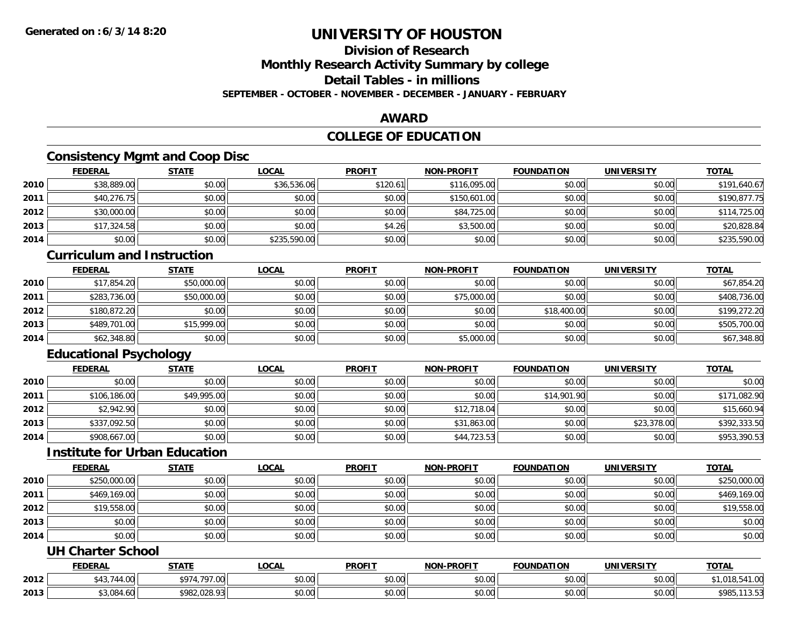## **Division of Research**

**Monthly Research Activity Summary by college**

## **Detail Tables - in millions**

**SEPTEMBER - OCTOBER - NOVEMBER - DECEMBER - JANUARY - FEBRUARY**

## **AWARD**

## **COLLEGE OF EDUCATION**

## **Consistency Mgmt and Coop Disc**

|      | <b>FEDERAL</b> | <b>STATE</b> | <u>LOCAL</u> | <b>PROFIT</b> | <b>NON-PROFIT</b> | <b>FOUNDATION</b> | <b>UNIVERSITY</b> | <b>TOTAL</b> |
|------|----------------|--------------|--------------|---------------|-------------------|-------------------|-------------------|--------------|
| 2010 | \$38,889.00    | \$0.00       | \$36,536.06  | \$120.61      | \$116,095.00      | \$0.00            | \$0.00            | \$191,640.67 |
| 2011 | \$40,276.75    | \$0.00       | \$0.00       | \$0.00        | \$150,601.00      | \$0.00            | \$0.00            | \$190,877.75 |
| 2012 | \$30,000.00    | \$0.00       | \$0.00       | \$0.00        | \$84,725.00       | \$0.00            | \$0.00            | \$114,725.00 |
| 2013 | \$17,324.58    | \$0.00       | \$0.00       | \$4.26        | \$3,500.00        | \$0.00            | \$0.00            | \$20,828.84  |
| 2014 | \$0.00         | \$0.00       | \$235,590.00 | \$0.00        | \$0.00            | \$0.00            | \$0.00            | \$235,590.00 |

### **Curriculum and Instruction**

|      | <b>FEDERAL</b> | <b>STATE</b> | <u>LOCAL</u> | <b>PROFIT</b> | <b>NON-PROFIT</b> | <b>FOUNDATION</b> | <b>UNIVERSITY</b> | <b>TOTAL</b> |
|------|----------------|--------------|--------------|---------------|-------------------|-------------------|-------------------|--------------|
| 2010 | \$17,854.20    | \$50,000.00  | \$0.00       | \$0.00        | \$0.00            | \$0.00            | \$0.00            | \$67,854.20  |
| 2011 | \$283,736.00   | \$50,000.00  | \$0.00       | \$0.00        | \$75,000.00       | \$0.00            | \$0.00            | \$408,736.00 |
| 2012 | \$180,872.20   | \$0.00       | \$0.00       | \$0.00        | \$0.00            | \$18,400.00       | \$0.00            | \$199,272.20 |
| 2013 | \$489,701.00   | \$15,999.00  | \$0.00       | \$0.00        | \$0.00            | \$0.00            | \$0.00            | \$505,700.00 |
| 2014 | \$62,348.80    | \$0.00       | \$0.00       | \$0.00        | \$5,000.00        | \$0.00            | \$0.00            | \$67,348.80  |

## **Educational Psychology**

|      | <b>FEDERAL</b> | <u>STATE</u> | <u>LOCAL</u> | <b>PROFIT</b> | <b>NON-PROFIT</b> | <b>FOUNDATION</b> | <b>UNIVERSITY</b> | <b>TOTAL</b> |
|------|----------------|--------------|--------------|---------------|-------------------|-------------------|-------------------|--------------|
| 2010 | \$0.00         | \$0.00       | \$0.00       | \$0.00        | \$0.00            | \$0.00            | \$0.00            | \$0.00       |
| 2011 | \$106,186,00   | \$49,995.00  | \$0.00       | \$0.00        | \$0.00            | \$14,901.90       | \$0.00            | \$171,082.90 |
| 2012 | \$2,942.90     | \$0.00       | \$0.00       | \$0.00        | \$12,718.04       | \$0.00            | \$0.00            | \$15,660.94  |
| 2013 | \$337,092.50   | \$0.00       | \$0.00       | \$0.00        | \$31,863.00       | \$0.00            | \$23,378.00       | \$392,333.50 |
| 2014 | \$908,667.00   | \$0.00       | \$0.00       | \$0.00        | \$44,723.53       | \$0.00            | \$0.00            | \$953,390.53 |

## **Institute for Urban Education**

|      | <b>FEDERAL</b> | <b>STATE</b> | <b>LOCAL</b> | <b>PROFIT</b> | <b>NON-PROFIT</b> | <b>FOUNDATION</b> | <b>UNIVERSITY</b> | <b>TOTAL</b> |
|------|----------------|--------------|--------------|---------------|-------------------|-------------------|-------------------|--------------|
| 2010 | \$250,000.00   | \$0.00       | \$0.00       | \$0.00        | \$0.00            | \$0.00            | \$0.00            | \$250,000.00 |
| 2011 | \$469,169.00   | \$0.00       | \$0.00       | \$0.00        | \$0.00            | \$0.00            | \$0.00            | \$469,169.00 |
| 2012 | \$19,558.00    | \$0.00       | \$0.00       | \$0.00        | \$0.00            | \$0.00            | \$0.00            | \$19,558.00  |
| 2013 | \$0.00         | \$0.00       | \$0.00       | \$0.00        | \$0.00            | \$0.00            | \$0.00            | \$0.00       |
| 2014 | \$0.00         | \$0.00       | \$0.00       | \$0.00        | \$0.00            | \$0.00            | \$0.00            | \$0.00       |

## **UH Charter School**

|      | <b>FEDERAL</b>      | <b>STATE</b>            | <b>_OCAL</b>       | <b>PROFIT</b> | NON-DDOELT           | <b>UNDATION</b> | UNIVERSITY | <b>TOTAL</b>                  |
|------|---------------------|-------------------------|--------------------|---------------|----------------------|-----------------|------------|-------------------------------|
| 2012 | $\sim$<br>4.VV<br>╌ | \$97<br>707             | $\sim$ 00<br>vv.vv | 0000<br>vu.vu | 0.00<br>pu.uu        | \$0.00          | \$0.00     | $\sim$<br>, 10.04<br>ט ו      |
| 2013 | \$3.084             | <b>4082</b><br>ിറാ റാ!. | $\sim$ 00<br>vv.vv | 0000<br>PO.OO | 0.00<br><b>DU.UU</b> | \$0.00          | \$0.00     | $0^{\circ}$<br>נסלי<br>1 J.J. |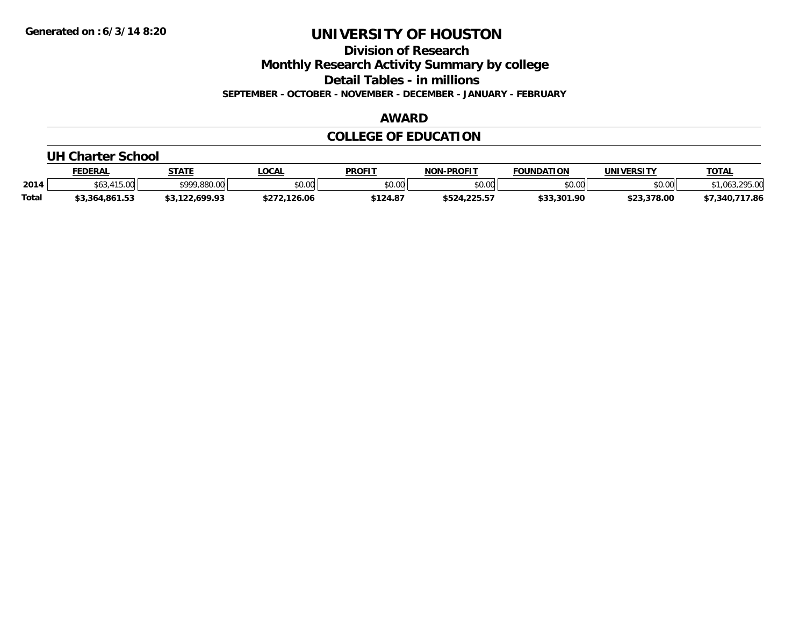**Division of Research**

**Monthly Research Activity Summary by college**

**Detail Tables - in millions**

**SEPTEMBER - OCTOBER - NOVEMBER - DECEMBER - JANUARY - FEBRUARY**

## **AWARD**

## **COLLEGE OF EDUCATION**

#### **UH Charter School**

|              | <b>FEDERAL</b>          | <b>STATE</b>   | <b>LOCAL</b> | <b>PROFIT</b>           | <b>NON-PROFIT</b> | <b>FOUNDATION</b> | UNIVERSITY  | <b>TOTAL</b>       |
|--------------|-------------------------|----------------|--------------|-------------------------|-------------------|-------------------|-------------|--------------------|
| 2014         | 11500<br>1.J.VV<br>,,,, | \$999,880,00   | \$0.00       | <b>ል በ አገር</b><br>JU.UU | \$0.00            | \$0.00            | \$0.00      | 295.00             |
| <b>Total</b> | \$3,364,861.53          | \$3,122,699.93 | \$272.126.06 | \$124.87                | \$524,225.57      | \$33,301.90       | \$23,378.00 | 717.86<br>\$7,340, |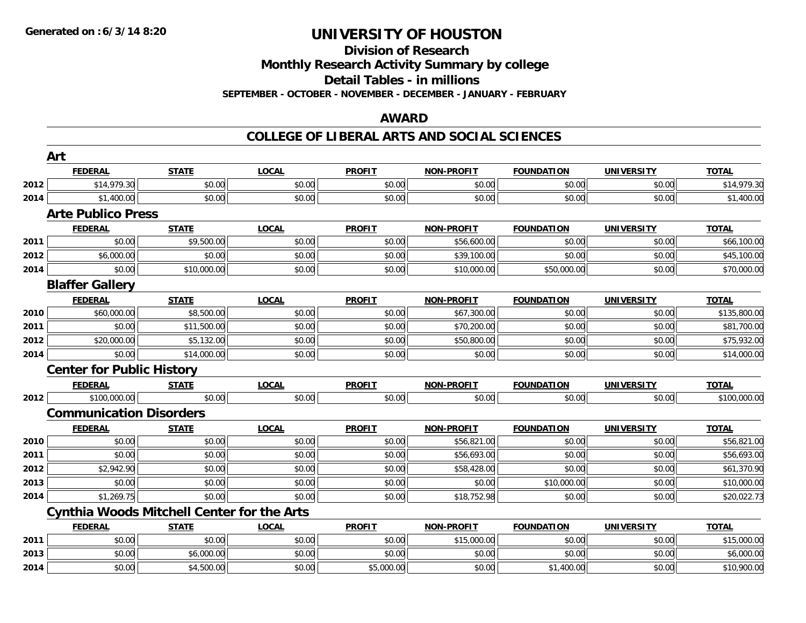**2014**

## **UNIVERSITY OF HOUSTON**

# **Division of Research**

**Monthly Research Activity Summary by college**

**Detail Tables - in millions**

**SEPTEMBER - OCTOBER - NOVEMBER - DECEMBER - JANUARY - FEBRUARY**

## **AWARD**

## **COLLEGE OF LIBERAL ARTS AND SOCIAL SCIENCES**

|      | Art                              |                                                   |              |               |                   |                   |                   |              |
|------|----------------------------------|---------------------------------------------------|--------------|---------------|-------------------|-------------------|-------------------|--------------|
|      | <b>FEDERAL</b>                   | <b>STATE</b>                                      | <b>LOCAL</b> | <b>PROFIT</b> | <b>NON-PROFIT</b> | <b>FOUNDATION</b> | <b>UNIVERSITY</b> | <b>TOTAL</b> |
| 2012 | \$14,979.30                      | \$0.00                                            | \$0.00       | \$0.00        | \$0.00            | \$0.00            | \$0.00            | \$14,979.30  |
| 2014 | \$1,400.00                       | \$0.00                                            | \$0.00       | \$0.00        | \$0.00            | \$0.00            | \$0.00            | \$1,400.00   |
|      | <b>Arte Publico Press</b>        |                                                   |              |               |                   |                   |                   |              |
|      | <b>FEDERAL</b>                   | <b>STATE</b>                                      | <b>LOCAL</b> | <b>PROFIT</b> | <b>NON-PROFIT</b> | <b>FOUNDATION</b> | <b>UNIVERSITY</b> | <b>TOTAL</b> |
| 2011 | \$0.00                           | \$9,500.00                                        | \$0.00       | \$0.00        | \$56,600.00       | \$0.00            | \$0.00            | \$66,100.00  |
| 2012 | \$6,000.00                       | \$0.00                                            | \$0.00       | \$0.00        | \$39,100.00       | \$0.00            | \$0.00            | \$45,100.00  |
| 2014 | \$0.00                           | \$10,000.00                                       | \$0.00       | \$0.00        | \$10,000.00       | \$50,000.00       | \$0.00            | \$70,000.00  |
|      | <b>Blaffer Gallery</b>           |                                                   |              |               |                   |                   |                   |              |
|      | <b>FEDERAL</b>                   | <b>STATE</b>                                      | <b>LOCAL</b> | <b>PROFIT</b> | <b>NON-PROFIT</b> | <b>FOUNDATION</b> | <b>UNIVERSITY</b> | <b>TOTAL</b> |
| 2010 | \$60,000.00                      | \$8,500.00                                        | \$0.00       | \$0.00        | \$67,300.00       | \$0.00            | \$0.00            | \$135,800.00 |
| 2011 | \$0.00                           | \$11,500.00                                       | \$0.00       | \$0.00        | \$70,200.00       | \$0.00            | \$0.00            | \$81,700.00  |
| 2012 | \$20,000.00                      | \$5,132.00                                        | \$0.00       | \$0.00        | \$50,800.00       | \$0.00            | \$0.00            | \$75,932.00  |
| 2014 | \$0.00                           | \$14,000.00                                       | \$0.00       | \$0.00        | \$0.00            | \$0.00            | \$0.00            | \$14,000.00  |
|      | <b>Center for Public History</b> |                                                   |              |               |                   |                   |                   |              |
|      | <b>FEDERAL</b>                   | <b>STATE</b>                                      | <b>LOCAL</b> | <b>PROFIT</b> | <b>NON-PROFIT</b> | <b>FOUNDATION</b> | <b>UNIVERSITY</b> | <b>TOTAL</b> |
| 2012 | \$100,000.00                     | \$0.00                                            | \$0.00       | \$0.00        | \$0.00            | \$0.00            | \$0.00            | \$100,000.00 |
|      | <b>Communication Disorders</b>   |                                                   |              |               |                   |                   |                   |              |
|      | <b>FEDERAL</b>                   | <b>STATE</b>                                      | <b>LOCAL</b> | <b>PROFIT</b> | <b>NON-PROFIT</b> | <b>FOUNDATION</b> | <b>UNIVERSITY</b> | <b>TOTAL</b> |
| 2010 | \$0.00                           | \$0.00                                            | \$0.00       | \$0.00        | \$56,821.00       | \$0.00            | \$0.00            | \$56,821.00  |
| 2011 | \$0.00                           | \$0.00                                            | \$0.00       | \$0.00        | \$56,693.00       | \$0.00            | \$0.00            | \$56,693.00  |
| 2012 | \$2,942.90                       | \$0.00                                            | \$0.00       | \$0.00        | \$58,428.00       | \$0.00            | \$0.00            | \$61,370.90  |
| 2013 | \$0.00                           | \$0.00                                            | \$0.00       | \$0.00        | \$0.00            | \$10,000.00       | \$0.00            | \$10,000.00  |
| 2014 | \$1,269.75                       | \$0.00                                            | \$0.00       | \$0.00        | \$18,752.98       | \$0.00            | \$0.00            | \$20,022.73  |
|      |                                  | <b>Cynthia Woods Mitchell Center for the Arts</b> |              |               |                   |                   |                   |              |
|      | <b>FEDERAL</b>                   | <b>STATE</b>                                      | <b>LOCAL</b> | <b>PROFIT</b> | <b>NON-PROFIT</b> | <b>FOUNDATION</b> | <b>UNIVERSITY</b> | <b>TOTAL</b> |
| 2011 | \$0.00                           | \$0.00                                            | \$0.00       | \$0.00        | \$15,000.00       | \$0.00            | \$0.00            | \$15,000.00  |
| 2013 | \$0.00                           | \$6,000.00                                        | \$0.00       | \$0.00        | \$0.00            | \$0.00            | \$0.00            | \$6,000.00   |

4 \$0.00 \$4,500.00 \$0.00 \$5,000.00 \$0.00 \$1,400.00 \$0.00 \$1,900.00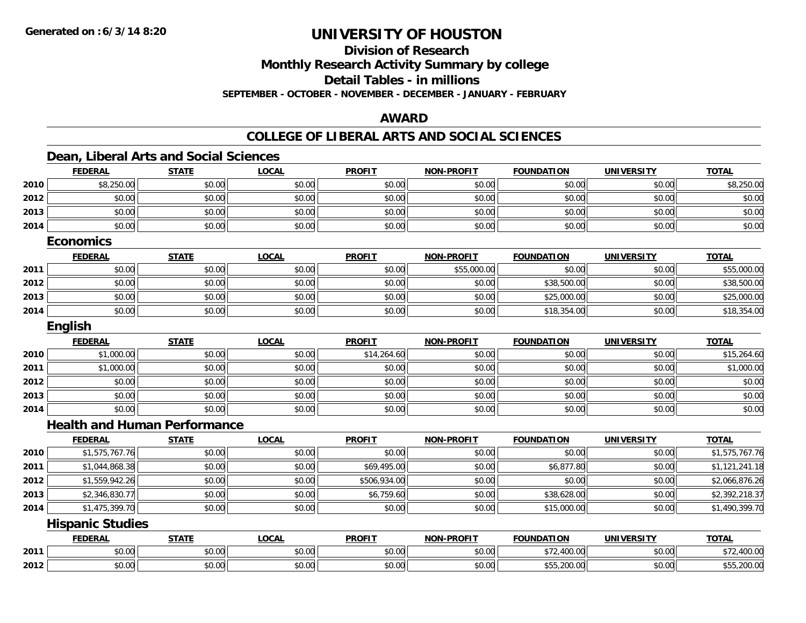**Division of Research**

**Monthly Research Activity Summary by college**

**Detail Tables - in millions**

**SEPTEMBER - OCTOBER - NOVEMBER - DECEMBER - JANUARY - FEBRUARY**

## **AWARD**

## **COLLEGE OF LIBERAL ARTS AND SOCIAL SCIENCES**

## **Dean, Liberal Arts and Social Sciences**

|      | <b>FEDERAL</b>                      | <b>STATE</b> | <b>LOCAL</b> | <b>PROFIT</b> | <b>NON-PROFIT</b> | <b>FOUNDATION</b> | <b>UNIVERSITY</b> | <b>TOTAL</b>   |
|------|-------------------------------------|--------------|--------------|---------------|-------------------|-------------------|-------------------|----------------|
| 2010 | \$8,250.00                          | \$0.00       | \$0.00       | \$0.00        | \$0.00            | \$0.00            | \$0.00            | \$8,250.00     |
| 2012 | \$0.00                              | \$0.00       | \$0.00       | \$0.00        | \$0.00            | \$0.00            | \$0.00            | \$0.00         |
| 2013 | \$0.00                              | \$0.00       | \$0.00       | \$0.00        | \$0.00            | \$0.00            | \$0.00            | \$0.00         |
| 2014 | \$0.00                              | \$0.00       | \$0.00       | \$0.00        | \$0.00            | \$0.00            | \$0.00            | \$0.00         |
|      | <b>Economics</b>                    |              |              |               |                   |                   |                   |                |
|      | <b>FEDERAL</b>                      | <b>STATE</b> | <b>LOCAL</b> | <b>PROFIT</b> | <b>NON-PROFIT</b> | <b>FOUNDATION</b> | <b>UNIVERSITY</b> | <b>TOTAL</b>   |
| 2011 | \$0.00                              | \$0.00       | \$0.00       | \$0.00        | \$55,000.00       | \$0.00            | \$0.00            | \$55,000.00    |
| 2012 | \$0.00                              | \$0.00       | \$0.00       | \$0.00        | \$0.00            | \$38,500.00       | \$0.00            | \$38,500.00    |
| 2013 | \$0.00                              | \$0.00       | \$0.00       | \$0.00        | \$0.00            | \$25,000.00       | \$0.00            | \$25,000.00    |
| 2014 | \$0.00                              | \$0.00       | \$0.00       | \$0.00        | \$0.00            | \$18,354.00       | \$0.00            | \$18,354.00    |
|      | English                             |              |              |               |                   |                   |                   |                |
|      | <b>FEDERAL</b>                      | <b>STATE</b> | <b>LOCAL</b> | <b>PROFIT</b> | <b>NON-PROFIT</b> | <b>FOUNDATION</b> | <b>UNIVERSITY</b> | <b>TOTAL</b>   |
| 2010 | \$1,000.00                          | \$0.00       | \$0.00       | \$14,264.60   | \$0.00            | \$0.00            | \$0.00            | \$15,264.60    |
| 2011 | \$1,000.00                          | \$0.00       | \$0.00       | \$0.00        | \$0.00            | \$0.00            | \$0.00            | \$1,000.00     |
| 2012 | \$0.00                              | \$0.00       | \$0.00       | \$0.00        | \$0.00            | \$0.00            | \$0.00            | \$0.00         |
| 2013 | \$0.00                              | \$0.00       | \$0.00       | \$0.00        | \$0.00            | \$0.00            | \$0.00            | \$0.00         |
| 2014 | \$0.00                              | \$0.00       | \$0.00       | \$0.00        | \$0.00            | \$0.00            | \$0.00            | \$0.00         |
|      | <b>Health and Human Performance</b> |              |              |               |                   |                   |                   |                |
|      | <b>FEDERAL</b>                      | <b>STATE</b> | <b>LOCAL</b> | <b>PROFIT</b> | <b>NON-PROFIT</b> | <b>FOUNDATION</b> | <b>UNIVERSITY</b> | <b>TOTAL</b>   |
| 2010 | \$1,575,767.76                      | \$0.00       | \$0.00       | \$0.00        | \$0.00            | \$0.00            | \$0.00            | \$1,575,767.76 |
| 2011 | \$1,044,868.38                      | \$0.00       | \$0.00       | \$69,495.00   | \$0.00            | \$6,877.80        | \$0.00            | \$1,121,241.18 |
| 2012 | \$1,559,942.26                      | \$0.00       | \$0.00       | \$506,934.00  | \$0.00            | \$0.00            | \$0.00            | \$2,066,876.26 |
| 2013 | \$2,346,830.77                      | \$0.00       | \$0.00       | \$6,759.60    | \$0.00            | \$38,628.00       | \$0.00            | \$2,392,218.37 |
| 2014 | \$1,475,399.70                      | \$0.00       | \$0.00       | \$0.00        | \$0.00            | \$15,000.00       | \$0.00            | \$1,490,399.70 |
|      | <b>Hispanic Studies</b>             |              |              |               |                   |                   |                   |                |
|      | <b>FEDERAL</b>                      | <b>STATE</b> | <b>LOCAL</b> | <b>PROFIT</b> | <b>NON-PROFIT</b> | <b>FOUNDATION</b> | <b>UNIVERSITY</b> | <b>TOTAL</b>   |
| 2011 | \$0.00                              | \$0.00       | \$0.00       | \$0.00        | \$0.00            | \$72,400.00       | \$0.00            | \$72,400.00    |
| 2012 | \$0.00                              | \$0.00       | \$0.00       | \$0.00        | \$0.00            | \$55,200.00       | \$0.00            | \$55,200.00    |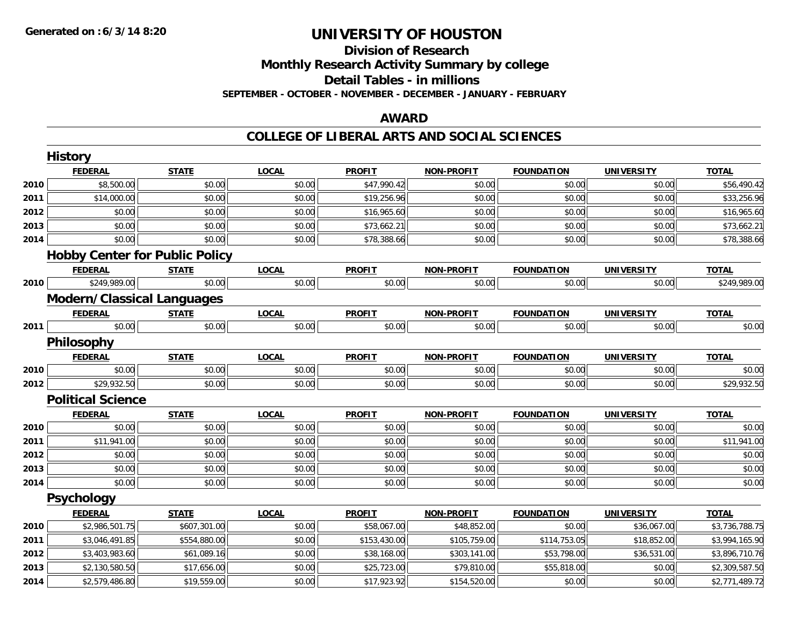## **Division of ResearchMonthly Research Activity Summary by college Detail Tables - in millions SEPTEMBER - OCTOBER - NOVEMBER - DECEMBER - JANUARY - FEBRUARY**

## **AWARD**

### **COLLEGE OF LIBERAL ARTS AND SOCIAL SCIENCES**

|      | <b>History</b>                        |              |              |               |                   |                   |                   |                |
|------|---------------------------------------|--------------|--------------|---------------|-------------------|-------------------|-------------------|----------------|
|      | <b>FEDERAL</b>                        | <b>STATE</b> | <b>LOCAL</b> | <b>PROFIT</b> | <b>NON-PROFIT</b> | <b>FOUNDATION</b> | <b>UNIVERSITY</b> | <b>TOTAL</b>   |
| 2010 | \$8,500.00                            | \$0.00       | \$0.00       | \$47,990.42   | \$0.00            | \$0.00            | \$0.00            | \$56,490.42    |
| 2011 | \$14,000.00                           | \$0.00       | \$0.00       | \$19,256.96   | \$0.00            | \$0.00            | \$0.00            | \$33,256.96    |
| 2012 | \$0.00                                | \$0.00       | \$0.00       | \$16,965.60   | \$0.00            | \$0.00            | \$0.00            | \$16,965.60    |
| 2013 | \$0.00                                | \$0.00       | \$0.00       | \$73,662.21   | \$0.00            | \$0.00            | \$0.00            | \$73,662.21    |
| 2014 | \$0.00                                | \$0.00       | \$0.00       | \$78,388.66   | \$0.00            | \$0.00            | \$0.00            | \$78,388.66    |
|      | <b>Hobby Center for Public Policy</b> |              |              |               |                   |                   |                   |                |
|      | <b>FEDERAL</b>                        | <b>STATE</b> | <b>LOCAL</b> | <b>PROFIT</b> | <b>NON-PROFIT</b> | <b>FOUNDATION</b> | <b>UNIVERSITY</b> | <b>TOTAL</b>   |
| 2010 | \$249,989.00                          | \$0.00       | \$0.00       | \$0.00        | \$0.00            | \$0.00            | \$0.00            | \$249,989.00   |
|      | <b>Modern/Classical Languages</b>     |              |              |               |                   |                   |                   |                |
|      | <b>FEDERAL</b>                        | <b>STATE</b> | <b>LOCAL</b> | <b>PROFIT</b> | <b>NON-PROFIT</b> | <b>FOUNDATION</b> | <b>UNIVERSITY</b> | <b>TOTAL</b>   |
| 2011 | \$0.00                                | \$0.00       | \$0.00       | \$0.00        | \$0.00            | \$0.00            | \$0.00            | \$0.00         |
|      | Philosophy                            |              |              |               |                   |                   |                   |                |
|      | <b>FEDERAL</b>                        | <b>STATE</b> | <b>LOCAL</b> | <b>PROFIT</b> | <b>NON-PROFIT</b> | <b>FOUNDATION</b> | <b>UNIVERSITY</b> | <b>TOTAL</b>   |
| 2010 | \$0.00                                | \$0.00       | \$0.00       | \$0.00        | \$0.00            | \$0.00            | \$0.00            | \$0.00         |
| 2012 | \$29,932.50                           | \$0.00       | \$0.00       | \$0.00        | \$0.00            | \$0.00            | \$0.00            | \$29,932.50    |
|      | <b>Political Science</b>              |              |              |               |                   |                   |                   |                |
|      | <b>FEDERAL</b>                        | <b>STATE</b> | <b>LOCAL</b> | <b>PROFIT</b> | <b>NON-PROFIT</b> | <b>FOUNDATION</b> | <b>UNIVERSITY</b> | <b>TOTAL</b>   |
| 2010 | \$0.00                                | \$0.00       | \$0.00       | \$0.00        | \$0.00            | \$0.00            | \$0.00            | \$0.00         |
| 2011 | \$11,941.00                           | \$0.00       | \$0.00       | \$0.00        | \$0.00            | \$0.00            | \$0.00            | \$11,941.00    |
| 2012 | \$0.00                                | \$0.00       | \$0.00       | \$0.00        | \$0.00            | \$0.00            | \$0.00            | \$0.00         |
| 2013 | \$0.00                                | \$0.00       | \$0.00       | \$0.00        | \$0.00            | \$0.00            | \$0.00            | \$0.00         |
| 2014 | \$0.00                                | \$0.00       | \$0.00       | \$0.00        | \$0.00            | \$0.00            | \$0.00            | \$0.00         |
|      | Psychology                            |              |              |               |                   |                   |                   |                |
|      | <b>FEDERAL</b>                        | <b>STATE</b> | <b>LOCAL</b> | <b>PROFIT</b> | <b>NON-PROFIT</b> | <b>FOUNDATION</b> | <b>UNIVERSITY</b> | <b>TOTAL</b>   |
| 2010 | \$2,986,501.75                        | \$607,301.00 | \$0.00       | \$58,067.00   | \$48,852.00       | \$0.00            | \$36,067.00       | \$3,736,788.75 |
| 2011 | \$3,046,491.85                        | \$554,880.00 | \$0.00       | \$153,430.00  | \$105,759.00      | \$114,753.05      | \$18,852.00       | \$3,994,165.90 |
| 2012 | \$3,403,983.60                        | \$61,089.16  | \$0.00       | \$38,168.00   | \$303,141.00      | \$53,798.00       | \$36,531.00       | \$3,896,710.76 |
| 2013 | \$2,130,580.50                        | \$17,656.00  | \$0.00       | \$25,723.00   | \$79,810.00       | \$55,818.00       | \$0.00            | \$2,309,587.50 |
| 2014 | \$2,579,486.80                        | \$19,559.00  | \$0.00       | \$17,923.92   | \$154,520.00      | \$0.00            | \$0.00            | \$2,771,489.72 |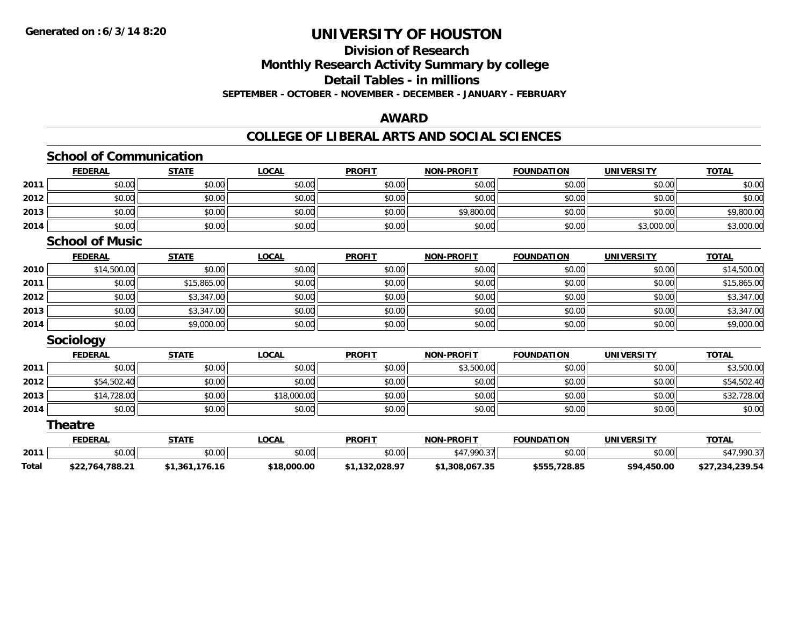### **Division of Research Monthly Research Activity Summary by college Detail Tables - in millions SEPTEMBER - OCTOBER - NOVEMBER - DECEMBER - JANUARY - FEBRUARY**

## **AWARD**

## **COLLEGE OF LIBERAL ARTS AND SOCIAL SCIENCES**

|       | <b>School of Communication</b> |                |              |                |                   |                   |                   |                 |
|-------|--------------------------------|----------------|--------------|----------------|-------------------|-------------------|-------------------|-----------------|
|       | <b>FEDERAL</b>                 | <b>STATE</b>   | <b>LOCAL</b> | <b>PROFIT</b>  | <b>NON-PROFIT</b> | <b>FOUNDATION</b> | <b>UNIVERSITY</b> | <b>TOTAL</b>    |
| 2011  | \$0.00                         | \$0.00         | \$0.00       | \$0.00         | \$0.00            | \$0.00            | \$0.00            | \$0.00          |
| 2012  | \$0.00                         | \$0.00         | \$0.00       | \$0.00         | \$0.00            | \$0.00            | \$0.00            | \$0.00          |
| 2013  | \$0.00                         | \$0.00         | \$0.00       | \$0.00         | \$9,800.00        | \$0.00            | \$0.00            | \$9,800.00      |
| 2014  | \$0.00                         | \$0.00         | \$0.00       | \$0.00         | \$0.00            | \$0.00            | \$3,000.00        | \$3,000.00      |
|       | <b>School of Music</b>         |                |              |                |                   |                   |                   |                 |
|       | <b>FEDERAL</b>                 | <b>STATE</b>   | <b>LOCAL</b> | <b>PROFIT</b>  | <b>NON-PROFIT</b> | <b>FOUNDATION</b> | <b>UNIVERSITY</b> | <b>TOTAL</b>    |
| 2010  | \$14,500.00                    | \$0.00         | \$0.00       | \$0.00         | \$0.00            | \$0.00            | \$0.00            | \$14,500.00     |
| 2011  | \$0.00                         | \$15,865.00    | \$0.00       | \$0.00         | \$0.00            | \$0.00            | \$0.00            | \$15,865.00     |
| 2012  | \$0.00                         | \$3,347.00     | \$0.00       | \$0.00         | \$0.00            | \$0.00            | \$0.00            | \$3,347.00      |
| 2013  | \$0.00                         | \$3,347.00     | \$0.00       | \$0.00         | \$0.00            | \$0.00            | \$0.00            | \$3,347.00      |
| 2014  | \$0.00                         | \$9,000.00     | \$0.00       | \$0.00         | \$0.00            | \$0.00            | \$0.00            | \$9,000.00      |
|       | <b>Sociology</b>               |                |              |                |                   |                   |                   |                 |
|       | <b>FEDERAL</b>                 | <b>STATE</b>   | <b>LOCAL</b> | <b>PROFIT</b>  | <b>NON-PROFIT</b> | <b>FOUNDATION</b> | <b>UNIVERSITY</b> | <b>TOTAL</b>    |
| 2011  | \$0.00                         | \$0.00         | \$0.00       | \$0.00         | \$3,500.00        | \$0.00            | \$0.00            | \$3,500.00      |
| 2012  | \$54,502.40                    | \$0.00         | \$0.00       | \$0.00         | \$0.00            | \$0.00            | \$0.00            | \$54,502.40     |
| 2013  | \$14,728.00                    | \$0.00         | \$18,000.00  | \$0.00         | \$0.00            | \$0.00            | \$0.00            | \$32,728.00     |
| 2014  | \$0.00                         | \$0.00         | \$0.00       | \$0.00         | \$0.00            | \$0.00            | \$0.00            | \$0.00          |
|       | <b>Theatre</b>                 |                |              |                |                   |                   |                   |                 |
|       | <b>FEDERAL</b>                 | <b>STATE</b>   | <b>LOCAL</b> | <b>PROFIT</b>  | <b>NON-PROFIT</b> | <b>FOUNDATION</b> | <b>UNIVERSITY</b> | <b>TOTAL</b>    |
| 2011  | \$0.00                         | \$0.00         | \$0.00       | \$0.00         | \$47,990.37       | \$0.00            | \$0.00            | \$47,990.37     |
| Total | \$22,764,788.21                | \$1,361,176.16 | \$18,000.00  | \$1,132,028.97 | \$1,308,067.35    | \$555,728.85      | \$94,450.00       | \$27,234,239.54 |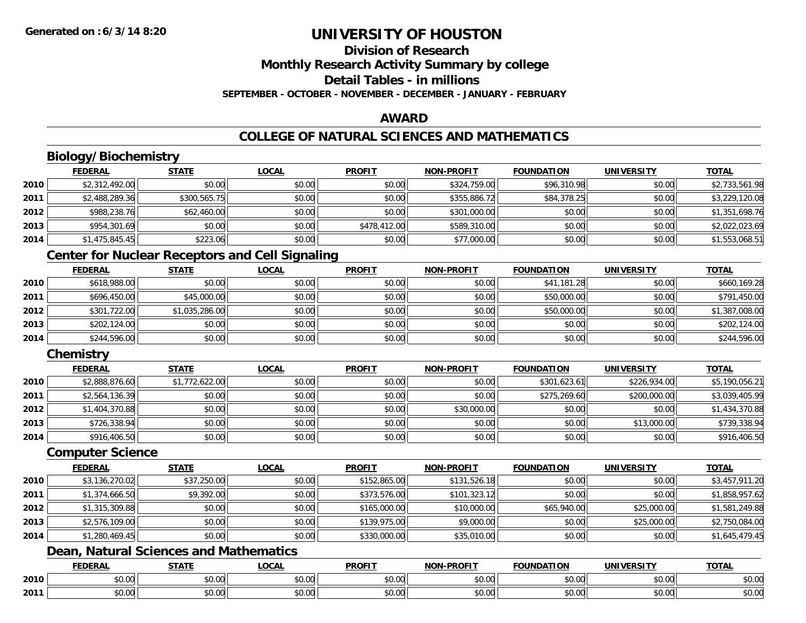# **Division of ResearchMonthly Research Activity Summary by college Detail Tables - in millions**

**SEPTEMBER - OCTOBER - NOVEMBER - DECEMBER - JANUARY - FEBRUARY**

### **AWARD**

## **COLLEGE OF NATURAL SCIENCES AND MATHEMATICS**

## **Biology/Biochemistry**

|      | <b>FEDERAL</b> | <b>STATE</b> | <u>LOCAL</u> | <b>PROFIT</b> | <b>NON-PROFIT</b> | <b>FOUNDATION</b> | <b>UNIVERSITY</b> | <b>TOTAL</b>   |
|------|----------------|--------------|--------------|---------------|-------------------|-------------------|-------------------|----------------|
| 2010 | \$2,312,492.00 | \$0.00       | \$0.00       | \$0.00        | \$324,759.00      | \$96,310.98       | \$0.00            | \$2,733,561.98 |
| 2011 | \$2,488,289.36 | \$300,565.75 | \$0.00       | \$0.00        | \$355,886.72      | \$84,378.25       | \$0.00            | \$3,229,120.08 |
| 2012 | \$988,238.76   | \$62,460.00  | \$0.00       | \$0.00        | \$301,000.00      | \$0.00            | \$0.00            | \$1,351,698.76 |
| 2013 | \$954,301.69   | \$0.00       | \$0.00       | \$478,412.00  | \$589,310.00      | \$0.00            | \$0.00            | \$2,022,023.69 |
| 2014 | \$1,475,845.45 | \$223.06     | \$0.00       | \$0.00        | \$77,000.00       | \$0.00            | \$0.00            | \$1,553,068.51 |

## **Center for Nuclear Receptors and Cell Signaling**

|      | <b>FEDERAL</b> | <u>STATE</u>   | <u>LOCAL</u> | <b>PROFIT</b> | <b>NON-PROFIT</b> | <b>FOUNDATION</b> | <b>UNIVERSITY</b> | <b>TOTAL</b>   |
|------|----------------|----------------|--------------|---------------|-------------------|-------------------|-------------------|----------------|
| 2010 | \$618,988.00   | \$0.00         | \$0.00       | \$0.00        | \$0.00            | \$41,181.28       | \$0.00            | \$660,169.28   |
| 2011 | \$696,450.00   | \$45,000.00    | \$0.00       | \$0.00        | \$0.00            | \$50,000.00       | \$0.00            | \$791,450.00   |
| 2012 | \$301,722.00   | \$1,035,286.00 | \$0.00       | \$0.00        | \$0.00            | \$50,000.00       | \$0.00            | \$1,387,008.00 |
| 2013 | \$202,124.00   | \$0.00         | \$0.00       | \$0.00        | \$0.00            | \$0.00            | \$0.00            | \$202,124.00   |
| 2014 | \$244,596.00   | \$0.00         | \$0.00       | \$0.00        | \$0.00            | \$0.00            | \$0.00            | \$244,596.00   |

## **Chemistry**

|      | <b>FEDERAL</b> | <b>STATE</b>   | <b>LOCAL</b> | <b>PROFIT</b> | <b>NON-PROFIT</b> | <b>FOUNDATION</b> | <b>UNIVERSITY</b> | <b>TOTAL</b>   |
|------|----------------|----------------|--------------|---------------|-------------------|-------------------|-------------------|----------------|
| 2010 | \$2,888,876.60 | \$1,772,622.00 | \$0.00       | \$0.00        | \$0.00            | \$301,623.61      | \$226,934.00      | \$5,190,056.21 |
| 2011 | \$2,564,136.39 | \$0.00         | \$0.00       | \$0.00        | \$0.00            | \$275,269.60      | \$200,000.00      | \$3,039,405.99 |
| 2012 | \$1,404,370.88 | \$0.00         | \$0.00       | \$0.00        | \$30,000.00       | \$0.00            | \$0.00            | \$1,434,370.88 |
| 2013 | \$726,338.94   | \$0.00         | \$0.00       | \$0.00        | \$0.00            | \$0.00            | \$13,000.00       | \$739,338.94   |
| 2014 | \$916,406.50   | \$0.00         | \$0.00       | \$0.00        | \$0.00            | \$0.00            | \$0.00            | \$916,406.50   |

#### **Computer Science**

|      | <b>FEDERAL</b> | <b>STATE</b> | <b>LOCAL</b> | <b>PROFIT</b> | <b>NON-PROFIT</b> | <b>FOUNDATION</b> | <b>UNIVERSITY</b> | <b>TOTAL</b>   |
|------|----------------|--------------|--------------|---------------|-------------------|-------------------|-------------------|----------------|
| 2010 | \$3,136,270.02 | \$37,250.00  | \$0.00       | \$152,865.00  | \$131,526.18      | \$0.00            | \$0.00            | \$3,457,911.20 |
| 2011 | \$1,374,666.50 | \$9,392.00   | \$0.00       | \$373,576.00  | \$101,323.12      | \$0.00            | \$0.00            | \$1,858,957.62 |
| 2012 | \$1,315,309.88 | \$0.00       | \$0.00       | \$165,000.00  | \$10,000.00       | \$65,940.00       | \$25,000.00       | \$1,581,249.88 |
| 2013 | \$2,576,109.00 | \$0.00       | \$0.00       | \$139,975.00  | \$9,000.00        | \$0.00            | \$25,000.00       | \$2,750,084.00 |
| 2014 | \$1,280,469.45 | \$0.00       | \$0.00       | \$330,000.00  | \$35,010.00       | \$0.00            | \$0.00            | \$1,645,479.45 |

# **Dean, Natural Sciences and Mathematics**

|      | <b>FEDERAL</b> | <b>CTATE</b>    | LOCAI              | <b>PROFIT</b> | <b>DDAEIT</b><br><b>MAN</b><br>ж. | <b>FOUNDATION</b> | UNIVERSITY           | <b>TOTAL</b>             |
|------|----------------|-----------------|--------------------|---------------|-----------------------------------|-------------------|----------------------|--------------------------|
| 2010 | ልስ ባህ<br>שט.טע | ሖጣ<br>JU.UU     | $\sim$ 00<br>DU.UU | 0000<br>JU.UU | $\sim$<br>$\sim$<br>PO.OO         | 0000<br>JU.UU     | 0000<br><b>DU.UG</b> | $\sim$<br><b>JU.UU</b>   |
| 2011 | \$0.00         | $\sim$<br>JU.UU | $\sim$ 00<br>PU.UU | 0000<br>JU.UU | 0.00<br>vv.vv                     | 0.00<br>JU.UU     | 0000<br><b>DU.UG</b> | $\cdots$<br><b>JU.UU</b> |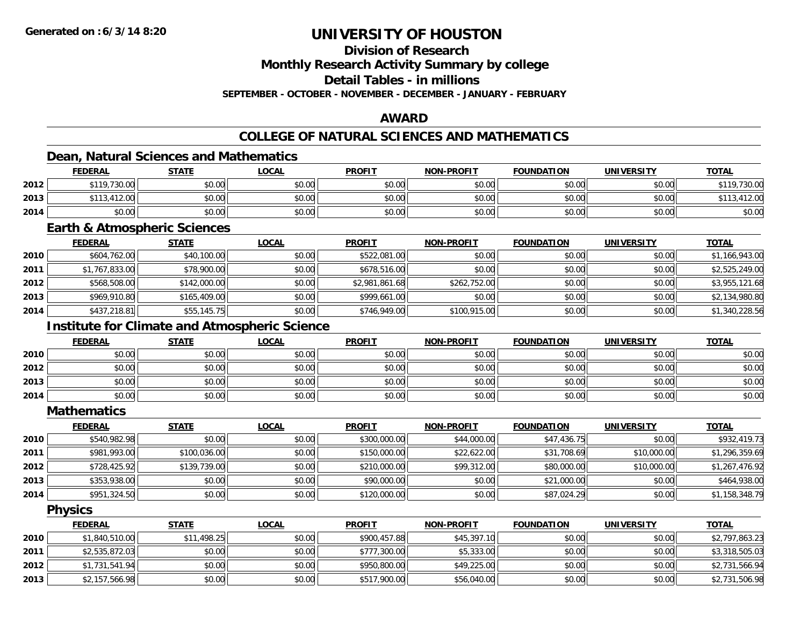## **Division of Research**

**Monthly Research Activity Summary by college**

**Detail Tables - in millions**

**SEPTEMBER - OCTOBER - NOVEMBER - DECEMBER - JANUARY - FEBRUARY**

### **AWARD**

## **COLLEGE OF NATURAL SCIENCES AND MATHEMATICS**

### **Dean, Natural Sciences and Mathematics**

|      | <b>FEDERAL</b>             | <b>STATE</b> | <b>LOCAL</b> | <b>PROFIT</b> | <b>NON-PROFIT</b> | <b>FOUNDATION</b> | <b>UNIVERSITY</b> | <b>TOTAL</b> |
|------|----------------------------|--------------|--------------|---------------|-------------------|-------------------|-------------------|--------------|
| 2012 | \$119,730.00               | \$0.00       | \$0.00       | \$0.00        | \$0.00            | \$0.00            | \$0.00            | \$119,730.00 |
| 2013 | .412.00<br>0.110<br>ىن د ۱ | \$0.00       | \$0.00       | \$0.00        | \$0.00            | \$0.00            | \$0.00            | 412.00       |
| 2014 | \$0.00                     | \$0.00       | \$0.00       | \$0.00        | \$0.00            | \$0.00            | \$0.00            | \$0.00       |

### **Earth & Atmospheric Sciences**

|      | <b>FEDERAL</b> | <b>STATE</b> | <u>LOCAL</u> | <b>PROFIT</b>  | <b>NON-PROFIT</b> | <b>FOUNDATION</b> | <b>UNIVERSITY</b> | <b>TOTAL</b>   |
|------|----------------|--------------|--------------|----------------|-------------------|-------------------|-------------------|----------------|
| 2010 | \$604,762.00   | \$40,100.00  | \$0.00       | \$522,081.00   | \$0.00            | \$0.00            | \$0.00            | \$1,166,943.00 |
| 2011 | \$1,767,833.00 | \$78,900.00  | \$0.00       | \$678,516.00   | \$0.00            | \$0.00            | \$0.00            | \$2,525,249.00 |
| 2012 | \$568,508.00   | \$142,000.00 | \$0.00       | \$2,981,861.68 | \$262,752.00      | \$0.00            | \$0.00            | \$3,955,121.68 |
| 2013 | \$969,910.80   | \$165,409.00 | \$0.00       | \$999,661,00   | \$0.00            | \$0.00            | \$0.00            | \$2,134,980.80 |
| 2014 | \$437,218.81   | \$55,145.75  | \$0.00       | \$746,949.00   | \$100,915.00      | \$0.00            | \$0.00            | \$1,340,228.56 |

## **Institute for Climate and Atmospheric Science**

|      | <b>FEDERAL</b> | <b>STATE</b> | <u>LOCAL</u> | <b>PROFIT</b> | <b>NON-PROFIT</b> | <b>FOUNDATION</b> | <b>UNIVERSITY</b> | <b>TOTAL</b> |
|------|----------------|--------------|--------------|---------------|-------------------|-------------------|-------------------|--------------|
| 2010 | \$0.00         | \$0.00       | \$0.00       | \$0.00        | \$0.00            | \$0.00            | \$0.00            | \$0.00       |
| 2012 | \$0.00         | \$0.00       | \$0.00       | \$0.00        | \$0.00            | \$0.00            | \$0.00            | \$0.00       |
| 2013 | \$0.00         | \$0.00       | \$0.00       | \$0.00        | \$0.00            | \$0.00            | \$0.00            | \$0.00       |
| 2014 | \$0.00         | \$0.00       | \$0.00       | \$0.00        | \$0.00            | \$0.00            | \$0.00            | \$0.00       |

**Mathematics**

|      | <b>FEDERAL</b> | <b>STATE</b> | <u>LOCAL</u> | <b>PROFIT</b> | <b>NON-PROFIT</b> | <b>FOUNDATION</b> | <b>UNIVERSITY</b> | <b>TOTAL</b>   |
|------|----------------|--------------|--------------|---------------|-------------------|-------------------|-------------------|----------------|
| 2010 | \$540,982.98   | \$0.00       | \$0.00       | \$300,000.00  | \$44,000.00       | \$47,436.75       | \$0.00            | \$932,419.73   |
| 2011 | \$981,993.00   | \$100,036.00 | \$0.00       | \$150,000.00  | \$22,622.00       | \$31,708.69       | \$10,000.00       | \$1,296,359.69 |
| 2012 | \$728,425.92   | \$139,739.00 | \$0.00       | \$210,000.00  | \$99,312.00       | \$80,000.00       | \$10,000.00       | \$1,267,476.92 |
| 2013 | \$353,938.00   | \$0.00       | \$0.00       | \$90,000.00   | \$0.00            | \$21,000.00       | \$0.00            | \$464,938.00   |
| 2014 | \$951,324.50   | \$0.00       | \$0.00       | \$120,000.00  | \$0.00            | \$87,024.29       | \$0.00            | \$1,158,348.79 |

**Physics**

|      | <b>FEDERAL</b> | <u>STATE</u> | <u>LOCAL</u> | <b>PROFIT</b> | <b>NON-PROFIT</b> | <b>FOUNDATION</b> | <b>UNIVERSITY</b> | <b>TOTAL</b>   |
|------|----------------|--------------|--------------|---------------|-------------------|-------------------|-------------------|----------------|
| 2010 | \$1,840,510.00 | \$11,498.25  | \$0.00       | \$900,457.88  | \$45,397.10       | \$0.00            | \$0.00            | \$2,797,863.23 |
| 2011 | \$2,535,872.03 | \$0.00       | \$0.00       | \$777,300.00  | \$5,333.00        | \$0.00            | \$0.00            | \$3,318,505.03 |
| 2012 | \$1,731,541.94 | \$0.00       | \$0.00       | \$950,800.00  | \$49,225.00       | \$0.00            | \$0.00            | \$2,731,566.94 |
| 2013 | \$2,157,566.98 | \$0.00       | \$0.00       | \$517,900.00  | \$56,040.00       | \$0.00            | \$0.00            | \$2,731,506.98 |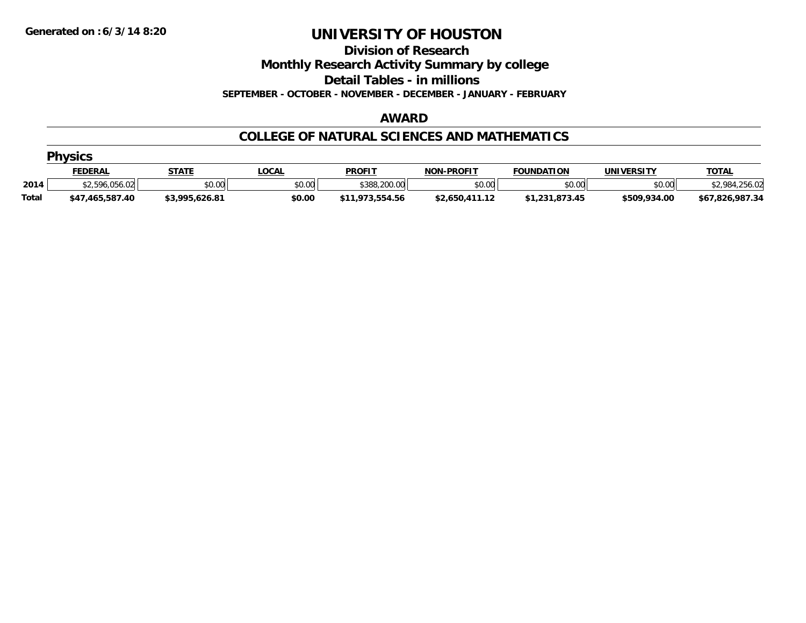**Division of Research**

**Monthly Research Activity Summary by college**

**Detail Tables - in millions**

**SEPTEMBER - OCTOBER - NOVEMBER - DECEMBER - JANUARY - FEBRUARY**

#### **AWARD**

### **COLLEGE OF NATURAL SCIENCES AND MATHEMATICS**

|              | <b>Physics</b>  |                |              |                 |                   |                   |              |                             |  |  |  |  |
|--------------|-----------------|----------------|--------------|-----------------|-------------------|-------------------|--------------|-----------------------------|--|--|--|--|
|              | <b>FEDERAL</b>  | <b>STATE</b>   | <u>LOCAL</u> | <b>PROFIT</b>   | <b>NON-PROFIT</b> | <b>FOUNDATION</b> | UNIVERSITY   | <b>TOTAL</b>                |  |  |  |  |
| 2014         | \$2,596,056.02  | \$0.00         | \$0.00       | \$388,200.00    | \$0.00            | \$0.00            | \$0.00       | <b>¢7 081 756</b><br>256.02 |  |  |  |  |
| <b>Total</b> | \$47,465,587.40 | \$3,995,626.81 | \$0.00       | \$11,973,554.56 | \$2.650.411.12    | \$1,231,873.45    | \$509,934.00 | \$67,826,987.34             |  |  |  |  |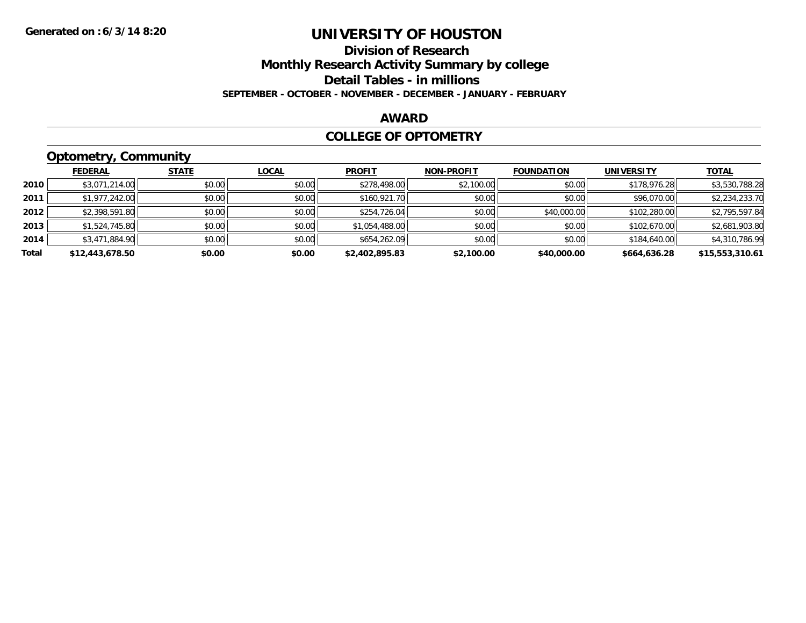# **Division of ResearchMonthly Research Activity Summary by college Detail Tables - in millions**

#### **SEPTEMBER - OCTOBER - NOVEMBER - DECEMBER - JANUARY - FEBRUARY**

#### **AWARD**

#### **COLLEGE OF OPTOMETRY**

## **Optometry, Community**

|       | <b>FEDERAL</b>  | <b>STATE</b> | <b>LOCAL</b> | <b>PROFIT</b>  | <b>NON-PROFIT</b> | <b>FOUNDATION</b> | <b>UNIVERSITY</b> | <u>TOTAL</u>    |
|-------|-----------------|--------------|--------------|----------------|-------------------|-------------------|-------------------|-----------------|
| 2010  | \$3,071,214.00  | \$0.00       | \$0.00       | \$278,498.00   | \$2,100.00        | \$0.00            | \$178,976.28      | \$3,530,788.28  |
| 2011  | \$1,977,242.00  | \$0.00       | \$0.00       | \$160,921.70   | \$0.00            | \$0.00            | \$96,070.00       | \$2,234,233.70  |
| 2012  | \$2,398,591.80  | \$0.00       | \$0.00       | \$254,726.04   | \$0.00            | \$40,000.00       | \$102,280.00      | \$2,795,597.84  |
| 2013  | \$1,524,745.80  | \$0.00       | \$0.00       | \$1,054,488.00 | \$0.00            | \$0.00            | \$102,670.00      | \$2,681,903.80  |
| 2014  | \$3,471,884.90  | \$0.00       | \$0.00       | \$654,262.09   | \$0.00            | \$0.00            | \$184,640.00      | \$4,310,786.99  |
| Total | \$12,443,678.50 | \$0.00       | \$0.00       | \$2,402,895.83 | \$2,100.00        | \$40,000.00       | \$664,636.28      | \$15,553,310.61 |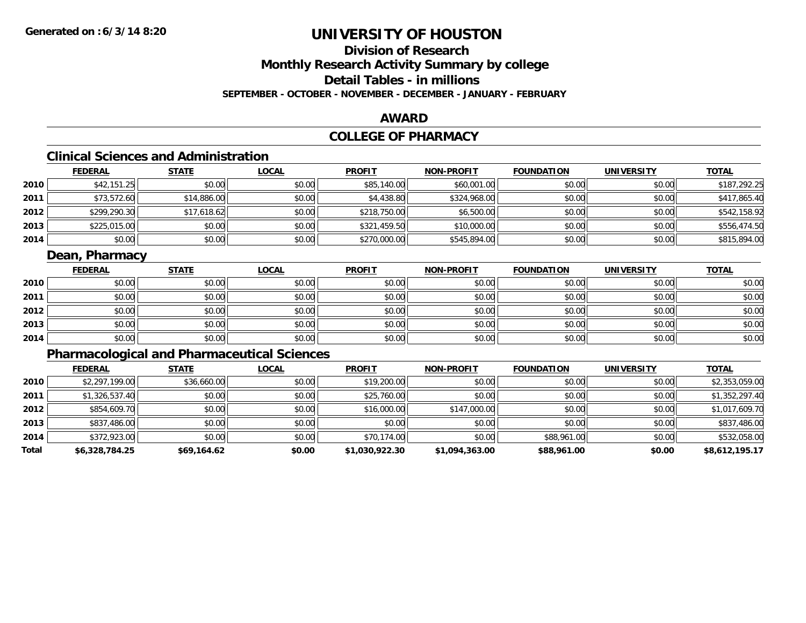# **Division of ResearchMonthly Research Activity Summary by college Detail Tables - in millions**

**SEPTEMBER - OCTOBER - NOVEMBER - DECEMBER - JANUARY - FEBRUARY**

### **AWARD**

## **COLLEGE OF PHARMACY**

## **Clinical Sciences and Administration**

|      | <b>FEDERAL</b> | <b>STATE</b> | <u>LOCAL</u> | <b>PROFIT</b> | <b>NON-PROFIT</b> | <b>FOUNDATION</b> | <b>UNIVERSITY</b> | <b>TOTAL</b> |
|------|----------------|--------------|--------------|---------------|-------------------|-------------------|-------------------|--------------|
| 2010 | \$42,151.25    | \$0.00       | \$0.00       | \$85,140.00   | \$60,001.00       | \$0.00            | \$0.00            | \$187,292.25 |
| 2011 | \$73,572.60    | \$14,886.00  | \$0.00       | \$4,438.80    | \$324,968.00      | \$0.00            | \$0.00            | \$417,865.40 |
| 2012 | \$299,290.30   | \$17,618.62  | \$0.00       | \$218,750.00  | \$6,500.00        | \$0.00            | \$0.00            | \$542,158.92 |
| 2013 | \$225,015.00   | \$0.00       | \$0.00       | \$321,459.50  | \$10,000.00       | \$0.00            | \$0.00            | \$556,474.50 |
| 2014 | \$0.00         | \$0.00       | \$0.00       | \$270,000.00  | \$545,894.00      | \$0.00            | \$0.00            | \$815,894.00 |

## **Dean, Pharmacy**

|      | <b>FEDERAL</b> | <b>STATE</b> | <u>LOCAL</u> | <b>PROFIT</b> | <b>NON-PROFIT</b> | <b>FOUNDATION</b> | <b>UNIVERSITY</b> | <b>TOTAL</b> |
|------|----------------|--------------|--------------|---------------|-------------------|-------------------|-------------------|--------------|
| 2010 | \$0.00         | \$0.00       | \$0.00       | \$0.00        | \$0.00            | \$0.00            | \$0.00            | \$0.00       |
| 2011 | \$0.00         | \$0.00       | \$0.00       | \$0.00        | \$0.00            | \$0.00            | \$0.00            | \$0.00       |
| 2012 | \$0.00         | \$0.00       | \$0.00       | \$0.00        | \$0.00            | \$0.00            | \$0.00            | \$0.00       |
| 2013 | \$0.00         | \$0.00       | \$0.00       | \$0.00        | \$0.00            | \$0.00            | \$0.00            | \$0.00       |
| 2014 | \$0.00         | \$0.00       | \$0.00       | \$0.00        | \$0.00            | \$0.00            | \$0.00            | \$0.00       |

## **Pharmacological and Pharmaceutical Sciences**

|       | <b>FEDERAL</b> | <b>STATE</b> | <b>LOCAL</b> | <b>PROFIT</b>  | <b>NON-PROFIT</b> | <b>FOUNDATION</b> | <b>UNIVERSITY</b> | <b>TOTAL</b>   |
|-------|----------------|--------------|--------------|----------------|-------------------|-------------------|-------------------|----------------|
| 2010  | \$2,297,199.00 | \$36,660.00  | \$0.00       | \$19,200.00    | \$0.00            | \$0.00            | \$0.00            | \$2,353,059.00 |
| 2011  | \$1,326,537.40 | \$0.00       | \$0.00       | \$25,760.00    | \$0.00            | \$0.00            | \$0.00            | \$1,352,297.40 |
| 2012  | \$854,609.70   | \$0.00       | \$0.00       | \$16,000.00    | \$147,000.00      | \$0.00            | \$0.00            | \$1,017,609.70 |
| 2013  | \$837,486.00   | \$0.00       | \$0.00       | \$0.00         | \$0.00            | \$0.00            | \$0.00            | \$837,486.00   |
| 2014  | \$372,923.00   | \$0.00       | \$0.00       | \$70,174.00    | \$0.00            | \$88,961.00       | \$0.00            | \$532,058.00   |
| Total | \$6,328,784.25 | \$69,164.62  | \$0.00       | \$1,030,922.30 | \$1,094,363.00    | \$88,961.00       | \$0.00            | \$8,612,195.17 |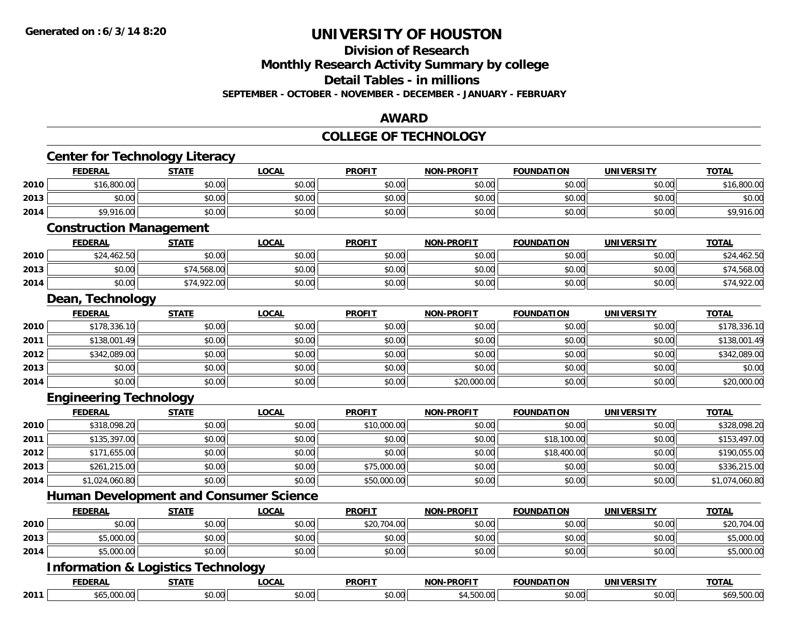#### **Division of Research**

**Monthly Research Activity Summary by college**

**Detail Tables - in millions**

**SEPTEMBER - OCTOBER - NOVEMBER - DECEMBER - JANUARY - FEBRUARY**

#### **AWARD**

#### **COLLEGE OF TECHNOLOGY**

|      | <b>Center for Technology Literacy</b>         |              |              |               |                   |                   |                   |                |
|------|-----------------------------------------------|--------------|--------------|---------------|-------------------|-------------------|-------------------|----------------|
|      | <b>FEDERAL</b>                                | <b>STATE</b> | <b>LOCAL</b> | <b>PROFIT</b> | <b>NON-PROFIT</b> | <b>FOUNDATION</b> | <b>UNIVERSITY</b> | <b>TOTAL</b>   |
| 2010 | \$16,800.00                                   | \$0.00       | \$0.00       | \$0.00        | \$0.00            | \$0.00            | \$0.00            | \$16,800.00    |
| 2013 | \$0.00                                        | \$0.00       | \$0.00       | \$0.00        | \$0.00            | \$0.00            | \$0.00            | \$0.00         |
| 2014 | \$9,916.00                                    | \$0.00       | \$0.00       | \$0.00        | \$0.00            | \$0.00            | \$0.00            | \$9,916.00     |
|      | <b>Construction Management</b>                |              |              |               |                   |                   |                   |                |
|      | <b>FEDERAL</b>                                | <b>STATE</b> | <b>LOCAL</b> | <b>PROFIT</b> | <b>NON-PROFIT</b> | <b>FOUNDATION</b> | <b>UNIVERSITY</b> | <b>TOTAL</b>   |
| 2010 | \$24,462.50                                   | \$0.00       | \$0.00       | \$0.00        | \$0.00            | \$0.00            | \$0.00            | \$24,462.50    |
| 2013 | \$0.00                                        | \$74,568.00  | \$0.00       | \$0.00        | \$0.00            | \$0.00            | \$0.00            | \$74,568.00    |
| 2014 | \$0.00                                        | \$74,922.00  | \$0.00       | \$0.00        | \$0.00            | \$0.00            | \$0.00            | \$74,922.00    |
|      | Dean, Technology                              |              |              |               |                   |                   |                   |                |
|      | <b>FEDERAL</b>                                | <b>STATE</b> | <b>LOCAL</b> | <b>PROFIT</b> | <b>NON-PROFIT</b> | <b>FOUNDATION</b> | <b>UNIVERSITY</b> | <b>TOTAL</b>   |
| 2010 | \$178,336.10                                  | \$0.00       | \$0.00       | \$0.00        | \$0.00            | \$0.00            | \$0.00            | \$178,336.10   |
| 2011 | \$138,001.49                                  | \$0.00       | \$0.00       | \$0.00        | \$0.00            | \$0.00            | \$0.00            | \$138,001.49   |
| 2012 | \$342,089.00                                  | \$0.00       | \$0.00       | \$0.00        | \$0.00            | \$0.00            | \$0.00            | \$342,089.00   |
| 2013 | \$0.00                                        | \$0.00       | \$0.00       | \$0.00        | \$0.00            | \$0.00            | \$0.00            | \$0.00         |
| 2014 | \$0.00                                        | \$0.00       | \$0.00       | \$0.00        | \$20,000.00       | \$0.00            | \$0.00            | \$20,000.00    |
|      | <b>Engineering Technology</b>                 |              |              |               |                   |                   |                   |                |
|      | <b>FEDERAL</b>                                | <b>STATE</b> | <b>LOCAL</b> | <b>PROFIT</b> | <b>NON-PROFIT</b> | <b>FOUNDATION</b> | <b>UNIVERSITY</b> | <b>TOTAL</b>   |
| 2010 | \$318,098.20                                  | \$0.00       | \$0.00       | \$10,000.00   | \$0.00            | \$0.00            | \$0.00            | \$328,098.20   |
| 2011 | \$135,397.00                                  | \$0.00       | \$0.00       | \$0.00        | \$0.00            | \$18,100.00       | \$0.00            | \$153,497.00   |
| 2012 | \$171,655.00                                  | \$0.00       | \$0.00       | \$0.00        | \$0.00            | \$18,400.00       | \$0.00            | \$190,055.00   |
| 2013 | \$261,215.00                                  | \$0.00       | \$0.00       | \$75,000.00   | \$0.00            | \$0.00            | \$0.00            | \$336,215.00   |
| 2014 | \$1,024,060.80                                | \$0.00       | \$0.00       | \$50,000.00   | \$0.00            | \$0.00            | \$0.00            | \$1,074,060.80 |
|      | <b>Human Development and Consumer Science</b> |              |              |               |                   |                   |                   |                |
|      | <b>FEDERAL</b>                                | <b>STATE</b> | <b>LOCAL</b> | <b>PROFIT</b> | <b>NON-PROFIT</b> | <b>FOUNDATION</b> | <b>UNIVERSITY</b> | <b>TOTAL</b>   |
| 2010 | \$0.00                                        | \$0.00       | \$0.00       | \$20,704.00   | \$0.00            | \$0.00            | \$0.00            | \$20,704.00    |
| 2013 | \$5,000.00                                    | \$0.00       | \$0.00       | \$0.00        | \$0.00            | \$0.00            | \$0.00            | \$5,000.00     |
| 2014 | \$5,000.00                                    | \$0.00       | \$0.00       | \$0.00        | \$0.00            | \$0.00            | \$0.00            | \$5,000.00     |
|      | <b>Information &amp; Logistics Technology</b> |              |              |               |                   |                   |                   |                |
|      | <b>FEDERAL</b>                                | <b>STATE</b> | <b>LOCAL</b> | <b>PROFIT</b> | <b>NON-PROFIT</b> | <b>FOUNDATION</b> | <b>UNIVERSITY</b> | <b>TOTAL</b>   |
| 2011 | \$65,000.00                                   | \$0.00       | \$0.00       | \$0.00        | \$4,500.00        | \$0.00            | \$0.00            | \$69,500.00    |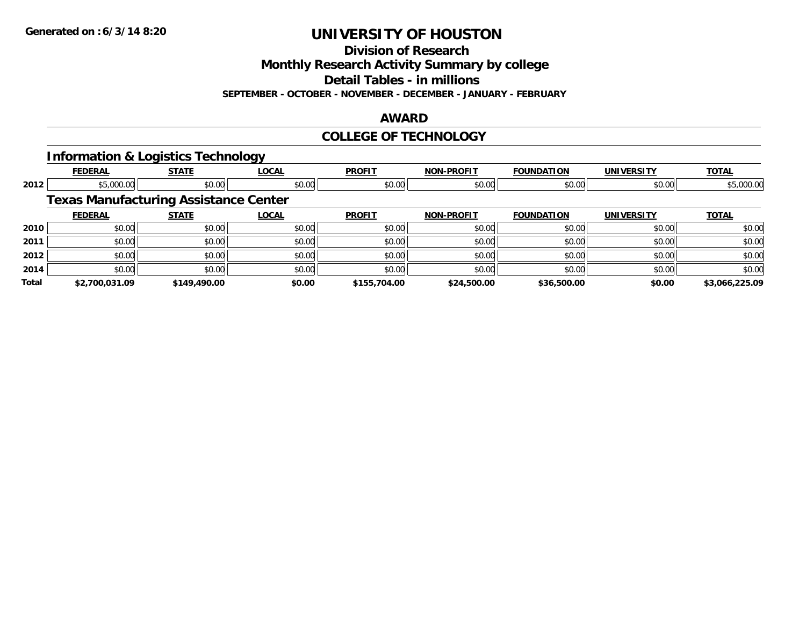**Division of Research**

**Monthly Research Activity Summary by college**

**Detail Tables - in millions**

**SEPTEMBER - OCTOBER - NOVEMBER - DECEMBER - JANUARY - FEBRUARY**

#### **AWARD**

### **COLLEGE OF TECHNOLOGY**

### **Information & Logistics Technology**

|              | <b>FEDERAL</b>                               | <b>STATE</b> | <b>LOCAL</b> | <b>PROFIT</b> | <b>NON-PROFIT</b> | <b>FOUNDATION</b> | <b>UNIVERSITY</b> | <b>TOTAL</b>   |
|--------------|----------------------------------------------|--------------|--------------|---------------|-------------------|-------------------|-------------------|----------------|
| 2012         | \$5,000.00                                   | \$0.00       | \$0.00       | \$0.00        | \$0.00            | \$0.00            | \$0.00            | \$5,000.00     |
|              | <b>Texas Manufacturing Assistance Center</b> |              |              |               |                   |                   |                   |                |
|              | <b>FEDERAL</b>                               | <b>STATE</b> | LOCAL        | <b>PROFIT</b> | <b>NON-PROFIT</b> | <b>FOUNDATION</b> | <b>UNIVERSITY</b> | <b>TOTAL</b>   |
| 2010         | \$0.00                                       | \$0.00       | \$0.00       | \$0.00        | \$0.00            | \$0.00            | \$0.00            | \$0.00         |
| 2011         | \$0.00                                       | \$0.00       | \$0.00       | \$0.00        | \$0.00            | \$0.00            | \$0.00            | \$0.00         |
| 2012         | \$0.00                                       | \$0.00       | \$0.00       | \$0.00        | \$0.00            | \$0.00            | \$0.00            | \$0.00         |
| 2014         | \$0.00                                       | \$0.00       | \$0.00       | \$0.00        | \$0.00            | \$0.00            | \$0.00            | \$0.00         |
| <b>Total</b> | \$2,700,031.09                               | \$149,490.00 | \$0.00       | \$155,704.00  | \$24,500.00       | \$36,500.00       | \$0.00            | \$3.066.225.09 |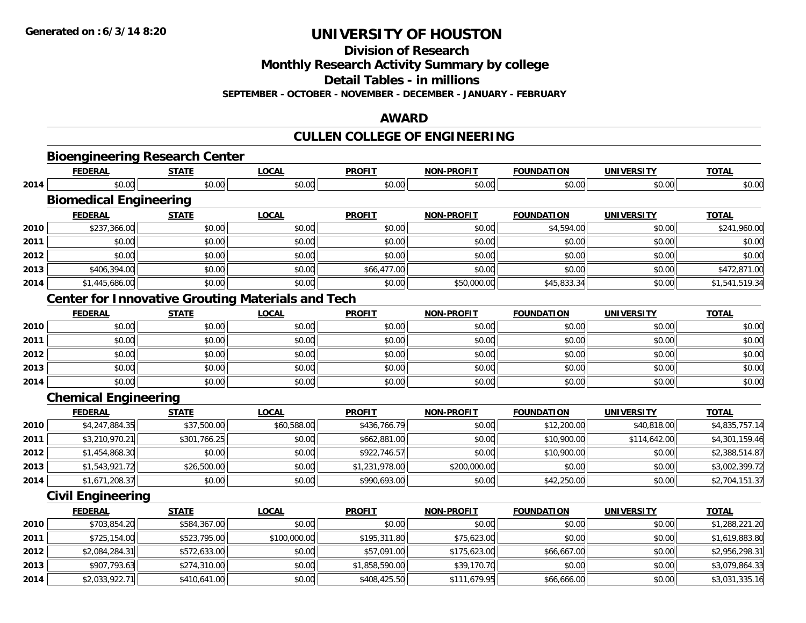**Division of Research**

**Monthly Research Activity Summary by college**

**Detail Tables - in millions**

**SEPTEMBER - OCTOBER - NOVEMBER - DECEMBER - JANUARY - FEBRUARY**

### **AWARD**

# **CULLEN COLLEGE OF ENGINEERING**

|      | <b>Bioengineering Research Center</b>                    |              |              |                |                   |                   |                   |                |
|------|----------------------------------------------------------|--------------|--------------|----------------|-------------------|-------------------|-------------------|----------------|
|      | <b>FEDERAL</b>                                           | <b>STATE</b> | <b>LOCAL</b> | <b>PROFIT</b>  | <b>NON-PROFIT</b> | <b>FOUNDATION</b> | <b>UNIVERSITY</b> | <b>TOTAL</b>   |
| 2014 | \$0.00                                                   | \$0.00       | \$0.00       | \$0.00         | \$0.00            | \$0.00            | \$0.00            | \$0.00         |
|      | <b>Biomedical Engineering</b>                            |              |              |                |                   |                   |                   |                |
|      | <b>FEDERAL</b>                                           | <b>STATE</b> | <b>LOCAL</b> | <b>PROFIT</b>  | <b>NON-PROFIT</b> | <b>FOUNDATION</b> | <b>UNIVERSITY</b> | <b>TOTAL</b>   |
| 2010 | \$237,366.00                                             | \$0.00       | \$0.00       | \$0.00         | \$0.00            | \$4,594.00        | \$0.00            | \$241,960.00   |
| 2011 | \$0.00                                                   | \$0.00       | \$0.00       | \$0.00         | \$0.00            | \$0.00            | \$0.00            | \$0.00         |
| 2012 | \$0.00                                                   | \$0.00       | \$0.00       | \$0.00         | \$0.00            | \$0.00            | \$0.00            | \$0.00         |
| 2013 | \$406,394.00                                             | \$0.00       | \$0.00       | \$66,477.00    | \$0.00            | \$0.00            | \$0.00            | \$472,871.00   |
| 2014 | \$1,445,686.00                                           | \$0.00       | \$0.00       | \$0.00         | \$50,000.00       | \$45,833.34       | \$0.00            | \$1,541,519.34 |
|      | <b>Center for Innovative Grouting Materials and Tech</b> |              |              |                |                   |                   |                   |                |
|      | <b>FEDERAL</b>                                           | <b>STATE</b> | <b>LOCAL</b> | <b>PROFIT</b>  | <b>NON-PROFIT</b> | <b>FOUNDATION</b> | <b>UNIVERSITY</b> | <b>TOTAL</b>   |
| 2010 | \$0.00                                                   | \$0.00       | \$0.00       | \$0.00         | \$0.00            | \$0.00            | \$0.00            | \$0.00         |
| 2011 | \$0.00                                                   | \$0.00       | \$0.00       | \$0.00         | \$0.00            | \$0.00            | \$0.00            | \$0.00         |
| 2012 | \$0.00                                                   | \$0.00       | \$0.00       | \$0.00         | \$0.00            | \$0.00            | \$0.00            | \$0.00         |
| 2013 | \$0.00                                                   | \$0.00       | \$0.00       | \$0.00         | \$0.00            | \$0.00            | \$0.00            | \$0.00         |
| 2014 | \$0.00                                                   | \$0.00       | \$0.00       | \$0.00         | \$0.00            | \$0.00            | \$0.00            | \$0.00         |
|      | <b>Chemical Engineering</b>                              |              |              |                |                   |                   |                   |                |
|      | <b>FEDERAL</b>                                           | <b>STATE</b> | <b>LOCAL</b> | <b>PROFIT</b>  | <b>NON-PROFIT</b> | <b>FOUNDATION</b> | <b>UNIVERSITY</b> | <b>TOTAL</b>   |
| 2010 | \$4,247,884.35                                           | \$37,500.00  | \$60,588.00  | \$436,766.79   | \$0.00            | \$12,200.00       | \$40,818.00       | \$4,835,757.14 |
| 2011 | \$3,210,970.21                                           | \$301,766.25 | \$0.00       | \$662,881.00   | \$0.00            | \$10,900.00       | \$114,642.00      | \$4,301,159.46 |
| 2012 | \$1,454,868.30                                           | \$0.00       | \$0.00       | \$922,746.57   | \$0.00            | \$10,900.00       | \$0.00            | \$2,388,514.87 |
| 2013 | \$1,543,921.72                                           | \$26,500.00  | \$0.00       | \$1,231,978.00 | \$200,000.00      | \$0.00            | \$0.00            | \$3,002,399.72 |
| 2014 | \$1,671,208.37                                           | \$0.00       | \$0.00       | \$990,693.00   | \$0.00            | \$42,250.00       | \$0.00            | \$2,704,151.37 |
|      | <b>Civil Engineering</b>                                 |              |              |                |                   |                   |                   |                |
|      | <b>FEDERAL</b>                                           | <b>STATE</b> | <b>LOCAL</b> | <b>PROFIT</b>  | <b>NON-PROFIT</b> | <b>FOUNDATION</b> | <b>UNIVERSITY</b> | <b>TOTAL</b>   |
| 2010 | \$703,854.20                                             | \$584,367.00 | \$0.00       | \$0.00         | \$0.00            | \$0.00            | \$0.00            | \$1,288,221.20 |
| 2011 | \$725,154.00                                             | \$523,795.00 | \$100,000.00 | \$195,311.80   | \$75,623.00       | \$0.00            | \$0.00            | \$1,619,883.80 |
| 2012 | \$2,084,284.31                                           | \$572,633.00 | \$0.00       | \$57,091.00    | \$175,623.00      | \$66,667.00       | \$0.00            | \$2,956,298.31 |
| 2013 | \$907,793.63                                             | \$274,310.00 | \$0.00       | \$1,858,590.00 | \$39,170.70       | \$0.00            | \$0.00            | \$3,079,864.33 |
| 2014 | \$2,033,922.71                                           | \$410,641.00 | \$0.00       | \$408,425.50   | \$111,679.95      | \$66,666.00       | \$0.00            | \$3,031,335.16 |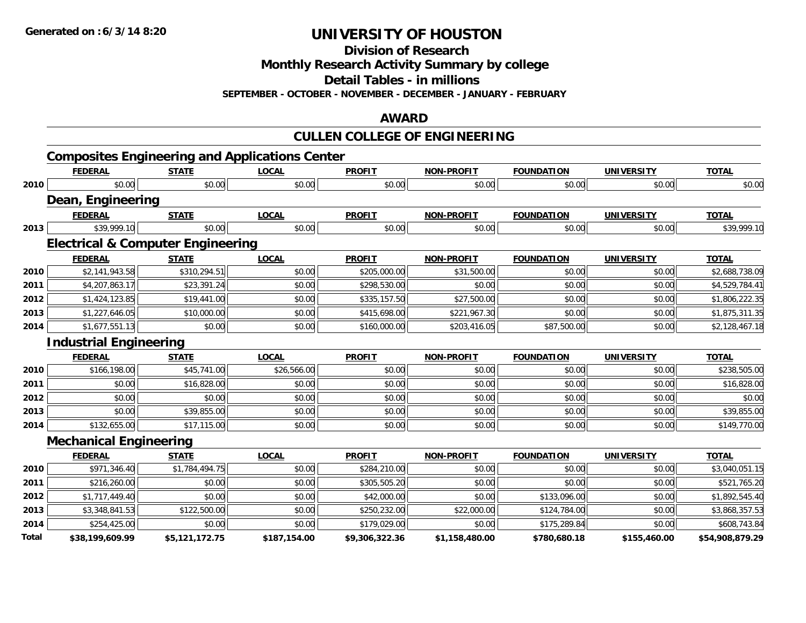**Division of Research**

**Monthly Research Activity Summary by college**

**Detail Tables - in millions**

**SEPTEMBER - OCTOBER - NOVEMBER - DECEMBER - JANUARY - FEBRUARY**

#### **AWARD**

# **CULLEN COLLEGE OF ENGINEERING**

|       |                                              |                | <b>Composites Engineering and Applications Center</b> |                |                   |                   |                   |                 |
|-------|----------------------------------------------|----------------|-------------------------------------------------------|----------------|-------------------|-------------------|-------------------|-----------------|
|       | <b>FEDERAL</b>                               | <b>STATE</b>   | <b>LOCAL</b>                                          | <b>PROFIT</b>  | <b>NON-PROFIT</b> | <b>FOUNDATION</b> | <b>UNIVERSITY</b> | <b>TOTAL</b>    |
| 2010  | \$0.00                                       | \$0.00         | \$0.00                                                | \$0.00         | \$0.00            | \$0.00            | \$0.00            | \$0.00          |
|       | Dean, Engineering                            |                |                                                       |                |                   |                   |                   |                 |
|       | <b>FEDERAL</b>                               | <b>STATE</b>   | <b>LOCAL</b>                                          | <b>PROFIT</b>  | <b>NON-PROFIT</b> | <b>FOUNDATION</b> | <b>UNIVERSITY</b> | <b>TOTAL</b>    |
| 2013  | \$39,999.10                                  | \$0.00         | \$0.00                                                | \$0.00         | \$0.00            | \$0.00            | \$0.00            | \$39,999.10     |
|       | <b>Electrical &amp; Computer Engineering</b> |                |                                                       |                |                   |                   |                   |                 |
|       | <b>FEDERAL</b>                               | <b>STATE</b>   | <b>LOCAL</b>                                          | <b>PROFIT</b>  | <b>NON-PROFIT</b> | <b>FOUNDATION</b> | <b>UNIVERSITY</b> | <b>TOTAL</b>    |
| 2010  | \$2,141,943.58                               | \$310,294.51   | \$0.00                                                | \$205,000.00   | \$31,500.00       | \$0.00            | \$0.00            | \$2,688,738.09  |
| 2011  | \$4,207,863.17                               | \$23,391.24    | \$0.00                                                | \$298,530.00   | \$0.00            | \$0.00            | \$0.00            | \$4,529,784.41  |
| 2012  | \$1,424,123.85                               | \$19,441.00    | \$0.00                                                | \$335,157.50   | \$27,500.00       | \$0.00            | \$0.00            | \$1,806,222.35  |
| 2013  | \$1,227,646.05                               | \$10,000.00    | \$0.00                                                | \$415,698.00   | \$221,967.30      | \$0.00            | \$0.00            | \$1,875,311.35  |
| 2014  | \$1,677,551.13                               | \$0.00         | \$0.00                                                | \$160,000.00   | \$203,416.05      | \$87,500.00       | \$0.00            | \$2,128,467.18  |
|       | <b>Industrial Engineering</b>                |                |                                                       |                |                   |                   |                   |                 |
|       | <b>FEDERAL</b>                               | <b>STATE</b>   | <b>LOCAL</b>                                          | <b>PROFIT</b>  | <b>NON-PROFIT</b> | <b>FOUNDATION</b> | <b>UNIVERSITY</b> | <b>TOTAL</b>    |
| 2010  | \$166,198.00                                 | \$45,741.00    | \$26,566.00                                           | \$0.00         | \$0.00            | \$0.00            | \$0.00            | \$238,505.00    |
| 2011  | \$0.00                                       | \$16,828.00    | \$0.00                                                | \$0.00         | \$0.00            | \$0.00            | \$0.00            | \$16,828.00     |
| 2012  | \$0.00                                       | \$0.00         | \$0.00                                                | \$0.00         | \$0.00            | \$0.00            | \$0.00            | \$0.00          |
| 2013  | \$0.00                                       | \$39,855.00    | \$0.00                                                | \$0.00         | \$0.00            | \$0.00            | \$0.00            | \$39,855.00     |
| 2014  | \$132,655.00                                 | \$17,115.00    | \$0.00                                                | \$0.00         | \$0.00            | \$0.00            | \$0.00            | \$149,770.00    |
|       | <b>Mechanical Engineering</b>                |                |                                                       |                |                   |                   |                   |                 |
|       | <b>FEDERAL</b>                               | <b>STATE</b>   | <b>LOCAL</b>                                          | <b>PROFIT</b>  | <b>NON-PROFIT</b> | <b>FOUNDATION</b> | <b>UNIVERSITY</b> | <b>TOTAL</b>    |
| 2010  | \$971,346.40                                 | \$1,784,494.75 | \$0.00                                                | \$284,210.00   | \$0.00            | \$0.00            | \$0.00            | \$3,040,051.15  |
| 2011  | \$216,260.00                                 | \$0.00         | \$0.00                                                | \$305,505.20   | \$0.00            | \$0.00            | \$0.00            | \$521,765.20    |
| 2012  | \$1,717,449.40                               | \$0.00         | \$0.00                                                | \$42,000.00    | \$0.00            | \$133,096.00      | \$0.00            | \$1,892,545.40  |
| 2013  | \$3,348,841.53                               | \$122,500.00   | \$0.00                                                | \$250,232.00   | \$22,000.00       | \$124,784.00      | \$0.00            | \$3,868,357.53  |
| 2014  | \$254,425.00                                 | \$0.00         | \$0.00                                                | \$179,029.00   | \$0.00            | \$175,289.84      | \$0.00            | \$608,743.84    |
| Total | \$38,199,609.99                              | \$5,121,172.75 | \$187,154.00                                          | \$9,306,322.36 | \$1,158,480.00    | \$780,680.18      | \$155,460.00      | \$54,908,879.29 |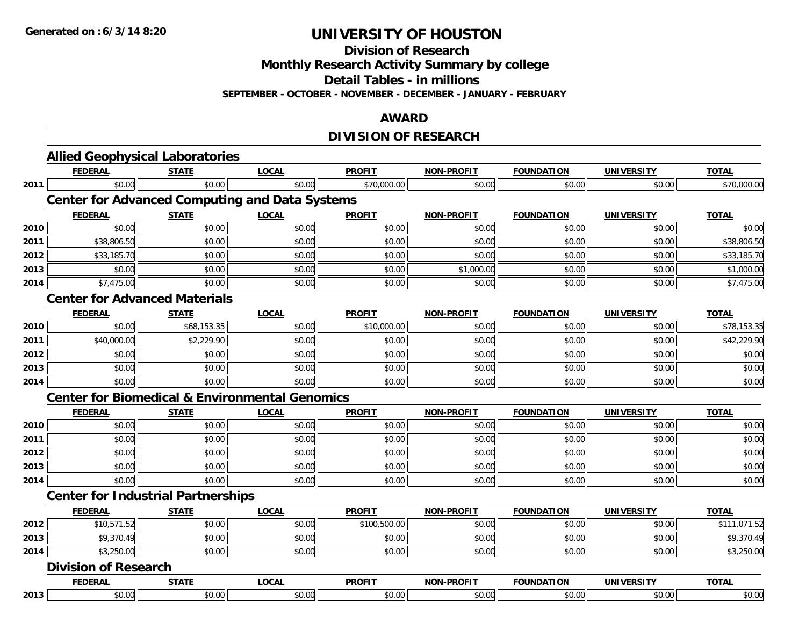**Division of Research**

**Monthly Research Activity Summary by college**

**Detail Tables - in millions**

**SEPTEMBER - OCTOBER - NOVEMBER - DECEMBER - JANUARY - FEBRUARY**

### **AWARD**

## **DIVISION OF RESEARCH**

|      | <b>Allied Geophysical Laboratories</b>                    |              |              |               |                   |                   |                   |              |
|------|-----------------------------------------------------------|--------------|--------------|---------------|-------------------|-------------------|-------------------|--------------|
|      | <b>FEDERAL</b>                                            | <b>STATE</b> | <b>LOCAL</b> | <b>PROFIT</b> | <b>NON-PROFIT</b> | <b>FOUNDATION</b> | <b>UNIVERSITY</b> | <b>TOTAL</b> |
| 2011 | \$0.00                                                    | \$0.00       | \$0.00       | \$70,000.00   | \$0.00            | \$0.00            | \$0.00            | \$70,000.00  |
|      | <b>Center for Advanced Computing and Data Systems</b>     |              |              |               |                   |                   |                   |              |
|      | <b>FEDERAL</b>                                            | <b>STATE</b> | <b>LOCAL</b> | <b>PROFIT</b> | <b>NON-PROFIT</b> | <b>FOUNDATION</b> | <b>UNIVERSITY</b> | <b>TOTAL</b> |
| 2010 | \$0.00                                                    | \$0.00       | \$0.00       | \$0.00        | \$0.00            | \$0.00            | \$0.00            | \$0.00       |
| 2011 | \$38,806.50                                               | \$0.00       | \$0.00       | \$0.00        | \$0.00            | \$0.00            | \$0.00            | \$38,806.50  |
| 2012 | \$33,185.70                                               | \$0.00       | \$0.00       | \$0.00        | \$0.00            | \$0.00            | \$0.00            | \$33,185.70  |
| 2013 | \$0.00                                                    | \$0.00       | \$0.00       | \$0.00        | \$1,000.00        | \$0.00            | \$0.00            | \$1,000.00   |
| 2014 | \$7,475.00                                                | \$0.00       | \$0.00       | \$0.00        | \$0.00            | \$0.00            | \$0.00            | \$7,475.00   |
|      | <b>Center for Advanced Materials</b>                      |              |              |               |                   |                   |                   |              |
|      | <b>FEDERAL</b>                                            | <b>STATE</b> | <b>LOCAL</b> | <b>PROFIT</b> | <b>NON-PROFIT</b> | <b>FOUNDATION</b> | <b>UNIVERSITY</b> | <b>TOTAL</b> |
| 2010 | \$0.00                                                    | \$68,153.35  | \$0.00       | \$10,000.00   | \$0.00            | \$0.00            | \$0.00            | \$78,153.35  |
| 2011 | \$40,000.00                                               | \$2,229.90   | \$0.00       | \$0.00        | \$0.00            | \$0.00            | \$0.00            | \$42,229.90  |
| 2012 | \$0.00                                                    | \$0.00       | \$0.00       | \$0.00        | \$0.00            | \$0.00            | \$0.00            | \$0.00       |
| 2013 | \$0.00                                                    | \$0.00       | \$0.00       | \$0.00        | \$0.00            | \$0.00            | \$0.00            | \$0.00       |
| 2014 | \$0.00                                                    | \$0.00       | \$0.00       | \$0.00        | \$0.00            | \$0.00            | \$0.00            | \$0.00       |
|      | <b>Center for Biomedical &amp; Environmental Genomics</b> |              |              |               |                   |                   |                   |              |
|      | <b>FEDERAL</b>                                            | <b>STATE</b> | <b>LOCAL</b> | <b>PROFIT</b> | <b>NON-PROFIT</b> | <b>FOUNDATION</b> | <b>UNIVERSITY</b> | <b>TOTAL</b> |
| 2010 | \$0.00                                                    | \$0.00       | \$0.00       | \$0.00        | \$0.00            | \$0.00            | \$0.00            | \$0.00       |
| 2011 | \$0.00                                                    | \$0.00       | \$0.00       | \$0.00        | \$0.00            | \$0.00            | \$0.00            | \$0.00       |
| 2012 | \$0.00                                                    | \$0.00       | \$0.00       | \$0.00        | \$0.00            | \$0.00            | \$0.00            | \$0.00       |
| 2013 | \$0.00                                                    | \$0.00       | \$0.00       | \$0.00        | \$0.00            | \$0.00            | \$0.00            | \$0.00       |
| 2014 | \$0.00                                                    | \$0.00       | \$0.00       | \$0.00        | \$0.00            | \$0.00            | \$0.00            | \$0.00       |
|      | <b>Center for Industrial Partnerships</b>                 |              |              |               |                   |                   |                   |              |
|      | <b>FEDERAL</b>                                            | <b>STATE</b> | <b>LOCAL</b> | <b>PROFIT</b> | <b>NON-PROFIT</b> | <b>FOUNDATION</b> | <b>UNIVERSITY</b> | <b>TOTAL</b> |
| 2012 | \$10,571.52                                               | \$0.00       | \$0.00       | \$100,500.00  | \$0.00            | \$0.00            | \$0.00            | \$111,071.52 |
| 2013 | \$9,370.49                                                | \$0.00       | \$0.00       | \$0.00        | \$0.00            | \$0.00            | \$0.00            | \$9,370.49   |
| 2014 | \$3,250.00                                                | \$0.00       | \$0.00       | \$0.00        | \$0.00            | \$0.00            | \$0.00            | \$3,250.00   |
|      | <b>Division of Research</b>                               |              |              |               |                   |                   |                   |              |
|      | <b>FEDERAL</b>                                            | <b>STATE</b> | <b>LOCAL</b> | <b>PROFIT</b> | <b>NON-PROFIT</b> | <b>FOUNDATION</b> | <b>UNIVERSITY</b> | <b>TOTAL</b> |
| 2013 | \$0.00                                                    | \$0.00       | \$0.00       | \$0.00        | \$0.00            | \$0.00            | \$0.00            | \$0.00       |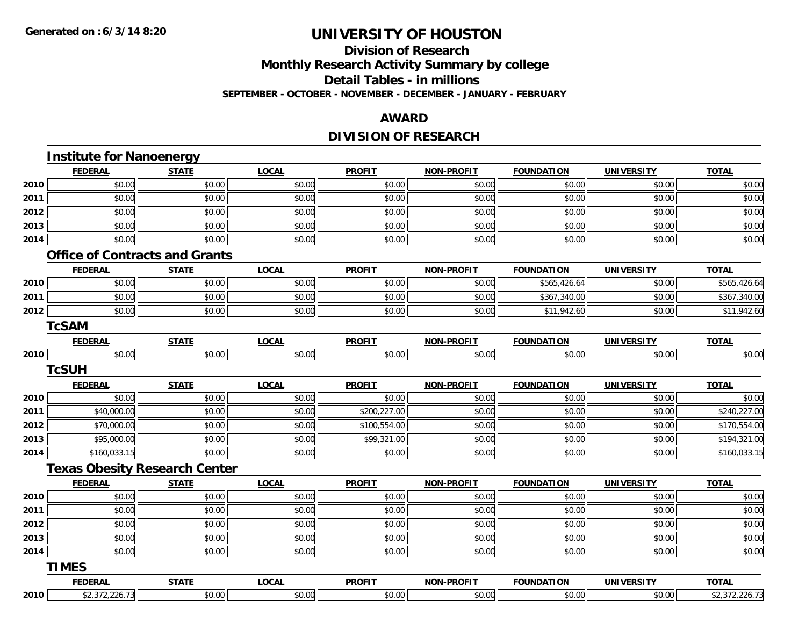# **Division of Research Monthly Research Activity Summary by college Detail Tables - in millions**

#### **SEPTEMBER - OCTOBER - NOVEMBER - DECEMBER - JANUARY - FEBRUARY**

#### **AWARD**

# **DIVISION OF RESEARCH**

|      | <b>FEDERAL</b>                        | <b>STATE</b> | <b>LOCAL</b> | <b>PROFIT</b> | <b>NON-PROFIT</b> | <b>FOUNDATION</b> | <b>UNIVERSITY</b> | <b>TOTAL</b> |
|------|---------------------------------------|--------------|--------------|---------------|-------------------|-------------------|-------------------|--------------|
| 2010 | \$0.00                                | \$0.00       | \$0.00       | \$0.00        | \$0.00            | \$0.00            | \$0.00            | \$0.00       |
| 2011 | \$0.00                                | \$0.00       | \$0.00       | \$0.00        | \$0.00            | \$0.00            | \$0.00            | \$0.00       |
| 2012 | \$0.00                                | \$0.00       | \$0.00       | \$0.00        | \$0.00            | \$0.00            | \$0.00            | \$0.00       |
| 2013 | \$0.00                                | \$0.00       | \$0.00       | \$0.00        | \$0.00            | \$0.00            | \$0.00            | \$0.00       |
| 2014 | \$0.00                                | \$0.00       | \$0.00       | \$0.00        | \$0.00            | \$0.00            | \$0.00            | \$0.00       |
|      | <b>Office of Contracts and Grants</b> |              |              |               |                   |                   |                   |              |
|      | <b>FEDERAL</b>                        | <b>STATE</b> | <b>LOCAL</b> | <b>PROFIT</b> | <b>NON-PROFIT</b> | <b>FOUNDATION</b> | <b>UNIVERSITY</b> | <b>TOTAL</b> |
| 2010 | \$0.00                                | \$0.00       | \$0.00       | \$0.00        | \$0.00            | \$565,426.64      | \$0.00            | \$565,426.64 |
| 2011 | \$0.00                                | \$0.00       | \$0.00       | \$0.00        | \$0.00            | \$367,340.00      | \$0.00            | \$367,340.00 |
| 2012 | \$0.00                                | \$0.00       | \$0.00       | \$0.00        | \$0.00            | \$11,942.60       | \$0.00            | \$11,942.60  |
|      | <b>TcSAM</b>                          |              |              |               |                   |                   |                   |              |
|      | <b>FEDERAL</b>                        | <b>STATE</b> | <b>LOCAL</b> | <b>PROFIT</b> | <b>NON-PROFIT</b> | <b>FOUNDATION</b> | <b>UNIVERSITY</b> | <b>TOTAL</b> |
| 2010 | \$0.00                                | \$0.00       | \$0.00       | \$0.00        | \$0.00            | \$0.00            | \$0.00            | \$0.00       |
|      | <b>TcSUH</b>                          |              |              |               |                   |                   |                   |              |
|      | <b>FEDERAL</b>                        | <b>STATE</b> | <b>LOCAL</b> | <b>PROFIT</b> | <b>NON-PROFIT</b> | <b>FOUNDATION</b> | <b>UNIVERSITY</b> | <b>TOTAL</b> |
| 2010 | \$0.00                                | \$0.00       | \$0.00       | \$0.00        | \$0.00            | \$0.00            | \$0.00            | \$0.00       |
| 2011 | \$40,000.00                           | \$0.00       | \$0.00       | \$200,227.00  | \$0.00            | \$0.00            | \$0.00            | \$240,227.00 |
| 2012 | \$70,000.00                           | \$0.00       | \$0.00       | \$100,554.00  | \$0.00            | \$0.00            | \$0.00            | \$170,554.00 |
| 2013 | \$95,000.00                           | \$0.00       | \$0.00       | \$99,321.00   | \$0.00            | \$0.00            | \$0.00            | \$194,321.00 |
| 2014 | \$160,033.15                          | \$0.00       | \$0.00       | \$0.00        | \$0.00            | \$0.00            | \$0.00            | \$160,033.15 |
|      | <b>Texas Obesity Research Center</b>  |              |              |               |                   |                   |                   |              |
|      | <b>FEDERAL</b>                        | <b>STATE</b> | <b>LOCAL</b> | <b>PROFIT</b> | <b>NON-PROFIT</b> | <b>FOUNDATION</b> | <b>UNIVERSITY</b> | <b>TOTAL</b> |
| 2010 | \$0.00                                | \$0.00       | \$0.00       | \$0.00        | \$0.00            | \$0.00            | \$0.00            | \$0.00       |
| 2011 | \$0.00                                | \$0.00       | \$0.00       | \$0.00        | \$0.00            | \$0.00            | \$0.00            | \$0.00       |
| 2012 | \$0.00                                | \$0.00       | \$0.00       | \$0.00        | \$0.00            | \$0.00            | \$0.00            | \$0.00       |
| 2013 | \$0.00                                | \$0.00       | \$0.00       | \$0.00        | \$0.00            | \$0.00            | \$0.00            | \$0.00       |
| 2014 | \$0.00                                | \$0.00       | \$0.00       | \$0.00        | \$0.00            | \$0.00            | \$0.00            | \$0.00       |
|      |                                       |              |              |               |                   |                   |                   |              |
|      | <b>TIMES</b>                          |              |              |               |                   |                   |                   |              |
|      | <b>FEDERAL</b>                        | <b>STATE</b> | <b>LOCAL</b> | <b>PROFIT</b> | <b>NON-PROFIT</b> | <b>FOUNDATION</b> | <b>UNIVERSITY</b> | <b>TOTAL</b> |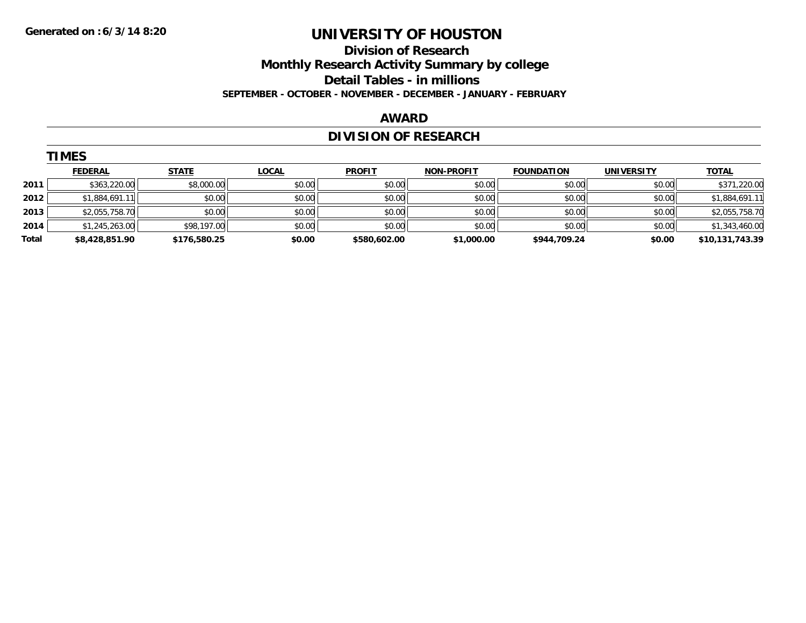## **Division of Research Monthly Research Activity Summary by college Detail Tables - in millions**

**SEPTEMBER - OCTOBER - NOVEMBER - DECEMBER - JANUARY - FEBRUARY**

#### **AWARD**

# **DIVISION OF RESEARCH**

|       | <b>TIMES</b>   |              |              |               |                   |                   |                   |                 |  |  |  |  |
|-------|----------------|--------------|--------------|---------------|-------------------|-------------------|-------------------|-----------------|--|--|--|--|
|       | <b>FEDERAL</b> | <b>STATE</b> | <b>LOCAL</b> | <b>PROFIT</b> | <b>NON-PROFIT</b> | <b>FOUNDATION</b> | <b>UNIVERSITY</b> | <b>TOTAL</b>    |  |  |  |  |
| 2011  | \$363,220.00   | \$8,000.00   | \$0.00       | \$0.00        | \$0.00            | \$0.00            | \$0.00            | \$371,220.00    |  |  |  |  |
| 2012  | \$1,884,691.11 | \$0.00       | \$0.00       | \$0.00        | \$0.00            | \$0.00            | \$0.00            | \$1,884,691.11  |  |  |  |  |
| 2013  | \$2,055,758.70 | \$0.00       | \$0.00       | \$0.00        | \$0.00            | \$0.00            | \$0.00            | \$2,055,758.70  |  |  |  |  |
| 2014  | \$1,245,263.00 | \$98,197.00  | \$0.00       | \$0.00        | \$0.00            | \$0.00            | \$0.00            | \$1,343,460.00  |  |  |  |  |
| Total | \$8,428,851.90 | \$176,580.25 | \$0.00       | \$580,602.00  | \$1,000.00        | \$944,709.24      | \$0.00            | \$10,131,743.39 |  |  |  |  |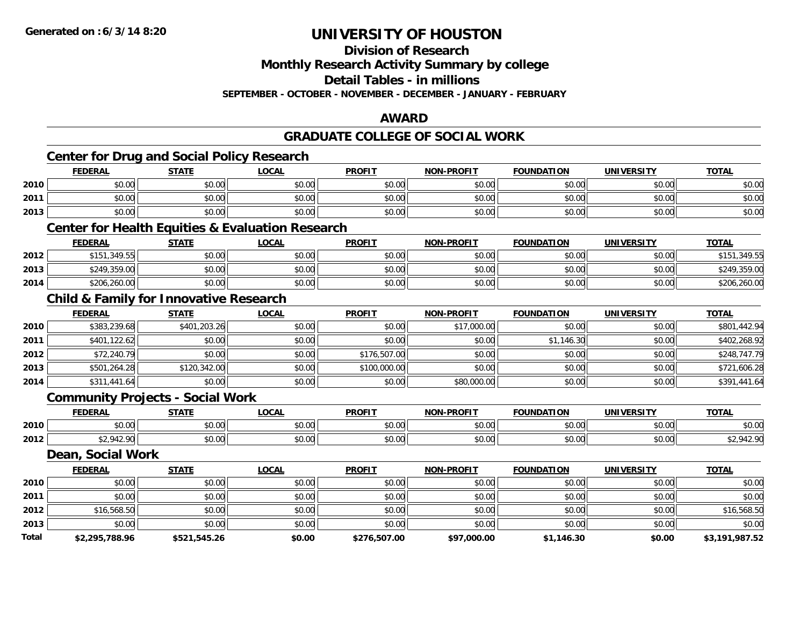#### **Division of Research**

**Monthly Research Activity Summary by college**

**Detail Tables - in millions**

**SEPTEMBER - OCTOBER - NOVEMBER - DECEMBER - JANUARY - FEBRUARY**

#### **AWARD**

### **GRADUATE COLLEGE OF SOCIAL WORK**

|       |                   | Center for Drug and Social Policy Research        |                                                             |               |                   |                   |                   |                |
|-------|-------------------|---------------------------------------------------|-------------------------------------------------------------|---------------|-------------------|-------------------|-------------------|----------------|
|       | <b>FEDERAL</b>    | <b>STATE</b>                                      | <b>LOCAL</b>                                                | <b>PROFIT</b> | <b>NON-PROFIT</b> | <b>FOUNDATION</b> | <b>UNIVERSITY</b> | <b>TOTAL</b>   |
| 2010  | \$0.00            | \$0.00                                            | \$0.00                                                      | \$0.00        | \$0.00            | \$0.00            | \$0.00            | \$0.00         |
| 2011  | \$0.00            | \$0.00                                            | \$0.00                                                      | \$0.00        | \$0.00            | \$0.00            | \$0.00            | \$0.00         |
| 2013  | \$0.00            | \$0.00                                            | \$0.00                                                      | \$0.00        | \$0.00            | \$0.00            | \$0.00            | \$0.00         |
|       |                   |                                                   | <b>Center for Health Equities &amp; Evaluation Research</b> |               |                   |                   |                   |                |
|       | <b>FEDERAL</b>    | <b>STATE</b>                                      | <b>LOCAL</b>                                                | <b>PROFIT</b> | <b>NON-PROFIT</b> | <b>FOUNDATION</b> | <b>UNIVERSITY</b> | <b>TOTAL</b>   |
| 2012  | \$151,349.55      | \$0.00                                            | \$0.00                                                      | \$0.00        | \$0.00            | \$0.00            | \$0.00            | \$151,349.55   |
| 2013  | \$249,359.00      | \$0.00                                            | \$0.00                                                      | \$0.00        | \$0.00            | \$0.00            | \$0.00            | \$249,359.00   |
| 2014  | \$206,260.00      | \$0.00                                            | \$0.00                                                      | \$0.00        | \$0.00            | \$0.00            | \$0.00            | \$206,260.00   |
|       |                   | <b>Child &amp; Family for Innovative Research</b> |                                                             |               |                   |                   |                   |                |
|       | <b>FEDERAL</b>    | <b>STATE</b>                                      | <b>LOCAL</b>                                                | <b>PROFIT</b> | <b>NON-PROFIT</b> | <b>FOUNDATION</b> | <b>UNIVERSITY</b> | <b>TOTAL</b>   |
| 2010  | \$383,239.68      | \$401,203.26                                      | \$0.00                                                      | \$0.00        | \$17,000.00       | \$0.00            | \$0.00            | \$801,442.94   |
| 2011  | \$401,122.62      | \$0.00                                            | \$0.00                                                      | \$0.00        | \$0.00            | \$1,146.30        | \$0.00            | \$402,268.92   |
| 2012  | \$72,240.79       | \$0.00                                            | \$0.00                                                      | \$176,507.00  | \$0.00            | \$0.00            | \$0.00            | \$248,747.79   |
| 2013  | \$501,264.28      | \$120,342.00                                      | \$0.00                                                      | \$100,000.00  | \$0.00            | \$0.00            | \$0.00            | \$721,606.28   |
| 2014  | \$311,441.64      | \$0.00                                            | \$0.00                                                      | \$0.00        | \$80,000.00       | \$0.00            | \$0.00            | \$391,441.64   |
|       |                   | <b>Community Projects - Social Work</b>           |                                                             |               |                   |                   |                   |                |
|       | <b>FEDERAL</b>    | <b>STATE</b>                                      | <b>LOCAL</b>                                                | <b>PROFIT</b> | <b>NON-PROFIT</b> | <b>FOUNDATION</b> | <b>UNIVERSITY</b> | <b>TOTAL</b>   |
| 2010  | \$0.00            | \$0.00                                            | \$0.00                                                      | \$0.00        | \$0.00            | \$0.00            | \$0.00            | \$0.00         |
| 2012  | \$2,942.90        | \$0.00                                            | \$0.00                                                      | \$0.00        | \$0.00            | \$0.00            | \$0.00            | \$2,942.90     |
|       | Dean, Social Work |                                                   |                                                             |               |                   |                   |                   |                |
|       | <b>FEDERAL</b>    | <b>STATE</b>                                      | <b>LOCAL</b>                                                | <b>PROFIT</b> | <b>NON-PROFIT</b> | <b>FOUNDATION</b> | <b>UNIVERSITY</b> | <b>TOTAL</b>   |
| 2010  | \$0.00            | \$0.00                                            | \$0.00                                                      | \$0.00        | \$0.00            | \$0.00            | \$0.00            | \$0.00         |
| 2011  | \$0.00            | \$0.00                                            | \$0.00                                                      | \$0.00        | \$0.00            | \$0.00            | \$0.00            | \$0.00         |
| 2012  | \$16,568.50       | \$0.00                                            | \$0.00                                                      | \$0.00        | \$0.00            | \$0.00            | \$0.00            | \$16,568.50    |
| 2013  | \$0.00            | \$0.00                                            | \$0.00                                                      | \$0.00        | \$0.00            | \$0.00            | \$0.00            | \$0.00         |
| Total | \$2,295,788.96    | \$521,545.26                                      | \$0.00                                                      | \$276,507.00  | \$97,000.00       | \$1,146.30        | \$0.00            | \$3,191,987.52 |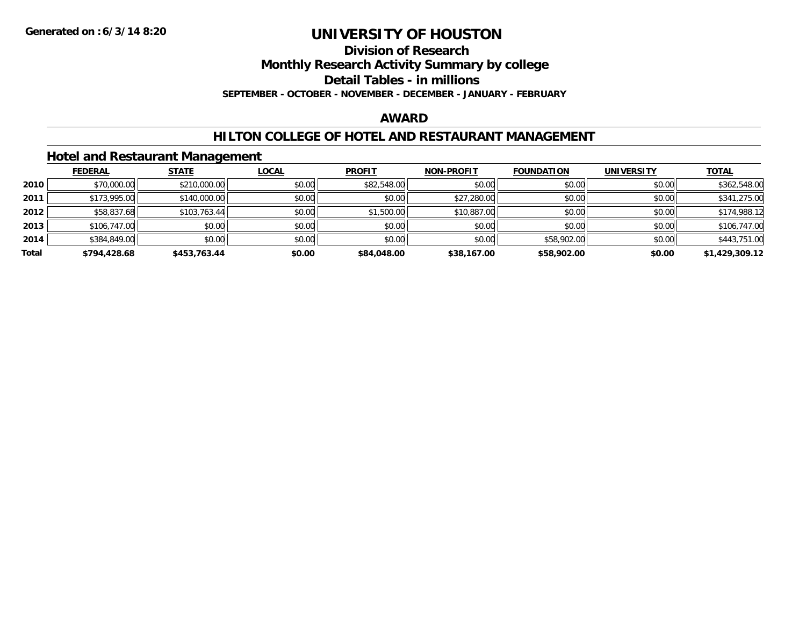**Division of Research**

**Monthly Research Activity Summary by college**

**Detail Tables - in millions**

**SEPTEMBER - OCTOBER - NOVEMBER - DECEMBER - JANUARY - FEBRUARY**

#### **AWARD**

### **HILTON COLLEGE OF HOTEL AND RESTAURANT MANAGEMENT**

### **Hotel and Restaurant Management**

|       | <b>FEDERAL</b> | <b>STATE</b> | <u>LOCAL</u> | <b>PROFIT</b> | <b>NON-PROFIT</b> | <b>FOUNDATION</b> | <b>UNIVERSITY</b> | <b>TOTAL</b>   |
|-------|----------------|--------------|--------------|---------------|-------------------|-------------------|-------------------|----------------|
| 2010  | \$70,000.00    | \$210,000.00 | \$0.00       | \$82,548.00   | \$0.00            | \$0.00            | \$0.00            | \$362,548.00   |
| 2011  | \$173,995.00   | \$140,000.00 | \$0.00       | \$0.00        | \$27,280.00       | \$0.00            | \$0.00            | \$341,275.00   |
| 2012  | \$58,837.68    | \$103,763.44 | \$0.00       | \$1,500.00    | \$10,887.00       | \$0.00            | \$0.00            | \$174,988.12   |
| 2013  | \$106,747.00   | \$0.00       | \$0.00       | \$0.00        | \$0.00            | \$0.00            | \$0.00            | \$106,747.00   |
| 2014  | \$384,849.00   | \$0.00       | \$0.00       | \$0.00        | \$0.00            | \$58,902.00       | \$0.00            | \$443,751.00   |
| Total | \$794,428.68   | \$453.763.44 | \$0.00       | \$84,048,00   | \$38,167.00       | \$58,902.00       | \$0.00            | \$1,429,309.12 |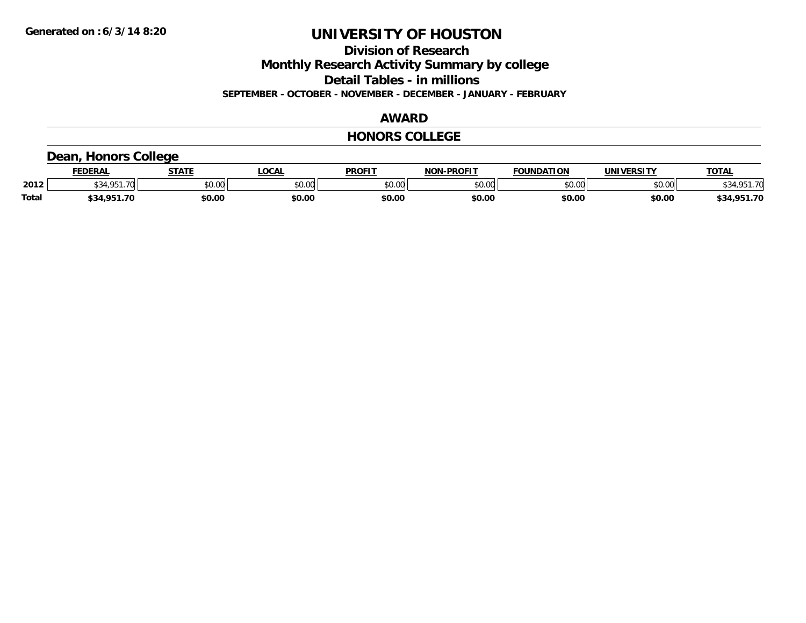**Division of Research**

**Monthly Research Activity Summary by college**

**Detail Tables - in millions**

**SEPTEMBER - OCTOBER - NOVEMBER - DECEMBER - JANUARY - FEBRUARY**

#### **AWARD**

#### **HONORS COLLEGE**

## **Dean, Honors College**

|              | <b>FEDERAL</b> | -----         | 00.1<br>UUM | <b>PROFIT</b> | -PROFIT<br><b>NOL</b> | ΠΟΝ<br><b>TOUNDAT.</b> | <b>IINIVERSIT\</b> | TOTA.                                |
|--------------|----------------|---------------|-------------|---------------|-----------------------|------------------------|--------------------|--------------------------------------|
| 2012         | 70             | 0.00<br>DU.UU | JU.UU       | \$0.00        | ልስ ስስ<br>PO.OO        | 40.00<br>U.UU          | nn nn<br>pu.uu     | $\Sigma$ $\Gamma$ 1.70 $\Gamma$<br>. |
| <b>Total</b> | ተ ግ ብ<br>. OE  | \$0.00        | \$0.00      | \$0.00        | \$0.00                | \$0.00                 | \$0.00             | ,951.70<br>\$34                      |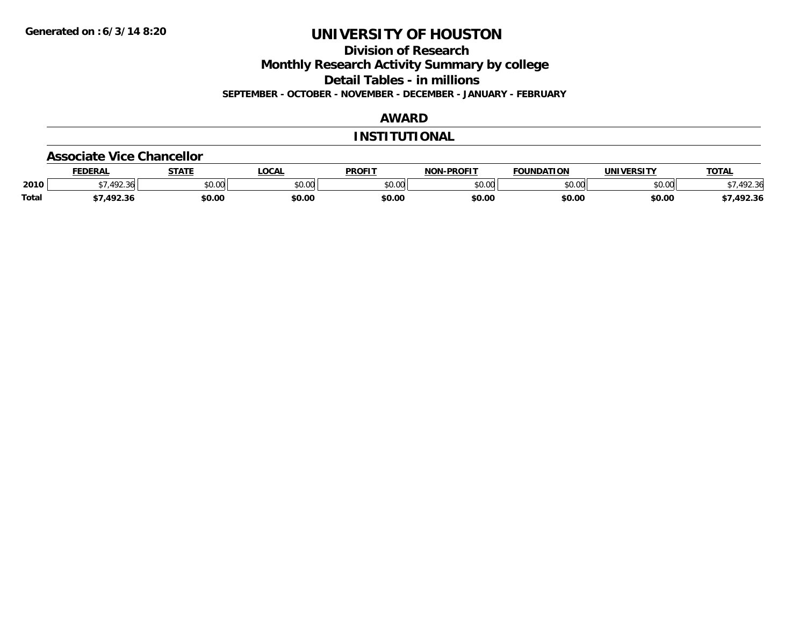**Division of Research**

**Monthly Research Activity Summary by college**

**Detail Tables - in millions**

**SEPTEMBER - OCTOBER - NOVEMBER - DECEMBER - JANUARY - FEBRUARY**

### **AWARD**

### **INSTITUTIONAL**

#### **Associate Vice Chancellor**

|              | <b>FEDERAL</b> | <b>STATE</b> | <b>OCAL</b>   | <b>PROFIT</b> | <b>NON-PROFIT</b> | <b>FOUNDATION</b> | <b>UNIVERSITY</b> | <b>TOTAL</b> |
|--------------|----------------|--------------|---------------|---------------|-------------------|-------------------|-------------------|--------------|
| 2010         | .492.36        | \$0.00       | 0000<br>vu.uu | \$0.00        | ልስ ሀህ<br>pu.uu    | \$0.00            | \$0.00            | 92.36        |
| <b>Total</b> | 1022           | \$0.00       | \$0.00        | \$0.00        | \$0.00            | \$0.00            | \$0.00            | /,492.36     |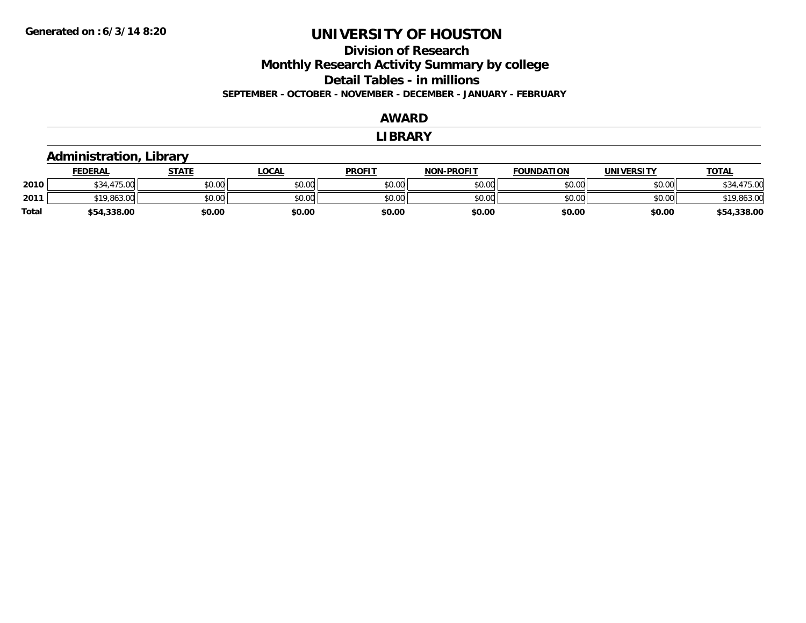### **Division of Research Monthly Research Activity Summary by college Detail Tables - in millions SEPTEMBER - OCTOBER - NOVEMBER - DECEMBER - JANUARY - FEBRUARY**

#### **AWARD**

#### **LIBRARY**

## **Administration, Library**

|       | <b>FEDERAL</b>      | STATE  | LOCAL  | <b>PROFIT</b> | <b>NON-PROFIT</b> | <b>FOUNDATION</b> | <b>UNIVERSITY</b> | <u>TOTAL</u> |
|-------|---------------------|--------|--------|---------------|-------------------|-------------------|-------------------|--------------|
| 2010  | A7F<br>^^ י<br>70.U | \$0.00 | \$0.00 | \$0.00        | \$0.00            | \$0.00            | \$0.00            | .475.00      |
| 2011  | $*19,863.0c$        | \$0.00 | \$0.00 | \$0.00        | \$0.00            | \$0.00            | \$0.00            | \$19,863.00  |
| Total | \$54,338.00         | \$0.00 | \$0.00 | \$0.00        | \$0.00            | \$0.00            | \$0.00            | \$54,338.00  |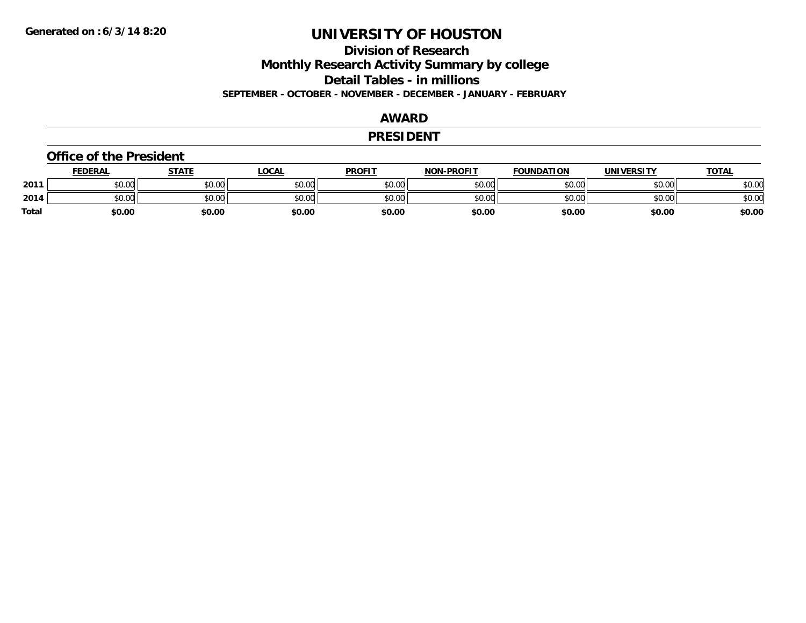**Division of Research**

**Monthly Research Activity Summary by college**

**Detail Tables - in millions**

**SEPTEMBER - OCTOBER - NOVEMBER - DECEMBER - JANUARY - FEBRUARY**

#### **AWARD**

#### **PRESIDENT**

#### **Office of the President**

|              | <b>FEDERAL</b> | STATE  | LOCAL  | <b>PROFIT</b> | <b>NON-PROFIT</b> | <b>FOUNDATION</b> | <b>UNIVERSITY</b> | <b>TOTAL</b> |
|--------------|----------------|--------|--------|---------------|-------------------|-------------------|-------------------|--------------|
| 2011         | \$0.00         | \$0.00 | \$0.00 | \$0.00        | \$0.00            | \$0.00            | \$0.00            | \$0.00       |
| 2014         | \$0.00         | \$0.00 | \$0.00 | \$0.00        | \$0.00            | \$0.00            | \$0.00            | \$0.00       |
| <b>Total</b> | \$0.00         | \$0.00 | \$0.00 | \$0.00        | \$0.00            | \$0.00            | \$0.00            | \$0.00       |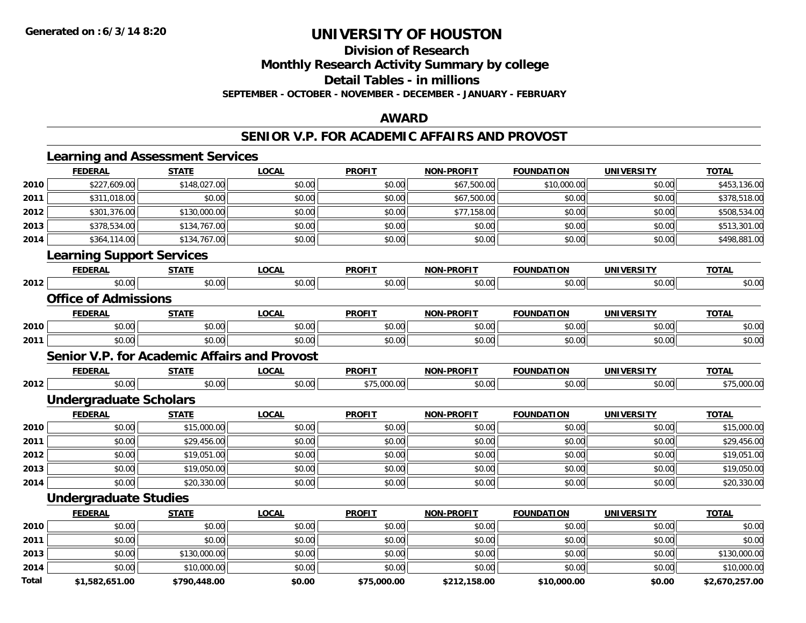**Division of Research**

**Monthly Research Activity Summary by college**

**Detail Tables - in millions**

**SEPTEMBER - OCTOBER - NOVEMBER - DECEMBER - JANUARY - FEBRUARY**

### **AWARD**

### **SENIOR V.P. FOR ACADEMIC AFFAIRS AND PROVOST**

|      | <b>FEDERAL</b>                                      | <b>STATE</b> | <b>LOCAL</b> | <b>PROFIT</b> | <b>NON-PROFIT</b> | <b>FOUNDATION</b> | <b>UNIVERSITY</b> | <b>TOTAL</b> |
|------|-----------------------------------------------------|--------------|--------------|---------------|-------------------|-------------------|-------------------|--------------|
| 2010 | \$227,609.00                                        | \$148,027.00 | \$0.00       | \$0.00        | \$67,500.00       | \$10,000.00       | \$0.00            | \$453,136.00 |
| 2011 | \$311,018.00                                        | \$0.00       | \$0.00       | \$0.00        | \$67,500.00       | \$0.00            | \$0.00            | \$378,518.00 |
| 2012 | \$301,376.00                                        | \$130,000.00 | \$0.00       | \$0.00        | \$77,158.00       | \$0.00            | \$0.00            | \$508,534.00 |
| 2013 | \$378,534.00                                        | \$134,767.00 | \$0.00       | \$0.00        | \$0.00            | \$0.00            | \$0.00            | \$513,301.00 |
| 2014 | \$364,114.00                                        | \$134,767.00 | \$0.00       | \$0.00        | \$0.00            | \$0.00            | \$0.00            | \$498,881.00 |
|      | <b>Learning Support Services</b>                    |              |              |               |                   |                   |                   |              |
|      | <b>FEDERAL</b>                                      | <b>STATE</b> | <b>LOCAL</b> | <b>PROFIT</b> | <b>NON-PROFIT</b> | <b>FOUNDATION</b> | <b>UNIVERSITY</b> | <b>TOTAL</b> |
| 2012 | \$0.00                                              | \$0.00       | \$0.00       | \$0.00        | \$0.00            | \$0.00            | \$0.00            | \$0.00       |
|      | <b>Office of Admissions</b>                         |              |              |               |                   |                   |                   |              |
|      | <b>FEDERAL</b>                                      | <b>STATE</b> | <b>LOCAL</b> | <b>PROFIT</b> | <b>NON-PROFIT</b> | <b>FOUNDATION</b> | <b>UNIVERSITY</b> | <b>TOTAL</b> |
| 2010 | \$0.00                                              | \$0.00       | \$0.00       | \$0.00        | \$0.00            | \$0.00            | \$0.00            | \$0.00       |
| 2011 | \$0.00                                              | \$0.00       | \$0.00       | \$0.00        | \$0.00            | \$0.00            | \$0.00            | \$0.00       |
|      | <b>Senior V.P. for Academic Affairs and Provost</b> |              |              |               |                   |                   |                   |              |
|      | <b>FEDERAL</b>                                      | <b>STATE</b> | <b>LOCAL</b> | <b>PROFIT</b> | <b>NON-PROFIT</b> | <b>FOUNDATION</b> | <b>UNIVERSITY</b> | <b>TOTAL</b> |
| 2012 | \$0.00                                              | \$0.00       | \$0.00       | \$75,000.00   | \$0.00            | \$0.00            | \$0.00            | \$75,000.00  |
|      | <b>Undergraduate Scholars</b>                       |              |              |               |                   |                   |                   |              |
|      | <b>FEDERAL</b>                                      | <b>STATE</b> | <b>LOCAL</b> | <b>PROFIT</b> | <b>NON-PROFIT</b> | <b>FOUNDATION</b> | <b>UNIVERSITY</b> | <b>TOTAL</b> |
| 2010 | \$0.00                                              | \$15,000.00  | \$0.00       | \$0.00        | \$0.00            | \$0.00            | \$0.00            | \$15,000.00  |
| 2011 | \$0.00                                              | \$29,456.00  | \$0.00       | \$0.00        | \$0.00            | \$0.00            | \$0.00            | \$29,456.00  |
| 2012 | \$0.00                                              | \$19,051.00  | \$0.00       | \$0.00        | \$0.00            | \$0.00            | \$0.00            | \$19,051.00  |
| 2013 | \$0.00                                              | \$19,050.00  | \$0.00       | \$0.00        | \$0.00            | \$0.00            | \$0.00            | \$19,050.00  |
| 2014 | \$0.00                                              | \$20,330.00  | \$0.00       | \$0.00        | \$0.00            | \$0.00            | \$0.00            | \$20,330.00  |
|      | <b>Undergraduate Studies</b>                        |              |              |               |                   |                   |                   |              |
|      | <b>FEDERAL</b>                                      | <b>STATE</b> | <b>LOCAL</b> | <b>PROFIT</b> | <b>NON-PROFIT</b> | <b>FOUNDATION</b> | <b>UNIVERSITY</b> | <b>TOTAL</b> |
| 2010 | \$0.00                                              | \$0.00       | \$0.00       | \$0.00        | \$0.00            | \$0.00            | \$0.00            | \$0.00       |
| 2011 | \$0.00                                              | \$0.00       | \$0.00       | \$0.00        | \$0.00            | \$0.00            | \$0.00            | \$0.00       |
| 2013 | \$0.00                                              | \$130,000.00 | \$0.00       | \$0.00        | \$0.00            | \$0.00            | \$0.00            | \$130,000.00 |
|      |                                                     |              |              | \$0.00        | \$0.00            | \$0.00            | \$0.00            | \$10,000.00  |
| 2014 | \$0.00                                              | \$10,000.00  | \$0.00       |               |                   |                   |                   |              |

**\$1,582,651.00 \$790,448.00 \$0.00 \$75,000.00 \$212,158.00 \$10,000.00 \$0.00 \$2,670,257.00**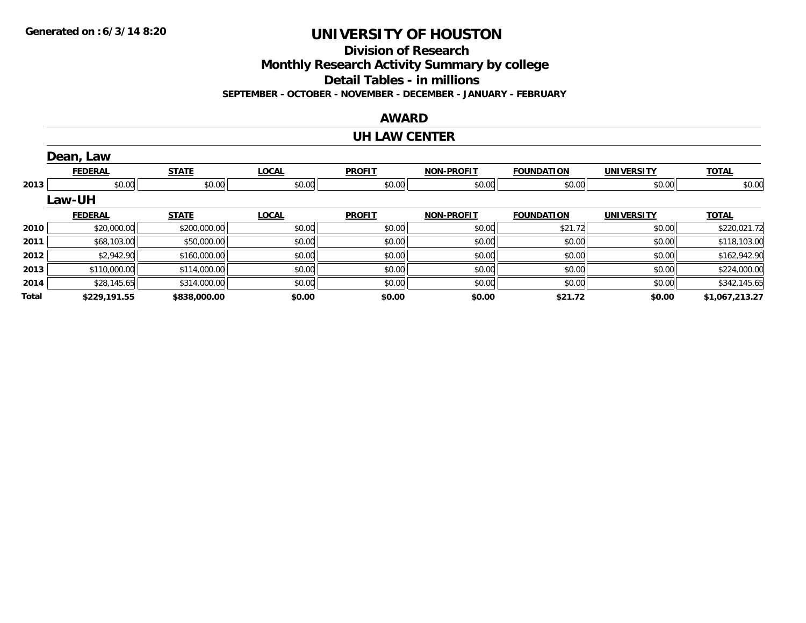**Division of Research**

**Monthly Research Activity Summary by college**

**Detail Tables - in millions**

**SEPTEMBER - OCTOBER - NOVEMBER - DECEMBER - JANUARY - FEBRUARY**

### **AWARD**

#### **UH LAW CENTER**

|       | Dean, Law      |              |              |               |                   |                   |                   |                |
|-------|----------------|--------------|--------------|---------------|-------------------|-------------------|-------------------|----------------|
|       | <b>FEDERAL</b> | <b>STATE</b> | <b>LOCAL</b> | <b>PROFIT</b> | <b>NON-PROFIT</b> | <b>FOUNDATION</b> | <b>UNIVERSITY</b> | <b>TOTAL</b>   |
| 2013  | \$0.00         | \$0.00       | \$0.00       | \$0.00        | \$0.00            | \$0.00            | \$0.00            | \$0.00         |
|       | <b>Law-UH</b>  |              |              |               |                   |                   |                   |                |
|       | <b>FEDERAL</b> | <b>STATE</b> | <b>LOCAL</b> | <b>PROFIT</b> | <b>NON-PROFIT</b> | <b>FOUNDATION</b> | <b>UNIVERSITY</b> | <b>TOTAL</b>   |
| 2010  | \$20,000.00    | \$200,000.00 | \$0.00       | \$0.00        | \$0.00            | \$21.72           | \$0.00            | \$220,021.72   |
| 2011  | \$68,103.00    | \$50,000.00  | \$0.00       | \$0.00        | \$0.00            | \$0.00            | \$0.00            | \$118,103.00   |
| 2012  | \$2,942.90     | \$160,000.00 | \$0.00       | \$0.00        | \$0.00            | \$0.00            | \$0.00            | \$162,942.90   |
| 2013  | \$110,000.00   | \$114,000.00 | \$0.00       | \$0.00        | \$0.00            | \$0.00            | \$0.00            | \$224,000.00   |
| 2014  | \$28,145.65    | \$314,000.00 | \$0.00       | \$0.00        | \$0.00            | \$0.00            | \$0.00            | \$342,145.65   |
| Total | \$229,191.55   | \$838,000.00 | \$0.00       | \$0.00        | \$0.00            | \$21.72           | \$0.00            | \$1,067,213.27 |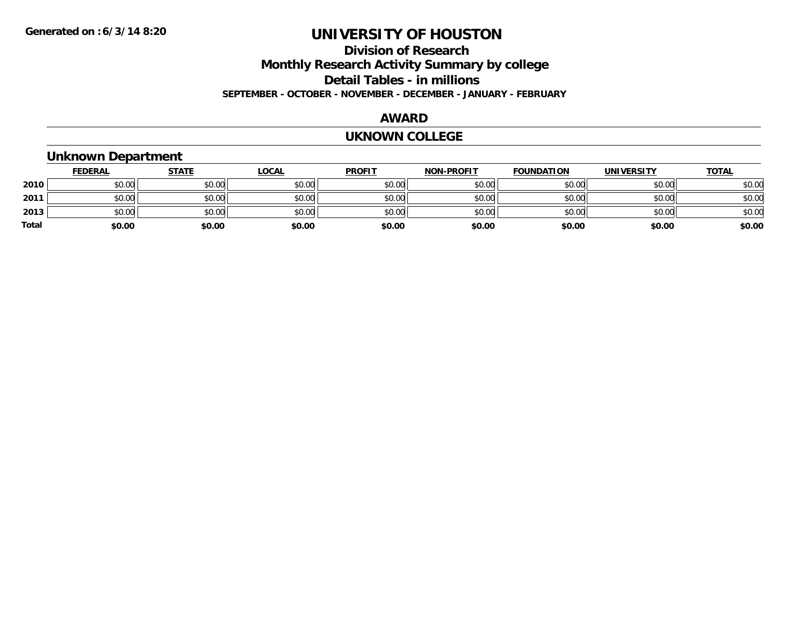### **Division of Research Monthly Research Activity Summary by college Detail Tables - in millions SEPTEMBER - OCTOBER - NOVEMBER - DECEMBER - JANUARY - FEBRUARY**

#### **AWARD**

#### **UKNOWN COLLEGE**

### **Unknown Department**

|       | <b>FEDERAL</b> | <b>STATE</b> | <b>LOCAL</b> | <b>PROFIT</b> | <b>NON-PROFIT</b> | <b>FOUNDATION</b> | <b>UNIVERSITY</b> | <b>TOTAL</b> |
|-------|----------------|--------------|--------------|---------------|-------------------|-------------------|-------------------|--------------|
| 2010  | \$0.00         | \$0.00       | \$0.00       | \$0.00        | \$0.00            | \$0.00            | \$0.00            | \$0.00       |
| 2011  | \$0.00         | \$0.00       | \$0.00       | \$0.00        | \$0.00            | \$0.00            | \$0.00            | \$0.00       |
| 2013  | \$0.00         | \$0.00       | \$0.00       | \$0.00        | \$0.00            | \$0.00            | \$0.00            | \$0.00       |
| Total | \$0.00         | \$0.00       | \$0.00       | \$0.00        | \$0.00            | \$0.00            | \$0.00            | \$0.00       |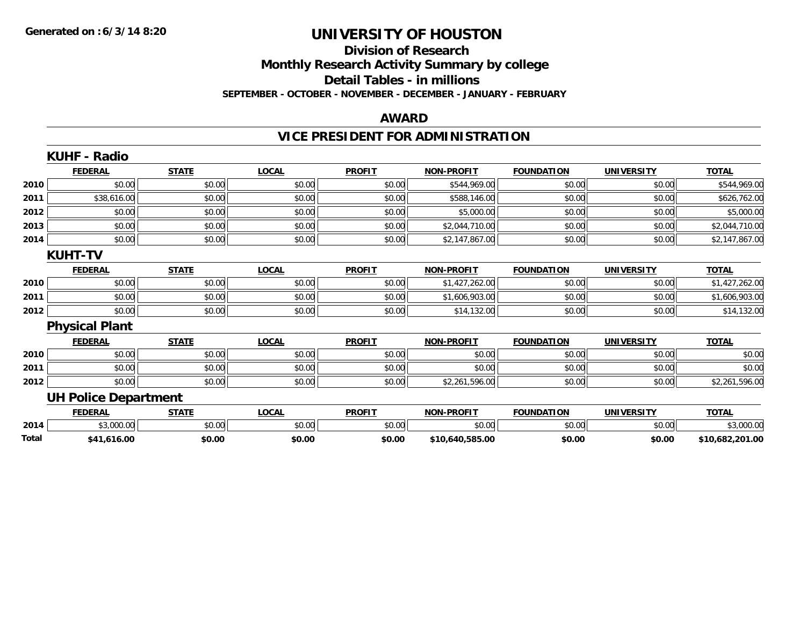### **Division of Research Monthly Research Activity Summary by college Detail Tables - in millions SEPTEMBER - OCTOBER - NOVEMBER - DECEMBER - JANUARY - FEBRUARY**

#### **AWARD**

## **VICE PRESIDENT FOR ADMINISTRATION**

|       | <b>KUHF - Radio</b>         |              |              |               |                   |                   |                   |                 |
|-------|-----------------------------|--------------|--------------|---------------|-------------------|-------------------|-------------------|-----------------|
|       | <b>FEDERAL</b>              | <b>STATE</b> | <b>LOCAL</b> | <b>PROFIT</b> | <b>NON-PROFIT</b> | <b>FOUNDATION</b> | <b>UNIVERSITY</b> | <b>TOTAL</b>    |
| 2010  | \$0.00                      | \$0.00       | \$0.00       | \$0.00        | \$544,969.00      | \$0.00            | \$0.00            | \$544,969.00    |
| 2011  | \$38,616.00                 | \$0.00       | \$0.00       | \$0.00        | \$588,146.00      | \$0.00            | \$0.00            | \$626,762.00    |
| 2012  | \$0.00                      | \$0.00       | \$0.00       | \$0.00        | \$5,000.00        | \$0.00            | \$0.00            | \$5,000.00      |
| 2013  | \$0.00                      | \$0.00       | \$0.00       | \$0.00        | \$2,044,710.00    | \$0.00            | \$0.00            | \$2,044,710.00  |
| 2014  | \$0.00                      | \$0.00       | \$0.00       | \$0.00        | \$2,147,867.00    | \$0.00            | \$0.00            | \$2,147,867.00  |
|       | <b>KUHT-TV</b>              |              |              |               |                   |                   |                   |                 |
|       | <b>FEDERAL</b>              | <b>STATE</b> | <b>LOCAL</b> | <b>PROFIT</b> | <b>NON-PROFIT</b> | <b>FOUNDATION</b> | <b>UNIVERSITY</b> | <b>TOTAL</b>    |
| 2010  | \$0.00                      | \$0.00       | \$0.00       | \$0.00        | \$1,427,262.00    | \$0.00            | \$0.00            | \$1,427,262.00  |
| 2011  | \$0.00                      | \$0.00       | \$0.00       | \$0.00        | \$1,606,903.00    | \$0.00            | \$0.00            | \$1,606,903.00  |
| 2012  | \$0.00                      | \$0.00       | \$0.00       | \$0.00        | \$14,132.00       | \$0.00            | \$0.00            | \$14,132.00     |
|       | <b>Physical Plant</b>       |              |              |               |                   |                   |                   |                 |
|       | <b>FEDERAL</b>              | <b>STATE</b> | <b>LOCAL</b> | <b>PROFIT</b> | <b>NON-PROFIT</b> | <b>FOUNDATION</b> | <b>UNIVERSITY</b> | <b>TOTAL</b>    |
| 2010  | \$0.00                      | \$0.00       | \$0.00       | \$0.00        | \$0.00            | \$0.00            | \$0.00            | \$0.00          |
| 2011  | \$0.00                      | \$0.00       | \$0.00       | \$0.00        | \$0.00            | \$0.00            | \$0.00            | \$0.00          |
| 2012  | \$0.00                      | \$0.00       | \$0.00       | \$0.00        | \$2,261,596.00    | \$0.00            | \$0.00            | \$2,261,596.00  |
|       | <b>UH Police Department</b> |              |              |               |                   |                   |                   |                 |
|       | <b>FEDERAL</b>              | <b>STATE</b> | <b>LOCAL</b> | <b>PROFIT</b> | <b>NON-PROFIT</b> | <b>FOUNDATION</b> | <b>UNIVERSITY</b> | <b>TOTAL</b>    |
| 2014  | \$3,000.00                  | \$0.00       | \$0.00       | \$0.00        | \$0.00            | \$0.00            | \$0.00            | \$3,000.00      |
| Total | \$41,616.00                 | \$0.00       | \$0.00       | \$0.00        | \$10,640,585.00   | \$0.00            | \$0.00            | \$10,682,201.00 |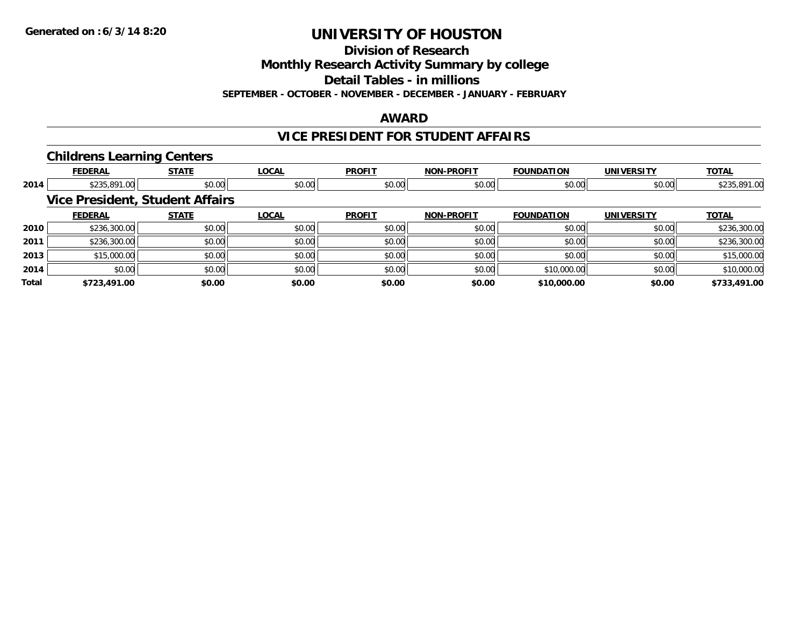**Division of Research**

**Monthly Research Activity Summary by college**

**Detail Tables - in millions**

**SEPTEMBER - OCTOBER - NOVEMBER - DECEMBER - JANUARY - FEBRUARY**

### **AWARD**

### **VICE PRESIDENT FOR STUDENT AFFAIRS**

### **Childrens Learning Centers**

|       | <b>FEDERAL</b> | <b>STATE</b>                           | <b>LOCAL</b> | <b>PROFIT</b> | <b>NON-PROFIT</b> | <b>FOUNDATION</b> | <b>UNIVERSITY</b> | <b>TOTAL</b> |
|-------|----------------|----------------------------------------|--------------|---------------|-------------------|-------------------|-------------------|--------------|
| 2014  | \$235,891.00   | \$0.00                                 | \$0.00       | \$0.00        | \$0.00            | \$0.00            | \$0.00            | \$235,891.00 |
|       |                | <b>Vice President, Student Affairs</b> |              |               |                   |                   |                   |              |
|       | <b>FEDERAL</b> | <b>STATE</b>                           | <b>LOCAL</b> | <b>PROFIT</b> | <b>NON-PROFIT</b> | <b>FOUNDATION</b> | <b>UNIVERSITY</b> | <b>TOTAL</b> |
| 2010  | \$236,300.00   | \$0.00                                 | \$0.00       | \$0.00        | \$0.00            | \$0.00            | \$0.00            | \$236,300.00 |
| 2011  | \$236,300.00   | \$0.00                                 | \$0.00       | \$0.00        | \$0.00            | \$0.00            | \$0.00            | \$236,300.00 |
| 2013  | \$15,000.00    | \$0.00                                 | \$0.00       | \$0.00        | \$0.00            | \$0.00            | \$0.00            | \$15,000.00  |
| 2014  | \$0.00         | \$0.00                                 | \$0.00       | \$0.00        | \$0.00            | \$10,000.00       | \$0.00            | \$10,000.00  |
| Total | \$723,491.00   | \$0.00                                 | \$0.00       | \$0.00        | \$0.00            | \$10,000.00       | \$0.00            | \$733,491.00 |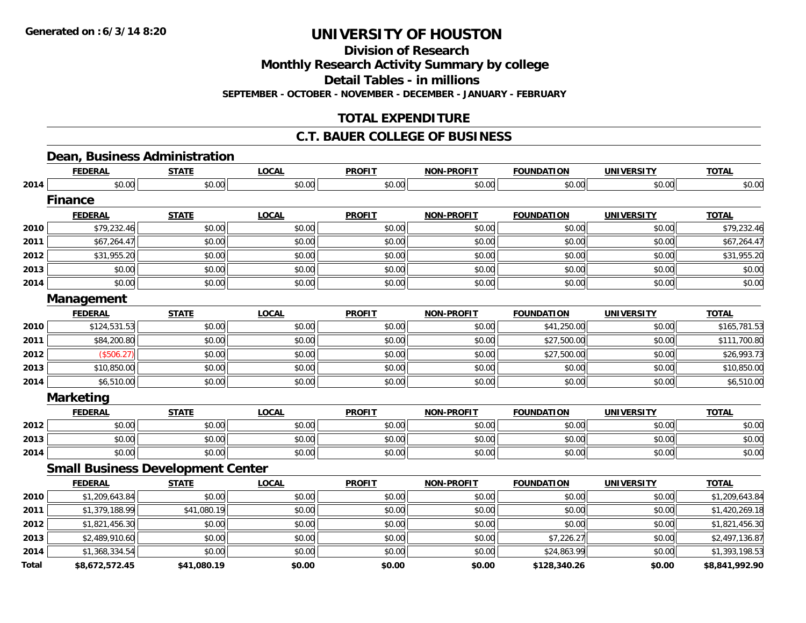**Division of Research**

**Monthly Research Activity Summary by college**

**Detail Tables - in millions**

**SEPTEMBER - OCTOBER - NOVEMBER - DECEMBER - JANUARY - FEBRUARY**

## **TOTAL EXPENDITURE**

### **C.T. BAUER COLLEGE OF BUSINESS**

## **Dean, Business Administration**

|              | <b>FEDERAL</b>                           | <b>STATE</b> | <b>LOCAL</b> | <b>PROFIT</b> | <b>NON-PROFIT</b> | <b>FOUNDATION</b> | <b>UNIVERSITY</b> | <b>TOTAL</b>   |
|--------------|------------------------------------------|--------------|--------------|---------------|-------------------|-------------------|-------------------|----------------|
| 2014         | \$0.00                                   | \$0.00       | \$0.00       | \$0.00        | \$0.00            | \$0.00            | \$0.00            | \$0.00         |
|              | <b>Finance</b>                           |              |              |               |                   |                   |                   |                |
|              | <b>FEDERAL</b>                           | <b>STATE</b> | <b>LOCAL</b> | <b>PROFIT</b> | <b>NON-PROFIT</b> | <b>FOUNDATION</b> | <b>UNIVERSITY</b> | <b>TOTAL</b>   |
| 2010         | \$79,232.46                              | \$0.00       | \$0.00       | \$0.00        | \$0.00            | \$0.00            | \$0.00            | \$79,232.46    |
| 2011         | \$67,264.47                              | \$0.00       | \$0.00       | \$0.00        | \$0.00            | \$0.00            | \$0.00            | \$67,264.47    |
| 2012         | \$31,955.20                              | \$0.00       | \$0.00       | \$0.00        | \$0.00            | \$0.00            | \$0.00            | \$31,955.20    |
| 2013         | \$0.00                                   | \$0.00       | \$0.00       | \$0.00        | \$0.00            | \$0.00            | \$0.00            | \$0.00         |
| 2014         | \$0.00                                   | \$0.00       | \$0.00       | \$0.00        | \$0.00            | \$0.00            | \$0.00            | \$0.00         |
|              | Management                               |              |              |               |                   |                   |                   |                |
|              | <b>FEDERAL</b>                           | <b>STATE</b> | <b>LOCAL</b> | <b>PROFIT</b> | <b>NON-PROFIT</b> | <b>FOUNDATION</b> | <b>UNIVERSITY</b> | <b>TOTAL</b>   |
| 2010         | \$124,531.53                             | \$0.00       | \$0.00       | \$0.00        | \$0.00            | \$41,250.00       | \$0.00            | \$165,781.53   |
| 2011         | \$84,200.80                              | \$0.00       | \$0.00       | \$0.00        | \$0.00            | \$27,500.00       | \$0.00            | \$111,700.80   |
| 2012         | (\$506.27)                               | \$0.00       | \$0.00       | \$0.00        | \$0.00            | \$27,500.00       | \$0.00            | \$26,993.73    |
| 2013         | \$10,850.00                              | \$0.00       | \$0.00       | \$0.00        | \$0.00            | \$0.00            | \$0.00            | \$10,850.00    |
| 2014         | \$6,510.00                               | \$0.00       | \$0.00       | \$0.00        | \$0.00            | \$0.00            | \$0.00            | \$6,510.00     |
|              | <b>Marketing</b>                         |              |              |               |                   |                   |                   |                |
|              | <b>FEDERAL</b>                           | <b>STATE</b> | <b>LOCAL</b> | <b>PROFIT</b> | <b>NON-PROFIT</b> | <b>FOUNDATION</b> | <b>UNIVERSITY</b> | <b>TOTAL</b>   |
| 2012         | \$0.00                                   | \$0.00       | \$0.00       | \$0.00        | \$0.00            | \$0.00            | \$0.00            | \$0.00         |
| 2013         | \$0.00                                   | \$0.00       | \$0.00       | \$0.00        | \$0.00            | \$0.00            | \$0.00            | \$0.00         |
| 2014         | \$0.00                                   | \$0.00       | \$0.00       | \$0.00        | \$0.00            | \$0.00            | \$0.00            | \$0.00         |
|              | <b>Small Business Development Center</b> |              |              |               |                   |                   |                   |                |
|              | <b>FEDERAL</b>                           | <b>STATE</b> | <b>LOCAL</b> | <b>PROFIT</b> | <b>NON-PROFIT</b> | <b>FOUNDATION</b> | <b>UNIVERSITY</b> | <b>TOTAL</b>   |
| 2010         | \$1,209,643.84                           | \$0.00       | \$0.00       | \$0.00        | \$0.00            | \$0.00            | \$0.00            | \$1,209,643.84 |
| 2011         | \$1,379,188.99                           | \$41,080.19  | \$0.00       | \$0.00        | \$0.00            | \$0.00            | \$0.00            | \$1,420,269.18 |
| 2012         | \$1,821,456.30                           | \$0.00       | \$0.00       | \$0.00        | \$0.00            | \$0.00            | \$0.00            | \$1,821,456.30 |
| 2013         | \$2,489,910.60                           | \$0.00       | \$0.00       | \$0.00        | \$0.00            | \$7,226.27        | \$0.00            | \$2,497,136.87 |
| 2014         | \$1,368,334.54                           | \$0.00       | \$0.00       | \$0.00        | \$0.00            | \$24,863.99       | \$0.00            | \$1,393,198.53 |
| <b>Total</b> | \$8,672,572.45                           | \$41,080.19  | \$0.00       | \$0.00        | \$0.00            | \$128,340.26      | \$0.00            | \$8,841,992.90 |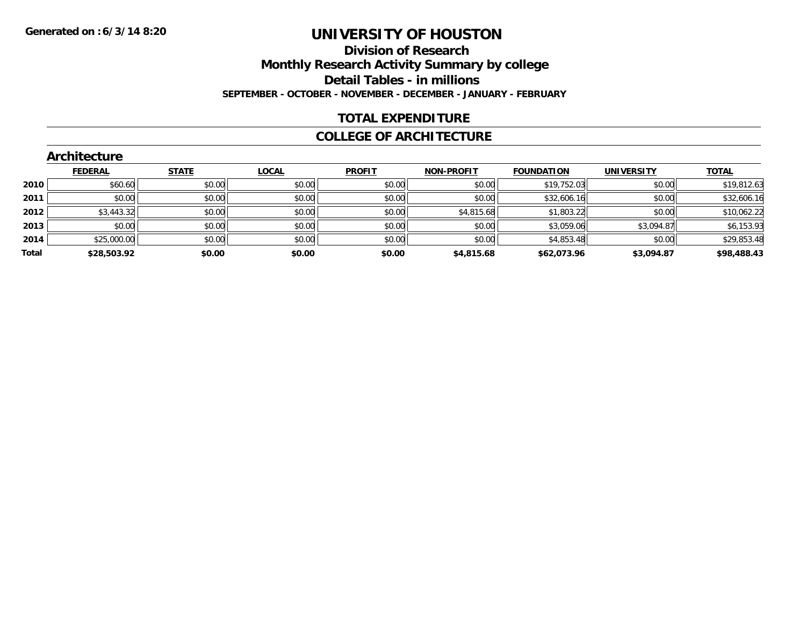### **Division of Research Monthly Research Activity Summary by college Detail Tables - in millions SEPTEMBER - OCTOBER - NOVEMBER - DECEMBER - JANUARY - FEBRUARY**

### **TOTAL EXPENDITURE**

### **COLLEGE OF ARCHITECTURE**

|       | Architecture   |              |              |               |                   |                   |                   |              |
|-------|----------------|--------------|--------------|---------------|-------------------|-------------------|-------------------|--------------|
|       | <b>FEDERAL</b> | <b>STATE</b> | <b>LOCAL</b> | <b>PROFIT</b> | <b>NON-PROFIT</b> | <b>FOUNDATION</b> | <b>UNIVERSITY</b> | <b>TOTAL</b> |
| 2010  | \$60.60        | \$0.00       | \$0.00       | \$0.00        | \$0.00            | \$19,752.03       | \$0.00            | \$19,812.63  |
| 2011  | \$0.00         | \$0.00       | \$0.00       | \$0.00        | \$0.00            | \$32,606.16       | \$0.00            | \$32,606.16  |
| 2012  | \$3,443.32     | \$0.00       | \$0.00       | \$0.00        | \$4,815.68        | \$1,803.22        | \$0.00            | \$10,062.22  |
| 2013  | \$0.00         | \$0.00       | \$0.00       | \$0.00        | \$0.00            | \$3,059.06        | \$3,094.87        | \$6,153.93   |
| 2014  | \$25,000.00    | \$0.00       | \$0.00       | \$0.00        | \$0.00            | \$4,853.48        | \$0.00            | \$29,853.48  |
| Total | \$28,503.92    | \$0.00       | \$0.00       | \$0.00        | \$4,815.68        | \$62,073.96       | \$3,094.87        | \$98,488.43  |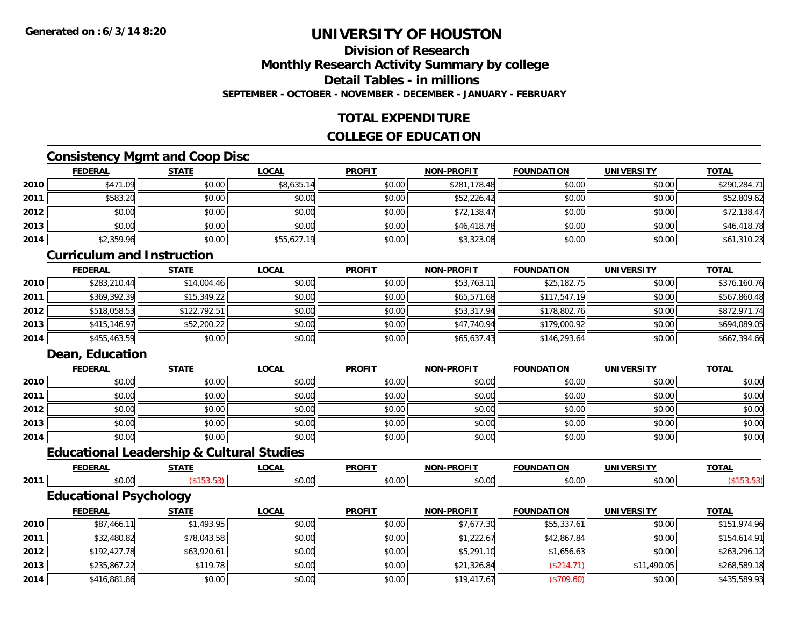### **Division of ResearchMonthly Research Activity Summary by college**

### **Detail Tables - in millions**

**SEPTEMBER - OCTOBER - NOVEMBER - DECEMBER - JANUARY - FEBRUARY**

## **TOTAL EXPENDITURE**

## **COLLEGE OF EDUCATION**

## **Consistency Mgmt and Coop Disc**

|      | <b>FEDERAL</b> | <b>STATE</b> | <b>LOCAL</b> | <b>PROFIT</b> | <b>NON-PROFIT</b> | <b>FOUNDATION</b> | <b>UNIVERSITY</b> | <b>TOTAL</b> |
|------|----------------|--------------|--------------|---------------|-------------------|-------------------|-------------------|--------------|
| 2010 | \$471.09       | \$0.00       | \$8,635.14   | \$0.00        | \$281,178.48      | \$0.00            | \$0.00            | \$290,284.71 |
| 2011 | \$583.20       | \$0.00       | \$0.00       | \$0.00        | \$52,226.42       | \$0.00            | \$0.00            | \$52,809.62  |
| 2012 | \$0.00         | \$0.00       | \$0.00       | \$0.00        | \$72,138.47       | \$0.00            | \$0.00            | \$72,138.47  |
| 2013 | \$0.00         | \$0.00       | \$0.00       | \$0.00        | \$46,418.78       | \$0.00            | \$0.00            | \$46,418.78  |
| 2014 | \$2,359.96     | \$0.00       | \$55,627.19  | \$0.00        | \$3,323.08        | \$0.00            | \$0.00            | \$61,310.23  |

## **Curriculum and Instruction**

|      | <b>FEDERAL</b> | <b>STATE</b> | <u>LOCAL</u> | <b>PROFIT</b> | <b>NON-PROFIT</b> | <b>FOUNDATION</b> | <b>UNIVERSITY</b> | <b>TOTAL</b> |
|------|----------------|--------------|--------------|---------------|-------------------|-------------------|-------------------|--------------|
| 2010 | \$283,210.44   | \$14,004.46  | \$0.00       | \$0.00        | \$53,763.11       | \$25,182.75       | \$0.00            | \$376,160.76 |
| 2011 | \$369,392.39   | \$15,349.22  | \$0.00       | \$0.00        | \$65,571.68       | \$117,547.19      | \$0.00            | \$567,860.48 |
| 2012 | \$518,058.53   | \$122,792.51 | \$0.00       | \$0.00        | \$53,317.94       | \$178,802.76      | \$0.00            | \$872,971.74 |
| 2013 | \$415, 146.97  | \$52,200.22  | \$0.00       | \$0.00        | \$47,740.94       | \$179,000.92      | \$0.00            | \$694,089.05 |
| 2014 | \$455,463.59   | \$0.00       | \$0.00       | \$0.00        | \$65,637.43       | \$146,293.64      | \$0.00            | \$667,394.66 |

### **Dean, Education**

|      | <b>FEDERAL</b> | <b>STATE</b> | <b>LOCAL</b> | <b>PROFIT</b> | <b>NON-PROFIT</b> | <b>FOUNDATION</b> | <b>UNIVERSITY</b> | <b>TOTAL</b> |
|------|----------------|--------------|--------------|---------------|-------------------|-------------------|-------------------|--------------|
| 2010 | \$0.00         | \$0.00       | \$0.00       | \$0.00        | \$0.00            | \$0.00            | \$0.00            | \$0.00       |
| 2011 | \$0.00         | \$0.00       | \$0.00       | \$0.00        | \$0.00            | \$0.00            | \$0.00            | \$0.00       |
| 2012 | \$0.00         | \$0.00       | \$0.00       | \$0.00        | \$0.00            | \$0.00            | \$0.00            | \$0.00       |
| 2013 | \$0.00         | \$0.00       | \$0.00       | \$0.00        | \$0.00            | \$0.00            | \$0.00            | \$0.00       |
| 2014 | \$0.00         | \$0.00       | \$0.00       | \$0.00        | \$0.00            | \$0.00            | \$0.00            | \$0.00       |

## **Educational Leadership & Cultural Studies**

|      |                               | Laucational League Ship & Outtural Studies |              |               |                   |                   |                   |              |
|------|-------------------------------|--------------------------------------------|--------------|---------------|-------------------|-------------------|-------------------|--------------|
|      | <b>FEDERAL</b>                | <b>STATE</b>                               | <b>LOCAL</b> | <b>PROFIT</b> | <b>NON-PROFIT</b> | <b>FOUNDATION</b> | <b>UNIVERSITY</b> | <b>TOTAL</b> |
| 2011 | \$0.00                        | (\$153.53)                                 | \$0.00       | \$0.00        | \$0.00            | \$0.00            | \$0.00            | ( \$153.53)  |
|      | <b>Educational Psychology</b> |                                            |              |               |                   |                   |                   |              |
|      | <b>FEDERAL</b>                | <b>STATE</b>                               | <b>LOCAL</b> | <b>PROFIT</b> | <b>NON-PROFIT</b> | <b>FOUNDATION</b> | <b>UNIVERSITY</b> | <b>TOTAL</b> |
| 2010 | \$87,466.11                   | \$1,493.95                                 | \$0.00       | \$0.00        | \$7,677.30        | \$55,337.61       | \$0.00            | \$151,974.96 |
| 2011 | \$32,480.82                   | \$78,043.58                                | \$0.00       | \$0.00        | \$1,222.67        | \$42,867.84       | \$0.00            | \$154,614.91 |
| 2012 | \$192,427.78                  | \$63,920.61                                | \$0.00       | \$0.00        | \$5,291.10        | \$1,656.63        | \$0.00            | \$263,296.12 |
| 2013 | \$235,867.22                  | \$119.78                                   | \$0.00       | \$0.00        | \$21,326.84       | (\$214.71)        | \$11,490.05       | \$268,589.18 |
| 2014 | \$416,881.86                  | \$0.00                                     | \$0.00       | \$0.00        | \$19,417.67       | (\$709.60)        | \$0.00            | \$435,589.93 |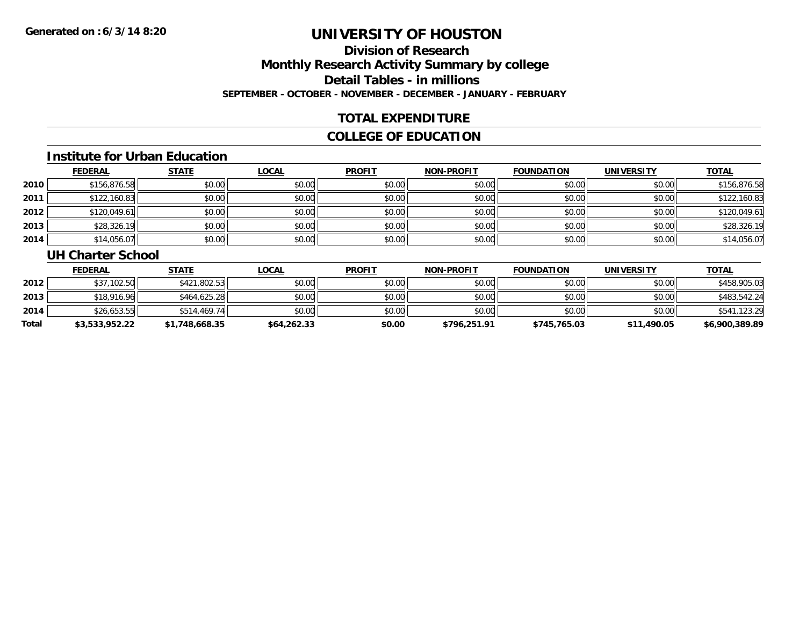## **Division of ResearchMonthly Research Activity Summary by college Detail Tables - in millions SEPTEMBER - OCTOBER - NOVEMBER - DECEMBER - JANUARY - FEBRUARY**

### **TOTAL EXPENDITURE**

### **COLLEGE OF EDUCATION**

#### **Institute for Urban Education**

|      | <b>FEDERAL</b> | <b>STATE</b> | <b>LOCAL</b> | <b>PROFIT</b> | <b>NON-PROFIT</b> | <b>FOUNDATION</b> | <b>UNIVERSITY</b> | <b>TOTAL</b> |
|------|----------------|--------------|--------------|---------------|-------------------|-------------------|-------------------|--------------|
| 2010 | \$156,876.58   | \$0.00       | \$0.00       | \$0.00        | \$0.00            | \$0.00            | \$0.00            | \$156,876.58 |
| 2011 | \$122,160.83   | \$0.00       | \$0.00       | \$0.00        | \$0.00            | \$0.00            | \$0.00            | \$122,160.83 |
| 2012 | \$120,049.61   | \$0.00       | \$0.00       | \$0.00        | \$0.00            | \$0.00            | \$0.00            | \$120,049.61 |
| 2013 | \$28,326.19    | \$0.00       | \$0.00       | \$0.00        | \$0.00            | \$0.00            | \$0.00            | \$28,326.19  |
| 2014 | \$14,056.07    | \$0.00       | \$0.00       | \$0.00        | \$0.00            | \$0.00            | \$0.00            | \$14,056.07  |

#### **UH Charter School**

|       | <b>FEDERAL</b> | <u>STATE</u>   | <u>LOCAL</u> | <b>PROFIT</b> | <b>NON-PROFIT</b> | <b>FOUNDATION</b> | UNIVERSITY  | <b>TOTAL</b>   |
|-------|----------------|----------------|--------------|---------------|-------------------|-------------------|-------------|----------------|
| 2012  | \$37,102.50    | \$421,802.53   | \$0.00       | \$0.00        | \$0.00            | \$0.00            | \$0.00      | \$458,905.03   |
| 2013  | \$18,916.96    | \$464,625.28   | \$0.00       | \$0.00        | \$0.00            | \$0.00            | \$0.00      | \$483,542.24   |
| 2014  | \$26,653.55    | \$514,469.74   | \$0.00       | \$0.00        | \$0.00            | \$0.00            | \$0.00      | \$541,123.29   |
| Total | \$3,533,952.22 | \$1,748,668.35 | \$64,262.33  | \$0.00        | \$796.251.91      | \$745,765.03      | \$11,490.05 | \$6,900,389.89 |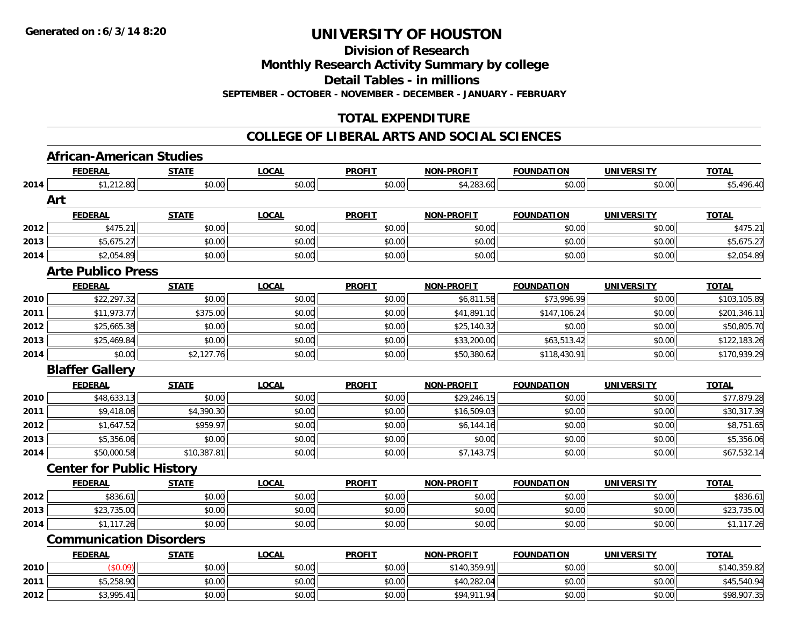**Division of Research**

**Monthly Research Activity Summary by college**

**Detail Tables - in millions**

**SEPTEMBER - OCTOBER - NOVEMBER - DECEMBER - JANUARY - FEBRUARY**

## **TOTAL EXPENDITURE**

#### **COLLEGE OF LIBERAL ARTS AND SOCIAL SCIENCES**

# **African-American Studies**

|      | <b>FEDERAL</b>                   | <b>STATE</b> | <b>LOCAL</b> | <b>PROFIT</b> | <b>NON-PROFIT</b> | <b>FOUNDATION</b> | <b>UNIVERSITY</b> | <b>TOTAL</b> |
|------|----------------------------------|--------------|--------------|---------------|-------------------|-------------------|-------------------|--------------|
| 2014 | \$1,212.80                       | \$0.00       | \$0.00       | \$0.00        | \$4,283.60        | \$0.00            | \$0.00            | \$5,496.40   |
|      | Art                              |              |              |               |                   |                   |                   |              |
|      | <b>FEDERAL</b>                   | <b>STATE</b> | <b>LOCAL</b> | <b>PROFIT</b> | <b>NON-PROFIT</b> | <b>FOUNDATION</b> | <b>UNIVERSITY</b> | <b>TOTAL</b> |
| 2012 | \$475.21                         | \$0.00       | \$0.00       | \$0.00        | \$0.00            | \$0.00            | \$0.00            | \$475.21     |
| 2013 | \$5,675.27                       | \$0.00       | \$0.00       | \$0.00        | \$0.00            | \$0.00            | \$0.00            | \$5,675.27   |
| 2014 | \$2,054.89                       | \$0.00       | \$0.00       | \$0.00        | \$0.00            | \$0.00            | \$0.00            | \$2,054.89   |
|      | <b>Arte Publico Press</b>        |              |              |               |                   |                   |                   |              |
|      | <b>FEDERAL</b>                   | <b>STATE</b> | <b>LOCAL</b> | <b>PROFIT</b> | <b>NON-PROFIT</b> | <b>FOUNDATION</b> | <b>UNIVERSITY</b> | <b>TOTAL</b> |
| 2010 | \$22,297.32                      | \$0.00       | \$0.00       | \$0.00        | \$6,811.58        | \$73,996.99       | \$0.00            | \$103,105.89 |
| 2011 | \$11,973.77                      | \$375.00     | \$0.00       | \$0.00        | \$41,891.10       | \$147,106.24      | \$0.00            | \$201,346.11 |
| 2012 | \$25,665.38                      | \$0.00       | \$0.00       | \$0.00        | \$25,140.32       | \$0.00            | \$0.00            | \$50,805.70  |
| 2013 | \$25,469.84                      | \$0.00       | \$0.00       | \$0.00        | \$33,200.00       | \$63,513.42       | \$0.00            | \$122,183.26 |
| 2014 | \$0.00                           | \$2,127.76   | \$0.00       | \$0.00        | \$50,380.62       | \$118,430.91      | \$0.00            | \$170,939.29 |
|      | <b>Blaffer Gallery</b>           |              |              |               |                   |                   |                   |              |
|      | <b>FEDERAL</b>                   | <b>STATE</b> | <b>LOCAL</b> | <b>PROFIT</b> | <b>NON-PROFIT</b> | <b>FOUNDATION</b> | <b>UNIVERSITY</b> | <b>TOTAL</b> |
| 2010 | \$48,633.13                      | \$0.00       | \$0.00       | \$0.00        | \$29,246.15       | \$0.00            | \$0.00            | \$77,879.28  |
| 2011 | \$9,418.06                       | \$4,390.30   | \$0.00       | \$0.00        | \$16,509.03       | \$0.00            | \$0.00            | \$30,317.39  |
| 2012 | \$1,647.52                       | \$959.97     | \$0.00       | \$0.00        | \$6,144.16        | \$0.00            | \$0.00            | \$8,751.65   |
| 2013 | \$5,356.06                       | \$0.00       | \$0.00       | \$0.00        | \$0.00            | \$0.00            | \$0.00            | \$5,356.06   |
| 2014 | \$50,000.58                      | \$10,387.81  | \$0.00       | \$0.00        | \$7,143.75        | \$0.00            | \$0.00            | \$67,532.14  |
|      | <b>Center for Public History</b> |              |              |               |                   |                   |                   |              |
|      | <b>FEDERAL</b>                   | <b>STATE</b> | <b>LOCAL</b> | <b>PROFIT</b> | NON-PROFIT        | <b>FOUNDATION</b> | <b>UNIVERSITY</b> | <b>TOTAL</b> |
| 2012 | \$836.61                         | \$0.00       | \$0.00       | \$0.00        | \$0.00            | \$0.00            | \$0.00            | \$836.61     |
| 2013 | \$23,735.00                      | \$0.00       | \$0.00       | \$0.00        | \$0.00            | \$0.00            | \$0.00            | \$23,735.00  |
| 2014 | \$1,117.26                       | \$0.00       | \$0.00       | \$0.00        | \$0.00            | \$0.00            | \$0.00            | \$1,117.26   |
|      | <b>Communication Disorders</b>   |              |              |               |                   |                   |                   |              |
|      | <b>FEDERAL</b>                   | <b>STATE</b> | <b>LOCAL</b> | <b>PROFIT</b> | <b>NON-PROFIT</b> | <b>FOUNDATION</b> | <b>UNIVERSITY</b> | <b>TOTAL</b> |
| 2010 | (\$0.09)                         | \$0.00       | \$0.00       | \$0.00        | \$140,359.91      | \$0.00            | \$0.00            | \$140,359.82 |
| 2011 | \$5,258.90                       | \$0.00       | \$0.00       | \$0.00        | \$40,282.04       | \$0.00            | \$0.00            | \$45,540.94  |
| 2012 | \$3,995.41                       | \$0.00       | \$0.00       | \$0.00        | \$94,911.94       | \$0.00            | \$0.00            | \$98,907.35  |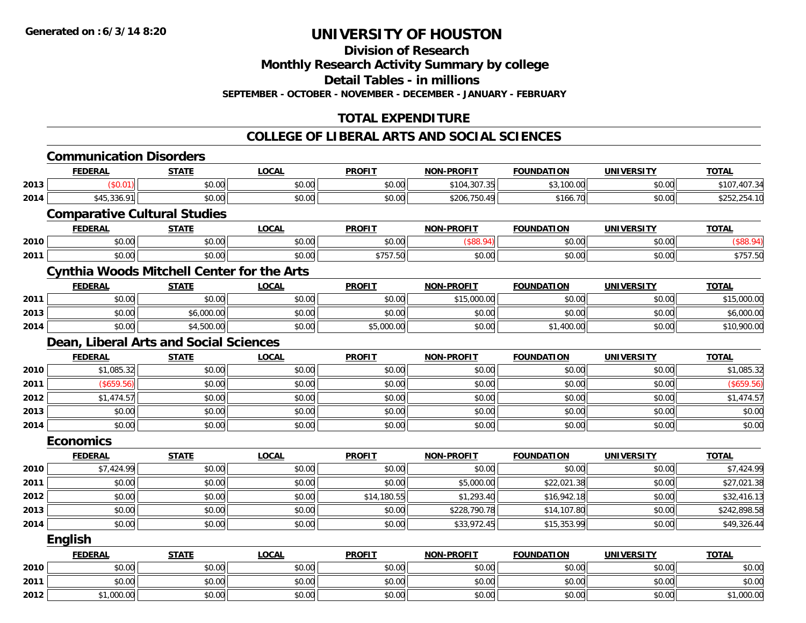**Division of Research**

**Monthly Research Activity Summary by college**

**Detail Tables - in millions**

**SEPTEMBER - OCTOBER - NOVEMBER - DECEMBER - JANUARY - FEBRUARY**

## **TOTAL EXPENDITURE**

### **COLLEGE OF LIBERAL ARTS AND SOCIAL SCIENCES**

|      | <b>Communication Disorders</b>                    |              |              |               |                   |                   |                   |              |
|------|---------------------------------------------------|--------------|--------------|---------------|-------------------|-------------------|-------------------|--------------|
|      | <b>FEDERAL</b>                                    | <b>STATE</b> | <b>LOCAL</b> | <b>PROFIT</b> | <b>NON-PROFIT</b> | <b>FOUNDATION</b> | <b>UNIVERSITY</b> | <b>TOTAL</b> |
| 2013 | (\$0.01)                                          | \$0.00       | \$0.00       | \$0.00        | \$104,307.35      | \$3,100.00        | \$0.00            | \$107,407.34 |
| 2014 | \$45,336.91                                       | \$0.00       | \$0.00       | \$0.00        | \$206,750.49      | \$166.70          | \$0.00            | \$252,254.10 |
|      | <b>Comparative Cultural Studies</b>               |              |              |               |                   |                   |                   |              |
|      | <b>FEDERAL</b>                                    | <b>STATE</b> | <b>LOCAL</b> | <b>PROFIT</b> | <b>NON-PROFIT</b> | <b>FOUNDATION</b> | <b>UNIVERSITY</b> | <b>TOTAL</b> |
| 2010 | \$0.00                                            | \$0.00       | \$0.00       | \$0.00        | (\$88.94)         | \$0.00            | \$0.00            | (\$88.94)    |
| 2011 | \$0.00                                            | \$0.00       | \$0.00       | \$757.50      | \$0.00            | \$0.00            | \$0.00            | \$757.50     |
|      | <b>Cynthia Woods Mitchell Center for the Arts</b> |              |              |               |                   |                   |                   |              |
|      | <b>FEDERAL</b>                                    | <b>STATE</b> | <b>LOCAL</b> | <b>PROFIT</b> | <b>NON-PROFIT</b> | <b>FOUNDATION</b> | <b>UNIVERSITY</b> | <b>TOTAL</b> |
| 2011 | \$0.00                                            | \$0.00       | \$0.00       | \$0.00        | \$15,000.00       | \$0.00            | \$0.00            | \$15,000.00  |
| 2013 | \$0.00                                            | \$6,000.00   | \$0.00       | \$0.00        | \$0.00            | \$0.00            | \$0.00            | \$6,000.00   |
| 2014 | \$0.00                                            | \$4,500.00   | \$0.00       | \$5,000.00    | \$0.00            | \$1,400.00        | \$0.00            | \$10,900.00  |
|      | Dean, Liberal Arts and Social Sciences            |              |              |               |                   |                   |                   |              |
|      | <b>FEDERAL</b>                                    | <b>STATE</b> | <b>LOCAL</b> | <b>PROFIT</b> | <b>NON-PROFIT</b> | <b>FOUNDATION</b> | <b>UNIVERSITY</b> | <b>TOTAL</b> |
| 2010 | \$1,085.32                                        | \$0.00       | \$0.00       | \$0.00        | \$0.00            | \$0.00            | \$0.00            | \$1,085.32   |
| 2011 | (\$659.56)                                        | \$0.00       | \$0.00       | \$0.00        | \$0.00            | \$0.00            | \$0.00            | (\$659.56)   |
| 2012 | \$1,474.57                                        | \$0.00       | \$0.00       | \$0.00        | \$0.00            | \$0.00            | \$0.00            | \$1,474.57   |
| 2013 | \$0.00                                            | \$0.00       | \$0.00       | \$0.00        | \$0.00            | \$0.00            | \$0.00            | \$0.00       |
| 2014 | \$0.00                                            | \$0.00       | \$0.00       | \$0.00        | \$0.00            | \$0.00            | \$0.00            | \$0.00       |
|      | <b>Economics</b>                                  |              |              |               |                   |                   |                   |              |
|      | <b>FEDERAL</b>                                    | <b>STATE</b> | <b>LOCAL</b> | <b>PROFIT</b> | <b>NON-PROFIT</b> | <b>FOUNDATION</b> | <b>UNIVERSITY</b> | <b>TOTAL</b> |
| 2010 | \$7,424.99                                        | \$0.00       | \$0.00       | \$0.00        | \$0.00            | \$0.00            | \$0.00            | \$7,424.99   |
| 2011 | \$0.00                                            | \$0.00       | \$0.00       | \$0.00        | \$5,000.00        | \$22,021.38       | \$0.00            | \$27,021.38  |
| 2012 | \$0.00                                            | \$0.00       | \$0.00       | \$14,180.55   | \$1,293.40        | \$16,942.18       | \$0.00            | \$32,416.13  |
| 2013 | \$0.00                                            | \$0.00       | \$0.00       | \$0.00        | \$228,790.78      | \$14,107.80       | \$0.00            | \$242,898.58 |
| 2014 | \$0.00                                            | \$0.00       | \$0.00       | \$0.00        | \$33,972.45       | \$15,353.99       | \$0.00            | \$49,326.44  |
|      | <b>English</b>                                    |              |              |               |                   |                   |                   |              |
|      | <b>FEDERAL</b>                                    | <b>STATE</b> | <b>LOCAL</b> | <b>PROFIT</b> | <b>NON-PROFIT</b> | <b>FOUNDATION</b> | <b>UNIVERSITY</b> | <b>TOTAL</b> |
| 2010 | \$0.00                                            | \$0.00       | \$0.00       | \$0.00        | \$0.00            | \$0.00            | \$0.00            | \$0.00       |
| 2011 | \$0.00                                            | \$0.00       | \$0.00       | \$0.00        | \$0.00            | \$0.00            | \$0.00            | \$0.00       |
| 2012 | \$1,000.00                                        | \$0.00       | \$0.00       | \$0.00        | \$0.00            | \$0.00            | \$0.00            | \$1,000.00   |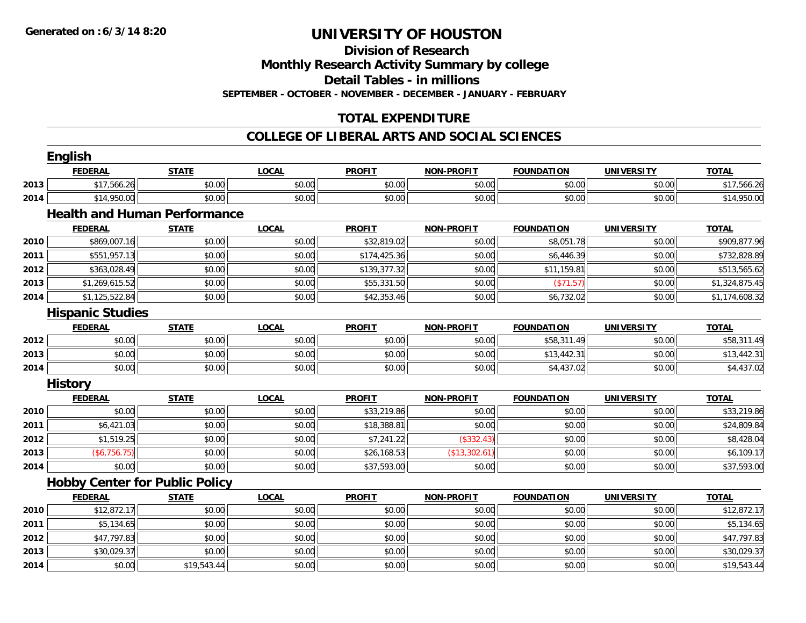**Division of Research**

**Monthly Research Activity Summary by college**

**Detail Tables - in millions**

**SEPTEMBER - OCTOBER - NOVEMBER - DECEMBER - JANUARY - FEBRUARY**

## **TOTAL EXPENDITURE**

### **COLLEGE OF LIBERAL ARTS AND SOCIAL SCIENCES**

|      | <b>English</b>                        |              |              |               |                   |                   |                   |                |
|------|---------------------------------------|--------------|--------------|---------------|-------------------|-------------------|-------------------|----------------|
|      | <b>FEDERAL</b>                        | <b>STATE</b> | <b>LOCAL</b> | <b>PROFIT</b> | <b>NON-PROFIT</b> | <b>FOUNDATION</b> | <b>UNIVERSITY</b> | <b>TOTAL</b>   |
| 2013 | \$17,566.26                           | \$0.00       | \$0.00       | \$0.00        | \$0.00            | \$0.00            | \$0.00            | \$17,566.26    |
| 2014 | \$14,950.00                           | \$0.00       | \$0.00       | \$0.00        | \$0.00            | \$0.00            | \$0.00            | \$14,950.00    |
|      | <b>Health and Human Performance</b>   |              |              |               |                   |                   |                   |                |
|      | <b>FEDERAL</b>                        | <b>STATE</b> | <b>LOCAL</b> | <b>PROFIT</b> | <b>NON-PROFIT</b> | <b>FOUNDATION</b> | <b>UNIVERSITY</b> | <b>TOTAL</b>   |
| 2010 | \$869,007.16                          | \$0.00       | \$0.00       | \$32,819.02   | \$0.00            | \$8,051.78        | \$0.00            | \$909,877.96   |
| 2011 | \$551,957.13                          | \$0.00       | \$0.00       | \$174,425.36  | \$0.00            | \$6,446.39        | \$0.00            | \$732,828.89   |
| 2012 | \$363,028.49                          | \$0.00       | \$0.00       | \$139,377.32  | \$0.00            | \$11,159.81       | \$0.00            | \$513,565.62   |
| 2013 | \$1,269,615.52                        | \$0.00       | \$0.00       | \$55,331.50   | \$0.00            | (\$71.57)         | \$0.00            | \$1,324,875.45 |
| 2014 | \$1,125,522.84                        | \$0.00       | \$0.00       | \$42,353.46   | \$0.00            | \$6,732.02        | \$0.00            | \$1,174,608.32 |
|      | <b>Hispanic Studies</b>               |              |              |               |                   |                   |                   |                |
|      | <b>FEDERAL</b>                        | <b>STATE</b> | <b>LOCAL</b> | <b>PROFIT</b> | <b>NON-PROFIT</b> | <b>FOUNDATION</b> | <b>UNIVERSITY</b> | <b>TOTAL</b>   |
| 2012 | \$0.00                                | \$0.00       | \$0.00       | \$0.00        | \$0.00            | \$58,311.49       | \$0.00            | \$58,311.49    |
| 2013 | \$0.00                                | \$0.00       | \$0.00       | \$0.00        | \$0.00            | \$13,442.31       | \$0.00            | \$13,442.31    |
| 2014 | \$0.00                                | \$0.00       | \$0.00       | \$0.00        | \$0.00            | \$4,437.02        | \$0.00            | \$4,437.02     |
|      | <b>History</b>                        |              |              |               |                   |                   |                   |                |
|      | <b>FEDERAL</b>                        | <b>STATE</b> | <b>LOCAL</b> | <b>PROFIT</b> | <b>NON-PROFIT</b> | <b>FOUNDATION</b> | <b>UNIVERSITY</b> | <b>TOTAL</b>   |
| 2010 | \$0.00                                | \$0.00       | \$0.00       | \$33,219.86   | \$0.00            | \$0.00            | \$0.00            | \$33,219.86    |
| 2011 | \$6,421.03                            | \$0.00       | \$0.00       | \$18,388.81   | \$0.00            | \$0.00            | \$0.00            | \$24,809.84    |
| 2012 | \$1,519.25                            | \$0.00       | \$0.00       | \$7,241.22    | (\$332.43)        | \$0.00            | \$0.00            | \$8,428.04     |
| 2013 | (\$6,756.75)                          | \$0.00       | \$0.00       | \$26,168.53   | (\$13,302.61)     | \$0.00            | \$0.00            | \$6,109.17     |
| 2014 | \$0.00                                | \$0.00       | \$0.00       | \$37,593.00   | \$0.00            | \$0.00            | \$0.00            | \$37,593.00    |
|      | <b>Hobby Center for Public Policy</b> |              |              |               |                   |                   |                   |                |
|      | <b>FEDERAL</b>                        | <b>STATE</b> | <b>LOCAL</b> | <b>PROFIT</b> | <b>NON-PROFIT</b> | <b>FOUNDATION</b> | <b>UNIVERSITY</b> | <b>TOTAL</b>   |
| 2010 | \$12,872.17                           | \$0.00       | \$0.00       | \$0.00        | \$0.00            | \$0.00            | \$0.00            | \$12,872.17    |
| 2011 | \$5,134.65                            | \$0.00       | \$0.00       | \$0.00        | \$0.00            | \$0.00            | \$0.00            | \$5,134.65     |
| 2012 | \$47,797.83                           | \$0.00       | \$0.00       | \$0.00        | \$0.00            | \$0.00            | \$0.00            | \$47,797.83    |
| 2013 | \$30,029.37                           | \$0.00       | \$0.00       | \$0.00        | \$0.00            | \$0.00            | \$0.00            | \$30,029.37    |
| 2014 | \$0.00                                | \$19,543.44  | \$0.00       | \$0.00        | \$0.00            | \$0.00            | \$0.00            | \$19,543.44    |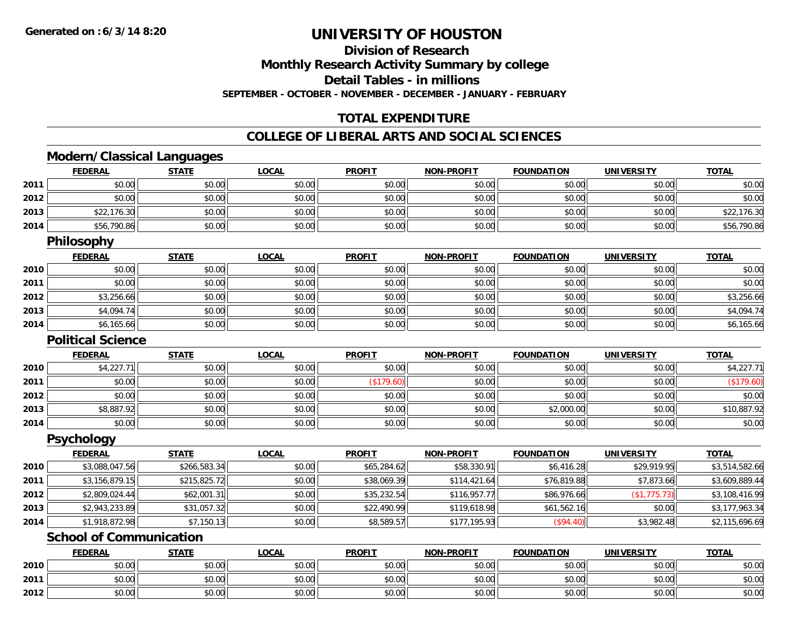**2012**

# **UNIVERSITY OF HOUSTON**

**Division of Research**

**Monthly Research Activity Summary by college**

**Detail Tables - in millions**

**SEPTEMBER - OCTOBER - NOVEMBER - DECEMBER - JANUARY - FEBRUARY**

## **TOTAL EXPENDITURE**

### **COLLEGE OF LIBERAL ARTS AND SOCIAL SCIENCES**

## **Modern/Classical Languages**

|      | <b>FEDERAL</b>                 | <b>STATE</b> | <b>LOCAL</b> | <b>PROFIT</b> | <b>NON-PROFIT</b> | <b>FOUNDATION</b> | <b>UNIVERSITY</b> | <b>TOTAL</b>   |
|------|--------------------------------|--------------|--------------|---------------|-------------------|-------------------|-------------------|----------------|
| 2011 | \$0.00                         | \$0.00       | \$0.00       | \$0.00        | \$0.00            | \$0.00            | \$0.00            | \$0.00         |
| 2012 | \$0.00                         | \$0.00       | \$0.00       | \$0.00        | \$0.00            | \$0.00            | \$0.00            | \$0.00         |
| 2013 | \$22,176.30                    | \$0.00       | \$0.00       | \$0.00        | \$0.00            | \$0.00            | \$0.00            | \$22,176.30    |
| 2014 | \$56,790.86                    | \$0.00       | \$0.00       | \$0.00        | \$0.00            | \$0.00            | \$0.00            | \$56,790.86    |
|      | <b>Philosophy</b>              |              |              |               |                   |                   |                   |                |
|      | <b>FEDERAL</b>                 | <b>STATE</b> | <b>LOCAL</b> | <b>PROFIT</b> | <b>NON-PROFIT</b> | <b>FOUNDATION</b> | <b>UNIVERSITY</b> | <b>TOTAL</b>   |
| 2010 | \$0.00                         | \$0.00       | \$0.00       | \$0.00        | \$0.00            | \$0.00            | \$0.00            | \$0.00         |
| 2011 | \$0.00                         | \$0.00       | \$0.00       | \$0.00        | \$0.00            | \$0.00            | \$0.00            | \$0.00         |
| 2012 | \$3,256.66                     | \$0.00       | \$0.00       | \$0.00        | \$0.00            | \$0.00            | \$0.00            | \$3,256.66     |
| 2013 | \$4,094.74                     | \$0.00       | \$0.00       | \$0.00        | \$0.00            | \$0.00            | \$0.00            | \$4,094.74     |
| 2014 | \$6,165.66                     | \$0.00       | \$0.00       | \$0.00        | \$0.00            | \$0.00            | \$0.00            | \$6,165.66     |
|      | <b>Political Science</b>       |              |              |               |                   |                   |                   |                |
|      | <b>FEDERAL</b>                 | <b>STATE</b> | <b>LOCAL</b> | <b>PROFIT</b> | <b>NON-PROFIT</b> | <b>FOUNDATION</b> | <b>UNIVERSITY</b> | <b>TOTAL</b>   |
| 2010 | \$4,227.71                     | \$0.00       | \$0.00       | \$0.00        | \$0.00            | \$0.00            | \$0.00            | \$4,227.71     |
| 2011 | \$0.00                         | \$0.00       | \$0.00       | (\$179.60)    | \$0.00            | \$0.00            | \$0.00            | (\$179.60)     |
| 2012 | \$0.00                         | \$0.00       | \$0.00       | \$0.00        | \$0.00            | \$0.00            | \$0.00            | \$0.00         |
| 2013 | \$8,887.92                     | \$0.00       | \$0.00       | \$0.00        | \$0.00            | \$2,000.00        | \$0.00            | \$10,887.92    |
| 2014 | \$0.00                         | \$0.00       | \$0.00       | \$0.00        | \$0.00            | \$0.00            | \$0.00            | \$0.00         |
|      | <b>Psychology</b>              |              |              |               |                   |                   |                   |                |
|      | <b>FEDERAL</b>                 | <b>STATE</b> | <b>LOCAL</b> | <b>PROFIT</b> | <b>NON-PROFIT</b> | <b>FOUNDATION</b> | <b>UNIVERSITY</b> | <b>TOTAL</b>   |
| 2010 | \$3,088,047.56                 | \$266,583.34 | \$0.00       | \$65,284.62   | \$58,330.91       | \$6,416.28        | \$29,919.95       | \$3,514,582.66 |
| 2011 | \$3,156,879.15                 | \$215,825.72 | \$0.00       | \$38,069.39   | \$114,421.64      | \$76,819.88       | \$7,873.66        | \$3,609,889.44 |
| 2012 | \$2,809,024.44                 | \$62,001.31  | \$0.00       | \$35,232.54   | \$116,957.77      | \$86,976.66       | (\$1,775.73)      | \$3,108,416.99 |
| 2013 | \$2,943,233.89                 | \$31,057.32  | \$0.00       | \$22,490.99   | \$119,618.98      | \$61,562.16       | \$0.00            | \$3,177,963.34 |
| 2014 | \$1,918,872.98                 | \$7,150.13   | \$0.00       | \$8,589.57    | \$177,195.93      | $($ \$94.40)      | \$3,982.48        | \$2,115,696.69 |
|      | <b>School of Communication</b> |              |              |               |                   |                   |                   |                |
|      | <b>FEDERAL</b>                 | <b>STATE</b> | <b>LOCAL</b> | <b>PROFIT</b> | <b>NON-PROFIT</b> | <b>FOUNDATION</b> | <b>UNIVERSITY</b> | <b>TOTAL</b>   |
| 2010 | \$0.00                         | \$0.00       | \$0.00       | \$0.00        | \$0.00            | \$0.00            | \$0.00            | \$0.00         |
| 2011 | \$0.00                         | \$0.00       | \$0.00       | \$0.00        | \$0.00            | \$0.00            | \$0.00            | \$0.00         |

2 | \$0.00 \$0.00 \$0.00 \$0.00 \$0.00 \$0.00 \$0.00 \$0.00 \$0.00 \$0.00 \$0.00 \$0.00 \$0.00 \$0.00 \$0.00 \$0.00 \$0.00 \$0.0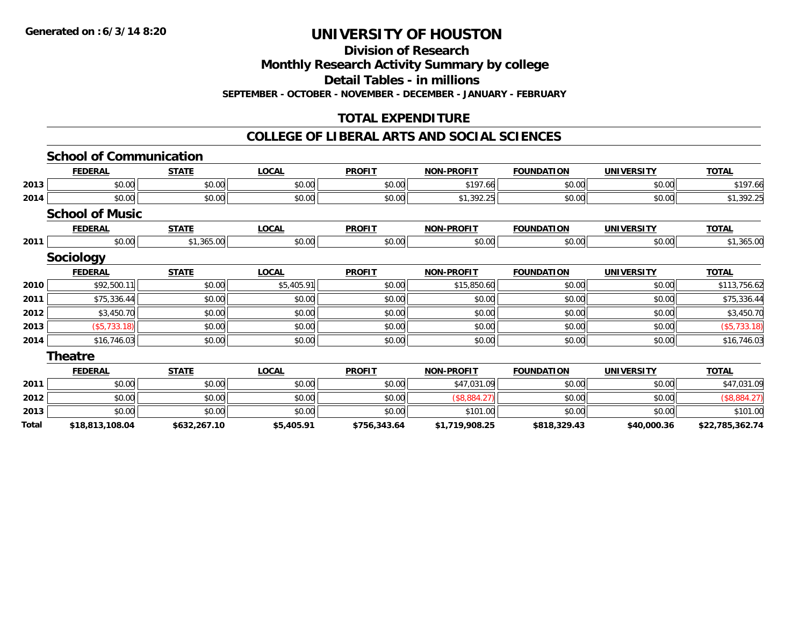**Division of Research**

**Monthly Research Activity Summary by college**

**Detail Tables - in millions**

**SEPTEMBER - OCTOBER - NOVEMBER - DECEMBER - JANUARY - FEBRUARY**

## **TOTAL EXPENDITURE**

### **COLLEGE OF LIBERAL ARTS AND SOCIAL SCIENCES**

|       | <b>School of Communication</b> |              |              |               |                   |                   |                   |                 |
|-------|--------------------------------|--------------|--------------|---------------|-------------------|-------------------|-------------------|-----------------|
|       | <b>FEDERAL</b>                 | <b>STATE</b> | <b>LOCAL</b> | <b>PROFIT</b> | <b>NON-PROFIT</b> | <b>FOUNDATION</b> | <b>UNIVERSITY</b> | <b>TOTAL</b>    |
| 2013  | \$0.00                         | \$0.00       | \$0.00       | \$0.00        | \$197.66          | \$0.00            | \$0.00            | \$197.66        |
| 2014  | \$0.00                         | \$0.00       | \$0.00       | \$0.00        | \$1,392.25        | \$0.00            | \$0.00            | \$1,392.25      |
|       | <b>School of Music</b>         |              |              |               |                   |                   |                   |                 |
|       | <b>FEDERAL</b>                 | <b>STATE</b> | <b>LOCAL</b> | <b>PROFIT</b> | <b>NON-PROFIT</b> | <b>FOUNDATION</b> | <b>UNIVERSITY</b> | <b>TOTAL</b>    |
| 2011  | \$0.00                         | \$1,365.00   | \$0.00       | \$0.00        | \$0.00            | \$0.00            | \$0.00            | \$1,365.00      |
|       | <b>Sociology</b>               |              |              |               |                   |                   |                   |                 |
|       | <b>FEDERAL</b>                 | <b>STATE</b> | <b>LOCAL</b> | <b>PROFIT</b> | <b>NON-PROFIT</b> | <b>FOUNDATION</b> | <b>UNIVERSITY</b> | <b>TOTAL</b>    |
| 2010  | \$92,500.11                    | \$0.00       | \$5,405.91   | \$0.00        | \$15,850.60       | \$0.00            | \$0.00            | \$113,756.62    |
| 2011  | \$75,336.44                    | \$0.00       | \$0.00       | \$0.00        | \$0.00            | \$0.00            | \$0.00            | \$75,336.44     |
| 2012  | \$3,450.70                     | \$0.00       | \$0.00       | \$0.00        | \$0.00            | \$0.00            | \$0.00            | \$3,450.70      |
| 2013  | (\$5,733.18)                   | \$0.00       | \$0.00       | \$0.00        | \$0.00            | \$0.00            | \$0.00            | (\$5,733.18)    |
| 2014  | \$16,746.03                    | \$0.00       | \$0.00       | \$0.00        | \$0.00            | \$0.00            | \$0.00            | \$16,746.03     |
|       | <b>Theatre</b>                 |              |              |               |                   |                   |                   |                 |
|       | <b>FEDERAL</b>                 | <b>STATE</b> | <b>LOCAL</b> | <b>PROFIT</b> | <b>NON-PROFIT</b> | <b>FOUNDATION</b> | <b>UNIVERSITY</b> | <b>TOTAL</b>    |
| 2011  | \$0.00                         | \$0.00       | \$0.00       | \$0.00        | \$47,031.09       | \$0.00            | \$0.00            | \$47,031.09     |
| 2012  | \$0.00                         | \$0.00       | \$0.00       | \$0.00        | (\$8,884.27)      | \$0.00            | \$0.00            | (\$8,884.27)    |
| 2013  | \$0.00                         | \$0.00       | \$0.00       | \$0.00        | \$101.00          | \$0.00            | \$0.00            | \$101.00        |
| Total | \$18,813,108.04                | \$632,267.10 | \$5,405.91   | \$756,343.64  | \$1,719,908.25    | \$818,329.43      | \$40,000.36       | \$22,785,362.74 |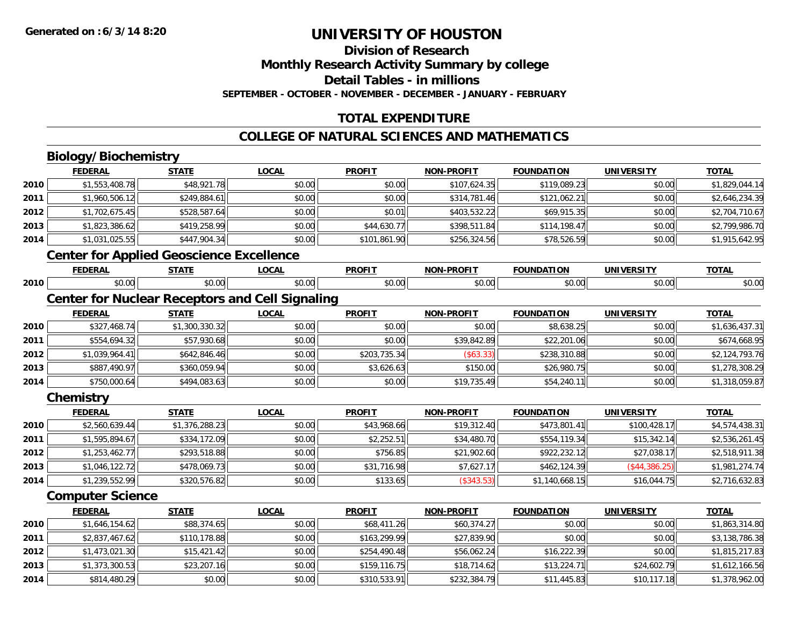# **Division of Research**

**Monthly Research Activity Summary by college**

**Detail Tables - in millions**

**SEPTEMBER - OCTOBER - NOVEMBER - DECEMBER - JANUARY - FEBRUARY**

## **TOTAL EXPENDITURE**

### **COLLEGE OF NATURAL SCIENCES AND MATHEMATICS**

# **Biology/Biochemistry**

**2014**

|      | <b>FEDERAL</b>          | <b>STATE</b>                                    | <b>LOCAL</b>                                           | <b>PROFIT</b> | <b>NON-PROFIT</b> | <b>FOUNDATION</b> | <b>UNIVERSITY</b> | <b>TOTAL</b>   |
|------|-------------------------|-------------------------------------------------|--------------------------------------------------------|---------------|-------------------|-------------------|-------------------|----------------|
| 2010 | \$1,553,408.78          | \$48,921.78                                     | \$0.00                                                 | \$0.00        | \$107,624.35      | \$119,089.23      | \$0.00            | \$1,829,044.14 |
| 2011 | \$1,960,506.12          | \$249,884.61                                    | \$0.00                                                 | \$0.00        | \$314,781.46      | \$121,062.21      | \$0.00            | \$2,646,234.39 |
| 2012 | \$1,702,675.45          | \$528,587.64                                    | \$0.00                                                 | \$0.01        | \$403,532.22      | \$69,915.35       | \$0.00            | \$2,704,710.67 |
| 2013 | \$1,823,386.62          | \$419,258.99                                    | \$0.00                                                 | \$44,630.77   | \$398,511.84      | \$114,198.47      | \$0.00            | \$2,799,986.70 |
| 2014 | \$1,031,025.55          | \$447,904.34                                    | \$0.00                                                 | \$101,861.90  | \$256,324.56      | \$78,526.59       | \$0.00            | \$1,915,642.95 |
|      |                         | <b>Center for Applied Geoscience Excellence</b> |                                                        |               |                   |                   |                   |                |
|      | <b>FEDERAL</b>          | <b>STATE</b>                                    | <b>LOCAL</b>                                           | <b>PROFIT</b> | <b>NON-PROFIT</b> | <b>FOUNDATION</b> | <b>UNIVERSITY</b> | <b>TOTAL</b>   |
| 2010 | \$0.00                  | \$0.00                                          | \$0.00                                                 | \$0.00        | \$0.00            | \$0.00            | \$0.00            | \$0.00         |
|      |                         |                                                 | <b>Center for Nuclear Receptors and Cell Signaling</b> |               |                   |                   |                   |                |
|      | <b>FEDERAL</b>          | <b>STATE</b>                                    | <b>LOCAL</b>                                           | <b>PROFIT</b> | <b>NON-PROFIT</b> | <b>FOUNDATION</b> | <b>UNIVERSITY</b> | <b>TOTAL</b>   |
| 2010 | \$327,468.74            | \$1,300,330.32                                  | \$0.00                                                 | \$0.00        | \$0.00            | \$8,638.25        | \$0.00            | \$1,636,437.31 |
| 2011 | \$554,694.32            | \$57,930.68                                     | \$0.00                                                 | \$0.00        | \$39,842.89       | \$22,201.06       | \$0.00            | \$674,668.95   |
| 2012 | \$1,039,964.41          | \$642,846.46                                    | \$0.00                                                 | \$203,735.34  | (\$63.33)         | \$238,310.88      | \$0.00            | \$2,124,793.76 |
| 2013 | \$887,490.97            | \$360,059.94                                    | \$0.00                                                 | \$3,626.63    | \$150.00          | \$26,980.75       | \$0.00            | \$1,278,308.29 |
| 2014 | \$750,000.64            | \$494,083.63                                    | \$0.00                                                 | \$0.00        | \$19,735.49       | \$54,240.11       | \$0.00            | \$1,318,059.87 |
|      | Chemistry               |                                                 |                                                        |               |                   |                   |                   |                |
|      | <b>FEDERAL</b>          | <b>STATE</b>                                    | <b>LOCAL</b>                                           | <b>PROFIT</b> | <b>NON-PROFIT</b> | <b>FOUNDATION</b> | <b>UNIVERSITY</b> | <b>TOTAL</b>   |
| 2010 | \$2,560,639.44          | \$1,376,288.23                                  | \$0.00                                                 | \$43,968.66   | \$19,312.40       | \$473,801.41      | \$100,428.17      | \$4,574,438.31 |
| 2011 | \$1,595,894.67          | \$334,172.09                                    | \$0.00                                                 | \$2,252.51    | \$34,480.70       | \$554,119.34      | \$15,342.14       | \$2,536,261.45 |
| 2012 | \$1,253,462.77          | \$293,518.88                                    | \$0.00                                                 | \$756.85      | \$21,902.60       | \$922,232.12      | \$27,038.17       | \$2,518,911.38 |
| 2013 | \$1,046,122.72          | \$478,069.73                                    | \$0.00                                                 | \$31,716.98   | \$7,627.17        | \$462,124.39      | (\$44,386.25)     | \$1,981,274.74 |
| 2014 | \$1,239,552.99          | \$320,576.82                                    | \$0.00                                                 | \$133.65      | (\$343.53)        | \$1,140,668.15    | \$16,044.75       | \$2,716,632.83 |
|      | <b>Computer Science</b> |                                                 |                                                        |               |                   |                   |                   |                |
|      | <b>FEDERAL</b>          | <b>STATE</b>                                    | <b>LOCAL</b>                                           | <b>PROFIT</b> | <b>NON-PROFIT</b> | <b>FOUNDATION</b> | <b>UNIVERSITY</b> | <b>TOTAL</b>   |
| 2010 | \$1,646,154.62          | \$88,374.65                                     | \$0.00                                                 | \$68,411.26   | \$60,374.27       | \$0.00            | \$0.00            | \$1,863,314.80 |
| 2011 | \$2,837,467.62          | \$110,178.88                                    | \$0.00                                                 | \$163,299.99  | \$27,839.90       | \$0.00            | \$0.00            | \$3,138,786.38 |
| 2012 | \$1,473,021.30          | \$15,421.42                                     | \$0.00                                                 | \$254,490.48  | \$56,062.24       | \$16,222.39       | \$0.00            | \$1,815,217.83 |
| 2013 | \$1,373,300.53          | \$23,207.16                                     | \$0.00                                                 | \$159,116.75  | \$18,714.62       | \$13,224.71       | \$24,602.79       | \$1,612,166.56 |

4 \$814,480.29|| \$0.00|| \$0.00|| \$0.00|| \$310,533.91|| \$232,384.79|| \$11,445.83|| \$10,117.18|| \$1,378,962.00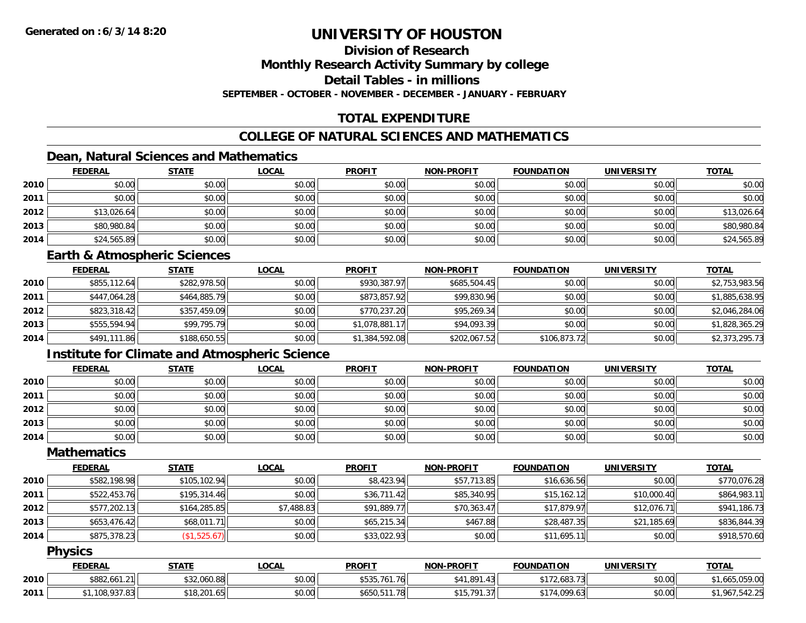# **Division of Research**

**Monthly Research Activity Summary by college**

**Detail Tables - in millions**

**SEPTEMBER - OCTOBER - NOVEMBER - DECEMBER - JANUARY - FEBRUARY**

## **TOTAL EXPENDITURE**

## **COLLEGE OF NATURAL SCIENCES AND MATHEMATICS**

## **Dean, Natural Sciences and Mathematics**

|      | <b>FEDERAL</b> | <b>STATE</b> | <u>LOCAL</u> | <b>PROFIT</b> | <b>NON-PROFIT</b> | <b>FOUNDATION</b> | <b>UNIVERSITY</b> | <b>TOTAL</b> |
|------|----------------|--------------|--------------|---------------|-------------------|-------------------|-------------------|--------------|
| 2010 | \$0.00         | \$0.00       | \$0.00       | \$0.00        | \$0.00            | \$0.00            | \$0.00            | \$0.00       |
| 2011 | \$0.00         | \$0.00       | \$0.00       | \$0.00        | \$0.00            | \$0.00            | \$0.00            | \$0.00       |
| 2012 | \$13,026.64    | \$0.00       | \$0.00       | \$0.00        | \$0.00            | \$0.00            | \$0.00            | \$13,026.64  |
| 2013 | \$80,980.84    | \$0.00       | \$0.00       | \$0.00        | \$0.00            | \$0.00            | \$0.00            | \$80,980.84  |
| 2014 | \$24,565.89    | \$0.00       | \$0.00       | \$0.00        | \$0.00            | \$0.00            | \$0.00            | \$24,565.89  |

#### **Earth & Atmospheric Sciences**

|      | <b>FEDERAL</b> | <u>STATE</u> | <b>LOCAL</b> | <b>PROFIT</b>  | <b>NON-PROFIT</b> | <b>FOUNDATION</b> | <b>UNIVERSITY</b> | <b>TOTAL</b>   |
|------|----------------|--------------|--------------|----------------|-------------------|-------------------|-------------------|----------------|
| 2010 | \$855,112.64   | \$282,978.50 | \$0.00       | \$930,387.97   | \$685,504.45      | \$0.00            | \$0.00            | \$2,753,983.56 |
| 2011 | \$447,064.28   | \$464,885.79 | \$0.00       | \$873,857.92   | \$99,830.96       | \$0.00            | \$0.00            | \$1,885,638.95 |
| 2012 | \$823,318.42   | \$357,459.09 | \$0.00       | \$770,237.20   | \$95,269.34       | \$0.00            | \$0.00            | \$2,046,284.06 |
| 2013 | \$555,594.94   | \$99,795.79  | \$0.00       | \$1,078,881.17 | \$94,093.39       | \$0.00            | \$0.00            | \$1,828,365.29 |
| 2014 | \$491,111.86   | \$188,650.55 | \$0.00       | \$1,384,592.08 | \$202,067.52      | \$106,873.72      | \$0.00            | \$2,373,295.73 |

### **Institute for Climate and Atmospheric Science**

|      | <b>FEDERAL</b> | <b>STATE</b> | <u>LOCAL</u> | <b>PROFIT</b> | <b>NON-PROFIT</b> | <b>FOUNDATION</b> | <b>UNIVERSITY</b> | <b>TOTAL</b> |
|------|----------------|--------------|--------------|---------------|-------------------|-------------------|-------------------|--------------|
| 2010 | \$0.00         | \$0.00       | \$0.00       | \$0.00        | \$0.00            | \$0.00            | \$0.00            | \$0.00       |
| 2011 | \$0.00         | \$0.00       | \$0.00       | \$0.00        | \$0.00            | \$0.00            | \$0.00            | \$0.00       |
| 2012 | \$0.00         | \$0.00       | \$0.00       | \$0.00        | \$0.00            | \$0.00            | \$0.00            | \$0.00       |
| 2013 | \$0.00         | \$0.00       | \$0.00       | \$0.00        | \$0.00            | \$0.00            | \$0.00            | \$0.00       |
| 2014 | \$0.00         | \$0.00       | \$0.00       | \$0.00        | \$0.00            | \$0.00            | \$0.00            | \$0.00       |

### **Mathematics**

|      | <b>FEDERAL</b> | <b>STATE</b> | <b>LOCAL</b> | <b>PROFIT</b> | <b>NON-PROFIT</b> | <b>FOUNDATION</b> | <b>UNIVERSITY</b> | <b>TOTAL</b> |
|------|----------------|--------------|--------------|---------------|-------------------|-------------------|-------------------|--------------|
| 2010 | \$582,198.98   | \$105,102.94 | \$0.00       | \$8,423.94    | \$57,713.85       | \$16,636.56       | \$0.00            | \$770,076.28 |
| 2011 | \$522,453.76   | \$195,314.46 | \$0.00       | \$36,711.42   | \$85,340.95       | \$15,162.12       | \$10,000.40       | \$864,983.11 |
| 2012 | \$577,202.13   | \$164,285.85 | \$7,488.83   | \$91,889.77   | \$70,363.47       | \$17,879.97       | \$12,076.71       | \$941,186.73 |
| 2013 | \$653,476.42   | \$68,011.71  | \$0.00       | \$65,215.34   | \$467.88          | \$28,487.35       | \$21,185.69       | \$836,844.39 |
| 2014 | \$875,378.23   | (\$1,525.67) | \$0.00       | \$33,022.93   | \$0.00            | \$11,695.11       | \$0.00            | \$918,570.60 |

### **Physics**

|      | <b>FEDERAL</b>                        | <b>STATE</b>                                                                                                      | <b>_OCAL</b> | <b>PROFIT</b>                                                         | <b>NON-PROFIT</b>                    | <b>FOUNDATION</b>   | <b>UNIVERSITY</b> | <b>TOTAL</b>     |
|------|---------------------------------------|-------------------------------------------------------------------------------------------------------------------|--------------|-----------------------------------------------------------------------|--------------------------------------|---------------------|-------------------|------------------|
| 2010 | $\sqrt{14.04}$<br>ል በሰጣ<br>ა882,661.∠ | $\mathsf{A} \mathsf{A} \mathsf{A} \mathsf{A} \mathsf{A} \mathsf{A} \mathsf{A} \mathsf{A} \mathsf{A}$<br>32,060.88 | \$0.00       | $-111$<br>$+ - - -$<br>$\overline{\phantom{a}}$<br>トマト<br>76<br>,,טטע | .891<br>1 O I                        | 72,683.73<br>$AA -$ | \$0.00            | .059.00<br>טש، ו |
| 2011 | 108,937.83                            | \$18,201.65                                                                                                       | \$0.00       | 1 70<br>\$650.5<br>1.70                                               | <b>¢15701</b><br>-27<br>, וטו<br>. ( | \$174,099.63        | \$0.00            | 047<br>142.ZJ    |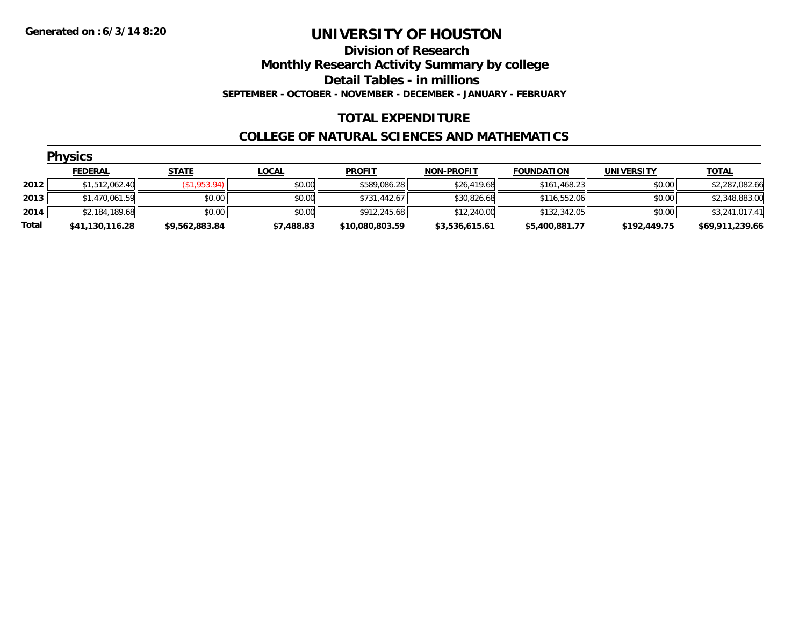**Division of Research**

**Monthly Research Activity Summary by college**

**Detail Tables - in millions**

**SEPTEMBER - OCTOBER - NOVEMBER - DECEMBER - JANUARY - FEBRUARY**

## **TOTAL EXPENDITURE**

### **COLLEGE OF NATURAL SCIENCES AND MATHEMATICS**

|       | <b>Physics</b>  |                |              |                 |                   |                   |                   |                 |  |  |  |  |
|-------|-----------------|----------------|--------------|-----------------|-------------------|-------------------|-------------------|-----------------|--|--|--|--|
|       | <b>FEDERAL</b>  | <b>STATE</b>   | <u>LOCAL</u> | <b>PROFIT</b>   | <b>NON-PROFIT</b> | <b>FOUNDATION</b> | <b>UNIVERSITY</b> | <b>TOTAL</b>    |  |  |  |  |
| 2012  | \$1,512,062.40  | (\$1,953.94)   | \$0.00       | \$589,086.28    | \$26,419.68       | \$161,468.23      | \$0.00            | \$2,287,082.66  |  |  |  |  |
| 2013  | \$1,470,061.59  | \$0.00         | \$0.00       | \$731,442.67    | \$30,826.68       | \$116,552.06      | \$0.00            | \$2,348,883.00  |  |  |  |  |
| 2014  | \$2,184,189.68  | \$0.00         | \$0.00       | \$912,245.68    | \$12,240.00       | \$132,342.05      | \$0.00            | \$3,241,017.41  |  |  |  |  |
| Total | \$41,130,116.28 | \$9,562,883.84 | \$7,488.83   | \$10,080,803.59 | \$3,536,615.61    | \$5,400,881.77    | \$192,449.75      | \$69,911,239.66 |  |  |  |  |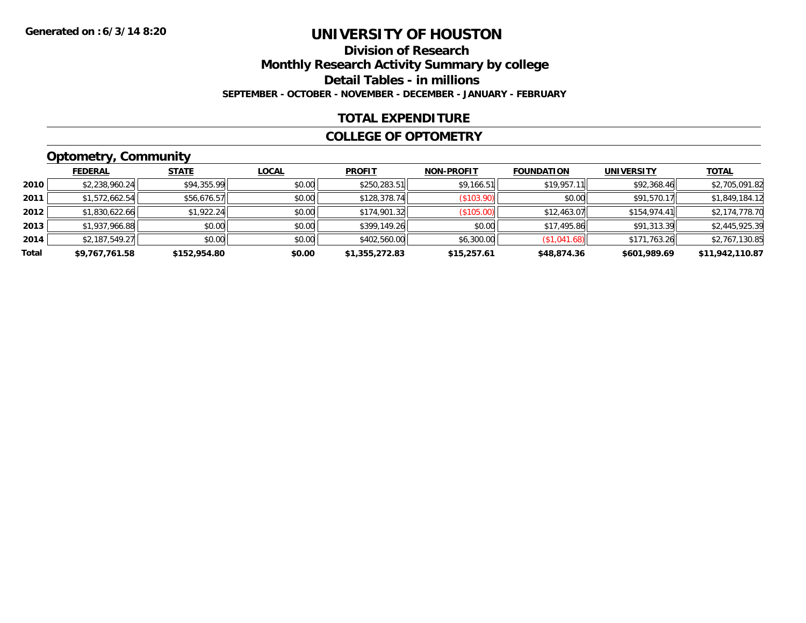## **Division of ResearchMonthly Research Activity Summary by college Detail Tables - in millions SEPTEMBER - OCTOBER - NOVEMBER - DECEMBER - JANUARY - FEBRUARY**

### **TOTAL EXPENDITURE**

#### **COLLEGE OF OPTOMETRY**

## **Optometry, Community**

|       | <b>FEDERAL</b> | <b>STATE</b> | <b>LOCAL</b> | <b>PROFIT</b>  | <b>NON-PROFIT</b> | <b>FOUNDATION</b> | <b>UNIVERSITY</b> | <b>TOTAL</b>    |
|-------|----------------|--------------|--------------|----------------|-------------------|-------------------|-------------------|-----------------|
| 2010  | \$2,238,960.24 | \$94,355.99  | \$0.00       | \$250,283.51   | \$9,166.51        | \$19,957.11       | \$92,368.46       | \$2,705,091.82  |
| 2011  | \$1,572,662.54 | \$56,676.57  | \$0.00       | \$128,378.74   | (\$103.90)        | \$0.00            | \$91,570.17       | \$1,849,184.12  |
| 2012  | \$1,830,622.66 | \$1,922.24   | \$0.00       | \$174,901.32   | (\$105.00)        | \$12,463.07       | \$154.974.41      | \$2,174,778.70  |
| 2013  | \$1,937,966.88 | \$0.00       | \$0.00       | \$399,149.26   | \$0.00            | \$17,495.86       | \$91,313.39       | \$2,445,925.39  |
| 2014  | \$2,187,549.27 | \$0.00       | \$0.00       | \$402,560.00   | \$6,300.00        | (\$1,041.68)      | \$171,763.26      | \$2,767,130.85  |
| Total | \$9,767,761.58 | \$152,954.80 | \$0.00       | \$1,355,272.83 | \$15,257.61       | \$48,874.36       | \$601,989.69      | \$11,942,110.87 |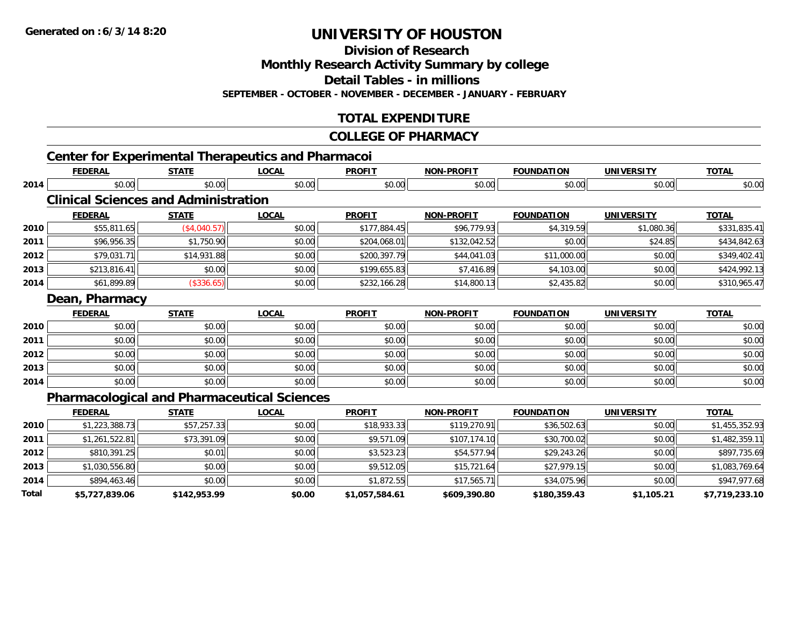**2013**

**2014**

**Total**

# **UNIVERSITY OF HOUSTON**

**Division of Research**

**Monthly Research Activity Summary by college**

**Detail Tables - in millions**

**SEPTEMBER - OCTOBER - NOVEMBER - DECEMBER - JANUARY - FEBRUARY**

## **TOTAL EXPENDITURE**

#### **COLLEGE OF PHARMACY**

|      | <b>Center for Experimental Therapeutics and Pharmacoi</b><br><b>FEDERAL</b> | <b>STATE</b> | <b>LOCAL</b> | <b>PROFIT</b> | <b>NON-PROFIT</b> | <b>FOUNDATION</b> | <b>UNIVERSITY</b> | <b>TOTAL</b>   |
|------|-----------------------------------------------------------------------------|--------------|--------------|---------------|-------------------|-------------------|-------------------|----------------|
| 2014 | \$0.00                                                                      | \$0.00       | \$0.00       | \$0.00        | \$0.00            | \$0.00            | \$0.00            | \$0.00         |
|      | <b>Clinical Sciences and Administration</b>                                 |              |              |               |                   |                   |                   |                |
|      | <b>FEDERAL</b>                                                              | <b>STATE</b> | <b>LOCAL</b> | <b>PROFIT</b> | <b>NON-PROFIT</b> | <b>FOUNDATION</b> | <b>UNIVERSITY</b> | <b>TOTAL</b>   |
| 2010 | \$55,811.65                                                                 | (\$4,040.57) | \$0.00       | \$177,884.45  | \$96,779.93       | \$4,319.59        | \$1,080.36        | \$331,835.41   |
| 2011 | \$96,956.35                                                                 | \$1,750.90   | \$0.00       | \$204,068.01  | \$132,042.52      | \$0.00            | \$24.85           | \$434,842.63   |
| 2012 | \$79,031.71                                                                 | \$14,931.88  | \$0.00       | \$200,397.79  | \$44,041.03       | \$11,000.00       | \$0.00            | \$349,402.41   |
| 2013 | \$213,816.41                                                                | \$0.00       | \$0.00       | \$199,655.83  | \$7,416.89        | \$4,103.00        | \$0.00            | \$424,992.13   |
| 2014 | \$61,899.89                                                                 | (\$336.65)   | \$0.00       | \$232,166.28  | \$14,800.13       | \$2,435.82        | \$0.00            | \$310,965.47   |
|      | Dean, Pharmacy                                                              |              |              |               |                   |                   |                   |                |
|      | <b>FEDERAL</b>                                                              | <b>STATE</b> | <b>LOCAL</b> | <b>PROFIT</b> | <b>NON-PROFIT</b> | <b>FOUNDATION</b> | <b>UNIVERSITY</b> | <b>TOTAL</b>   |
| 2010 | \$0.00                                                                      | \$0.00       | \$0.00       | \$0.00        | \$0.00            | \$0.00            | \$0.00            | \$0.00         |
| 2011 | \$0.00                                                                      | \$0.00       | \$0.00       | \$0.00        | \$0.00            | \$0.00            | \$0.00            | \$0.00         |
| 2012 | \$0.00                                                                      | \$0.00       | \$0.00       | \$0.00        | \$0.00            | \$0.00            | \$0.00            | \$0.00         |
| 2013 | \$0.00                                                                      | \$0.00       | \$0.00       | \$0.00        | \$0.00            | \$0.00            | \$0.00            | \$0.00         |
| 2014 | \$0.00                                                                      | \$0.00       | \$0.00       | \$0.00        | \$0.00            | \$0.00            | \$0.00            | \$0.00         |
|      | <b>Pharmacological and Pharmaceutical Sciences</b>                          |              |              |               |                   |                   |                   |                |
|      | <b>FEDERAL</b>                                                              | <b>STATE</b> | <b>LOCAL</b> | <b>PROFIT</b> | <b>NON-PROFIT</b> | <b>FOUNDATION</b> | <b>UNIVERSITY</b> | <b>TOTAL</b>   |
| 2010 | \$1,223,388.73                                                              | \$57,257.33  | \$0.00       | \$18,933.33   | \$119,270.91      | \$36,502.63       | \$0.00            | \$1,455,352.93 |
| 2011 | \$1,261,522.81                                                              | \$73,391.09  | \$0.00       | \$9,571.09    | \$107,174.10      | \$30,700.02       | \$0.00            | \$1,482,359.11 |
| 2012 | \$810,391.25                                                                | \$0.01       | \$0.00       | \$3,523.23    | \$54,577.94       | \$29,243.26       | \$0.00            | \$897,735.69   |

 $\bf{3} \mid 3 \mid 50.00 \mid 51.030,556.80 \mid 50.00 \mid 51.083,769.64$ 

4 \$894,463.46 \$0.00 \$0.00 \$0.00 \$0.00 \$1,872.55 \$1,872.55 \$17,565.71 \$34,075.96 \$34,075.96 \$0.00 \$947,977.68

**\$5,727,839.06 \$142,953.99 \$0.00 \$1,057,584.61 \$609,390.80 \$180,359.43 \$1,105.21 \$7,719,233.10**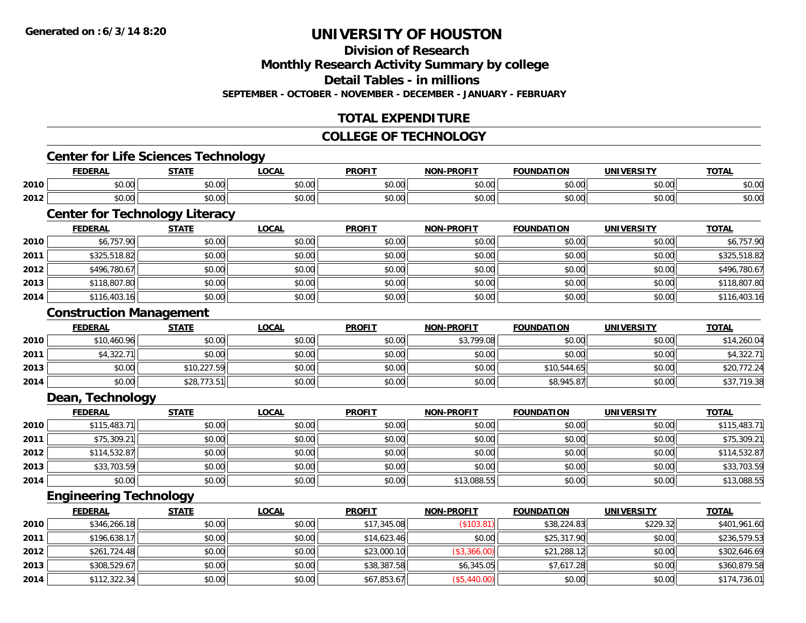**Division of Research**

**Monthly Research Activity Summary by college**

**Detail Tables - in millions**

**SEPTEMBER - OCTOBER - NOVEMBER - DECEMBER - JANUARY - FEBRUARY**

## **TOTAL EXPENDITURE**

#### **COLLEGE OF TECHNOLOGY**

## **Center for Life Sciences Technology**

|      | DAI<br>ERA                     | <b>CTATI</b>          | $\sim$<br>.w.a         | <b>PROFIT</b> | -----  | אנ                  |                    | <b>TOT</b>     |
|------|--------------------------------|-----------------------|------------------------|---------------|--------|---------------------|--------------------|----------------|
| 2010 | $\sim$ $\sim$<br>$\sim$<br>w.w | $\sim$ $\sim$<br>JU.U | $\sim$ $\sim$<br>vv.vv | 0000<br>∿∪.∪∿ | \$0.00 | 0000<br>. UU<br>, J | 0.00<br>pu.uu      | 0000<br>PU.UU  |
| 2012 | $\sim$<br>וטט.טי               | ሖ ^<br>י טיש          | $\sim$ 00<br>vv.vv     | 0000<br>JU.UU | \$0.00 | $\sim$ 00<br>JU.UU  | $\sim$ 00<br>JU.UU | ቀስ ሰሰ<br>DU.UU |

# **Center for Technology Literacy**

|      | <b>FEDERAL</b> | <b>STATE</b> | <b>LOCAL</b> | <b>PROFIT</b> | <b>NON-PROFIT</b> | <b>FOUNDATION</b> | <b>UNIVERSITY</b> | <b>TOTAL</b> |
|------|----------------|--------------|--------------|---------------|-------------------|-------------------|-------------------|--------------|
| 2010 | \$6,757.90     | \$0.00       | \$0.00       | \$0.00        | \$0.00            | \$0.00            | \$0.00            | \$6,757.90   |
| 2011 | \$325,518.82   | \$0.00       | \$0.00       | \$0.00        | \$0.00            | \$0.00            | \$0.00            | \$325,518.82 |
| 2012 | \$496,780.67   | \$0.00       | \$0.00       | \$0.00        | \$0.00            | \$0.00            | \$0.00            | \$496,780.67 |
| 2013 | \$118,807.80   | \$0.00       | \$0.00       | \$0.00        | \$0.00            | \$0.00            | \$0.00            | \$118,807.80 |
| 2014 | \$116,403.16   | \$0.00       | \$0.00       | \$0.00        | \$0.00            | \$0.00            | \$0.00            | \$116,403.16 |

#### **Construction Management**

|      | <b>FEDERAL</b> | <u>STATE</u> | <u>LOCAL</u> | <b>PROFIT</b> | NON-PROFIT | <b>FOUNDATION</b> | <b>UNIVERSITY</b> | <b>TOTAL</b> |
|------|----------------|--------------|--------------|---------------|------------|-------------------|-------------------|--------------|
| 2010 | \$10,460.96    | \$0.00       | \$0.00       | \$0.00        | \$3,799.08 | \$0.00            | \$0.00            | \$14,260.04  |
| 2011 | \$4,322.71     | \$0.00       | \$0.00       | \$0.00        | \$0.00     | \$0.00            | \$0.00            | \$4,322.71   |
| 2013 | \$0.00         | \$10,227.59  | \$0.00       | \$0.00        | \$0.00     | \$10,544.65       | \$0.00            | \$20,772.24  |
| 2014 | \$0.00         | \$28,773.51  | \$0.00       | \$0.00        | \$0.00     | \$8,945.87        | \$0.00            | \$37,719.38  |

#### **Dean, Technology**

|      | <b>FEDERAL</b> | <b>STATE</b> | <u>LOCAL</u> | <b>PROFIT</b> | <b>NON-PROFIT</b> | <b>FOUNDATION</b> | <b>UNIVERSITY</b> | <b>TOTAL</b> |
|------|----------------|--------------|--------------|---------------|-------------------|-------------------|-------------------|--------------|
| 2010 | \$115,483.71   | \$0.00       | \$0.00       | \$0.00        | \$0.00            | \$0.00            | \$0.00            | \$115,483.71 |
| 2011 | \$75,309.21    | \$0.00       | \$0.00       | \$0.00        | \$0.00            | \$0.00            | \$0.00            | \$75,309.21  |
| 2012 | \$114,532.87   | \$0.00       | \$0.00       | \$0.00        | \$0.00            | \$0.00            | \$0.00            | \$114,532.87 |
| 2013 | \$33,703.59    | \$0.00       | \$0.00       | \$0.00        | \$0.00            | \$0.00            | \$0.00            | \$33,703.59  |
| 2014 | \$0.00         | \$0.00       | \$0.00       | \$0.00        | \$13,088.55       | \$0.00            | \$0.00            | \$13,088.55  |

#### **Engineering Technology**

|      | <b>FEDERAL</b> | <b>STATE</b> | <b>LOCAL</b> | <b>PROFIT</b> | <b>NON-PROFIT</b> | <b>FOUNDATION</b> | <b>UNIVERSITY</b> | <b>TOTAL</b> |
|------|----------------|--------------|--------------|---------------|-------------------|-------------------|-------------------|--------------|
| 2010 | \$346,266.18   | \$0.00       | \$0.00       | \$17,345.08   | (\$103.81)        | \$38,224.83       | \$229.32          | \$401,961.60 |
| 2011 | \$196,638.17   | \$0.00       | \$0.00       | \$14.623.46   | \$0.00            | \$25,317.90       | \$0.00            | \$236,579.53 |
| 2012 | \$261,724.48   | \$0.00       | \$0.00       | \$23,000.10   | (\$3,366.00)      | \$21,288.12       | \$0.00            | \$302,646.69 |
| 2013 | \$308,529.67   | \$0.00       | \$0.00       | \$38,387.58   | \$6,345.05        | \$7,617.28        | \$0.00            | \$360,879.58 |
| 2014 | \$112,322.34   | \$0.00       | \$0.00       | \$67,853.67   | (\$5,440.00)      | \$0.00            | \$0.00            | \$174,736.01 |

<u> 1989 - Johann Stoff, deutscher Stoffen und der Stoffen und der Stoffen und der Stoffen und der Stoffen und de</u>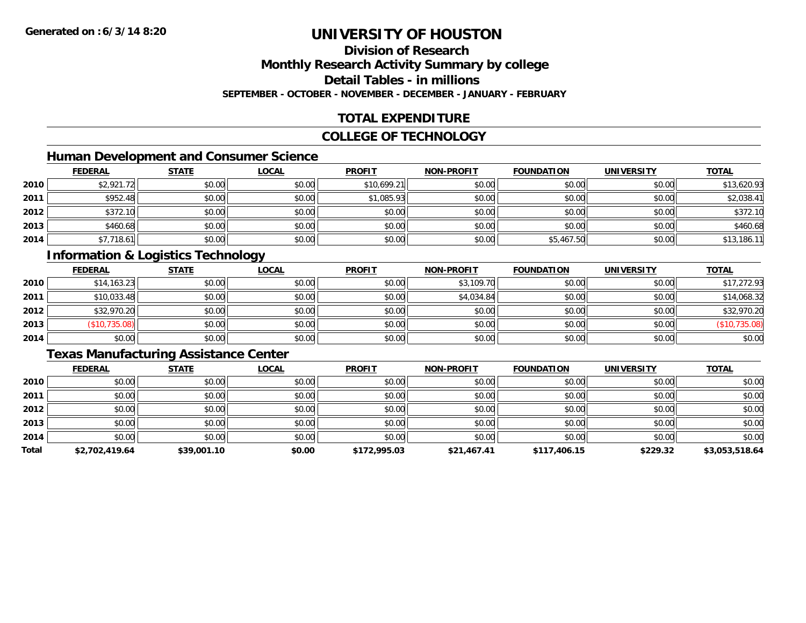# **Division of Research**

## **Monthly Research Activity Summary by college**

#### **Detail Tables - in millions**

#### **SEPTEMBER - OCTOBER - NOVEMBER - DECEMBER - JANUARY - FEBRUARY**

### **TOTAL EXPENDITURE**

#### **COLLEGE OF TECHNOLOGY**

## **Human Development and Consumer Science**

|      | <b>FEDERAL</b> | <b>STATE</b> | <b>LOCAL</b> | <b>PROFIT</b> | <b>NON-PROFIT</b> | <b>FOUNDATION</b> | <b>UNIVERSITY</b> | <b>TOTAL</b> |
|------|----------------|--------------|--------------|---------------|-------------------|-------------------|-------------------|--------------|
| 2010 | \$2,921.72     | \$0.00       | \$0.00       | \$10,699.21   | \$0.00            | \$0.00            | \$0.00            | \$13,620.93  |
| 2011 | \$952.48       | \$0.00       | \$0.00       | \$1,085.93    | \$0.00            | \$0.00            | \$0.00            | \$2,038.41   |
| 2012 | \$372.10       | \$0.00       | \$0.00       | \$0.00        | \$0.00            | \$0.00            | \$0.00            | \$372.10     |
| 2013 | \$460.68       | \$0.00       | \$0.00       | \$0.00        | \$0.00            | \$0.00            | \$0.00            | \$460.68     |
| 2014 | \$7,718.61     | \$0.00       | \$0.00       | \$0.00        | \$0.00            | \$5,467.50        | \$0.00            | \$13,186.11  |

## **Information & Logistics Technology**

|      | <b>FEDERAL</b> | <b>STATE</b> | <u>LOCAL</u> | <b>PROFIT</b> | <b>NON-PROFIT</b> | <b>FOUNDATION</b> | <b>UNIVERSITY</b> | <b>TOTAL</b>  |
|------|----------------|--------------|--------------|---------------|-------------------|-------------------|-------------------|---------------|
| 2010 | \$14,163.23    | \$0.00       | \$0.00       | \$0.00        | \$3,109.70        | \$0.00            | \$0.00            | \$17,272.93   |
| 2011 | \$10,033.48    | \$0.00       | \$0.00       | \$0.00        | \$4,034.84        | \$0.00            | \$0.00            | \$14,068.32   |
| 2012 | \$32,970.20    | \$0.00       | \$0.00       | \$0.00        | \$0.00            | \$0.00            | \$0.00            | \$32,970.20   |
| 2013 | (\$10,735.08)  | \$0.00       | \$0.00       | \$0.00        | \$0.00            | \$0.00            | \$0.00            | (\$10,735.08) |
| 2014 | \$0.00         | \$0.00       | \$0.00       | \$0.00        | \$0.00            | \$0.00            | \$0.00            | \$0.00        |

### **Texas Manufacturing Assistance Center**

|       | <b>FEDERAL</b> | <b>STATE</b> | <b>LOCAL</b> | <b>PROFIT</b> | <b>NON-PROFIT</b> | <b>FOUNDATION</b> | <b>UNIVERSITY</b> | <b>TOTAL</b>   |
|-------|----------------|--------------|--------------|---------------|-------------------|-------------------|-------------------|----------------|
| 2010  | \$0.00         | \$0.00       | \$0.00       | \$0.00        | \$0.00            | \$0.00            | \$0.00            | \$0.00         |
| 2011  | \$0.00         | \$0.00       | \$0.00       | \$0.00        | \$0.00            | \$0.00            | \$0.00            | \$0.00         |
| 2012  | \$0.00         | \$0.00       | \$0.00       | \$0.00        | \$0.00            | \$0.00            | \$0.00            | \$0.00         |
| 2013  | \$0.00         | \$0.00       | \$0.00       | \$0.00        | \$0.00            | \$0.00            | \$0.00            | \$0.00         |
| 2014  | \$0.00         | \$0.00       | \$0.00       | \$0.00        | \$0.00            | \$0.00            | \$0.00            | \$0.00         |
| Total | \$2,702,419.64 | \$39,001.10  | \$0.00       | \$172,995.03  | \$21,467.41       | \$117,406.15      | \$229.32          | \$3,053,518.64 |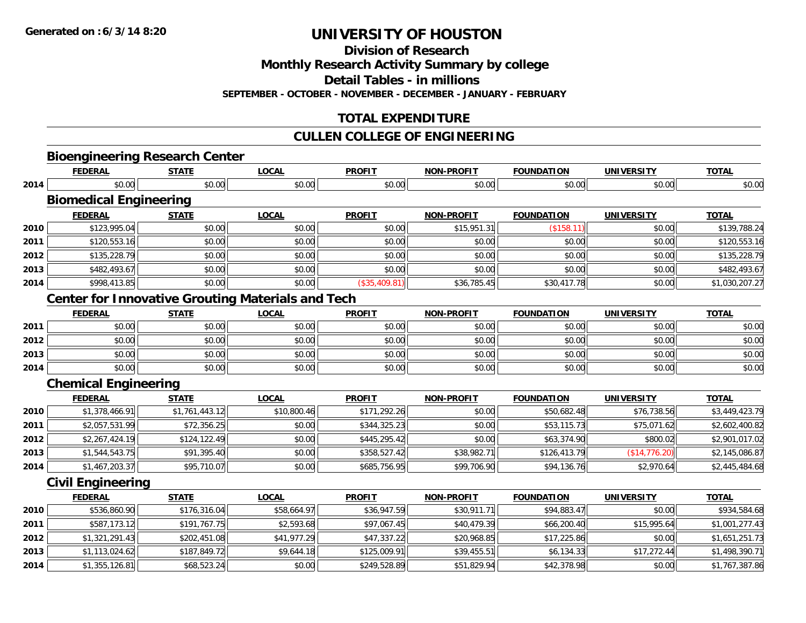**Division of Research**

**Monthly Research Activity Summary by college**

**Detail Tables - in millions**

**SEPTEMBER - OCTOBER - NOVEMBER - DECEMBER - JANUARY - FEBRUARY**

## **TOTAL EXPENDITURE**

### **CULLEN COLLEGE OF ENGINEERING**

|      | <b>Bioengineering Research Center</b>                    |                |              |               |                   |                   |                   |                |
|------|----------------------------------------------------------|----------------|--------------|---------------|-------------------|-------------------|-------------------|----------------|
|      | <b>FEDERAL</b>                                           | <b>STATE</b>   | <b>LOCAL</b> | <b>PROFIT</b> | <b>NON-PROFIT</b> | <b>FOUNDATION</b> | <b>UNIVERSITY</b> | <b>TOTAL</b>   |
| 2014 | \$0.00                                                   | \$0.00         | \$0.00       | \$0.00        | \$0.00            | \$0.00            | \$0.00            | \$0.00         |
|      | <b>Biomedical Engineering</b>                            |                |              |               |                   |                   |                   |                |
|      | <b>FEDERAL</b>                                           | <b>STATE</b>   | <b>LOCAL</b> | <b>PROFIT</b> | NON-PROFIT        | <b>FOUNDATION</b> | <b>UNIVERSITY</b> | <b>TOTAL</b>   |
| 2010 | \$123,995.04                                             | \$0.00         | \$0.00       | \$0.00        | \$15,951.31       | (\$158.11)        | \$0.00            | \$139,788.24   |
| 2011 | \$120,553.16                                             | \$0.00         | \$0.00       | \$0.00        | \$0.00            | \$0.00            | \$0.00            | \$120,553.16   |
| 2012 | \$135,228.79                                             | \$0.00         | \$0.00       | \$0.00        | \$0.00            | \$0.00            | \$0.00            | \$135,228.79   |
| 2013 | \$482,493.67                                             | \$0.00         | \$0.00       | \$0.00        | \$0.00            | \$0.00            | \$0.00            | \$482,493.67   |
| 2014 | \$998,413.85                                             | \$0.00         | \$0.00       | (\$35,409.81) | \$36,785.45       | \$30,417.78       | \$0.00            | \$1,030,207.27 |
|      | <b>Center for Innovative Grouting Materials and Tech</b> |                |              |               |                   |                   |                   |                |
|      | <b>FEDERAL</b>                                           | <b>STATE</b>   | <b>LOCAL</b> | <b>PROFIT</b> | <b>NON-PROFIT</b> | <b>FOUNDATION</b> | <b>UNIVERSITY</b> | <b>TOTAL</b>   |
| 2011 | \$0.00                                                   | \$0.00         | \$0.00       | \$0.00        | \$0.00            | \$0.00            | \$0.00            | \$0.00         |
| 2012 | \$0.00                                                   | \$0.00         | \$0.00       | \$0.00        | \$0.00            | \$0.00            | \$0.00            | \$0.00         |
| 2013 | \$0.00                                                   | \$0.00         | \$0.00       | \$0.00        | \$0.00            | \$0.00            | \$0.00            | \$0.00         |
| 2014 | \$0.00                                                   | \$0.00         | \$0.00       | \$0.00        | \$0.00            | \$0.00            | \$0.00            | \$0.00         |
|      | <b>Chemical Engineering</b>                              |                |              |               |                   |                   |                   |                |
|      | <b>FEDERAL</b>                                           | <b>STATE</b>   | <b>LOCAL</b> | <b>PROFIT</b> | <b>NON-PROFIT</b> | <b>FOUNDATION</b> | <b>UNIVERSITY</b> | <b>TOTAL</b>   |
| 2010 | \$1,378,466.91                                           | \$1,761,443.12 | \$10,800.46  | \$171,292.26  | \$0.00            | \$50,682.48       | \$76,738.56       | \$3,449,423.79 |
| 2011 | \$2,057,531.99                                           | \$72,356.25    | \$0.00       | \$344,325.23  | \$0.00            | \$53,115.73       | \$75,071.62       | \$2,602,400.82 |
| 2012 | \$2,267,424.19                                           | \$124,122.49   | \$0.00       | \$445,295.42  | \$0.00            | \$63,374.90       | \$800.02          | \$2,901,017.02 |
| 2013 | \$1,544,543.75                                           | \$91,395.40    | \$0.00       | \$358,527.42  | \$38,982.71       | \$126,413.79      | (\$14,776.20)     | \$2,145,086.87 |
| 2014 | \$1,467,203.37                                           | \$95,710.07    | \$0.00       | \$685,756.95  | \$99,706.90       | \$94,136.76       | \$2,970.64        | \$2,445,484.68 |
|      | <b>Civil Engineering</b>                                 |                |              |               |                   |                   |                   |                |
|      | <b>FEDERAL</b>                                           | <b>STATE</b>   | <b>LOCAL</b> | <b>PROFIT</b> | <b>NON-PROFIT</b> | <b>FOUNDATION</b> | <b>UNIVERSITY</b> | <b>TOTAL</b>   |
| 2010 | \$536,860.90                                             | \$176,316.04   | \$58,664.97  | \$36,947.59   | \$30,911.71       | \$94,883.47       | \$0.00            | \$934,584.68   |
| 2011 | \$587,173.12                                             | \$191,767.75   | \$2,593.68   | \$97,067.45   | \$40,479.39       | \$66,200.40       | \$15,995.64       | \$1,001,277.43 |
| 2012 | \$1,321,291.43                                           | \$202,451.08   | \$41,977.29  | \$47,337.22   | \$20,968.85       | \$17,225.86       | \$0.00            | \$1,651,251.73 |
| 2013 | \$1,113,024.62                                           | \$187,849.72   | \$9,644.18   | \$125,009.91  | \$39,455.51       | \$6,134.33        | \$17,272.44       | \$1,498,390.71 |
| 2014 | \$1,355,126.81                                           | \$68,523.24    | \$0.00       | \$249,528.89  | \$51,829.94       | \$42,378.98       | \$0.00            | \$1,767,387.86 |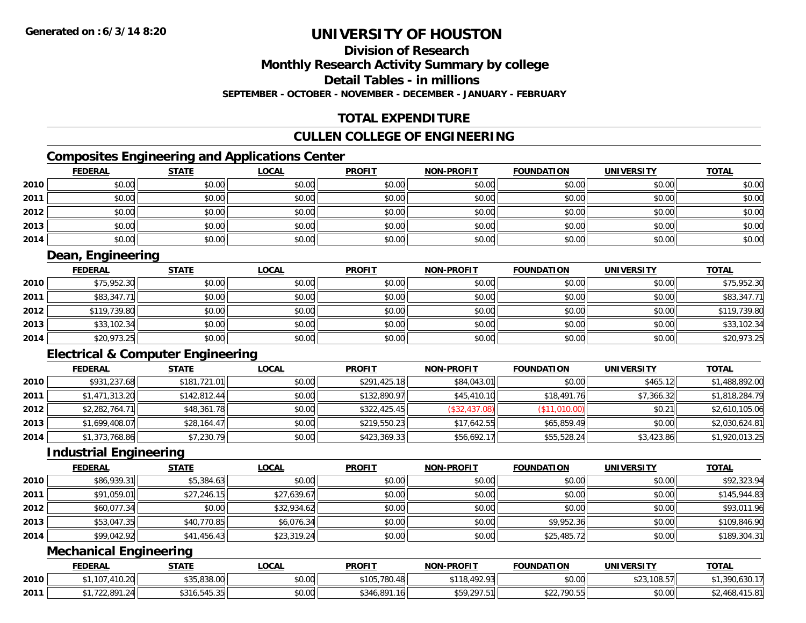# **Division of Research**

## **Monthly Research Activity Summary by college**

**Detail Tables - in millions**

**SEPTEMBER - OCTOBER - NOVEMBER - DECEMBER - JANUARY - FEBRUARY**

## **TOTAL EXPENDITURE**

### **CULLEN COLLEGE OF ENGINEERING**

## **Composites Engineering and Applications Center**

|      | <b>FEDERAL</b> | <b>STATE</b> | <u>LOCAL</u> | <b>PROFIT</b> | <b>NON-PROFIT</b> | <b>FOUNDATION</b> | <b>UNIVERSITY</b> | <b>TOTAL</b> |
|------|----------------|--------------|--------------|---------------|-------------------|-------------------|-------------------|--------------|
| 2010 | \$0.00         | \$0.00       | \$0.00       | \$0.00        | \$0.00            | \$0.00            | \$0.00            | \$0.00       |
| 2011 | \$0.00         | \$0.00       | \$0.00       | \$0.00        | \$0.00            | \$0.00            | \$0.00            | \$0.00       |
| 2012 | \$0.00         | \$0.00       | \$0.00       | \$0.00        | \$0.00            | \$0.00            | \$0.00            | \$0.00       |
| 2013 | \$0.00         | \$0.00       | \$0.00       | \$0.00        | \$0.00            | \$0.00            | \$0.00            | \$0.00       |
| 2014 | \$0.00         | \$0.00       | \$0.00       | \$0.00        | \$0.00            | \$0.00            | \$0.00            | \$0.00       |

## **Dean, Engineering**

|      | <u>FEDERAL</u> | <u>STATE</u> | <u>LOCAL</u> | <b>PROFIT</b> | <b>NON-PROFIT</b> | <b>FOUNDATION</b> | <b>UNIVERSITY</b> | <b>TOTAL</b> |
|------|----------------|--------------|--------------|---------------|-------------------|-------------------|-------------------|--------------|
| 2010 | \$75,952.30    | \$0.00       | \$0.00       | \$0.00        | \$0.00            | \$0.00            | \$0.00            | \$75,952.30  |
| 2011 | \$83,347.71    | \$0.00       | \$0.00       | \$0.00        | \$0.00            | \$0.00            | \$0.00            | \$83,347.71  |
| 2012 | \$119,739.80   | \$0.00       | \$0.00       | \$0.00        | \$0.00            | \$0.00            | \$0.00            | \$119,739.80 |
| 2013 | \$33,102.34    | \$0.00       | \$0.00       | \$0.00        | \$0.00            | \$0.00            | \$0.00            | \$33,102.34  |
| 2014 | \$20,973.25    | \$0.00       | \$0.00       | \$0.00        | \$0.00            | \$0.00            | \$0.00            | \$20,973.25  |

## **Electrical & Computer Engineering**

|      | <b>FEDERAL</b> | <b>STATE</b> | <b>LOCAL</b> | <b>PROFIT</b> | <b>NON-PROFIT</b> | <b>FOUNDATION</b> | <b>UNIVERSITY</b> | <b>TOTAL</b>   |
|------|----------------|--------------|--------------|---------------|-------------------|-------------------|-------------------|----------------|
| 2010 | \$931,237.68   | \$181,721.01 | \$0.00       | \$291,425.18  | \$84,043.01       | \$0.00            | \$465.12          | \$1,488,892.00 |
| 2011 | \$1,471,313.20 | \$142,812.44 | \$0.00       | \$132,890.97  | \$45,410.10       | \$18,491.76       | \$7,366.32        | \$1,818,284.79 |
| 2012 | \$2,282,764.71 | \$48,361.78  | \$0.00       | \$322,425.45  | (\$32,437.08)     | (\$11,010.00)     | \$0.21            | \$2,610,105.06 |
| 2013 | \$1,699,408.07 | \$28,164.47  | \$0.00       | \$219,550.23  | \$17,642.55       | \$65,859.49       | \$0.00            | \$2,030,624.81 |
| 2014 | \$1,373,768.86 | \$7,230.79   | \$0.00       | \$423,369.33  | \$56,692.17       | \$55,528.24       | \$3,423.86        | \$1,920,013.25 |

#### **Industrial Engineering**

|      | <b>FEDERAL</b> | <b>STATE</b> | <b>LOCAL</b> | <b>PROFIT</b> | <b>NON-PROFIT</b> | <b>FOUNDATION</b> | <b>UNIVERSITY</b> | <b>TOTAL</b> |
|------|----------------|--------------|--------------|---------------|-------------------|-------------------|-------------------|--------------|
| 2010 | \$86,939.31    | \$5,384.63   | \$0.00       | \$0.00        | \$0.00            | \$0.00            | \$0.00            | \$92,323.94  |
| 2011 | \$91,059.01    | \$27,246.15  | \$27,639.67  | \$0.00        | \$0.00            | \$0.00            | \$0.00            | \$145,944.83 |
| 2012 | \$60,077.34    | \$0.00       | \$32,934.62  | \$0.00        | \$0.00            | \$0.00            | \$0.00            | \$93,011.96  |
| 2013 | \$53,047.35    | \$40,770.85  | \$6,076.34   | \$0.00        | \$0.00            | \$9,952.36        | \$0.00            | \$109,846.90 |
| 2014 | \$99,042.92    | \$41,456.43  | \$23,319.24  | \$0.00        | \$0.00            | \$25,485.72       | \$0.00            | \$189,304.31 |

## **Mechanical Engineering**

|      | <b>FEDERAL</b>   | <b>STATE</b>       | ∟OCAI  | <b>PROFIT</b> | <b>NON-PROFIT</b> | <b>FOUNDATION</b>           | <b>UNIVERSITY</b> | <b>TOTAL</b> |
|------|------------------|--------------------|--------|---------------|-------------------|-----------------------------|-------------------|--------------|
| 2010 | $\sim$<br>1 U.ZU | 5,838.00<br>$AD -$ | \$0.00 | \$105,780.48  | <b>103.03</b>     | \$0.00                      | 108.57            | .63U.        |
| 2011 | /22.891<br>1.24  | \$316,545.35       | \$0.00 | \$346,891.16  | \$59,297.51       | $\degree$ 790.55L<br>522. I | \$0.00            | $\sqrt{2}$   |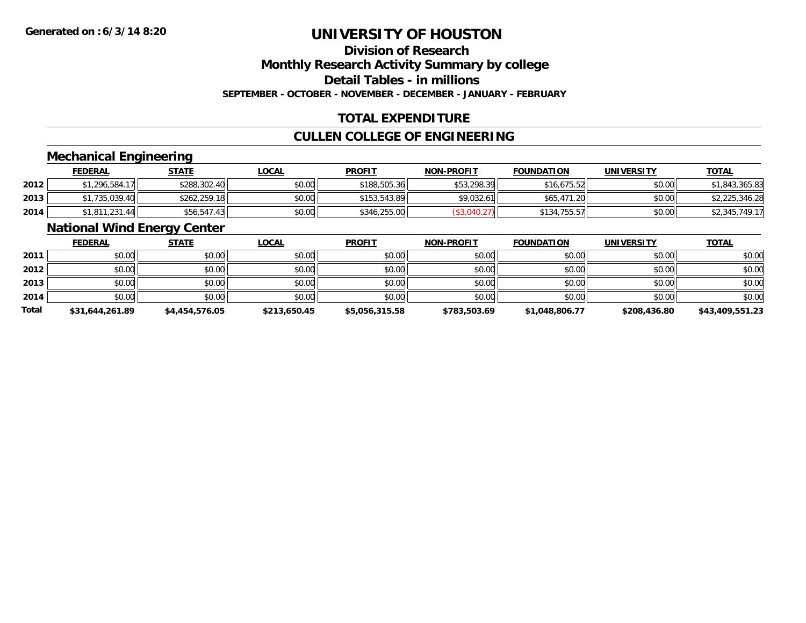# **Division of Research**

**Monthly Research Activity Summary by college**

**Detail Tables - in millions**

**SEPTEMBER - OCTOBER - NOVEMBER - DECEMBER - JANUARY - FEBRUARY**

## **TOTAL EXPENDITURE**

## **CULLEN COLLEGE OF ENGINEERING**

### **Mechanical Engineering**

|      | <b>FEDERAL</b> | <u>STATE</u> | <u>LOCAL</u> | <b>PROFIT</b> | <b>NON-PROFIT</b> | <b>FOUNDATION</b> | <b>UNIVERSITY</b> | <b>TOTAL</b>   |
|------|----------------|--------------|--------------|---------------|-------------------|-------------------|-------------------|----------------|
| 2012 | \$1,296,584.17 | \$288,302.40 | \$0.00       | \$188,505.36  | \$53,298.39       | \$16,675.52       | \$0.00            | \$1,843,365.83 |
| 2013 | \$1,735,039.40 | \$262,259.18 | \$0.00       | \$153,543.89  | \$9.032.61        | \$65,471.20       | \$0.00            | \$2,225,346.28 |
| 2014 | \$1,811,231.44 | \$56,547.43  | \$0.00       | \$346,255.00  |                   | \$134,755.57      | \$0.00            | \$2,345,749.17 |

### **National Wind Energy Center**

|              | <b>FEDERAL</b>  | <b>STATE</b>   | <b>LOCAL</b> | <b>PROFIT</b>  | <b>NON-PROFIT</b> | <b>FOUNDATION</b> | <b>UNIVERSITY</b> | <b>TOTAL</b>    |
|--------------|-----------------|----------------|--------------|----------------|-------------------|-------------------|-------------------|-----------------|
| 2011         | \$0.00          | \$0.00         | \$0.00       | \$0.00         | \$0.00            | \$0.00            | \$0.00            | \$0.00          |
| 2012         | \$0.00          | \$0.00         | \$0.00       | \$0.00         | \$0.00            | \$0.00            | \$0.00            | \$0.00          |
| 2013         | \$0.00          | \$0.00         | \$0.00       | \$0.00         | \$0.00            | \$0.00            | \$0.00            | \$0.00          |
| 2014         | \$0.00          | \$0.00         | \$0.00       | \$0.00         | \$0.00            | \$0.00            | \$0.00            | \$0.00          |
| <b>Total</b> | \$31,644,261.89 | \$4,454,576.05 | \$213,650.45 | \$5,056,315.58 | \$783,503.69      | \$1,048,806.77    | \$208,436.80      | \$43,409,551.23 |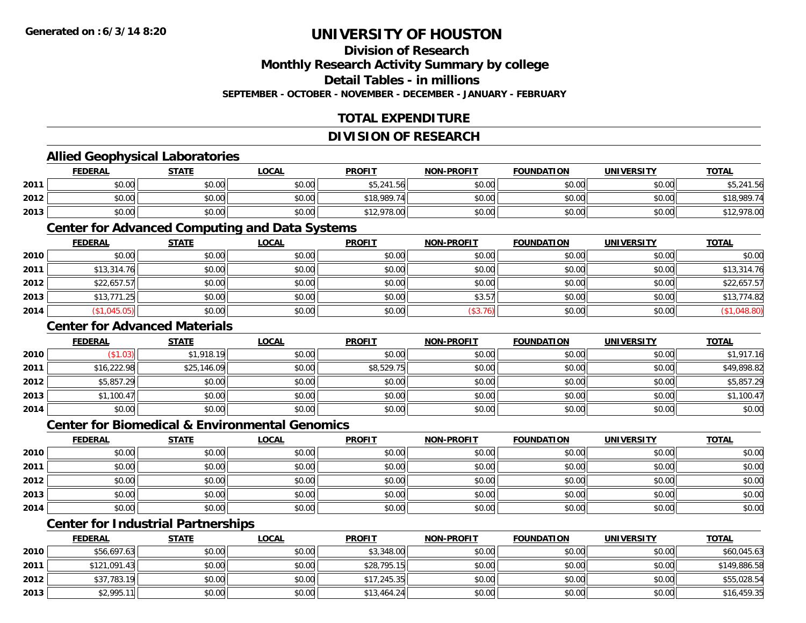## **Division of Research**

**Monthly Research Activity Summary by college**

**Detail Tables - in millions**

**SEPTEMBER - OCTOBER - NOVEMBER - DECEMBER - JANUARY - FEBRUARY**

## **TOTAL EXPENDITURE**

#### **DIVISION OF RESEARCH**

#### **Allied Geophysical Laboratories**

|      | <b>FEDERAL</b> | <b>STATE</b> | <u>LOCAL</u> | <b>PROFIT</b> | <b>NON-PROFIT</b> | <b>FOUNDATION</b> | <b>UNIVERSITY</b> | <b>TOTAL</b> |
|------|----------------|--------------|--------------|---------------|-------------------|-------------------|-------------------|--------------|
| 2011 | \$0.00         | \$0.00       | \$0.00       | \$5,241.56    | \$0.00            | \$0.00            | \$0.00            | 241.56       |
| 2012 | \$0.00         | \$0.00       | \$0.00       | \$18,989.74   | \$0.00            | \$0.00            | \$0.00            | \$18,989.74  |
| 2013 | \$0.00         | \$0.00       | \$0.00       | \$12,978.00   | \$0.00            | \$0.00            | \$0.00            | ,978.00      |

#### **Center for Advanced Computing and Data Systems**

|      | <u>FEDERAL</u> | <u>STATE</u> | <u>LOCAL</u> | <b>PROFIT</b> | <b>NON-PROFIT</b> | <b>FOUNDATION</b> | <b>UNIVERSITY</b> | <b>TOTAL</b> |
|------|----------------|--------------|--------------|---------------|-------------------|-------------------|-------------------|--------------|
| 2010 | \$0.00         | \$0.00       | \$0.00       | \$0.00        | \$0.00            | \$0.00            | \$0.00            | \$0.00       |
| 2011 | \$13,314.76    | \$0.00       | \$0.00       | \$0.00        | \$0.00            | \$0.00            | \$0.00            | \$13,314.76  |
| 2012 | \$22,657.57    | \$0.00       | \$0.00       | \$0.00        | \$0.00            | \$0.00            | \$0.00            | \$22,657.57  |
| 2013 | \$13,771.25    | \$0.00       | \$0.00       | \$0.00        | \$3.57            | \$0.00            | \$0.00            | \$13,774.82  |
| 2014 | \$1,045.05)    | \$0.00       | \$0.00       | \$0.00        | (\$3.76)          | \$0.00            | \$0.00            | \$1,048.80   |

#### **Center for Advanced Materials**

|      | <b>FEDERAL</b> | <b>STATE</b> | <u>LOCAL</u> | <b>PROFIT</b> | <b>NON-PROFIT</b> | <b>FOUNDATION</b> | <b>UNIVERSITY</b> | <b>TOTAL</b> |
|------|----------------|--------------|--------------|---------------|-------------------|-------------------|-------------------|--------------|
| 2010 | (\$1.03)       | \$1,918.19   | \$0.00       | \$0.00        | \$0.00            | \$0.00            | \$0.00            | \$1,917.16   |
| 2011 | \$16,222.98    | \$25,146.09  | \$0.00       | \$8,529.75    | \$0.00            | \$0.00            | \$0.00            | \$49,898.82  |
| 2012 | \$5,857.29     | \$0.00       | \$0.00       | \$0.00        | \$0.00            | \$0.00            | \$0.00            | \$5,857.29   |
| 2013 | \$1,100.47     | \$0.00       | \$0.00       | \$0.00        | \$0.00            | \$0.00            | \$0.00            | \$1,100.47   |
| 2014 | \$0.00         | \$0.00       | \$0.00       | \$0.00        | \$0.00            | \$0.00            | \$0.00            | \$0.00       |

#### **Center for Biomedical & Environmental Genomics**

|      | <u>FEDERAL</u> | <b>STATE</b> | <b>LOCAL</b> | <b>PROFIT</b> | NON-PROFIT | <b>FOUNDATION</b> | <b>UNIVERSITY</b> | <b>TOTAL</b> |
|------|----------------|--------------|--------------|---------------|------------|-------------------|-------------------|--------------|
| 2010 | \$0.00         | \$0.00       | \$0.00       | \$0.00        | \$0.00     | \$0.00            | \$0.00            | \$0.00       |
| 2011 | \$0.00         | \$0.00       | \$0.00       | \$0.00        | \$0.00     | \$0.00            | \$0.00            | \$0.00       |
| 2012 | \$0.00         | \$0.00       | \$0.00       | \$0.00        | \$0.00     | \$0.00            | \$0.00            | \$0.00       |
| 2013 | \$0.00         | \$0.00       | \$0.00       | \$0.00        | \$0.00     | \$0.00            | \$0.00            | \$0.00       |
| 2014 | \$0.00         | \$0.00       | \$0.00       | \$0.00        | \$0.00     | \$0.00            | \$0.00            | \$0.00       |

## **Center for Industrial Partnerships**

|      | <b>FEDERAL</b> | <b>STATE</b> | <b>LOCAL</b> | <b>PROFIT</b> | <b>NON-PROFIT</b> | <b>FOUNDATION</b> | <b>UNIVERSITY</b> | <b>TOTAL</b> |
|------|----------------|--------------|--------------|---------------|-------------------|-------------------|-------------------|--------------|
| 2010 | \$56,697.63    | \$0.00       | \$0.00       | \$3,348.00    | \$0.00            | \$0.00            | \$0.00            | \$60,045.63  |
| 2011 | \$121,091.43   | \$0.00       | \$0.00       | \$28,795.15   | \$0.00            | \$0.00            | \$0.00            | \$149,886.58 |
| 2012 | \$37,783.19    | \$0.00       | \$0.00       | \$17,245.35   | \$0.00            | \$0.00            | \$0.00            | \$55,028.54  |
| 2013 | \$2,995.11     | \$0.00       | \$0.00       | \$13,464.24   | \$0.00            | \$0.00            | \$0.00            | \$16,459.35  |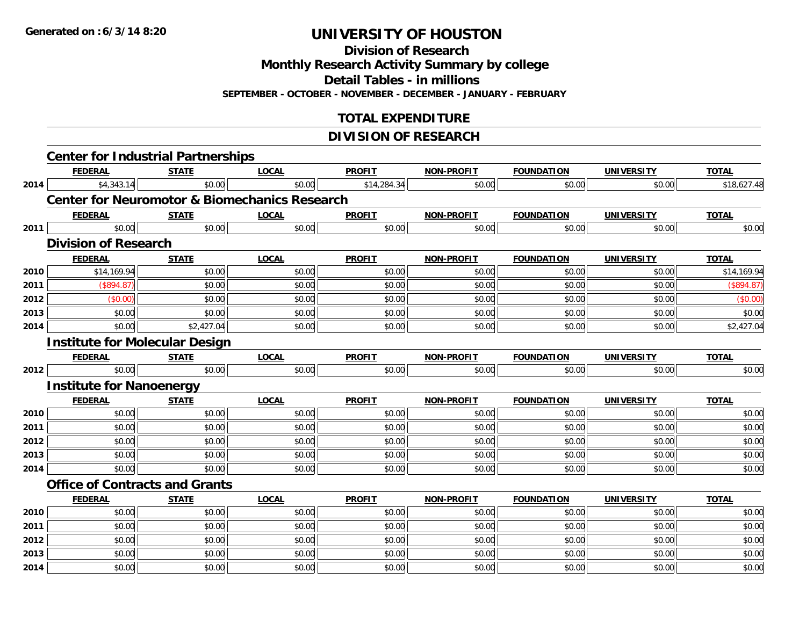**Division of Research**

**Monthly Research Activity Summary by college**

**Detail Tables - in millions**

**SEPTEMBER - OCTOBER - NOVEMBER - DECEMBER - JANUARY - FEBRUARY**

## **TOTAL EXPENDITURE**

#### **DIVISION OF RESEARCH**

|      | <b>Center for Industrial Partnerships</b>                |              |              |               |                   |                   |                   |              |
|------|----------------------------------------------------------|--------------|--------------|---------------|-------------------|-------------------|-------------------|--------------|
|      | <b>FEDERAL</b>                                           | <b>STATE</b> | <b>LOCAL</b> | <b>PROFIT</b> | <b>NON-PROFIT</b> | <b>FOUNDATION</b> | <b>UNIVERSITY</b> | <b>TOTAL</b> |
| 2014 | \$4,343.14                                               | \$0.00       | \$0.00       | \$14,284.34   | \$0.00            | \$0.00            | \$0.00            | \$18,627.48  |
|      | <b>Center for Neuromotor &amp; Biomechanics Research</b> |              |              |               |                   |                   |                   |              |
|      | <b>FEDERAL</b>                                           | <b>STATE</b> | <b>LOCAL</b> | <b>PROFIT</b> | <b>NON-PROFIT</b> | <b>FOUNDATION</b> | <b>UNIVERSITY</b> | <b>TOTAL</b> |
| 2011 | \$0.00                                                   | \$0.00       | \$0.00       | \$0.00        | \$0.00            | \$0.00            | \$0.00            | \$0.00       |
|      | <b>Division of Research</b>                              |              |              |               |                   |                   |                   |              |
|      | <b>FEDERAL</b>                                           | <b>STATE</b> | <b>LOCAL</b> | <b>PROFIT</b> | <b>NON-PROFIT</b> | <b>FOUNDATION</b> | <b>UNIVERSITY</b> | <b>TOTAL</b> |
| 2010 | \$14,169.94                                              | \$0.00       | \$0.00       | \$0.00        | \$0.00            | \$0.00            | \$0.00            | \$14,169.94  |
| 2011 | (\$894.87)                                               | \$0.00       | \$0.00       | \$0.00        | \$0.00            | \$0.00            | \$0.00            | (\$894.87)   |
| 2012 | (\$0.00)                                                 | \$0.00       | \$0.00       | \$0.00        | \$0.00            | \$0.00            | \$0.00            | (\$0.00)     |
| 2013 | \$0.00                                                   | \$0.00       | \$0.00       | \$0.00        | \$0.00            | \$0.00            | \$0.00            | \$0.00       |
| 2014 | \$0.00                                                   | \$2,427.04   | \$0.00       | \$0.00        | \$0.00            | \$0.00            | \$0.00            | \$2,427.04   |
|      | <b>Institute for Molecular Design</b>                    |              |              |               |                   |                   |                   |              |
|      | <b>FEDERAL</b>                                           | <b>STATE</b> | <b>LOCAL</b> | <b>PROFIT</b> | <b>NON-PROFIT</b> | <b>FOUNDATION</b> | <b>UNIVERSITY</b> | <b>TOTAL</b> |
| 2012 | \$0.00                                                   | \$0.00       | \$0.00       | \$0.00        | \$0.00            | \$0.00            | \$0.00            | \$0.00       |
|      | <b>Institute for Nanoenergy</b>                          |              |              |               |                   |                   |                   |              |
|      | <b>FEDERAL</b>                                           | <b>STATE</b> | <b>LOCAL</b> | <b>PROFIT</b> | <b>NON-PROFIT</b> | <b>FOUNDATION</b> | <b>UNIVERSITY</b> | <b>TOTAL</b> |
| 2010 | \$0.00                                                   | \$0.00       | \$0.00       | \$0.00        | \$0.00            | \$0.00            | \$0.00            | \$0.00       |
| 2011 | \$0.00                                                   | \$0.00       | \$0.00       | \$0.00        | \$0.00            | \$0.00            | \$0.00            | \$0.00       |
| 2012 | \$0.00                                                   | \$0.00       | \$0.00       | \$0.00        | \$0.00            | \$0.00            | \$0.00            | \$0.00       |
| 2013 | \$0.00                                                   | \$0.00       | \$0.00       | \$0.00        | \$0.00            | \$0.00            | \$0.00            | \$0.00       |
| 2014 | \$0.00                                                   | \$0.00       | \$0.00       | \$0.00        | \$0.00            | \$0.00            | \$0.00            | \$0.00       |
|      | <b>Office of Contracts and Grants</b>                    |              |              |               |                   |                   |                   |              |
|      | <b>FEDERAL</b>                                           | <b>STATE</b> | <b>LOCAL</b> | <b>PROFIT</b> | <b>NON-PROFIT</b> | <b>FOUNDATION</b> | <b>UNIVERSITY</b> | <b>TOTAL</b> |
| 2010 | \$0.00                                                   | \$0.00       | \$0.00       | \$0.00        | \$0.00            | \$0.00            | \$0.00            | \$0.00       |
| 2011 | \$0.00                                                   | \$0.00       | \$0.00       | \$0.00        | \$0.00            | \$0.00            | \$0.00            | \$0.00       |
| 2012 | \$0.00                                                   | \$0.00       | \$0.00       | \$0.00        | \$0.00            | \$0.00            | \$0.00            | \$0.00       |
| 2013 | \$0.00                                                   | \$0.00       | \$0.00       | \$0.00        | \$0.00            | \$0.00            | \$0.00            | \$0.00       |
| 2014 | \$0.00                                                   | \$0.00       | \$0.00       | \$0.00        | \$0.00            | \$0.00            | \$0.00            | \$0.00       |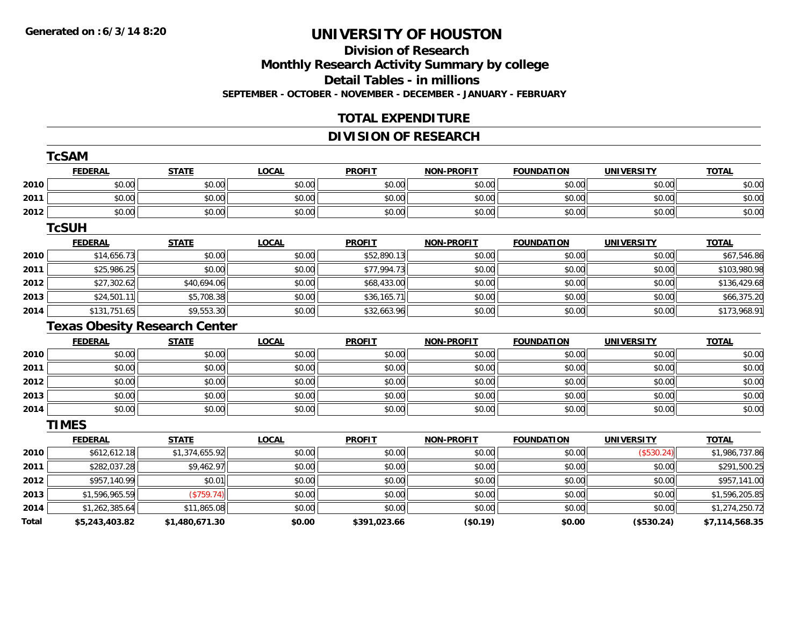## **Division of Research Monthly Research Activity Summary by college Detail Tables - in millions**

**SEPTEMBER - OCTOBER - NOVEMBER - DECEMBER - JANUARY - FEBRUARY**

## **TOTAL EXPENDITURE**

## **DIVISION OF RESEARCH**

|       | <b>TcSAM</b>   |                                      |              |               |                   |                   |                   |                |
|-------|----------------|--------------------------------------|--------------|---------------|-------------------|-------------------|-------------------|----------------|
|       | <b>FEDERAL</b> | <b>STATE</b>                         | <b>LOCAL</b> | <b>PROFIT</b> | <b>NON-PROFIT</b> | <b>FOUNDATION</b> | <b>UNIVERSITY</b> | <b>TOTAL</b>   |
| 2010  | \$0.00         | \$0.00                               | \$0.00       | \$0.00        | \$0.00            | \$0.00            | \$0.00            | \$0.00         |
| 2011  | \$0.00         | \$0.00                               | \$0.00       | \$0.00        | \$0.00            | \$0.00            | \$0.00            | \$0.00         |
| 2012  | \$0.00         | \$0.00                               | \$0.00       | \$0.00        | \$0.00            | \$0.00            | \$0.00            | \$0.00         |
|       | <b>TcSUH</b>   |                                      |              |               |                   |                   |                   |                |
|       | <b>FEDERAL</b> | <b>STATE</b>                         | <b>LOCAL</b> | <b>PROFIT</b> | <b>NON-PROFIT</b> | <b>FOUNDATION</b> | <b>UNIVERSITY</b> | <b>TOTAL</b>   |
| 2010  | \$14,656.73    | \$0.00                               | \$0.00       | \$52,890.13   | \$0.00            | \$0.00            | \$0.00            | \$67,546.86    |
| 2011  | \$25,986.25    | \$0.00                               | \$0.00       | \$77,994.73   | \$0.00            | \$0.00            | \$0.00            | \$103,980.98   |
| 2012  | \$27,302.62    | \$40,694.06                          | \$0.00       | \$68,433.00   | \$0.00            | \$0.00            | \$0.00            | \$136,429.68   |
| 2013  | \$24,501.11    | \$5,708.38                           | \$0.00       | \$36,165.71   | \$0.00            | \$0.00            | \$0.00            | \$66,375.20    |
| 2014  | \$131,751.65   | \$9,553.30                           | \$0.00       | \$32,663.96   | \$0.00            | \$0.00            | \$0.00            | \$173,968.91   |
|       |                | <b>Texas Obesity Research Center</b> |              |               |                   |                   |                   |                |
|       | <b>FEDERAL</b> | <b>STATE</b>                         | <b>LOCAL</b> | <b>PROFIT</b> | <b>NON-PROFIT</b> | <b>FOUNDATION</b> | <b>UNIVERSITY</b> | <b>TOTAL</b>   |
| 2010  | \$0.00         | \$0.00                               | \$0.00       | \$0.00        | \$0.00            | \$0.00            | \$0.00            | \$0.00         |
| 2011  | \$0.00         | \$0.00                               | \$0.00       | \$0.00        | \$0.00            | \$0.00            | \$0.00            | \$0.00         |
| 2012  | \$0.00         | \$0.00                               | \$0.00       | \$0.00        | \$0.00            | \$0.00            | \$0.00            | \$0.00         |
| 2013  | \$0.00         | \$0.00                               | \$0.00       | \$0.00        | \$0.00            | \$0.00            | \$0.00            | \$0.00         |
| 2014  | \$0.00         | \$0.00                               | \$0.00       | \$0.00        | \$0.00            | \$0.00            | \$0.00            | \$0.00         |
|       | <b>TIMES</b>   |                                      |              |               |                   |                   |                   |                |
|       | <b>FEDERAL</b> | <b>STATE</b>                         | <b>LOCAL</b> | <b>PROFIT</b> | <b>NON-PROFIT</b> | <b>FOUNDATION</b> | <b>UNIVERSITY</b> | <b>TOTAL</b>   |
| 2010  | \$612,612.18   | \$1,374,655.92                       | \$0.00       | \$0.00        | \$0.00            | \$0.00            | (\$530.24)        | \$1,986,737.86 |
| 2011  | \$282,037.28   | \$9,462.97                           | \$0.00       | \$0.00        | \$0.00            | \$0.00            | \$0.00            | \$291,500.25   |
| 2012  | \$957,140.99   | \$0.01                               | \$0.00       | \$0.00        | \$0.00            | \$0.00            | \$0.00            | \$957,141.00   |
| 2013  | \$1,596,965.59 | (\$759.74)                           | \$0.00       | \$0.00        | \$0.00            | \$0.00            | \$0.00            | \$1,596,205.85 |
| 2014  | \$1,262,385.64 | \$11,865.08                          | \$0.00       | \$0.00        | \$0.00            | \$0.00            | \$0.00            | \$1,274,250.72 |
| Total | \$5,243,403.82 | \$1,480,671.30                       | \$0.00       | \$391,023.66  | (\$0.19)          | \$0.00            | (\$530.24)        | \$7,114,568.35 |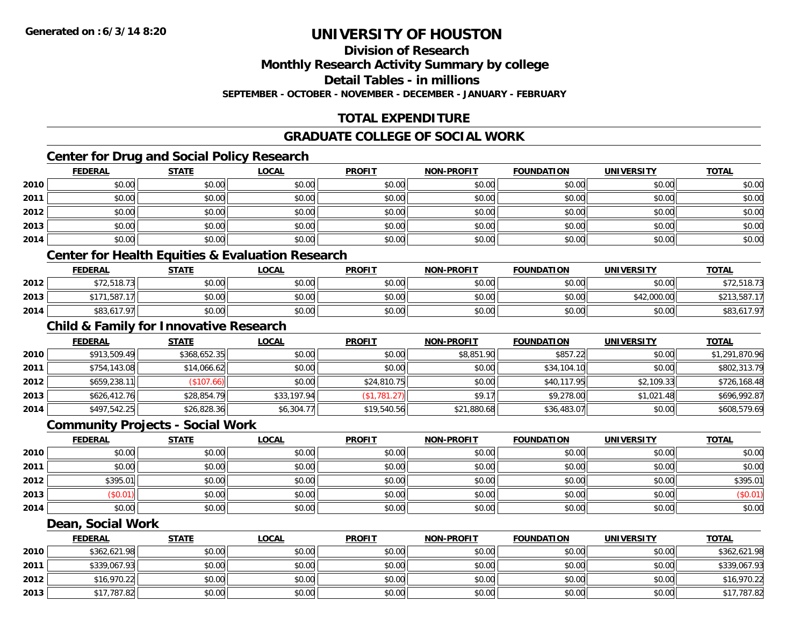## **Division of Research**

### **Monthly Research Activity Summary by college**

**Detail Tables - in millions**

**SEPTEMBER - OCTOBER - NOVEMBER - DECEMBER - JANUARY - FEBRUARY**

## **TOTAL EXPENDITURE**

#### **GRADUATE COLLEGE OF SOCIAL WORK**

## **Center for Drug and Social Policy Research**

|      | <b>FEDERAL</b> | <b>STATE</b> | <u>LOCAL</u> | <b>PROFIT</b> | <b>NON-PROFIT</b> | <b>FOUNDATION</b> | <b>UNIVERSITY</b> | <b>TOTAL</b> |
|------|----------------|--------------|--------------|---------------|-------------------|-------------------|-------------------|--------------|
| 2010 | \$0.00         | \$0.00       | \$0.00       | \$0.00        | \$0.00            | \$0.00            | \$0.00            | \$0.00       |
| 2011 | \$0.00         | \$0.00       | \$0.00       | \$0.00        | \$0.00            | \$0.00            | \$0.00            | \$0.00       |
| 2012 | \$0.00         | \$0.00       | \$0.00       | \$0.00        | \$0.00            | \$0.00            | \$0.00            | \$0.00       |
| 2013 | \$0.00         | \$0.00       | \$0.00       | \$0.00        | \$0.00            | \$0.00            | \$0.00            | \$0.00       |
| 2014 | \$0.00         | \$0.00       | \$0.00       | \$0.00        | \$0.00            | \$0.00            | \$0.00            | \$0.00       |

## **Center for Health Equities & Evaluation Research**

|      | <b>FEDERAL</b>                 | <b>STATE</b> | <b>LOCAL</b> | <b>PROFIT</b> | <b>NON-PROFIT</b> | <b>FOUNDATION</b> | UNIVERSITY  | <b>TOTAL</b> |
|------|--------------------------------|--------------|--------------|---------------|-------------------|-------------------|-------------|--------------|
| 2012 | \$7251972                      | \$0.00       | \$0.00       | \$0.00        | \$0.00            | \$0.00            | \$0.00      |              |
| 2013 | \$171,587.<br>17 <sub>11</sub> | \$0.00       | \$0.00       | \$0.00        | \$0.00            | \$0.00            | \$42,000.00 |              |
| 2014 | 517.97 <sub>1</sub>            | \$0.00       | \$0.00       | \$0.00        | \$0.00            | \$0.00            | \$0.00      | \$83,617.97  |

## **Child & Family for Innovative Research**

|      | <b>FEDERAL</b> | <b>STATE</b> | <b>LOCAL</b> | <b>PROFIT</b> | <b>NON-PROFIT</b> | <b>FOUNDATION</b> | <b>UNIVERSITY</b> | <b>TOTAL</b>   |
|------|----------------|--------------|--------------|---------------|-------------------|-------------------|-------------------|----------------|
| 2010 | \$913,509.49   | \$368,652.35 | \$0.00       | \$0.00        | \$8,851.90        | \$857.22          | \$0.00            | \$1,291,870.96 |
| 2011 | \$754,143.08   | \$14,066.62  | \$0.00       | \$0.00        | \$0.00            | \$34,104.10       | \$0.00            | \$802,313.79   |
| 2012 | \$659,238.11   | (\$107.66)   | \$0.00       | \$24,810.75   | \$0.00            | \$40,117.95       | \$2,109.33        | \$726,168.48   |
| 2013 | \$626,412.76   | \$28,854.79  | \$33,197.94  | (\$1,781.27)  | \$9.17            | \$9,278.00        | \$1,021.48        | \$696,992.87   |
| 2014 | \$497,542.25   | \$26,828.36  | \$6,304.77   | \$19,540.56   | \$21,880.68       | \$36,483.07       | \$0.00            | \$608,579.69   |

#### **Community Projects - Social Work**

|      | <u>FEDERAL</u> | <b>STATE</b> | <u>LOCAL</u> | <b>PROFIT</b> | <b>NON-PROFIT</b> | <b>FOUNDATION</b> | <b>UNIVERSITY</b> | <b>TOTAL</b> |
|------|----------------|--------------|--------------|---------------|-------------------|-------------------|-------------------|--------------|
| 2010 | \$0.00         | \$0.00       | \$0.00       | \$0.00        | \$0.00            | \$0.00            | \$0.00            | \$0.00       |
| 2011 | \$0.00         | \$0.00       | \$0.00       | \$0.00        | \$0.00            | \$0.00            | \$0.00            | \$0.00       |
| 2012 | \$395.01       | \$0.00       | \$0.00       | \$0.00        | \$0.00            | \$0.00            | \$0.00            | \$395.01     |
| 2013 | \$0.01         | \$0.00       | \$0.00       | \$0.00        | \$0.00            | \$0.00            | \$0.00            | (\$0.01)     |
| 2014 | \$0.00         | \$0.00       | \$0.00       | \$0.00        | \$0.00            | \$0.00            | \$0.00            | \$0.00       |

#### **Dean, Social Work**

|      | <b>FEDERAL</b> | <u>STATE</u> | <u>LOCAL</u> | <b>PROFIT</b> | <b>NON-PROFIT</b> | <b>FOUNDATION</b> | <b>UNIVERSITY</b> | <b>TOTAL</b> |
|------|----------------|--------------|--------------|---------------|-------------------|-------------------|-------------------|--------------|
| 2010 | \$362,621.98   | \$0.00       | \$0.00       | \$0.00        | \$0.00            | \$0.00            | \$0.00            | \$362,621.98 |
| 2011 | \$339,067.93   | \$0.00       | \$0.00       | \$0.00        | \$0.00            | \$0.00            | \$0.00            | \$339,067.93 |
| 2012 | \$16,970.22    | \$0.00       | \$0.00       | \$0.00        | \$0.00            | \$0.00            | \$0.00            | \$16,970.22  |
| 2013 | \$17,787.82    | \$0.00       | \$0.00       | \$0.00        | \$0.00            | \$0.00            | \$0.00            | \$17,787.82  |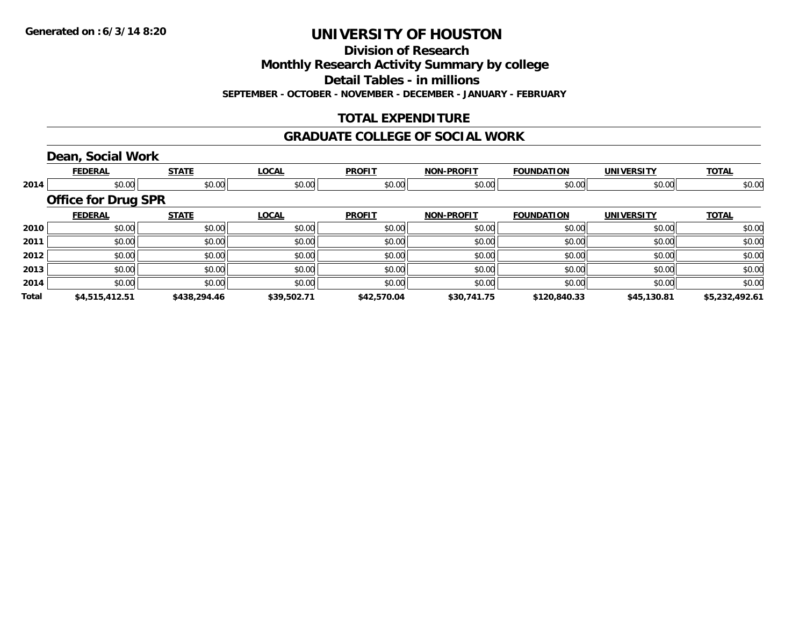**Division of Research**

**Monthly Research Activity Summary by college**

**Detail Tables - in millions**

**SEPTEMBER - OCTOBER - NOVEMBER - DECEMBER - JANUARY - FEBRUARY**

## **TOTAL EXPENDITURE**

#### **GRADUATE COLLEGE OF SOCIAL WORK**

### **Dean, Social Work**

|              | <b>FEDERAL</b>             | <b>STATE</b> | <b>LOCAL</b> | <b>PROFIT</b> | <b>NON-PROFIT</b> | <b>FOUNDATION</b> | <b>UNIVERSITY</b> | <b>TOTAL</b>   |
|--------------|----------------------------|--------------|--------------|---------------|-------------------|-------------------|-------------------|----------------|
| 2014         | \$0.00                     | \$0.00       | \$0.00       | \$0.00        | \$0.00            | \$0.00            | \$0.00            | \$0.00         |
|              | <b>Office for Drug SPR</b> |              |              |               |                   |                   |                   |                |
|              | <b>FEDERAL</b>             | <b>STATE</b> | <b>LOCAL</b> | <b>PROFIT</b> | <b>NON-PROFIT</b> | <b>FOUNDATION</b> | <b>UNIVERSITY</b> | <b>TOTAL</b>   |
| 2010         | \$0.00                     | \$0.00       | \$0.00       | \$0.00        | \$0.00            | \$0.00            | \$0.00            | \$0.00         |
| 2011         | \$0.00                     | \$0.00       | \$0.00       | \$0.00        | \$0.00            | \$0.00            | \$0.00            | \$0.00         |
| 2012         | \$0.00                     | \$0.00       | \$0.00       | \$0.00        | \$0.00            | \$0.00            | \$0.00            | \$0.00         |
| 2013         | \$0.00                     | \$0.00       | \$0.00       | \$0.00        | \$0.00            | \$0.00            | \$0.00            | \$0.00         |
| 2014         | \$0.00                     | \$0.00       | \$0.00       | \$0.00        | \$0.00            | \$0.00            | \$0.00            | \$0.00         |
| <b>Total</b> | \$4,515,412.51             | \$438,294.46 | \$39,502.71  | \$42,570.04   | \$30,741.75       | \$120,840.33      | \$45,130.81       | \$5,232,492.61 |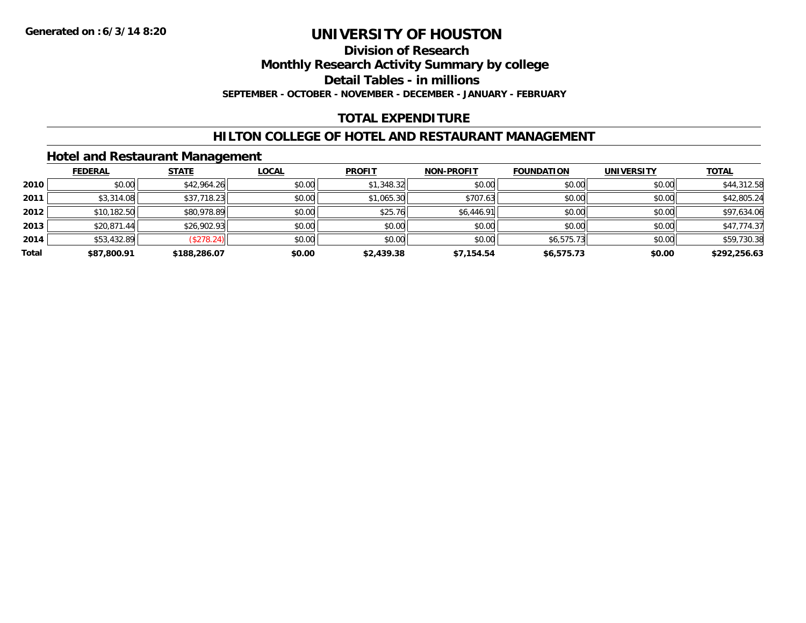#### **Division of Research**

**Monthly Research Activity Summary by college**

**Detail Tables - in millions**

**SEPTEMBER - OCTOBER - NOVEMBER - DECEMBER - JANUARY - FEBRUARY**

### **TOTAL EXPENDITURE**

#### **HILTON COLLEGE OF HOTEL AND RESTAURANT MANAGEMENT**

### **Hotel and Restaurant Management**

|       | <b>FEDERAL</b> | <b>STATE</b> | <u>LOCAL</u> | <b>PROFIT</b> | <b>NON-PROFIT</b> | <b>FOUNDATION</b> | <b>UNIVERSITY</b> | <b>TOTAL</b> |
|-------|----------------|--------------|--------------|---------------|-------------------|-------------------|-------------------|--------------|
| 2010  | \$0.00         | \$42,964.26  | \$0.00       | \$1,348.32    | \$0.00            | \$0.00            | \$0.00            | \$44,312.58  |
| 2011  | \$3,314.08     | \$37,718.23  | \$0.00       | \$1,065.30    | \$707.63          | \$0.00            | \$0.00            | \$42,805.24  |
| 2012  | \$10,182.50    | \$80,978.89  | \$0.00       | \$25.76       | \$6,446.91        | \$0.00            | \$0.00            | \$97,634.06  |
| 2013  | \$20,871.44    | \$26,902.93  | \$0.00       | \$0.00        | \$0.00            | \$0.00            | \$0.00            | \$47,774.37  |
| 2014  | \$53,432.89    | (\$278.24)   | \$0.00       | \$0.00        | \$0.00            | \$6,575.73        | \$0.00            | \$59,730.38  |
| Total | \$87,800.91    | \$188,286.07 | \$0.00       | \$2,439.38    | \$7,154.54        | \$6,575.73        | \$0.00            | \$292,256.63 |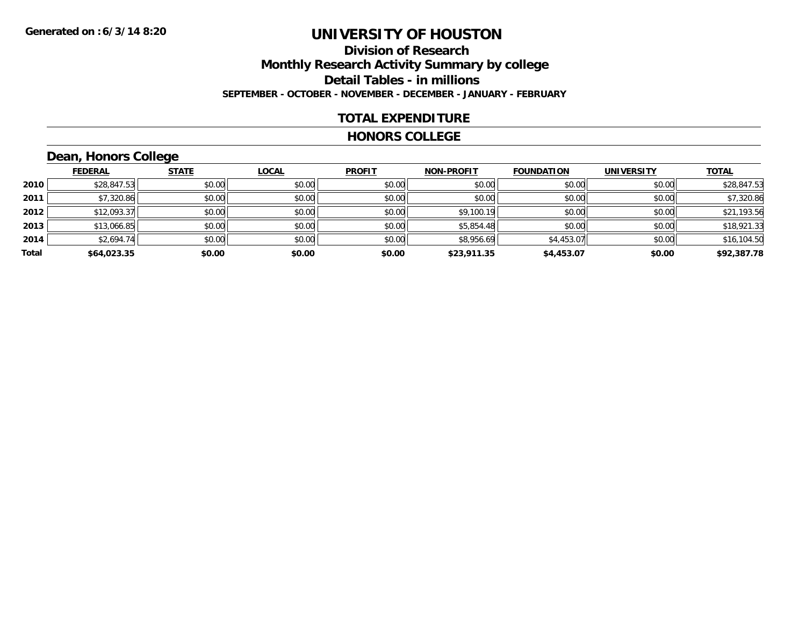## **Division of ResearchMonthly Research Activity Summary by college Detail Tables - in millions SEPTEMBER - OCTOBER - NOVEMBER - DECEMBER - JANUARY - FEBRUARY**

#### **TOTAL EXPENDITURE**

#### **HONORS COLLEGE**

## **Dean, Honors College**

|       |                | $\sim$       |              |               |                   |                   |                   |              |
|-------|----------------|--------------|--------------|---------------|-------------------|-------------------|-------------------|--------------|
|       | <b>FEDERAL</b> | <b>STATE</b> | <b>LOCAL</b> | <b>PROFIT</b> | <b>NON-PROFIT</b> | <b>FOUNDATION</b> | <b>UNIVERSITY</b> | <b>TOTAL</b> |
| 2010  | \$28,847.53    | \$0.00       | \$0.00       | \$0.00        | \$0.00            | \$0.00            | \$0.00            | \$28,847.53  |
| 2011  | \$7,320.86     | \$0.00       | \$0.00       | \$0.00        | \$0.00            | \$0.00            | \$0.00            | \$7,320.86   |
| 2012  | \$12,093.37    | \$0.00       | \$0.00       | \$0.00        | \$9,100.19        | \$0.00            | \$0.00            | \$21,193.56  |
| 2013  | \$13,066.85    | \$0.00       | \$0.00       | \$0.00        | \$5,854.48        | \$0.00            | \$0.00            | \$18,921.33  |
| 2014  | \$2,694.74     | \$0.00       | \$0.00       | \$0.00        | \$8,956.69        | \$4,453.07        | \$0.00            | \$16,104.50  |
| Total | \$64,023.35    | \$0.00       | \$0.00       | \$0.00        | \$23,911.35       | \$4,453.07        | \$0.00            | \$92,387.78  |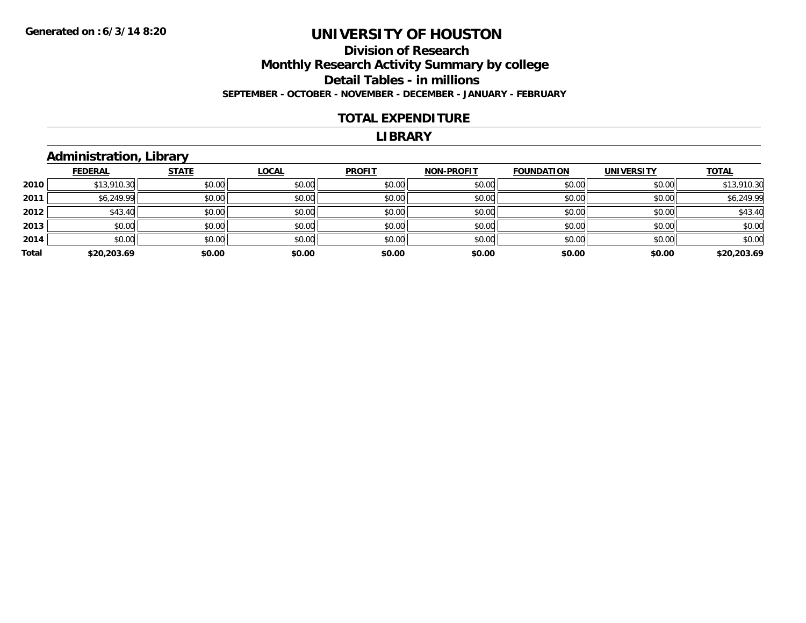### **Division of Research Monthly Research Activity Summary by college Detail Tables - in millions SEPTEMBER - OCTOBER - NOVEMBER - DECEMBER - JANUARY - FEBRUARY**

#### **TOTAL EXPENDITURE**

#### **LIBRARY**

#### **Administration, Library**

|       | <b>FEDERAL</b> | <b>STATE</b> | <b>LOCAL</b> | <b>PROFIT</b> | NON-PROFIT | <b>FOUNDATION</b> | <b>UNIVERSITY</b> | <b>TOTAL</b> |
|-------|----------------|--------------|--------------|---------------|------------|-------------------|-------------------|--------------|
| 2010  | \$13,910.30    | \$0.00       | \$0.00       | \$0.00        | \$0.00     | \$0.00            | \$0.00            | \$13,910.30  |
| 2011  | \$6,249.99     | \$0.00       | \$0.00       | \$0.00        | \$0.00     | \$0.00            | \$0.00            | \$6,249.99   |
| 2012  | \$43.40        | \$0.00       | \$0.00       | \$0.00        | \$0.00     | \$0.00            | \$0.00            | \$43.40      |
| 2013  | \$0.00         | \$0.00       | \$0.00       | \$0.00        | \$0.00     | \$0.00            | \$0.00            | \$0.00       |
| 2014  | \$0.00         | \$0.00       | \$0.00       | \$0.00        | \$0.00     | \$0.00            | \$0.00            | \$0.00       |
| Total | \$20,203.69    | \$0.00       | \$0.00       | \$0.00        | \$0.00     | \$0.00            | \$0.00            | \$20,203.69  |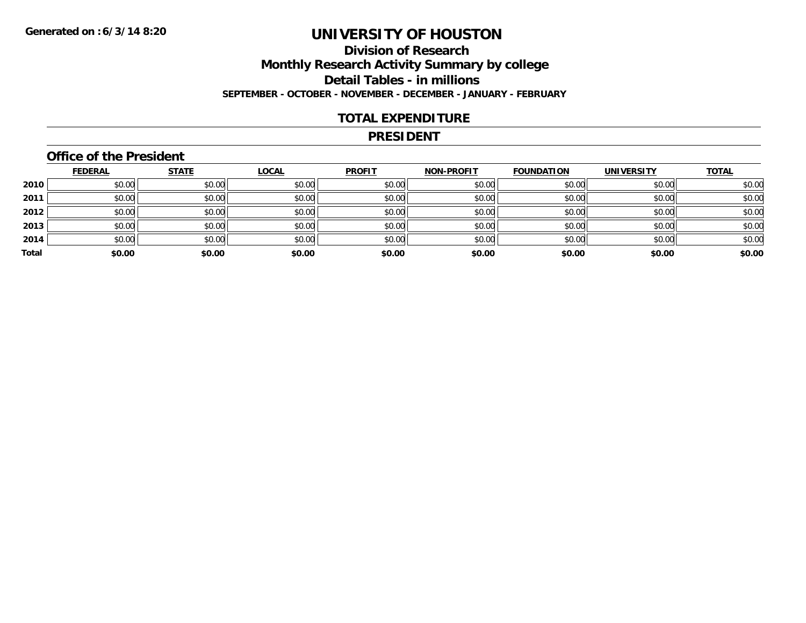## **Division of ResearchMonthly Research Activity Summary by college Detail Tables - in millions SEPTEMBER - OCTOBER - NOVEMBER - DECEMBER - JANUARY - FEBRUARY**

#### **TOTAL EXPENDITURE**

#### **PRESIDENT**

### **Office of the President**

|       | <b>FEDERAL</b> | <b>STATE</b> | <b>LOCAL</b> | <b>PROFIT</b> | <b>NON-PROFIT</b> | <b>FOUNDATION</b> | <b>UNIVERSITY</b> | <b>TOTAL</b> |
|-------|----------------|--------------|--------------|---------------|-------------------|-------------------|-------------------|--------------|
| 2010  | \$0.00         | \$0.00       | \$0.00       | \$0.00        | \$0.00            | \$0.00            | \$0.00            | \$0.00       |
| 2011  | \$0.00         | \$0.00       | \$0.00       | \$0.00        | \$0.00            | \$0.00            | \$0.00            | \$0.00       |
| 2012  | \$0.00         | \$0.00       | \$0.00       | \$0.00        | \$0.00            | \$0.00            | \$0.00            | \$0.00       |
| 2013  | \$0.00         | \$0.00       | \$0.00       | \$0.00        | \$0.00            | \$0.00            | \$0.00            | \$0.00       |
| 2014  | \$0.00         | \$0.00       | \$0.00       | \$0.00        | \$0.00            | \$0.00            | \$0.00            | \$0.00       |
| Total | \$0.00         | \$0.00       | \$0.00       | \$0.00        | \$0.00            | \$0.00            | \$0.00            | \$0.00       |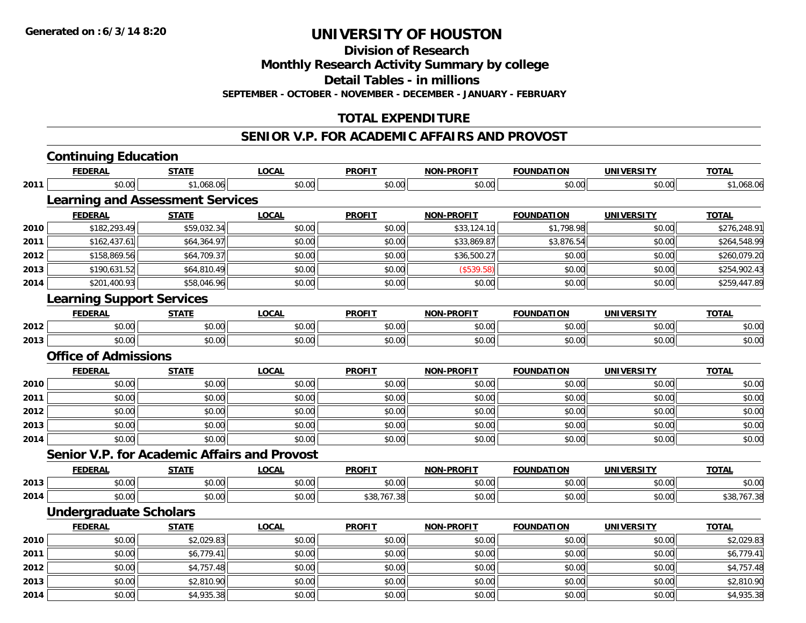**2014**

# **UNIVERSITY OF HOUSTON**

**Division of Research**

**Monthly Research Activity Summary by college**

**Detail Tables - in millions**

**SEPTEMBER - OCTOBER - NOVEMBER - DECEMBER - JANUARY - FEBRUARY**

## **TOTAL EXPENDITURE**

### **SENIOR V.P. FOR ACADEMIC AFFAIRS AND PROVOST**

|      | <b>Continuing Education</b>                         |              |              |               |                   |                   |                   |              |
|------|-----------------------------------------------------|--------------|--------------|---------------|-------------------|-------------------|-------------------|--------------|
|      | <b>FEDERAL</b>                                      | <b>STATE</b> | <b>LOCAL</b> | <b>PROFIT</b> | <b>NON-PROFIT</b> | <b>FOUNDATION</b> | <b>UNIVERSITY</b> | <b>TOTAL</b> |
| 2011 | \$0.00                                              | \$1,068.06   | \$0.00       | \$0.00        | \$0.00            | \$0.00            | \$0.00            | \$1,068.06   |
|      | <b>Learning and Assessment Services</b>             |              |              |               |                   |                   |                   |              |
|      | <b>FEDERAL</b>                                      | <b>STATE</b> | <b>LOCAL</b> | <b>PROFIT</b> | <b>NON-PROFIT</b> | <b>FOUNDATION</b> | <b>UNIVERSITY</b> | <b>TOTAL</b> |
| 2010 | \$182,293.49                                        | \$59,032.34  | \$0.00       | \$0.00        | \$33,124.10       | \$1,798.98        | \$0.00            | \$276,248.91 |
| 2011 | \$162,437.61                                        | \$64,364.97  | \$0.00       | \$0.00        | \$33,869.87       | \$3,876.54        | \$0.00            | \$264,548.99 |
| 2012 | \$158,869.56                                        | \$64,709.37  | \$0.00       | \$0.00        | \$36,500.27       | \$0.00            | \$0.00            | \$260,079.20 |
| 2013 | \$190,631.52                                        | \$64,810.49  | \$0.00       | \$0.00        | (\$539.58)        | \$0.00            | \$0.00            | \$254,902.43 |
| 2014 | \$201,400.93                                        | \$58,046.96  | \$0.00       | \$0.00        | \$0.00            | \$0.00            | \$0.00            | \$259,447.89 |
|      | <b>Learning Support Services</b>                    |              |              |               |                   |                   |                   |              |
|      | <b>FEDERAL</b>                                      | <b>STATE</b> | <b>LOCAL</b> | <b>PROFIT</b> | <b>NON-PROFIT</b> | <b>FOUNDATION</b> | <b>UNIVERSITY</b> | <b>TOTAL</b> |
| 2012 | \$0.00                                              | \$0.00       | \$0.00       | \$0.00        | \$0.00            | \$0.00            | \$0.00            | \$0.00       |
| 2013 | \$0.00                                              | \$0.00       | \$0.00       | \$0.00        | \$0.00            | \$0.00            | \$0.00            | \$0.00       |
|      | <b>Office of Admissions</b>                         |              |              |               |                   |                   |                   |              |
|      | <b>FEDERAL</b>                                      | <b>STATE</b> | <b>LOCAL</b> | <b>PROFIT</b> | <b>NON-PROFIT</b> | <b>FOUNDATION</b> | <b>UNIVERSITY</b> | <b>TOTAL</b> |
| 2010 | \$0.00                                              | \$0.00       | \$0.00       | \$0.00        | \$0.00            | \$0.00            | \$0.00            | \$0.00       |
| 2011 | \$0.00                                              | \$0.00       | \$0.00       | \$0.00        | \$0.00            | \$0.00            | \$0.00            | \$0.00       |
| 2012 | \$0.00                                              | \$0.00       | \$0.00       | \$0.00        | \$0.00            | \$0.00            | \$0.00            | \$0.00       |
| 2013 | \$0.00                                              | \$0.00       | \$0.00       | \$0.00        | \$0.00            | \$0.00            | \$0.00            | \$0.00       |
| 2014 | \$0.00                                              | \$0.00       | \$0.00       | \$0.00        | \$0.00            | \$0.00            | \$0.00            | \$0.00       |
|      | <b>Senior V.P. for Academic Affairs and Provost</b> |              |              |               |                   |                   |                   |              |
|      | <b>FEDERAL</b>                                      | <b>STATE</b> | <b>LOCAL</b> | <b>PROFIT</b> | <b>NON-PROFIT</b> | <b>FOUNDATION</b> | <b>UNIVERSITY</b> | <b>TOTAL</b> |
| 2013 | \$0.00                                              | \$0.00       | \$0.00       | \$0.00        | \$0.00            | \$0.00            | \$0.00            | \$0.00       |
| 2014 | \$0.00                                              | \$0.00       | \$0.00       | \$38,767.38   | \$0.00            | \$0.00            | \$0.00            | \$38,767.38  |
|      | <b>Undergraduate Scholars</b>                       |              |              |               |                   |                   |                   |              |
|      | <b>FEDERAL</b>                                      | <b>STATE</b> | <b>LOCAL</b> | <b>PROFIT</b> | <b>NON-PROFIT</b> | <b>FOUNDATION</b> | <b>UNIVERSITY</b> | <b>TOTAL</b> |
| 2010 | \$0.00                                              | \$2,029.83   | \$0.00       | \$0.00        | \$0.00            | \$0.00            | \$0.00            | \$2,029.83   |
| 2011 | \$0.00                                              | \$6,779.41   | \$0.00       | \$0.00        | \$0.00            | \$0.00            | \$0.00            | \$6,779.41   |
| 2012 | \$0.00                                              | \$4,757.48   | \$0.00       | \$0.00        | \$0.00            | \$0.00            | \$0.00            | \$4,757.48   |
| 2013 | \$0.00                                              | \$2,810.90   | \$0.00       | \$0.00        | \$0.00            | \$0.00            | \$0.00            | \$2,810.90   |

4 \$0.00 \$0.00 \$4,935.38 \$0.00 \$0.00 \$0.00 \$0.00 \$0.00 \$0.00 \$0.00 \$0.00 \$0.00 \$0.00 \$4,935.38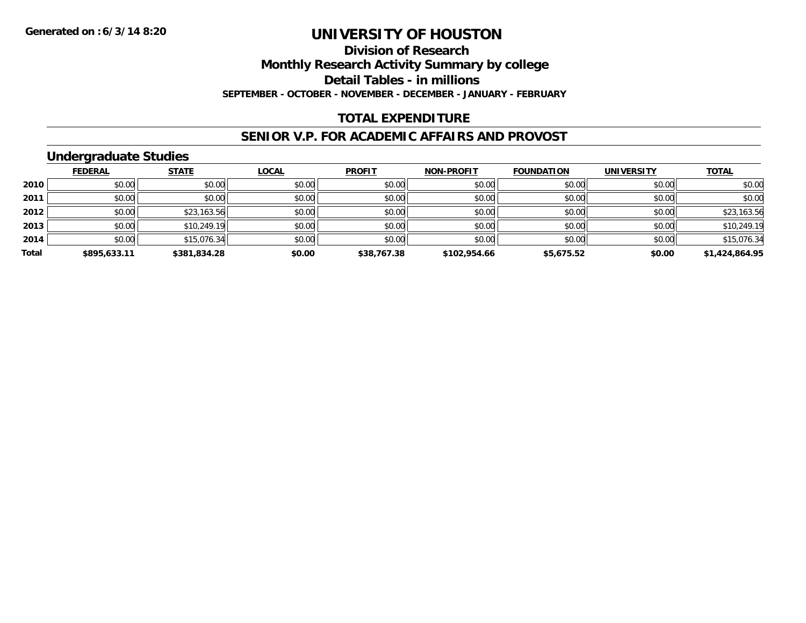## **Division of Research**

**Monthly Research Activity Summary by college**

**Detail Tables - in millions**

**SEPTEMBER - OCTOBER - NOVEMBER - DECEMBER - JANUARY - FEBRUARY**

### **TOTAL EXPENDITURE**

#### **SENIOR V.P. FOR ACADEMIC AFFAIRS AND PROVOST**

### **Undergraduate Studies**

|       | <b>FEDERAL</b> | <b>STATE</b> | <u>LOCAL</u> | <b>PROFIT</b> | <b>NON-PROFIT</b> | <b>FOUNDATION</b> | <b>UNIVERSITY</b> | <b>TOTAL</b>   |
|-------|----------------|--------------|--------------|---------------|-------------------|-------------------|-------------------|----------------|
| 2010  | \$0.00         | \$0.00       | \$0.00       | \$0.00        | \$0.00            | \$0.00            | \$0.00            | \$0.00         |
| 2011  | \$0.00         | \$0.00       | \$0.00       | \$0.00        | \$0.00            | \$0.00            | \$0.00            | \$0.00         |
| 2012  | \$0.00         | \$23,163.56  | \$0.00       | \$0.00        | \$0.00            | \$0.00            | \$0.00            | \$23,163.56    |
| 2013  | \$0.00         | \$10,249.19  | \$0.00       | \$0.00        | \$0.00            | \$0.00            | \$0.00            | \$10,249.19    |
| 2014  | \$0.00         | \$15,076.34  | \$0.00       | \$0.00        | \$0.00            | \$0.00            | \$0.00            | \$15,076.34    |
| Total | \$895,633.11   | \$381,834.28 | \$0.00       | \$38,767.38   | \$102,954.66      | \$5,675.52        | \$0.00            | \$1,424,864.95 |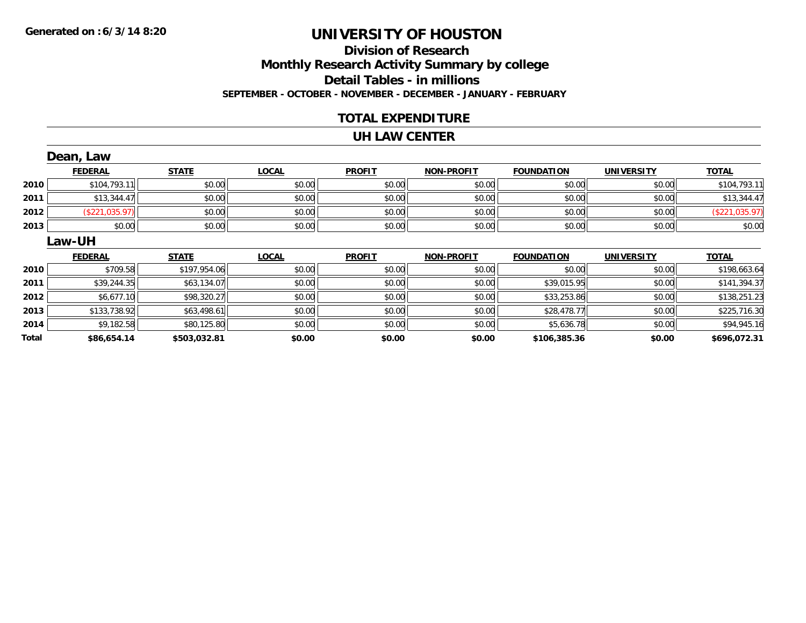## **Division of ResearchMonthly Research Activity Summary by college Detail Tables - in millions SEPTEMBER - OCTOBER - NOVEMBER - DECEMBER - JANUARY - FEBRUARY**

### **TOTAL EXPENDITURE**

#### **UH LAW CENTER**

|       | Dean, Law      |              |              |               |                   |                   |                   |                |
|-------|----------------|--------------|--------------|---------------|-------------------|-------------------|-------------------|----------------|
|       | <b>FEDERAL</b> | <b>STATE</b> | <b>LOCAL</b> | <b>PROFIT</b> | <b>NON-PROFIT</b> | <b>FOUNDATION</b> | <b>UNIVERSITY</b> | <b>TOTAL</b>   |
| 2010  | \$104,793.11   | \$0.00       | \$0.00       | \$0.00        | \$0.00            | \$0.00            | \$0.00            | \$104,793.11   |
| 2011  | \$13,344.47    | \$0.00       | \$0.00       | \$0.00        | \$0.00            | \$0.00            | \$0.00            | \$13,344.47    |
| 2012  | (\$221,035.97) | \$0.00       | \$0.00       | \$0.00        | \$0.00            | \$0.00            | \$0.00            | (\$221,035.97) |
| 2013  | \$0.00         | \$0.00       | \$0.00       | \$0.00        | \$0.00            | \$0.00            | \$0.00            | \$0.00         |
|       | <b>Law-UH</b>  |              |              |               |                   |                   |                   |                |
|       | <b>FEDERAL</b> | <b>STATE</b> | <b>LOCAL</b> | <b>PROFIT</b> | <b>NON-PROFIT</b> | <b>FOUNDATION</b> | <b>UNIVERSITY</b> | <b>TOTAL</b>   |
| 2010  | \$709.58       | \$197,954.06 | \$0.00       | \$0.00        | \$0.00            | \$0.00            | \$0.00            | \$198,663.64   |
| 2011  | \$39,244.35    | \$63,134.07  | \$0.00       | \$0.00        | \$0.00            | \$39,015.95       | \$0.00            | \$141,394.37   |
| 2012  | \$6,677.10     | \$98,320.27  | \$0.00       | \$0.00        | \$0.00            | \$33,253.86       | \$0.00            | \$138,251.23   |
| 2013  | \$133,738.92   | \$63,498.61  | \$0.00       | \$0.00        | \$0.00            | \$28,478.77       | \$0.00            | \$225,716.30   |
| 2014  | \$9,182.58     | \$80,125.80  | \$0.00       | \$0.00        | \$0.00            | \$5,636.78        | \$0.00            | \$94,945.16    |
| Total | \$86,654.14    | \$503,032.81 | \$0.00       | \$0.00        | \$0.00            | \$106,385.36      | \$0.00            | \$696,072.31   |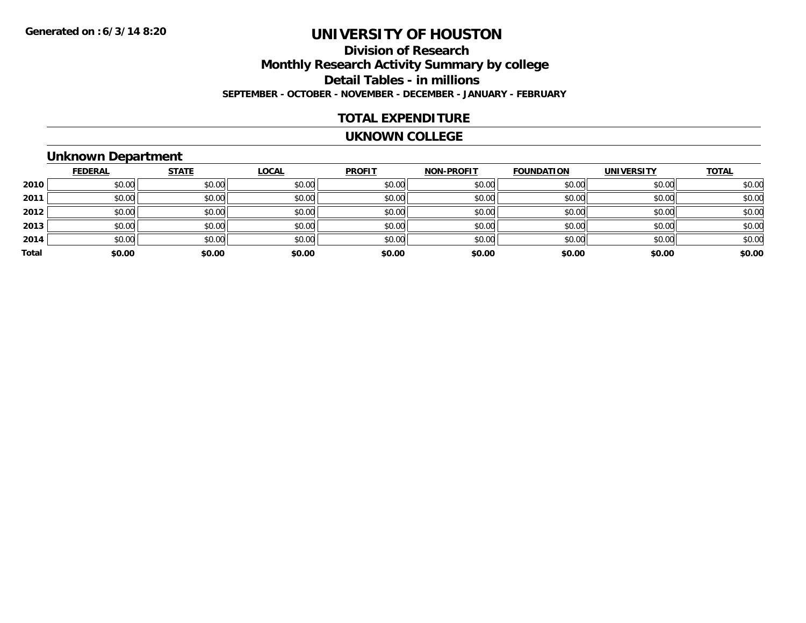## **Division of ResearchMonthly Research Activity Summary by college Detail Tables - in millions SEPTEMBER - OCTOBER - NOVEMBER - DECEMBER - JANUARY - FEBRUARY**

#### **TOTAL EXPENDITURE**

#### **UKNOWN COLLEGE**

#### **Unknown Department**

|       | <b>FEDERAL</b> | <b>STATE</b> | <b>LOCAL</b> | <b>PROFIT</b> | <b>NON-PROFIT</b> | <b>FOUNDATION</b> | <b>UNIVERSITY</b> | <b>TOTAL</b> |
|-------|----------------|--------------|--------------|---------------|-------------------|-------------------|-------------------|--------------|
| 2010  | \$0.00         | \$0.00       | \$0.00       | \$0.00        | \$0.00            | \$0.00            | \$0.00            | \$0.00       |
| 2011  | \$0.00         | \$0.00       | \$0.00       | \$0.00        | \$0.00            | \$0.00            | \$0.00            | \$0.00       |
| 2012  | \$0.00         | \$0.00       | \$0.00       | \$0.00        | \$0.00            | \$0.00            | \$0.00            | \$0.00       |
| 2013  | \$0.00         | \$0.00       | \$0.00       | \$0.00        | \$0.00            | \$0.00            | \$0.00            | \$0.00       |
| 2014  | \$0.00         | \$0.00       | \$0.00       | \$0.00        | \$0.00            | \$0.00            | \$0.00            | \$0.00       |
| Total | \$0.00         | \$0.00       | \$0.00       | \$0.00        | \$0.00            | \$0.00            | \$0.00            | \$0.00       |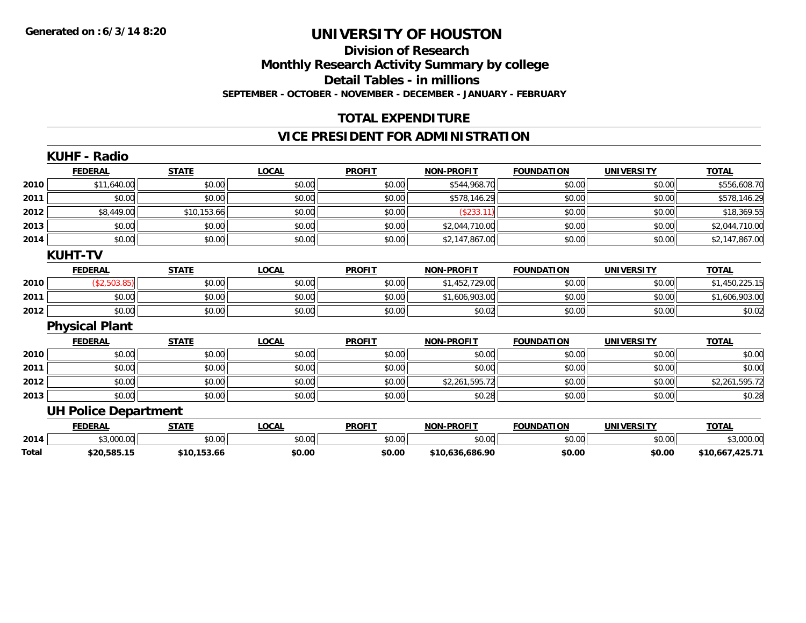### **Division of ResearchMonthly Research Activity Summary by college Detail Tables - in millions SEPTEMBER - OCTOBER - NOVEMBER - DECEMBER - JANUARY - FEBRUARY**

### **TOTAL EXPENDITURE**

### **VICE PRESIDENT FOR ADMINISTRATION**

|              | <b>KUHF - Radio</b>         |              |              |               |                   |                   |                   |                 |
|--------------|-----------------------------|--------------|--------------|---------------|-------------------|-------------------|-------------------|-----------------|
|              | <b>FEDERAL</b>              | <b>STATE</b> | <b>LOCAL</b> | <b>PROFIT</b> | <b>NON-PROFIT</b> | <b>FOUNDATION</b> | <b>UNIVERSITY</b> | <b>TOTAL</b>    |
| 2010         | \$11,640.00                 | \$0.00       | \$0.00       | \$0.00        | \$544,968.70      | \$0.00            | \$0.00            | \$556,608.70    |
| 2011         | \$0.00                      | \$0.00       | \$0.00       | \$0.00        | \$578,146.29      | \$0.00            | \$0.00            | \$578,146.29    |
| 2012         | \$8,449.00                  | \$10,153.66  | \$0.00       | \$0.00        | (\$233.11)        | \$0.00            | \$0.00            | \$18,369.55     |
| 2013         | \$0.00                      | \$0.00       | \$0.00       | \$0.00        | \$2,044,710.00    | \$0.00            | \$0.00            | \$2,044,710.00  |
| 2014         | \$0.00                      | \$0.00       | \$0.00       | \$0.00        | \$2,147,867.00    | \$0.00            | \$0.00            | \$2,147,867.00  |
|              | <b>KUHT-TV</b>              |              |              |               |                   |                   |                   |                 |
|              | <b>FEDERAL</b>              | <b>STATE</b> | <b>LOCAL</b> | <b>PROFIT</b> | <b>NON-PROFIT</b> | <b>FOUNDATION</b> | <b>UNIVERSITY</b> | <b>TOTAL</b>    |
| 2010         | (\$2,503.85)                | \$0.00       | \$0.00       | \$0.00        | \$1,452,729.00    | \$0.00            | \$0.00            | \$1,450,225.15  |
| 2011         | \$0.00                      | \$0.00       | \$0.00       | \$0.00        | \$1,606,903.00    | \$0.00            | \$0.00            | \$1,606,903.00  |
| 2012         | \$0.00                      | \$0.00       | \$0.00       | \$0.00        | \$0.02            | \$0.00            | \$0.00            | \$0.02          |
|              | <b>Physical Plant</b>       |              |              |               |                   |                   |                   |                 |
|              | <b>FEDERAL</b>              | <b>STATE</b> | <b>LOCAL</b> | <b>PROFIT</b> | <b>NON-PROFIT</b> | <b>FOUNDATION</b> | <b>UNIVERSITY</b> | <b>TOTAL</b>    |
| 2010         | \$0.00                      | \$0.00       | \$0.00       | \$0.00        | \$0.00            | \$0.00            | \$0.00            | \$0.00          |
| 2011         | \$0.00                      | \$0.00       | \$0.00       | \$0.00        | \$0.00            | \$0.00            | \$0.00            | \$0.00          |
| 2012         | \$0.00                      | \$0.00       | \$0.00       | \$0.00        | \$2,261,595.72    | \$0.00            | \$0.00            | \$2,261,595.72  |
| 2013         | \$0.00                      | \$0.00       | \$0.00       | \$0.00        | \$0.28            | \$0.00            | \$0.00            | \$0.28          |
|              | <b>UH Police Department</b> |              |              |               |                   |                   |                   |                 |
|              | <b>FEDERAL</b>              | <b>STATE</b> | <b>LOCAL</b> | <b>PROFIT</b> | <b>NON-PROFIT</b> | <b>FOUNDATION</b> | <b>UNIVERSITY</b> | <b>TOTAL</b>    |
| 2014         | \$3,000.00                  | \$0.00       | \$0.00       | \$0.00        | \$0.00            | \$0.00            | \$0.00            | \$3,000.00      |
| <b>Total</b> | \$20,585.15                 | \$10,153.66  | \$0.00       | \$0.00        | \$10.636.686.90   | \$0.00            | \$0.00            | \$10.667.425.71 |

**\$20,585.15 \$10,153.66 \$0.00 \$0.00 \$10,636,686.90 \$0.00 \$0.00 \$10,667,425.71**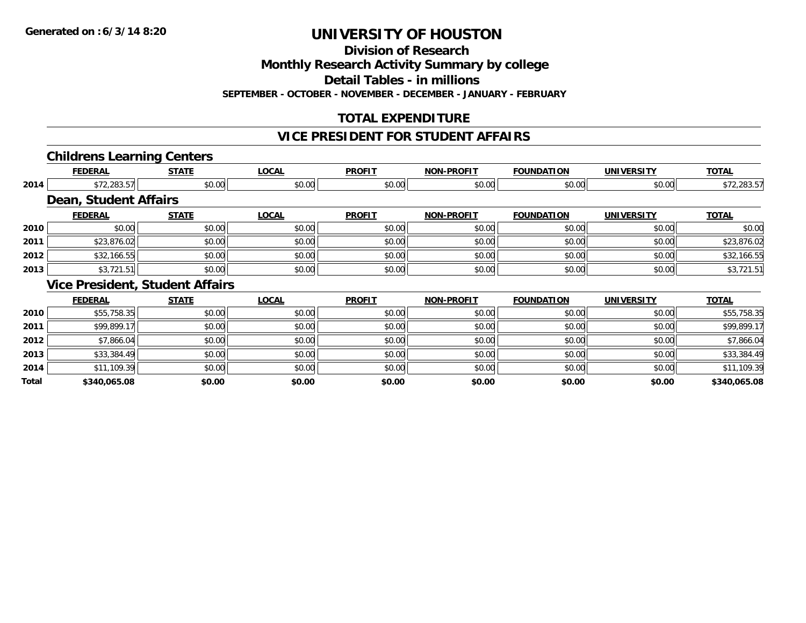**Division of Research**

**Monthly Research Activity Summary by college**

**Detail Tables - in millions**

**SEPTEMBER - OCTOBER - NOVEMBER - DECEMBER - JANUARY - FEBRUARY**

## **TOTAL EXPENDITURE**

### **VICE PRESIDENT FOR STUDENT AFFAIRS**

### **Childrens Learning Centers**

|       | <b>FEDERAL</b>               | <b>STATE</b>                           | <b>LOCAL</b> | <b>PROFIT</b> | <b>NON-PROFIT</b> | <b>FOUNDATION</b> | <b>UNIVERSITY</b> | <b>TOTAL</b> |
|-------|------------------------------|----------------------------------------|--------------|---------------|-------------------|-------------------|-------------------|--------------|
| 2014  | \$72,283.57                  | \$0.00                                 | \$0.00       | \$0.00        | \$0.00            | \$0.00            | \$0.00            | \$72,283.57  |
|       | <b>Dean, Student Affairs</b> |                                        |              |               |                   |                   |                   |              |
|       | <b>FEDERAL</b>               | <b>STATE</b>                           | <b>LOCAL</b> | <b>PROFIT</b> | <b>NON-PROFIT</b> | <b>FOUNDATION</b> | <b>UNIVERSITY</b> | <b>TOTAL</b> |
| 2010  | \$0.00                       | \$0.00                                 | \$0.00       | \$0.00        | \$0.00            | \$0.00            | \$0.00            | \$0.00       |
| 2011  | \$23,876.02                  | \$0.00                                 | \$0.00       | \$0.00        | \$0.00            | \$0.00            | \$0.00            | \$23,876.02  |
| 2012  | \$32,166.55                  | \$0.00                                 | \$0.00       | \$0.00        | \$0.00            | \$0.00            | \$0.00            | \$32,166.55  |
| 2013  | \$3,721.51                   | \$0.00                                 | \$0.00       | \$0.00        | \$0.00            | \$0.00            | \$0.00            | \$3,721.51   |
|       |                              | <b>Vice President, Student Affairs</b> |              |               |                   |                   |                   |              |
|       | <b>FEDERAL</b>               | <b>STATE</b>                           | <b>LOCAL</b> | <b>PROFIT</b> | <b>NON-PROFIT</b> | <b>FOUNDATION</b> | <b>UNIVERSITY</b> | <b>TOTAL</b> |
| 2010  | \$55,758.35                  | \$0.00                                 | \$0.00       | \$0.00        | \$0.00            | \$0.00            | \$0.00            | \$55,758.35  |
| 2011  | \$99,899.17                  | \$0.00                                 | \$0.00       | \$0.00        | \$0.00            | \$0.00            | \$0.00            | \$99,899.17  |
| 2012  | \$7,866.04                   | \$0.00                                 | \$0.00       | \$0.00        | \$0.00            | \$0.00            | \$0.00            | \$7,866.04   |
| 2013  | \$33,384.49                  | \$0.00                                 | \$0.00       | \$0.00        | \$0.00            | \$0.00            | \$0.00            | \$33,384.49  |
| 2014  | \$11,109.39                  | \$0.00                                 | \$0.00       | \$0.00        | \$0.00            | \$0.00            | \$0.00            | \$11,109.39  |
| Total | \$340,065.08                 | \$0.00                                 | \$0.00       | \$0.00        | \$0.00            | \$0.00            | \$0.00            | \$340,065.08 |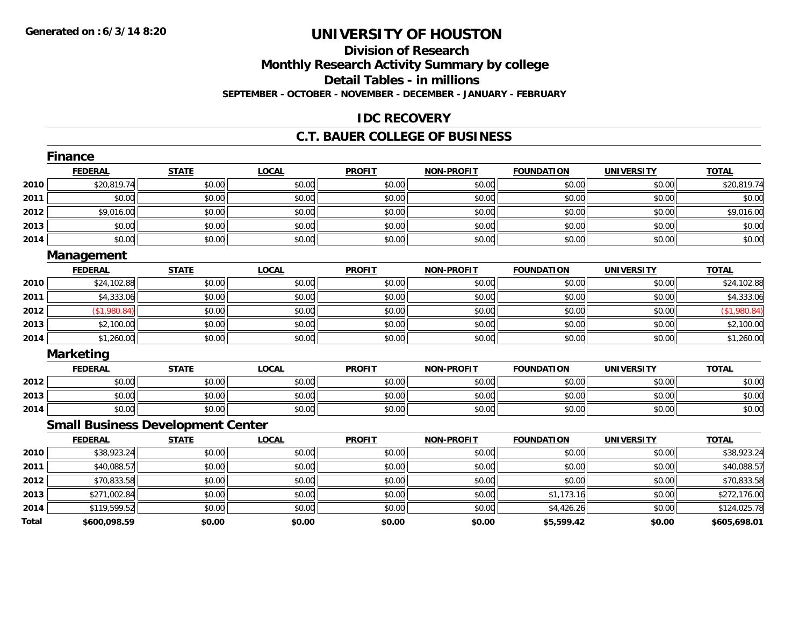# **Division of Research**

**Monthly Research Activity Summary by college**

**Detail Tables - in millions**

**SEPTEMBER - OCTOBER - NOVEMBER - DECEMBER - JANUARY - FEBRUARY**

### **IDC RECOVERY**

#### **C.T. BAUER COLLEGE OF BUSINESS**

|              | <b>Finance</b>                           |              |              |               |                   |                   |                   |              |
|--------------|------------------------------------------|--------------|--------------|---------------|-------------------|-------------------|-------------------|--------------|
|              | <b>FEDERAL</b>                           | <b>STATE</b> | <b>LOCAL</b> | <b>PROFIT</b> | <b>NON-PROFIT</b> | <b>FOUNDATION</b> | <b>UNIVERSITY</b> | <b>TOTAL</b> |
| 2010         | \$20,819.74                              | \$0.00       | \$0.00       | \$0.00        | \$0.00            | \$0.00            | \$0.00            | \$20,819.74  |
| 2011         | \$0.00                                   | \$0.00       | \$0.00       | \$0.00        | \$0.00            | \$0.00            | \$0.00            | \$0.00       |
| 2012         | \$9,016.00                               | \$0.00       | \$0.00       | \$0.00        | \$0.00            | \$0.00            | \$0.00            | \$9,016.00   |
| 2013         | \$0.00                                   | \$0.00       | \$0.00       | \$0.00        | \$0.00            | \$0.00            | \$0.00            | \$0.00       |
| 2014         | \$0.00                                   | \$0.00       | \$0.00       | \$0.00        | \$0.00            | \$0.00            | \$0.00            | \$0.00       |
|              | Management                               |              |              |               |                   |                   |                   |              |
|              | <b>FEDERAL</b>                           | <b>STATE</b> | <b>LOCAL</b> | <b>PROFIT</b> | <b>NON-PROFIT</b> | <b>FOUNDATION</b> | <b>UNIVERSITY</b> | <b>TOTAL</b> |
| 2010         | \$24,102.88                              | \$0.00       | \$0.00       | \$0.00        | \$0.00            | \$0.00            | \$0.00            | \$24,102.88  |
| 2011         | \$4,333.06                               | \$0.00       | \$0.00       | \$0.00        | \$0.00            | \$0.00            | \$0.00            | \$4,333.06   |
| 2012         | (\$1,980.84)                             | \$0.00       | \$0.00       | \$0.00        | \$0.00            | \$0.00            | \$0.00            | (\$1,980.84) |
| 2013         | \$2,100.00                               | \$0.00       | \$0.00       | \$0.00        | \$0.00            | \$0.00            | \$0.00            | \$2,100.00   |
| 2014         | \$1,260.00                               | \$0.00       | \$0.00       | \$0.00        | \$0.00            | \$0.00            | \$0.00            | \$1,260.00   |
|              | <b>Marketing</b>                         |              |              |               |                   |                   |                   |              |
|              | <b>FEDERAL</b>                           | <b>STATE</b> | <b>LOCAL</b> | <b>PROFIT</b> | <b>NON-PROFIT</b> | <b>FOUNDATION</b> | <b>UNIVERSITY</b> | <b>TOTAL</b> |
| 2012         | \$0.00                                   | \$0.00       | \$0.00       | \$0.00        | \$0.00            | \$0.00            | \$0.00            | \$0.00       |
| 2013         | \$0.00                                   | \$0.00       | \$0.00       | \$0.00        | \$0.00            | \$0.00            | \$0.00            | \$0.00       |
| 2014         | \$0.00                                   | \$0.00       | \$0.00       | \$0.00        | \$0.00            | \$0.00            | \$0.00            | \$0.00       |
|              | <b>Small Business Development Center</b> |              |              |               |                   |                   |                   |              |
|              | <b>FEDERAL</b>                           | <b>STATE</b> | <b>LOCAL</b> | <b>PROFIT</b> | <b>NON-PROFIT</b> | <b>FOUNDATION</b> | <b>UNIVERSITY</b> | <b>TOTAL</b> |
| 2010         | \$38,923.24                              | \$0.00       | \$0.00       | \$0.00        | \$0.00            | \$0.00            | \$0.00            | \$38,923.24  |
| 2011         | \$40,088.57                              | \$0.00       | \$0.00       | \$0.00        | \$0.00            | \$0.00            | \$0.00            | \$40,088.57  |
| 2012         | \$70,833.58                              | \$0.00       | \$0.00       | \$0.00        | \$0.00            | \$0.00            | \$0.00            | \$70,833.58  |
| 2013         | \$271,002.84                             | \$0.00       | \$0.00       | \$0.00        | \$0.00            | \$1,173.16        | \$0.00            | \$272,176.00 |
| 2014         | \$119,599.52                             | \$0.00       | \$0.00       | \$0.00        | \$0.00            | \$4,426.26        | \$0.00            | \$124,025.78 |
| <b>Total</b> | \$600,098.59                             | \$0.00       | \$0.00       | \$0.00        | \$0.00            | \$5,599.42        | \$0.00            | \$605,698.01 |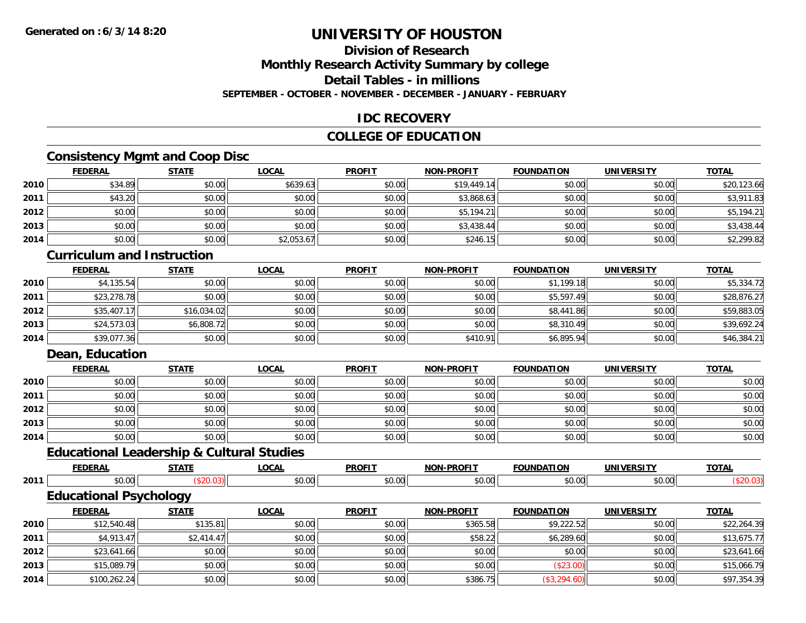## **Division of Research**

**Monthly Research Activity Summary by college**

**Detail Tables - in millions**

**SEPTEMBER - OCTOBER - NOVEMBER - DECEMBER - JANUARY - FEBRUARY**

### **IDC RECOVERY**

### **COLLEGE OF EDUCATION**

## **Consistency Mgmt and Coop Disc**

|      | <b>FEDERAL</b> | <b>STATE</b> | <u>LOCAL</u> | <b>PROFIT</b> | <b>NON-PROFIT</b> | <b>FOUNDATION</b> | <b>UNIVERSITY</b> | <b>TOTAL</b> |
|------|----------------|--------------|--------------|---------------|-------------------|-------------------|-------------------|--------------|
| 2010 | \$34.89        | \$0.00       | \$639.63     | \$0.00        | \$19,449.14       | \$0.00            | \$0.00            | \$20,123.66  |
| 2011 | \$43.20        | \$0.00       | \$0.00       | \$0.00        | \$3,868.63        | \$0.00            | \$0.00            | \$3,911.83   |
| 2012 | \$0.00         | \$0.00       | \$0.00       | \$0.00        | \$5,194.21        | \$0.00            | \$0.00            | \$5,194.21   |
| 2013 | \$0.00         | \$0.00       | \$0.00       | \$0.00        | \$3,438.44        | \$0.00            | \$0.00            | \$3,438.44   |
| 2014 | \$0.00         | \$0.00       | \$2,053.67   | \$0.00        | \$246.15          | \$0.00            | \$0.00            | \$2,299.82   |

#### **Curriculum and Instruction**

|      | <b>FEDERAL</b> | <u>STATE</u> | <u>LOCAL</u> | <b>PROFIT</b> | <b>NON-PROFIT</b> | <b>FOUNDATION</b> | <b>UNIVERSITY</b> | <b>TOTAL</b> |
|------|----------------|--------------|--------------|---------------|-------------------|-------------------|-------------------|--------------|
| 2010 | \$4,135.54     | \$0.00       | \$0.00       | \$0.00        | \$0.00            | \$1,199.18        | \$0.00            | \$5,334.72   |
| 2011 | \$23,278.78    | \$0.00       | \$0.00       | \$0.00        | \$0.00            | \$5,597.49        | \$0.00            | \$28,876.27  |
| 2012 | \$35,407.17    | \$16,034.02  | \$0.00       | \$0.00        | \$0.00            | \$8,441.86        | \$0.00            | \$59,883.05  |
| 2013 | \$24,573.03    | \$6,808.72   | \$0.00       | \$0.00        | \$0.00            | \$8,310.49        | \$0.00            | \$39,692.24  |
| 2014 | \$39,077.36    | \$0.00       | \$0.00       | \$0.00        | \$410.91          | \$6,895.94        | \$0.00            | \$46,384.21  |

#### **Dean, Education**

**2013**

**2014**

|      | <b>FEDERAL</b> | <b>STATE</b> | <b>LOCAL</b> | <b>PROFIT</b> | <b>NON-PROFIT</b> | <b>FOUNDATION</b> | <b>UNIVERSITY</b> | <b>TOTAL</b> |
|------|----------------|--------------|--------------|---------------|-------------------|-------------------|-------------------|--------------|
| 2010 | \$0.00         | \$0.00       | \$0.00       | \$0.00        | \$0.00            | \$0.00            | \$0.00            | \$0.00       |
| 2011 | \$0.00         | \$0.00       | \$0.00       | \$0.00        | \$0.00            | \$0.00            | \$0.00            | \$0.00       |
| 2012 | \$0.00         | \$0.00       | \$0.00       | \$0.00        | \$0.00            | \$0.00            | \$0.00            | \$0.00       |
| 2013 | \$0.00         | \$0.00       | \$0.00       | \$0.00        | \$0.00            | \$0.00            | \$0.00            | \$0.00       |
| 2014 | \$0.00         | \$0.00       | \$0.00       | \$0.00        | \$0.00            | \$0.00            | \$0.00            | \$0.00       |

## **Educational Leadership & Cultural Studies**

|      | <b>FEDERAL</b>                | <b>STATE</b> | <u>LOCAL</u> | <b>PROFIT</b> | <b>NON-PROFIT</b> | <b>FOUNDATION</b> | <b>UNIVERSITY</b> | <b>TOTAL</b> |
|------|-------------------------------|--------------|--------------|---------------|-------------------|-------------------|-------------------|--------------|
| 2011 | \$0.00                        | \$20.03      | \$0.00       | \$0.00        | \$0.00            | \$0.00            | \$0.00            | (\$20.03)    |
|      | <b>Educational Psychology</b> |              |              |               |                   |                   |                   |              |
|      | <b>FEDERAL</b>                | <b>STATE</b> | <u>LOCAL</u> | <b>PROFIT</b> | <b>NON-PROFIT</b> | <b>FOUNDATION</b> | <b>UNIVERSITY</b> | <b>TOTAL</b> |
| 2010 | \$12,540.48                   | \$135.81     | \$0.00       | \$0.00        | \$365.58          | \$9,222.52        | \$0.00            | \$22,264.39  |
| 2011 | \$4,913.47                    | \$2,414.47   | \$0.00       | \$0.00        | \$58.22           | \$6,289.60        | \$0.00            | \$13,675.77  |
| 2012 | \$23.641.66                   | \$0.00       | \$0.00       | \$0.00        | \$0.00            | \$0.00            | \$0.00            | \$23.641.66  |

2 \$3,641.66 \$23,641.66 \$0.00 \$0.00 \$0.00 \$0.00 \$0.00 \$0.00 \$0.00 \$0.00 \$0.00 \$0.00 \$0.00 \$23,641.66

 $\bf{3} \hspace{15mm} |\hspace{15mm} 35,089.79| \hspace{15mm} 15,066.79$   $\qquad \qquad \pm 0.000| \hspace{15mm} 15,066.79$ 

4 \$100,262.24|| \$0.00|| \$0.00|| \$0.00|| \$386.75|| (\$3,294.60)| \$0.00|| \$97,354.39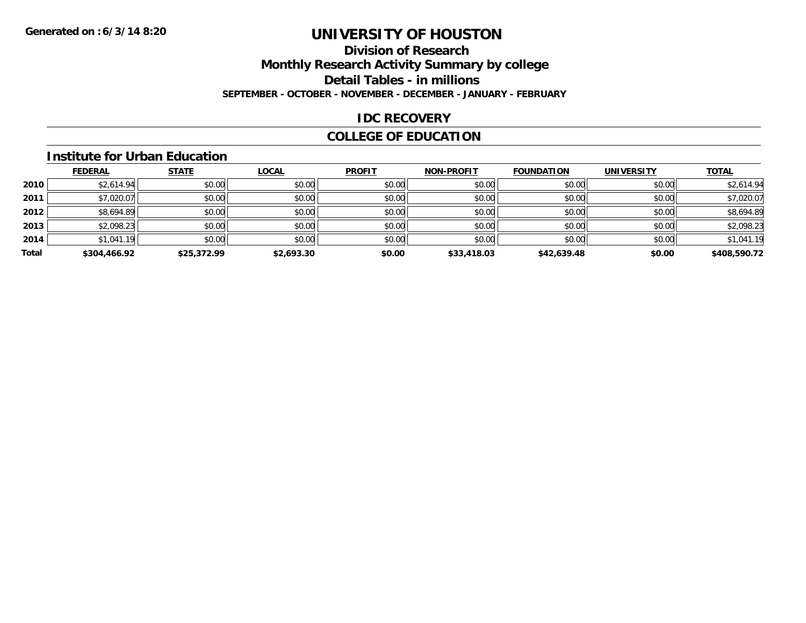### **Division of ResearchMonthly Research Activity Summary by college Detail Tables - in millions SEPTEMBER - OCTOBER - NOVEMBER - DECEMBER - JANUARY - FEBRUARY**

### **IDC RECOVERY**

### **COLLEGE OF EDUCATION**

#### **Institute for Urban Education**

|       | <b>FEDERAL</b> | <b>STATE</b> | <b>LOCAL</b> | <b>PROFIT</b> | <b>NON-PROFIT</b> | <b>FOUNDATION</b> | <b>UNIVERSITY</b> | <b>TOTAL</b> |
|-------|----------------|--------------|--------------|---------------|-------------------|-------------------|-------------------|--------------|
| 2010  | \$2,614.94     | \$0.00       | \$0.00       | \$0.00        | \$0.00            | \$0.00            | \$0.00            | \$2,614.94   |
| 2011  | \$7,020.07     | \$0.00       | \$0.00       | \$0.00        | \$0.00            | \$0.00            | \$0.00            | \$7,020.07   |
| 2012  | \$8,694.89     | \$0.00       | \$0.00       | \$0.00        | \$0.00            | \$0.00            | \$0.00            | \$8,694.89   |
| 2013  | \$2,098.23     | \$0.00       | \$0.00       | \$0.00        | \$0.00            | \$0.00            | \$0.00            | \$2,098.23   |
| 2014  | \$1,041.19     | \$0.00       | \$0.00       | \$0.00        | \$0.00            | \$0.00            | \$0.00            | \$1,041.19   |
| Total | \$304,466.92   | \$25,372.99  | \$2,693.30   | \$0.00        | \$33,418.03       | \$42,639.48       | \$0.00            | \$408,590.72 |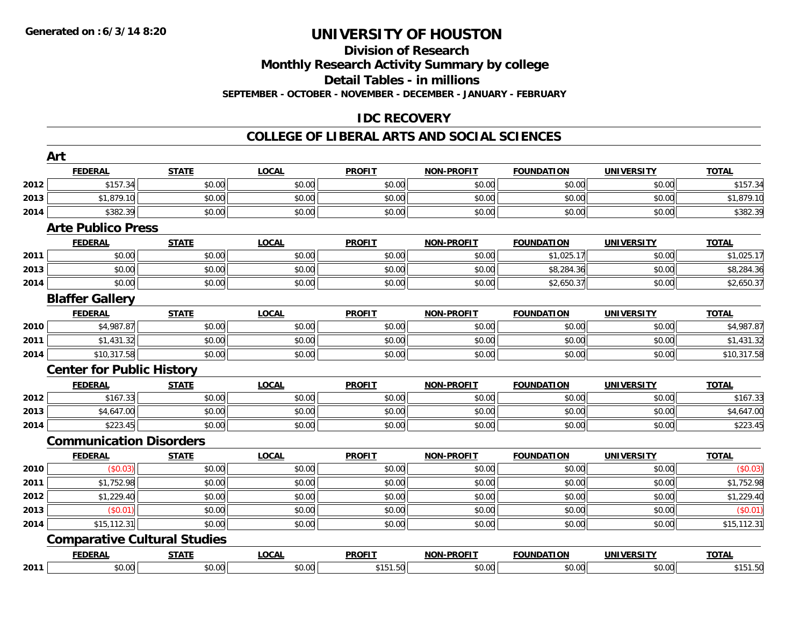#### **Division of Research**

**Monthly Research Activity Summary by college**

**Detail Tables - in millions**

**SEPTEMBER - OCTOBER - NOVEMBER - DECEMBER - JANUARY - FEBRUARY**

### **IDC RECOVERY**

#### **COLLEGE OF LIBERAL ARTS AND SOCIAL SCIENCES**

|      | Art                              |                                     |              |               |                   |                   |                   |              |
|------|----------------------------------|-------------------------------------|--------------|---------------|-------------------|-------------------|-------------------|--------------|
|      | <b>FEDERAL</b>                   | <b>STATE</b>                        | <b>LOCAL</b> | <b>PROFIT</b> | <b>NON-PROFIT</b> | <b>FOUNDATION</b> | <b>UNIVERSITY</b> | <b>TOTAL</b> |
| 2012 | \$157.34                         | \$0.00                              | \$0.00       | \$0.00        | \$0.00            | \$0.00            | \$0.00            | \$157.34     |
| 2013 | \$1,879.10                       | \$0.00                              | \$0.00       | \$0.00        | \$0.00            | \$0.00            | \$0.00            | \$1,879.10   |
| 2014 | \$382.39                         | \$0.00                              | \$0.00       | \$0.00        | \$0.00            | \$0.00            | \$0.00            | \$382.39     |
|      | <b>Arte Publico Press</b>        |                                     |              |               |                   |                   |                   |              |
|      | <b>FEDERAL</b>                   | <b>STATE</b>                        | <b>LOCAL</b> | <b>PROFIT</b> | <b>NON-PROFIT</b> | <b>FOUNDATION</b> | <b>UNIVERSITY</b> | <b>TOTAL</b> |
| 2011 | \$0.00                           | \$0.00                              | \$0.00       | \$0.00        | \$0.00            | \$1,025.17        | \$0.00            | \$1,025.17   |
| 2013 | \$0.00                           | \$0.00                              | \$0.00       | \$0.00        | \$0.00            | \$8,284.36        | \$0.00            | \$8,284.36   |
| 2014 | \$0.00                           | \$0.00                              | \$0.00       | \$0.00        | \$0.00            | \$2,650.37        | \$0.00            | \$2,650.37   |
|      | <b>Blaffer Gallery</b>           |                                     |              |               |                   |                   |                   |              |
|      | <b>FEDERAL</b>                   | <b>STATE</b>                        | <b>LOCAL</b> | <b>PROFIT</b> | <b>NON-PROFIT</b> | <b>FOUNDATION</b> | <b>UNIVERSITY</b> | <b>TOTAL</b> |
| 2010 | \$4,987.87                       | \$0.00                              | \$0.00       | \$0.00        | \$0.00            | \$0.00            | \$0.00            | \$4,987.87   |
| 2011 | \$1,431.32                       | \$0.00                              | \$0.00       | \$0.00        | \$0.00            | \$0.00            | \$0.00            | \$1,431.32   |
| 2014 | \$10,317.58                      | \$0.00                              | \$0.00       | \$0.00        | \$0.00            | \$0.00            | \$0.00            | \$10,317.58  |
|      | <b>Center for Public History</b> |                                     |              |               |                   |                   |                   |              |
|      | <b>FEDERAL</b>                   | <b>STATE</b>                        | <b>LOCAL</b> | <b>PROFIT</b> | <b>NON-PROFIT</b> | <b>FOUNDATION</b> | <b>UNIVERSITY</b> | <b>TOTAL</b> |
| 2012 | \$167.33                         | \$0.00                              | \$0.00       | \$0.00        | \$0.00            | \$0.00            | \$0.00            | \$167.33     |
| 2013 | \$4,647.00                       | \$0.00                              | \$0.00       | \$0.00        | \$0.00            | \$0.00            | \$0.00            | \$4,647.00   |
| 2014 | \$223.45                         | \$0.00                              | \$0.00       | \$0.00        | \$0.00            | \$0.00            | \$0.00            | \$223.45     |
|      | <b>Communication Disorders</b>   |                                     |              |               |                   |                   |                   |              |
|      | <b>FEDERAL</b>                   | <b>STATE</b>                        | <b>LOCAL</b> | <b>PROFIT</b> | <b>NON-PROFIT</b> | <b>FOUNDATION</b> | <b>UNIVERSITY</b> | <b>TOTAL</b> |
| 2010 | (\$0.03)                         | \$0.00                              | \$0.00       | \$0.00        | \$0.00            | \$0.00            | \$0.00            | (\$0.03)     |
| 2011 | \$1,752.98                       | \$0.00                              | \$0.00       | \$0.00        | \$0.00            | \$0.00            | \$0.00            | \$1,752.98   |
| 2012 | \$1,229.40                       | \$0.00                              | \$0.00       | \$0.00        | \$0.00            | \$0.00            | \$0.00            | \$1,229.40   |
| 2013 | (\$0.01)                         | \$0.00                              | \$0.00       | \$0.00        | \$0.00            | \$0.00            | \$0.00            | (\$0.01)     |
| 2014 | \$15,112.31                      | \$0.00                              | \$0.00       | \$0.00        | \$0.00            | \$0.00            | \$0.00            | \$15,112.31  |
|      |                                  | <b>Comparative Cultural Studies</b> |              |               |                   |                   |                   |              |
|      | <b>FEDERAL</b>                   | <b>STATE</b>                        | <b>LOCAL</b> | <b>PROFIT</b> | <b>NON-PROFIT</b> | <b>FOUNDATION</b> | <b>UNIVERSITY</b> | <b>TOTAL</b> |
| 2011 | \$0.00                           | \$0.00                              | \$0.00       | \$151.50      | \$0.00            | \$0.00            | \$0.00            | \$151.50     |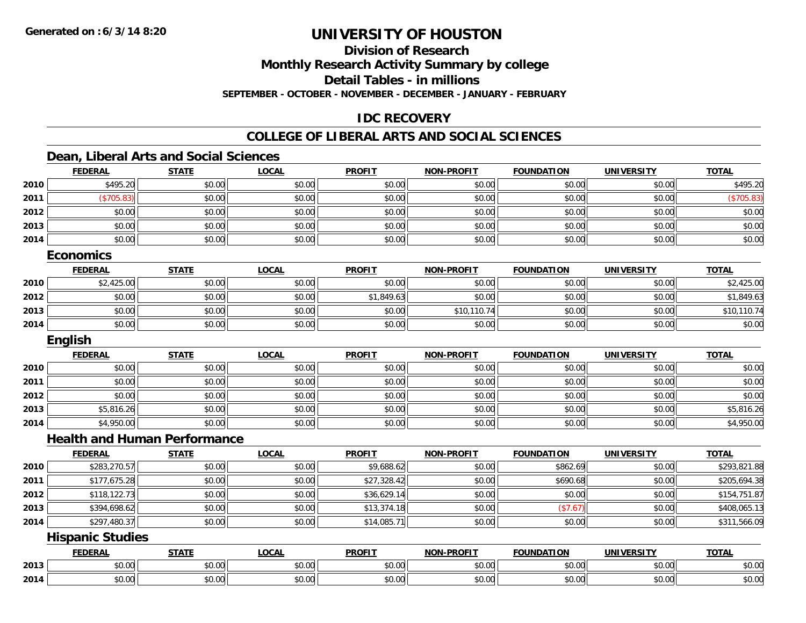## **Division of Research**

**Monthly Research Activity Summary by college**

**Detail Tables - in millions**

**SEPTEMBER - OCTOBER - NOVEMBER - DECEMBER - JANUARY - FEBRUARY**

### **IDC RECOVERY**

#### **COLLEGE OF LIBERAL ARTS AND SOCIAL SCIENCES**

### **Dean, Liberal Arts and Social Sciences**

|      | <b>FEDERAL</b>          | <b>STATE</b>                        | <b>LOCAL</b> | <b>PROFIT</b> | <b>NON-PROFIT</b> | <b>FOUNDATION</b> | <b>UNIVERSITY</b> | <b>TOTAL</b> |
|------|-------------------------|-------------------------------------|--------------|---------------|-------------------|-------------------|-------------------|--------------|
| 2010 | \$495.20                | \$0.00                              | \$0.00       | \$0.00        | \$0.00            | \$0.00            | \$0.00            | \$495.20     |
| 2011 | (\$705.83)              | \$0.00                              | \$0.00       | \$0.00        | \$0.00            | \$0.00            | \$0.00            | (\$705.83)   |
| 2012 | \$0.00                  | \$0.00                              | \$0.00       | \$0.00        | \$0.00            | \$0.00            | \$0.00            | \$0.00       |
| 2013 | \$0.00                  | \$0.00                              | \$0.00       | \$0.00        | \$0.00            | \$0.00            | \$0.00            | \$0.00       |
| 2014 | \$0.00                  | \$0.00                              | \$0.00       | \$0.00        | \$0.00            | \$0.00            | \$0.00            | \$0.00       |
|      | <b>Economics</b>        |                                     |              |               |                   |                   |                   |              |
|      | <b>FEDERAL</b>          | <b>STATE</b>                        | <b>LOCAL</b> | <b>PROFIT</b> | <b>NON-PROFIT</b> | <b>FOUNDATION</b> | <b>UNIVERSITY</b> | <b>TOTAL</b> |
| 2010 | \$2,425.00              | \$0.00                              | \$0.00       | \$0.00        | \$0.00            | \$0.00            | \$0.00            | \$2,425.00   |
| 2012 | \$0.00                  | \$0.00                              | \$0.00       | \$1,849.63    | \$0.00            | \$0.00            | \$0.00            | \$1,849.63   |
| 2013 | \$0.00                  | \$0.00                              | \$0.00       | \$0.00        | \$10,110.74       | \$0.00            | \$0.00            | \$10,110.74  |
| 2014 | \$0.00                  | \$0.00                              | \$0.00       | \$0.00        | \$0.00            | \$0.00            | \$0.00            | \$0.00       |
|      | <b>English</b>          |                                     |              |               |                   |                   |                   |              |
|      | <b>FEDERAL</b>          | <b>STATE</b>                        | <b>LOCAL</b> | <b>PROFIT</b> | <b>NON-PROFIT</b> | <b>FOUNDATION</b> | <b>UNIVERSITY</b> | <b>TOTAL</b> |
| 2010 | \$0.00                  | \$0.00                              | \$0.00       | \$0.00        | \$0.00            | \$0.00            | \$0.00            | \$0.00       |
| 2011 | \$0.00                  | \$0.00                              | \$0.00       | \$0.00        | \$0.00            | \$0.00            | \$0.00            | \$0.00       |
| 2012 | \$0.00                  | \$0.00                              | \$0.00       | \$0.00        | \$0.00            | \$0.00            | \$0.00            | \$0.00       |
| 2013 | \$5,816.26              | \$0.00                              | \$0.00       | \$0.00        | \$0.00            | \$0.00            | \$0.00            | \$5,816.26   |
| 2014 | \$4,950.00              | \$0.00                              | \$0.00       | \$0.00        | \$0.00            | \$0.00            | \$0.00            | \$4,950.00   |
|      |                         | <b>Health and Human Performance</b> |              |               |                   |                   |                   |              |
|      | <b>FEDERAL</b>          | <b>STATE</b>                        | <b>LOCAL</b> | <b>PROFIT</b> | <b>NON-PROFIT</b> | <b>FOUNDATION</b> | <b>UNIVERSITY</b> | <b>TOTAL</b> |
| 2010 | \$283,270.57            | \$0.00                              | \$0.00       | \$9,688.62    | \$0.00            | \$862.69          | \$0.00            | \$293,821.88 |
| 2011 | \$177,675.28            | \$0.00                              | \$0.00       | \$27,328.42   | \$0.00            | \$690.68          | \$0.00            | \$205,694.38 |
| 2012 | \$118,122.73            | \$0.00                              | \$0.00       | \$36,629.14   | \$0.00            | \$0.00            | \$0.00            | \$154,751.87 |
| 2013 | \$394,698.62            | \$0.00                              | \$0.00       | \$13,374.18   | \$0.00            | (\$7.67)          | \$0.00            | \$408,065.13 |
| 2014 | \$297,480.37            | \$0.00                              | \$0.00       | \$14,085.71   | \$0.00            | \$0.00            | \$0.00            | \$311,566.09 |
|      | <b>Hispanic Studies</b> |                                     |              |               |                   |                   |                   |              |
|      | <b>FEDERAL</b>          | <b>STATE</b>                        | <b>LOCAL</b> | <b>PROFIT</b> | <b>NON-PROFIT</b> | <b>FOUNDATION</b> | <b>UNIVERSITY</b> | <b>TOTAL</b> |
| 2013 | \$0.00                  | \$0.00                              | \$0.00       | \$0.00        | \$0.00            | \$0.00            | \$0.00            | \$0.00       |
| 2014 | \$0.00                  | \$0.00                              | \$0.00       | \$0.00        | \$0.00            | \$0.00            | \$0.00            | \$0.00       |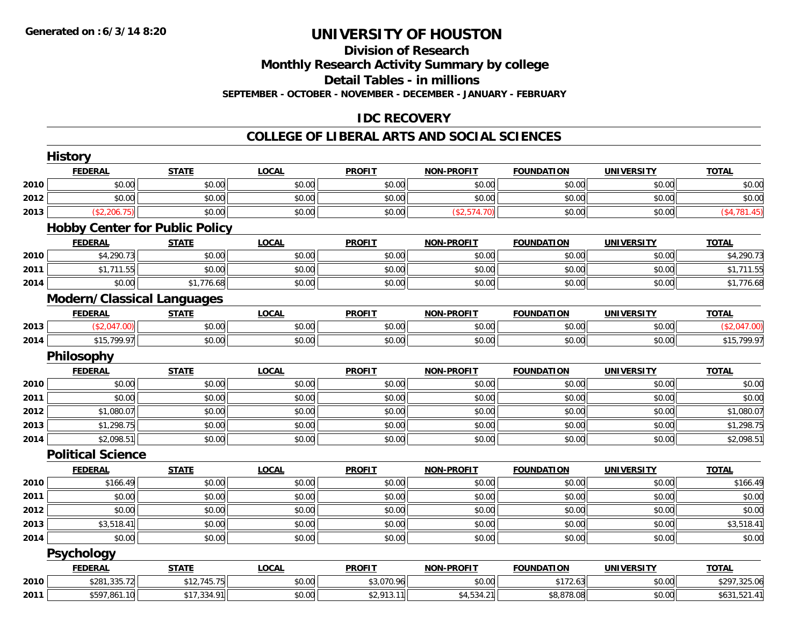## **Division of Research**

**Monthly Research Activity Summary by college**

**Detail Tables - in millions**

**SEPTEMBER - OCTOBER - NOVEMBER - DECEMBER - JANUARY - FEBRUARY**

## **IDC RECOVERY**

#### **COLLEGE OF LIBERAL ARTS AND SOCIAL SCIENCES**

|      | <b>FEDERAL</b>                    | <b>STATE</b>                          | <b>LOCAL</b> | <b>PROFIT</b> | <b>NON-PROFIT</b> | <b>FOUNDATION</b> | <b>UNIVERSITY</b> | <b>TOTAL</b> |
|------|-----------------------------------|---------------------------------------|--------------|---------------|-------------------|-------------------|-------------------|--------------|
| 2010 | \$0.00                            | \$0.00                                | \$0.00       | \$0.00        | \$0.00            | \$0.00            | \$0.00            | \$0.00       |
| 2012 | \$0.00                            | \$0.00                                | \$0.00       | \$0.00        | \$0.00            | \$0.00            | \$0.00            | \$0.00       |
| 2013 | (\$2,206.75)                      | \$0.00                                | \$0.00       | \$0.00        | (\$2,574.70)      | \$0.00            | \$0.00            | (\$4,781.45) |
|      |                                   | <b>Hobby Center for Public Policy</b> |              |               |                   |                   |                   |              |
|      | <b>FEDERAL</b>                    | <b>STATE</b>                          | <b>LOCAL</b> | <b>PROFIT</b> | <b>NON-PROFIT</b> | <b>FOUNDATION</b> | <b>UNIVERSITY</b> | <b>TOTAL</b> |
| 2010 | \$4,290.73                        | \$0.00                                | \$0.00       | \$0.00        | \$0.00            | \$0.00            | \$0.00            | \$4,290.73   |
| 2011 | \$1,711.55                        | \$0.00                                | \$0.00       | \$0.00        | \$0.00            | \$0.00            | \$0.00            | \$1,711.55   |
| 2014 | \$0.00                            | \$1,776.68                            | \$0.00       | \$0.00        | \$0.00            | \$0.00            | \$0.00            | \$1,776.68   |
|      | <b>Modern/Classical Languages</b> |                                       |              |               |                   |                   |                   |              |
|      | <b>FEDERAL</b>                    | <b>STATE</b>                          | <b>LOCAL</b> | <b>PROFIT</b> | <b>NON-PROFIT</b> | <b>FOUNDATION</b> | <b>UNIVERSITY</b> | <b>TOTAL</b> |
| 2013 | (\$2,047.00)                      | \$0.00                                | \$0.00       | \$0.00        | \$0.00            | \$0.00            | \$0.00            | (\$2,047.00) |
| 2014 | \$15,799.97                       | \$0.00                                | \$0.00       | \$0.00        | \$0.00            | \$0.00            | \$0.00            | \$15,799.97  |
|      | Philosophy                        |                                       |              |               |                   |                   |                   |              |
|      | <b>FEDERAL</b>                    | <b>STATE</b>                          | <b>LOCAL</b> | <b>PROFIT</b> | <b>NON-PROFIT</b> | <b>FOUNDATION</b> | <b>UNIVERSITY</b> | <b>TOTAL</b> |
| 2010 | \$0.00                            | \$0.00                                | \$0.00       | \$0.00        | \$0.00            | \$0.00            | \$0.00            | \$0.00       |
| 2011 | \$0.00                            | \$0.00                                | \$0.00       | \$0.00        | \$0.00            | \$0.00            | \$0.00            | \$0.00       |
| 2012 | \$1,080.07                        | \$0.00                                | \$0.00       | \$0.00        | \$0.00            | \$0.00            | \$0.00            | \$1,080.07   |
| 2013 | \$1,298.75                        | \$0.00                                | \$0.00       | \$0.00        | \$0.00            | \$0.00            | \$0.00            | \$1,298.75   |
| 2014 | \$2,098.51                        | \$0.00                                | \$0.00       | \$0.00        | \$0.00            | \$0.00            | \$0.00            | \$2,098.51   |
|      | <b>Political Science</b>          |                                       |              |               |                   |                   |                   |              |
|      | <b>FEDERAL</b>                    | <b>STATE</b>                          | <b>LOCAL</b> | <b>PROFIT</b> | <b>NON-PROFIT</b> | <b>FOUNDATION</b> | <b>UNIVERSITY</b> | <b>TOTAL</b> |
| 2010 | \$166.49                          | \$0.00                                | \$0.00       | \$0.00        | \$0.00            | \$0.00            | \$0.00            | \$166.49     |
| 2011 | \$0.00                            | \$0.00                                | \$0.00       | \$0.00        | \$0.00            | \$0.00            | \$0.00            | \$0.00       |
| 2012 | \$0.00                            | \$0.00                                | \$0.00       | \$0.00        | \$0.00            | \$0.00            | \$0.00            | \$0.00       |
| 2013 | \$3,518.41                        | \$0.00                                | \$0.00       | \$0.00        | \$0.00            | \$0.00            | \$0.00            | \$3,518.41   |
| 2014 | \$0.00                            | \$0.00                                | \$0.00       | \$0.00        | \$0.00            | \$0.00            | \$0.00            | \$0.00       |
|      | Psychology                        |                                       |              |               |                   |                   |                   |              |
|      | <b>FEDERAL</b>                    | <b>STATE</b>                          | <b>LOCAL</b> | <b>PROFIT</b> | <b>NON-PROFIT</b> | <b>FOUNDATION</b> | <b>UNIVERSITY</b> | <b>TOTAL</b> |
| 2010 | \$281,335.72                      | \$12,745.75                           | \$0.00       | \$3,070.96    | \$0.00            | \$172.63          | \$0.00            | \$297,325.06 |
| 2011 | \$597,861.10                      | \$17,334.91                           | \$0.00       | \$2,913.11    | \$4,534.21        | \$8,878.08        | \$0.00            | \$631,521.41 |
|      |                                   |                                       |              |               |                   |                   |                   |              |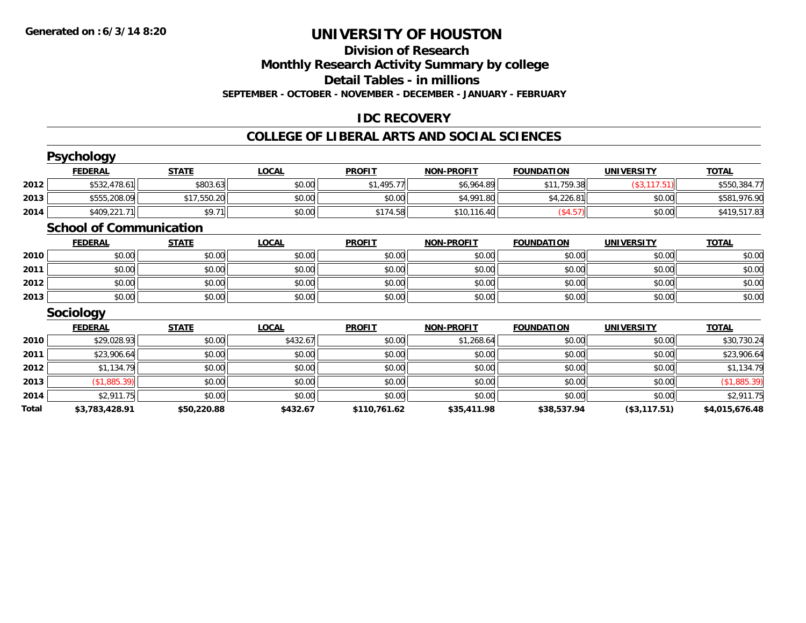## **Division of Research**

**Monthly Research Activity Summary by college**

**Detail Tables - in millions**

**SEPTEMBER - OCTOBER - NOVEMBER - DECEMBER - JANUARY - FEBRUARY**

## **IDC RECOVERY**

#### **COLLEGE OF LIBERAL ARTS AND SOCIAL SCIENCES**

|       | <b>Psychology</b>              |              |              |               |                   |                   |                   |                |
|-------|--------------------------------|--------------|--------------|---------------|-------------------|-------------------|-------------------|----------------|
|       | <b>FEDERAL</b>                 | <b>STATE</b> | <b>LOCAL</b> | <b>PROFIT</b> | <b>NON-PROFIT</b> | <b>FOUNDATION</b> | <b>UNIVERSITY</b> | <b>TOTAL</b>   |
| 2012  | \$532,478.61                   | \$803.63     | \$0.00       | \$1,495.77    | \$6,964.89        | \$11,759.38       | (\$3, 117.51)     | \$550,384.77   |
| 2013  | \$555,208.09                   | \$17,550.20  | \$0.00       | \$0.00        | \$4,991.80        | \$4,226.81        | \$0.00            | \$581,976.90   |
| 2014  | \$409,221.71                   | \$9.71       | \$0.00       | \$174.58      | \$10,116.40       | (\$4.57)          | \$0.00            | \$419,517.83   |
|       | <b>School of Communication</b> |              |              |               |                   |                   |                   |                |
|       | <b>FEDERAL</b>                 | <b>STATE</b> | <b>LOCAL</b> | <b>PROFIT</b> | <b>NON-PROFIT</b> | <b>FOUNDATION</b> | <b>UNIVERSITY</b> | <b>TOTAL</b>   |
| 2010  | \$0.00                         | \$0.00       | \$0.00       | \$0.00        | \$0.00            | \$0.00            | \$0.00            | \$0.00         |
| 2011  | \$0.00                         | \$0.00       | \$0.00       | \$0.00        | \$0.00            | \$0.00            | \$0.00            | \$0.00         |
| 2012  | \$0.00                         | \$0.00       | \$0.00       | \$0.00        | \$0.00            | \$0.00            | \$0.00            | \$0.00         |
| 2013  | \$0.00                         | \$0.00       | \$0.00       | \$0.00        | \$0.00            | \$0.00            | \$0.00            | \$0.00         |
|       | <b>Sociology</b>               |              |              |               |                   |                   |                   |                |
|       | <b>FEDERAL</b>                 | <b>STATE</b> | <b>LOCAL</b> | <b>PROFIT</b> | <b>NON-PROFIT</b> | <b>FOUNDATION</b> | <b>UNIVERSITY</b> | <b>TOTAL</b>   |
| 2010  | \$29,028.93                    | \$0.00       | \$432.67     | \$0.00        | \$1,268.64        | \$0.00            | \$0.00            | \$30,730.24    |
| 2011  | \$23,906.64                    | \$0.00       | \$0.00       | \$0.00        | \$0.00            | \$0.00            | \$0.00            | \$23,906.64    |
| 2012  | \$1,134.79                     | \$0.00       | \$0.00       | \$0.00        | \$0.00            | \$0.00            | \$0.00            | \$1,134.79     |
| 2013  | (\$1,885.39)                   | \$0.00       | \$0.00       | \$0.00        | \$0.00            | \$0.00            | \$0.00            | (\$1,885.39)   |
| 2014  | \$2,911.75                     | \$0.00       | \$0.00       | \$0.00        | \$0.00            | \$0.00            | \$0.00            | \$2,911.75     |
| Total | \$3,783,428.91                 | \$50,220.88  | \$432.67     | \$110,761.62  | \$35,411.98       | \$38,537.94       | (\$3,117.51)      | \$4,015,676.48 |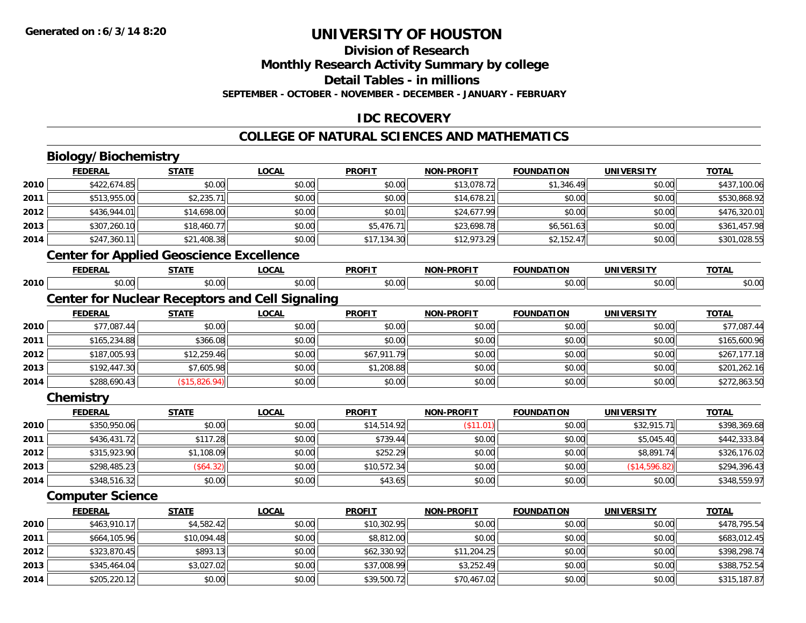## **Division of Research**

**Monthly Research Activity Summary by college**

**Detail Tables - in millions**

**SEPTEMBER - OCTOBER - NOVEMBER - DECEMBER - JANUARY - FEBRUARY**

### **IDC RECOVERY**

#### **COLLEGE OF NATURAL SCIENCES AND MATHEMATICS**

## **Biology/Biochemistry**

**2014**

|      | <b>FEDERAL</b>          | <b>STATE</b>                                    | <b>LOCAL</b>                                           | <b>PROFIT</b> | <b>NON-PROFIT</b> | <b>FOUNDATION</b> | <b>UNIVERSITY</b> | <b>TOTAL</b> |
|------|-------------------------|-------------------------------------------------|--------------------------------------------------------|---------------|-------------------|-------------------|-------------------|--------------|
| 2010 | \$422,674.85            | \$0.00                                          | \$0.00                                                 | \$0.00        | \$13,078.72       | \$1,346.49        | \$0.00            | \$437,100.06 |
| 2011 | \$513,955.00            | \$2,235.71                                      | \$0.00                                                 | \$0.00        | \$14,678.21       | \$0.00            | \$0.00            | \$530,868.92 |
| 2012 | \$436,944.01            | \$14,698.00                                     | \$0.00                                                 | \$0.01        | \$24,677.99       | \$0.00            | \$0.00            | \$476,320.01 |
| 2013 | \$307,260.10            | \$18,460.77                                     | \$0.00                                                 | \$5,476.71    | \$23,698.78       | \$6,561.63        | \$0.00            | \$361,457.98 |
| 2014 | \$247,360.11            | \$21,408.38                                     | \$0.00                                                 | \$17,134.30   | \$12,973.29       | \$2,152.47        | \$0.00            | \$301,028.55 |
|      |                         | <b>Center for Applied Geoscience Excellence</b> |                                                        |               |                   |                   |                   |              |
|      | <b>FEDERAL</b>          | <b>STATE</b>                                    | <b>LOCAL</b>                                           | <b>PROFIT</b> | <b>NON-PROFIT</b> | <b>FOUNDATION</b> | <b>UNIVERSITY</b> | <b>TOTAL</b> |
| 2010 | \$0.00                  | \$0.00                                          | \$0.00                                                 | \$0.00        | \$0.00            | \$0.00            | \$0.00            | \$0.00       |
|      |                         |                                                 | <b>Center for Nuclear Receptors and Cell Signaling</b> |               |                   |                   |                   |              |
|      | <b>FEDERAL</b>          | <b>STATE</b>                                    | <b>LOCAL</b>                                           | <b>PROFIT</b> | <b>NON-PROFIT</b> | <b>FOUNDATION</b> | <b>UNIVERSITY</b> | <b>TOTAL</b> |
| 2010 | \$77,087.44             | \$0.00                                          | \$0.00                                                 | \$0.00        | \$0.00            | \$0.00            | \$0.00            | \$77,087.44  |
| 2011 | \$165,234.88            | \$366.08                                        | \$0.00                                                 | \$0.00        | \$0.00            | \$0.00            | \$0.00            | \$165,600.96 |
| 2012 | \$187,005.93            | \$12,259.46                                     | \$0.00                                                 | \$67,911.79   | \$0.00            | \$0.00            | \$0.00            | \$267,177.18 |
| 2013 | \$192,447.30            | \$7,605.98                                      | \$0.00                                                 | \$1,208.88    | \$0.00            | \$0.00            | \$0.00            | \$201,262.16 |
| 2014 | \$288,690.43            | (\$15,826.94)                                   | \$0.00                                                 | \$0.00        | \$0.00            | \$0.00            | \$0.00            | \$272,863.50 |
|      | Chemistry               |                                                 |                                                        |               |                   |                   |                   |              |
|      | <b>FEDERAL</b>          | <b>STATE</b>                                    | <b>LOCAL</b>                                           | <b>PROFIT</b> | <b>NON-PROFIT</b> | <b>FOUNDATION</b> | <b>UNIVERSITY</b> | <b>TOTAL</b> |
| 2010 | \$350,950.06            | \$0.00                                          | \$0.00                                                 | \$14,514.92   | (\$11.01)         | \$0.00            | \$32,915.71       | \$398,369.68 |
| 2011 | \$436,431.72            | \$117.28                                        | \$0.00                                                 | \$739.44      | \$0.00            | \$0.00            | \$5,045.40        | \$442,333.84 |
| 2012 | \$315,923.90            | \$1,108.09                                      | \$0.00                                                 | \$252.29      | \$0.00            | \$0.00            | \$8,891.74        | \$326,176.02 |
| 2013 | \$298,485.23            | (\$64.32)                                       | \$0.00                                                 | \$10,572.34   | \$0.00            | \$0.00            | (\$14,596.82)     | \$294,396.43 |
| 2014 | \$348,516.32            | \$0.00                                          | \$0.00                                                 | \$43.65       | \$0.00            | \$0.00            | \$0.00            | \$348,559.97 |
|      | <b>Computer Science</b> |                                                 |                                                        |               |                   |                   |                   |              |
|      | <b>FEDERAL</b>          | <b>STATE</b>                                    | <b>LOCAL</b>                                           | <b>PROFIT</b> | <b>NON-PROFIT</b> | <b>FOUNDATION</b> | <b>UNIVERSITY</b> | <b>TOTAL</b> |
| 2010 | \$463,910.17            | \$4,582.42                                      | \$0.00                                                 | \$10,302.95   | \$0.00            | \$0.00            | \$0.00            | \$478,795.54 |
| 2011 | \$664,105.96            | \$10,094.48                                     | \$0.00                                                 | \$8,812.00    | \$0.00            | \$0.00            | \$0.00            | \$683,012.45 |
| 2012 | \$323,870.45            | \$893.13                                        | \$0.00                                                 | \$62,330.92   | \$11,204.25       | \$0.00            | \$0.00            | \$398,298.74 |
| 2013 | \$345,464.04            | \$3,027.02                                      | \$0.00                                                 | \$37,008.99   | \$3,252.49        | \$0.00            | \$0.00            | \$388,752.54 |

\$205,220.12 \$0.00 \$0.00 \$39,500.72 \$70,467.02 \$0.00 \$0.00 \$315,187.87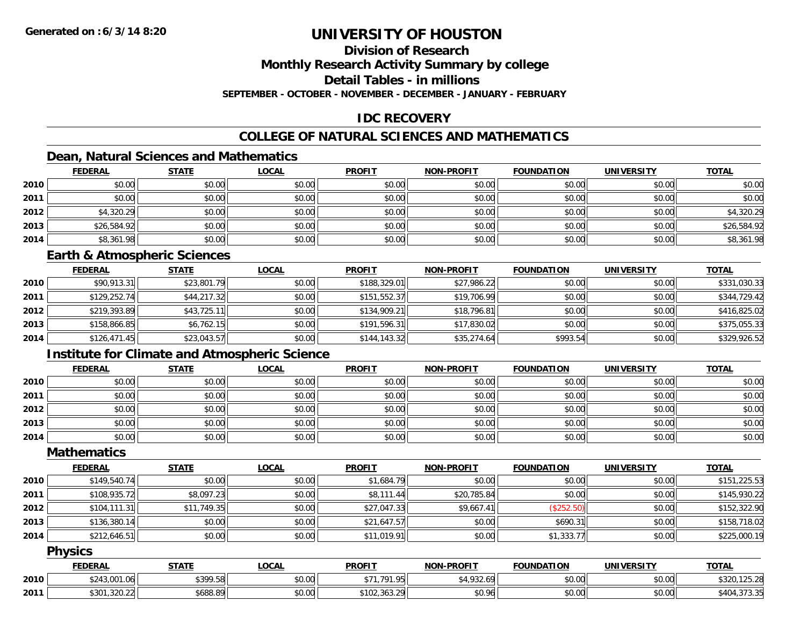## **Division of Research**

**Monthly Research Activity Summary by college**

**Detail Tables - in millions**

**SEPTEMBER - OCTOBER - NOVEMBER - DECEMBER - JANUARY - FEBRUARY**

### **IDC RECOVERY**

## **COLLEGE OF NATURAL SCIENCES AND MATHEMATICS**

## **Dean, Natural Sciences and Mathematics**

|      | <b>FEDERAL</b> | <b>STATE</b> | <u>LOCAL</u> | <b>PROFIT</b> | <b>NON-PROFIT</b> | <b>FOUNDATION</b> | <b>UNIVERSITY</b> | <b>TOTAL</b> |
|------|----------------|--------------|--------------|---------------|-------------------|-------------------|-------------------|--------------|
| 2010 | \$0.00         | \$0.00       | \$0.00       | \$0.00        | \$0.00            | \$0.00            | \$0.00            | \$0.00       |
| 2011 | \$0.00         | \$0.00       | \$0.00       | \$0.00        | \$0.00            | \$0.00            | \$0.00            | \$0.00       |
| 2012 | \$4,320.29     | \$0.00       | \$0.00       | \$0.00        | \$0.00            | \$0.00            | \$0.00            | \$4,320.29   |
| 2013 | \$26,584.92    | \$0.00       | \$0.00       | \$0.00        | \$0.00            | \$0.00            | \$0.00            | \$26,584.92  |
| 2014 | \$8,361.98     | \$0.00       | \$0.00       | \$0.00        | \$0.00            | \$0.00            | \$0.00            | \$8,361.98   |

#### **Earth & Atmospheric Sciences**

|      | <b>FEDERAL</b> | <u>STATE</u> | <b>LOCAL</b> | <b>PROFIT</b> | <b>NON-PROFIT</b> | <b>FOUNDATION</b> | <b>UNIVERSITY</b> | <b>TOTAL</b> |
|------|----------------|--------------|--------------|---------------|-------------------|-------------------|-------------------|--------------|
| 2010 | \$90,913.31    | \$23,801.79  | \$0.00       | \$188,329.01  | \$27,986.22       | \$0.00            | \$0.00            | \$331,030.33 |
| 2011 | \$129,252.74   | \$44,217.32  | \$0.00       | \$151,552.37  | \$19,706.99       | \$0.00            | \$0.00            | \$344,729.42 |
| 2012 | \$219,393.89   | \$43,725.11  | \$0.00       | \$134,909.21  | \$18,796.81       | \$0.00            | \$0.00            | \$416,825.02 |
| 2013 | \$158,866.85   | \$6.762.15   | \$0.00       | \$191.596.31  | \$17,830.02       | \$0.00            | \$0.00            | \$375,055.33 |
| 2014 | \$126,471.45   | \$23,043.57  | \$0.00       | \$144,143.32  | \$35,274.64       | \$993.54          | \$0.00            | \$329,926.52 |

### **Institute for Climate and Atmospheric Science**

|      | <b>FEDERAL</b> | <b>STATE</b> | <u>LOCAL</u> | <b>PROFIT</b> | <b>NON-PROFIT</b> | <b>FOUNDATION</b> | <b>UNIVERSITY</b> | <b>TOTAL</b> |
|------|----------------|--------------|--------------|---------------|-------------------|-------------------|-------------------|--------------|
| 2010 | \$0.00         | \$0.00       | \$0.00       | \$0.00        | \$0.00            | \$0.00            | \$0.00            | \$0.00       |
| 2011 | \$0.00         | \$0.00       | \$0.00       | \$0.00        | \$0.00            | \$0.00            | \$0.00            | \$0.00       |
| 2012 | \$0.00         | \$0.00       | \$0.00       | \$0.00        | \$0.00            | \$0.00            | \$0.00            | \$0.00       |
| 2013 | \$0.00         | \$0.00       | \$0.00       | \$0.00        | \$0.00            | \$0.00            | \$0.00            | \$0.00       |
| 2014 | \$0.00         | \$0.00       | \$0.00       | \$0.00        | \$0.00            | \$0.00            | \$0.00            | \$0.00       |

#### **Mathematics**

|      | <b>FEDERAL</b> | <b>STATE</b> | <u>LOCAL</u> | <b>PROFIT</b> | <b>NON-PROFIT</b> | <b>FOUNDATION</b> | <b>UNIVERSITY</b> | <b>TOTAL</b> |
|------|----------------|--------------|--------------|---------------|-------------------|-------------------|-------------------|--------------|
| 2010 | \$149,540.74   | \$0.00       | \$0.00       | \$1,684.79    | \$0.00            | \$0.00            | \$0.00            | \$151,225.53 |
| 2011 | \$108,935.72   | \$8,097.23   | \$0.00       | \$8,111.44    | \$20,785.84       | \$0.00            | \$0.00            | \$145,930.22 |
| 2012 | \$104, 111.31  | \$11,749.35  | \$0.00       | \$27,047.33   | \$9,667.41        | (\$252.50)        | \$0.00            | \$152,322.90 |
| 2013 | \$136,380.14   | \$0.00       | \$0.00       | \$21,647.57   | \$0.00            | \$690.31          | \$0.00            | \$158,718.02 |
| 2014 | \$212,646.51   | \$0.00       | \$0.00       | \$11,019.91   | \$0.00            | \$1,333.77        | \$0.00            | \$225,000.19 |

#### **Physics**

|      | <b>FEDERAL</b>            | <b>CTATE</b><br>эiai | .OCAL              | <b>PROFIT</b>                                                     | <b>J-PROFIT</b><br><b>NON</b> | <b>FOUNDATION</b> | UNIVERSITY      | <b>TOTAL</b>                     |
|------|---------------------------|----------------------|--------------------|-------------------------------------------------------------------|-------------------------------|-------------------|-----------------|----------------------------------|
| 2010 | 0.12001<br>1.VO           | <b>¢300 58</b>       | $\sim$ 00<br>DU.UU | $+ -$<br>$\sim$<br>$\overline{\phantom{a}}$                       | $\sim$<br>1.12.011            | \$0.00            | 60.00<br>\$U.UU | $\sim$ $\sim$<br>105.00<br>ے . ت |
| 2011 | \$301<br>0.000<br>.320.22 | 200,00<br>১০୪୪.୪୨    | $\sim$ 00<br>PU.UU | $\sqrt{10^\circ}$<br>$\sim$ $\sim$<br>ാറ<br><b>교 TUZ.JUJ.Z</b> ?' | \$0.96                        | \$0.00            | \$0.00          | $+10$<br>4U.<br>.                |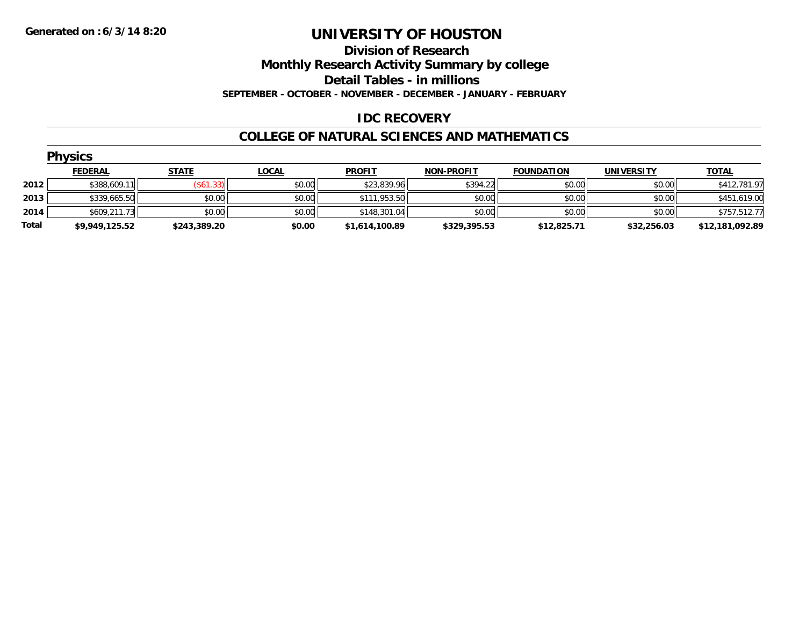#### **Division of Research**

**Monthly Research Activity Summary by college**

**Detail Tables - in millions**

**SEPTEMBER - OCTOBER - NOVEMBER - DECEMBER - JANUARY - FEBRUARY**

### **IDC RECOVERY**

#### **COLLEGE OF NATURAL SCIENCES AND MATHEMATICS**

|       | <b>Physics</b> |              |              |                |                   |                   |                   |                 |  |  |  |
|-------|----------------|--------------|--------------|----------------|-------------------|-------------------|-------------------|-----------------|--|--|--|
|       | <b>FEDERAL</b> | <b>STATE</b> | <b>LOCAL</b> | <b>PROFIT</b>  | <b>NON-PROFIT</b> | <b>FOUNDATION</b> | <b>UNIVERSITY</b> | <b>TOTAL</b>    |  |  |  |
| 2012  | \$388,609.11   | (\$61.33)    | \$0.00       | \$23,839.96    | \$394.22          | \$0.00            | \$0.00            | \$412,781.97    |  |  |  |
| 2013  | \$339,665.50   | \$0.00       | \$0.00       | \$111,953.50   | \$0.00            | \$0.00            | \$0.00            | \$451,619.00    |  |  |  |
| 2014  | \$609,211.73   | \$0.00       | \$0.00       | \$148,301.04   | \$0.00            | \$0.00            | \$0.00            | \$757,512.77    |  |  |  |
| Total | \$9,949,125.52 | \$243,389.20 | \$0.00       | \$1,614,100.89 | \$329,395.53      | \$12,825.71       | \$32,256.03       | \$12,181,092.89 |  |  |  |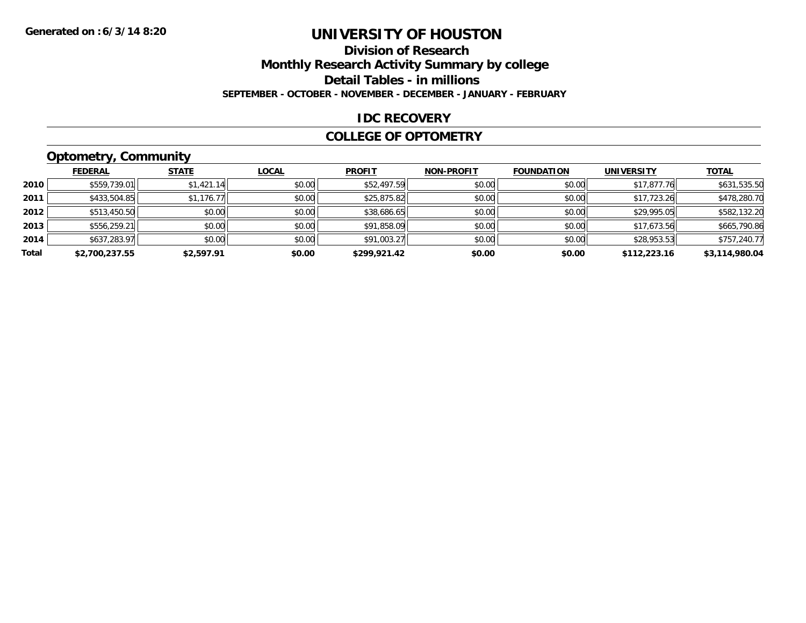### **Division of ResearchMonthly Research Activity Summary by college Detail Tables - in millions SEPTEMBER - OCTOBER - NOVEMBER - DECEMBER - JANUARY - FEBRUARY**

#### **IDC RECOVERY**

#### **COLLEGE OF OPTOMETRY**

## **Optometry, Community**

|       | .              |              |              |               |                   |                   |                   |                |
|-------|----------------|--------------|--------------|---------------|-------------------|-------------------|-------------------|----------------|
|       | <b>FEDERAL</b> | <b>STATE</b> | <b>LOCAL</b> | <b>PROFIT</b> | <b>NON-PROFIT</b> | <b>FOUNDATION</b> | <b>UNIVERSITY</b> | <b>TOTAL</b>   |
| 2010  | \$559,739.01   | \$1,421.14   | \$0.00       | \$52,497.59   | \$0.00            | \$0.00            | \$17,877.76       | \$631,535.50   |
| 2011  | \$433,504.85   | \$1,176.77   | \$0.00       | \$25,875.82   | \$0.00            | \$0.00            | \$17.723.26       | \$478,280.70   |
| 2012  | \$513,450.50   | \$0.00       | \$0.00       | \$38,686.65   | \$0.00            | \$0.00            | \$29,995.05       | \$582,132.20   |
| 2013  | \$556,259.21   | \$0.00       | \$0.00       | \$91,858.09   | \$0.00            | \$0.00            | \$17,673.56       | \$665,790.86   |
| 2014  | \$637,283.97   | \$0.00       | \$0.00       | \$91,003.27   | \$0.00            | \$0.00            | \$28,953.53       | \$757,240.77   |
| Total | \$2,700,237.55 | \$2,597.91   | \$0.00       | \$299,921.42  | \$0.00            | \$0.00            | \$112,223.16      | \$3,114,980.04 |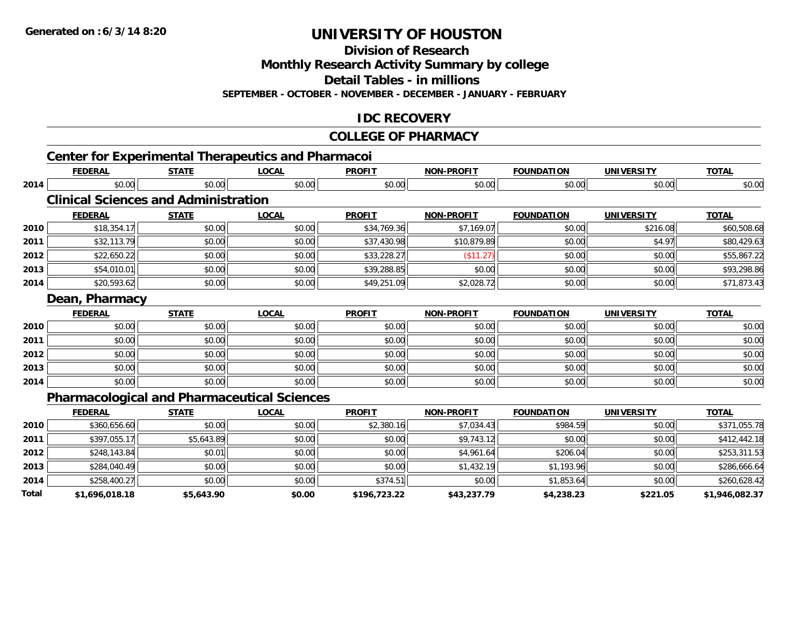**Division of Research**

**Monthly Research Activity Summary by college**

**Detail Tables - in millions**

**SEPTEMBER - OCTOBER - NOVEMBER - DECEMBER - JANUARY - FEBRUARY**

### **IDC RECOVERY**

#### **COLLEGE OF PHARMACY**

|       |                |                                             | <b>Center for Experimental Therapeutics and Pharmacoi</b> |               |                   |                   |                   |                |
|-------|----------------|---------------------------------------------|-----------------------------------------------------------|---------------|-------------------|-------------------|-------------------|----------------|
|       | <b>FEDERAL</b> | <b>STATE</b>                                | <b>LOCAL</b>                                              | <b>PROFIT</b> | <b>NON-PROFIT</b> | <b>FOUNDATION</b> | <b>UNIVERSITY</b> | <b>TOTAL</b>   |
| 2014  | \$0.00         | \$0.00                                      | \$0.00                                                    | \$0.00        | \$0.00            | \$0.00            | \$0.00            | \$0.00         |
|       |                | <b>Clinical Sciences and Administration</b> |                                                           |               |                   |                   |                   |                |
|       | <b>FEDERAL</b> | <b>STATE</b>                                | <b>LOCAL</b>                                              | <b>PROFIT</b> | <b>NON-PROFIT</b> | <b>FOUNDATION</b> | <b>UNIVERSITY</b> | <b>TOTAL</b>   |
| 2010  | \$18,354.17    | \$0.00                                      | \$0.00                                                    | \$34,769.36   | \$7,169.07        | \$0.00            | \$216.08          | \$60,508.68    |
| 2011  | \$32,113.79    | \$0.00                                      | \$0.00                                                    | \$37,430.98   | \$10,879.89       | \$0.00            | \$4.97            | \$80,429.63    |
| 2012  | \$22,650.22    | \$0.00                                      | \$0.00                                                    | \$33,228.27   | (\$11.27)         | \$0.00            | \$0.00            | \$55,867.22    |
| 2013  | \$54,010.01    | \$0.00                                      | \$0.00                                                    | \$39,288.85   | \$0.00            | \$0.00            | \$0.00            | \$93,298.86    |
| 2014  | \$20,593.62    | \$0.00                                      | \$0.00                                                    | \$49,251.09   | \$2,028.72        | \$0.00            | \$0.00            | \$71,873.43    |
|       | Dean, Pharmacy |                                             |                                                           |               |                   |                   |                   |                |
|       | <b>FEDERAL</b> | <b>STATE</b>                                | <b>LOCAL</b>                                              | <b>PROFIT</b> | <b>NON-PROFIT</b> | <b>FOUNDATION</b> | <b>UNIVERSITY</b> | <b>TOTAL</b>   |
| 2010  | \$0.00         | \$0.00                                      | \$0.00                                                    | \$0.00        | \$0.00            | \$0.00            | \$0.00            | \$0.00         |
| 2011  | \$0.00         | \$0.00                                      | \$0.00                                                    | \$0.00        | \$0.00            | \$0.00            | \$0.00            | \$0.00         |
| 2012  | \$0.00         | \$0.00                                      | \$0.00                                                    | \$0.00        | \$0.00            | \$0.00            | \$0.00            | \$0.00         |
| 2013  | \$0.00         | \$0.00                                      | \$0.00                                                    | \$0.00        | \$0.00            | \$0.00            | \$0.00            | \$0.00         |
| 2014  | \$0.00         | \$0.00                                      | \$0.00                                                    | \$0.00        | \$0.00            | \$0.00            | \$0.00            | \$0.00         |
|       |                |                                             | <b>Pharmacological and Pharmaceutical Sciences</b>        |               |                   |                   |                   |                |
|       | <b>FEDERAL</b> | <b>STATE</b>                                | <b>LOCAL</b>                                              | <b>PROFIT</b> | <b>NON-PROFIT</b> | <b>FOUNDATION</b> | <b>UNIVERSITY</b> | <b>TOTAL</b>   |
| 2010  | \$360,656.60   | \$0.00                                      | \$0.00                                                    | \$2,380.16    | \$7,034.43        | \$984.59          | \$0.00            | \$371,055.78   |
| 2011  | \$397,055.17   | \$5,643.89                                  | \$0.00                                                    | \$0.00        | \$9,743.12        | \$0.00            | \$0.00            | \$412,442.18   |
| 2012  | \$248,143.84   | \$0.01                                      | \$0.00                                                    | \$0.00        | \$4,961.64        | \$206.04          | \$0.00            | \$253,311.53   |
| 2013  | \$284,040.49   | \$0.00                                      | \$0.00                                                    | \$0.00        | \$1,432.19        | \$1,193.96        | \$0.00            | \$286,666.64   |
| 2014  | \$258,400.27   | \$0.00                                      | \$0.00                                                    | \$374.51      | \$0.00            | \$1,853.64        | \$0.00            | \$260,628.42   |
| Total | \$1,696,018.18 | \$5,643.90                                  | \$0.00                                                    | \$196,723.22  | \$43,237.79       | \$4,238.23        | \$221.05          | \$1,946,082.37 |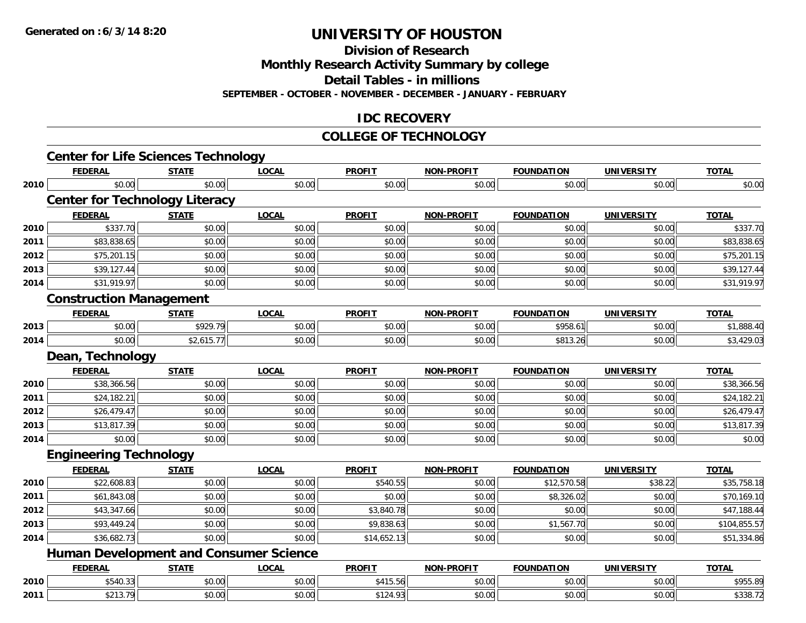**Division of Research**

**Monthly Research Activity Summary by college**

**Detail Tables - in millions**

**SEPTEMBER - OCTOBER - NOVEMBER - DECEMBER - JANUARY - FEBRUARY**

### **IDC RECOVERY**

#### **COLLEGE OF TECHNOLOGY**

|      | <b>FEDERAL</b>                                | <b>STATE</b> | <b>LOCAL</b> | <b>PROFIT</b> | <b>NON-PROFIT</b> | <b>FOUNDATION</b> | <b>UNIVERSITY</b> | <b>TOTAL</b> |
|------|-----------------------------------------------|--------------|--------------|---------------|-------------------|-------------------|-------------------|--------------|
| 2010 | \$0.00                                        | \$0.00       | \$0.00       | \$0.00        | \$0.00            | \$0.00            | \$0.00            | \$0.00       |
|      | <b>Center for Technology Literacy</b>         |              |              |               |                   |                   |                   |              |
|      | <b>FEDERAL</b>                                | <b>STATE</b> | <b>LOCAL</b> | <b>PROFIT</b> | NON-PROFIT        | <b>FOUNDATION</b> | <b>UNIVERSITY</b> | <b>TOTAL</b> |
| 2010 | \$337.70                                      | \$0.00       | \$0.00       | \$0.00        | \$0.00            | \$0.00            | \$0.00            | \$337.70     |
| 2011 | \$83,838.65                                   | \$0.00       | \$0.00       | \$0.00        | \$0.00            | \$0.00            | \$0.00            | \$83,838.65  |
| 2012 | \$75,201.15                                   | \$0.00       | \$0.00       | \$0.00        | \$0.00            | \$0.00            | \$0.00            | \$75,201.15  |
| 2013 | \$39,127.44                                   | \$0.00       | \$0.00       | \$0.00        | \$0.00            | \$0.00            | \$0.00            | \$39,127.44  |
| 2014 | \$31,919.97                                   | \$0.00       | \$0.00       | \$0.00        | \$0.00            | \$0.00            | \$0.00            | \$31,919.97  |
|      | <b>Construction Management</b>                |              |              |               |                   |                   |                   |              |
|      | <b>FEDERAL</b>                                | <b>STATE</b> | <b>LOCAL</b> | <b>PROFIT</b> | <b>NON-PROFIT</b> | <b>FOUNDATION</b> | <b>UNIVERSITY</b> | <b>TOTAL</b> |
| 2013 | \$0.00                                        | \$929.79     | \$0.00       | \$0.00        | \$0.00            | \$958.61          | \$0.00            | \$1,888.40   |
| 2014 | \$0.00                                        | \$2,615.77   | \$0.00       | \$0.00        | \$0.00            | \$813.26          | \$0.00            | \$3,429.03   |
|      | Dean, Technology                              |              |              |               |                   |                   |                   |              |
|      | <b>FEDERAL</b>                                | <b>STATE</b> | <b>LOCAL</b> | <b>PROFIT</b> | <b>NON-PROFIT</b> | <b>FOUNDATION</b> | <b>UNIVERSITY</b> | <b>TOTAL</b> |
| 2010 | \$38,366.56                                   | \$0.00       | \$0.00       | \$0.00        | \$0.00            | \$0.00            | \$0.00            | \$38,366.56  |
| 2011 | \$24,182.21                                   | \$0.00       | \$0.00       | \$0.00        | \$0.00            | \$0.00            | \$0.00            | \$24,182.21  |
| 2012 | \$26,479.47                                   | \$0.00       | \$0.00       | \$0.00        | \$0.00            | \$0.00            | \$0.00            | \$26,479.47  |
| 2013 | \$13,817.39                                   | \$0.00       | \$0.00       | \$0.00        | \$0.00            | \$0.00            | \$0.00            | \$13,817.39  |
| 2014 | \$0.00                                        | \$0.00       | \$0.00       | \$0.00        | \$0.00            | \$0.00            | \$0.00            | \$0.00       |
|      | <b>Engineering Technology</b>                 |              |              |               |                   |                   |                   |              |
|      | <b>FEDERAL</b>                                | <b>STATE</b> | <b>LOCAL</b> | <b>PROFIT</b> | <b>NON-PROFIT</b> | <b>FOUNDATION</b> | <b>UNIVERSITY</b> | <b>TOTAL</b> |
| 2010 | \$22,608.83                                   | \$0.00       | \$0.00       | \$540.55      | \$0.00            | \$12,570.58       | \$38.22           | \$35,758.18  |
| 2011 | \$61,843.08                                   | \$0.00       | \$0.00       | \$0.00        | \$0.00            | \$8,326.02        | \$0.00            | \$70,169.10  |
| 2012 | \$43,347.66                                   | \$0.00       | \$0.00       | \$3,840.78    | \$0.00            | \$0.00            | \$0.00            | \$47,188.44  |
| 2013 | \$93,449.24                                   | \$0.00       | \$0.00       | \$9,838.63    | \$0.00            | \$1,567.70        | \$0.00            | \$104,855.57 |
| 2014 | \$36,682.73                                   | \$0.00       | \$0.00       | \$14,652.13   | \$0.00            | \$0.00            | \$0.00            | \$51,334.86  |
|      | <b>Human Development and Consumer Science</b> |              |              |               |                   |                   |                   |              |
|      | <b>FEDERAL</b>                                | <b>STATE</b> | <b>LOCAL</b> | <b>PROFIT</b> | NON-PROFIT        | <b>FOUNDATION</b> | <b>UNIVERSITY</b> | <b>TOTAL</b> |
| 2010 | \$540.33                                      | \$0.00       | \$0.00       | \$415.56      | \$0.00            | \$0.00            | \$0.00            | \$955.89     |
| 2011 | \$213.79                                      | \$0.00       | \$0.00       | \$124.93      | \$0.00            | \$0.00            | \$0.00            | \$338.72     |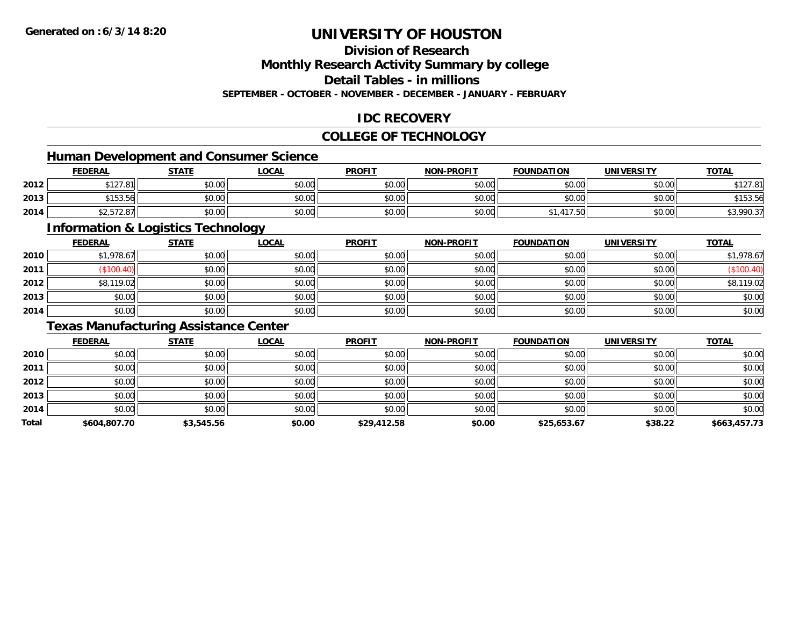## **Division of Research**

**Monthly Research Activity Summary by college**

**Detail Tables - in millions**

**SEPTEMBER - OCTOBER - NOVEMBER - DECEMBER - JANUARY - FEBRUARY**

### **IDC RECOVERY**

### **COLLEGE OF TECHNOLOGY**

### **Human Development and Consumer Science**

|      | <b>FEDERAL</b>          | <b>STATE</b> | LOCAL  | <b>PROFIT</b> | <b>NON-PROFIT</b> | <b>FOUNDATION</b> | <b>UNIVERSITY</b> | <b>TOTAL</b>             |
|------|-------------------------|--------------|--------|---------------|-------------------|-------------------|-------------------|--------------------------|
| 2012 | 0.10701<br>D I Z / .O I | \$0.00       | \$0.00 | \$0.00        | \$0.00            | \$0.00            | \$0.00            | 0.10701<br><b>PIZI.O</b> |
| 2013 | \$153.56                | \$0.00       | \$0.00 | \$0.00        | \$0.00            | \$0.00            | \$0.00            | \$153.56                 |
| 2014 | $\cdots$<br>42,312.01   | \$0.00       | \$0.00 | \$0.00        | \$0.00            | 417.50            | \$0.00            | റററ ാട<br>\$9,990.31     |

<u> 1989 - Johann Stoff, deutscher Stoffen und der Stoffen und der Stoffen und der Stoffen und der Stoffen und der</u>

### **Information & Logistics Technology**

|      | <b>FEDERAL</b> | <b>STATE</b> | <u>LOCAL</u> | <b>PROFIT</b> | <b>NON-PROFIT</b> | <b>FOUNDATION</b> | <b>UNIVERSITY</b> | <b>TOTAL</b> |
|------|----------------|--------------|--------------|---------------|-------------------|-------------------|-------------------|--------------|
| 2010 | \$1,978.67     | \$0.00       | \$0.00       | \$0.00        | \$0.00            | \$0.00            | \$0.00            | \$1,978.67   |
| 2011 | \$100.40       | \$0.00       | \$0.00       | \$0.00        | \$0.00            | \$0.00            | \$0.00            | (\$100.40)   |
| 2012 | \$8,119.02     | \$0.00       | \$0.00       | \$0.00        | \$0.00            | \$0.00            | \$0.00            | \$8,119.02   |
| 2013 | \$0.00         | \$0.00       | \$0.00       | \$0.00        | \$0.00            | \$0.00            | \$0.00            | \$0.00       |
| 2014 | \$0.00         | \$0.00       | \$0.00       | \$0.00        | \$0.00            | \$0.00            | \$0.00            | \$0.00       |

### **Texas Manufacturing Assistance Center**

|       | <b>FEDERAL</b> | <b>STATE</b> | <u>LOCAL</u> | <b>PROFIT</b> | <b>NON-PROFIT</b> | <b>FOUNDATION</b> | <b>UNIVERSITY</b> | <b>TOTAL</b> |
|-------|----------------|--------------|--------------|---------------|-------------------|-------------------|-------------------|--------------|
| 2010  | \$0.00         | \$0.00       | \$0.00       | \$0.00        | \$0.00            | \$0.00            | \$0.00            | \$0.00       |
| 2011  | \$0.00         | \$0.00       | \$0.00       | \$0.00        | \$0.00            | \$0.00            | \$0.00            | \$0.00       |
| 2012  | \$0.00         | \$0.00       | \$0.00       | \$0.00        | \$0.00            | \$0.00            | \$0.00            | \$0.00       |
| 2013  | \$0.00         | \$0.00       | \$0.00       | \$0.00        | \$0.00            | \$0.00            | \$0.00            | \$0.00       |
| 2014  | \$0.00         | \$0.00       | \$0.00       | \$0.00        | \$0.00            | \$0.00            | \$0.00            | \$0.00       |
| Total | \$604,807.70   | \$3,545.56   | \$0.00       | \$29,412.58   | \$0.00            | \$25,653.67       | \$38.22           | \$663,457.73 |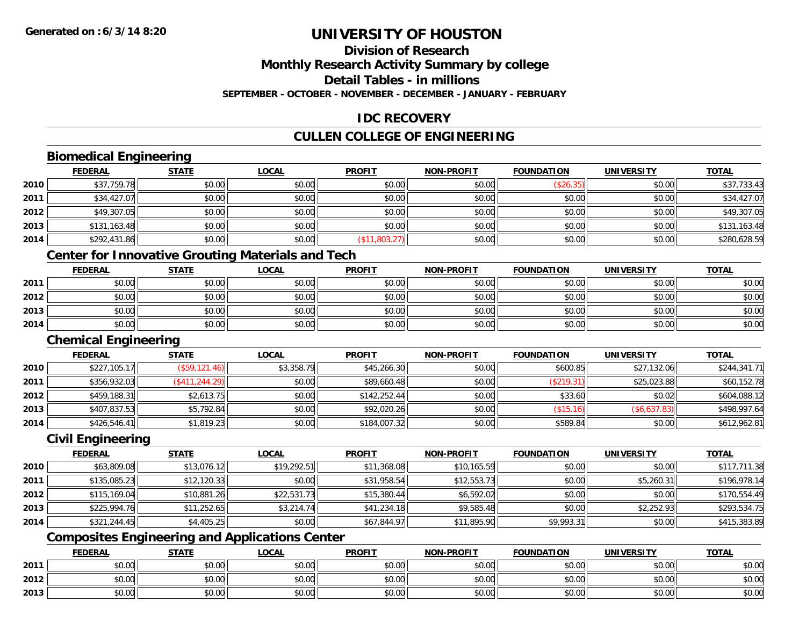## **Division of Research**

**Monthly Research Activity Summary by college**

**Detail Tables - in millions**

**SEPTEMBER - OCTOBER - NOVEMBER - DECEMBER - JANUARY - FEBRUARY**

### **IDC RECOVERY**

## **CULLEN COLLEGE OF ENGINEERING**

### **Biomedical Engineering**

|      | <b>FEDERAL</b> | <b>STATE</b> | <b>LOCAL</b>                           | <b>PROFIT</b> | <b>NON-PROFIT</b> | <b>FOUNDATION</b> | <b>UNIVERSITY</b> | <b>TOTAL</b> |
|------|----------------|--------------|----------------------------------------|---------------|-------------------|-------------------|-------------------|--------------|
| 2010 | \$37,759.78    | \$0.00       | \$0.00                                 | \$0.00        | \$0.00            | (\$26.35)         | \$0.00            | \$37,733.43  |
| 2011 | \$34,427.07    | \$0.00       | \$0.00                                 | \$0.00        | \$0.00            | \$0.00            | \$0.00            | \$34,427.07  |
| 2012 | \$49,307.05    | \$0.00       | \$0.00                                 | \$0.00        | \$0.00            | \$0.00            | \$0.00            | \$49,307.05  |
| 2013 | \$131,163.48   | \$0.00       | \$0.00                                 | \$0.00        | \$0.00            | \$0.00            | \$0.00            | \$131,163.48 |
| 2014 | \$292,431.86   | \$0.00       | \$0.00                                 | (\$11,803.27) | \$0.00            | \$0.00            | \$0.00            | \$280,628.59 |
|      |                |              | the control of the control of the con- |               |                   |                   |                   |              |

#### **Center for Innovative Grouting Materials and Tech**

|      | <u>FEDERAL</u> | <b>STATE</b> | <u>LOCAL</u> | <b>PROFIT</b> | <b>NON-PROFIT</b> | <b>FOUNDATION</b> | <b>UNIVERSITY</b> | <u>TOTAL</u> |
|------|----------------|--------------|--------------|---------------|-------------------|-------------------|-------------------|--------------|
| 2011 | \$0.00         | \$0.00       | \$0.00       | \$0.00        | \$0.00            | \$0.00            | \$0.00            | \$0.00       |
| 2012 | \$0.00         | \$0.00       | \$0.00       | \$0.00        | \$0.00            | \$0.00            | \$0.00            | \$0.00       |
| 2013 | \$0.00         | \$0.00       | \$0.00       | \$0.00        | \$0.00            | \$0.00            | \$0.00            | \$0.00       |
| 2014 | \$0.00         | \$0.00       | \$0.00       | \$0.00        | \$0.00            | \$0.00            | \$0.00            | \$0.00       |

#### **Chemical Engineering**

|      | <b>FEDERAL</b> | <b>STATE</b>    | <u>LOCAL</u> | <b>PROFIT</b> | <b>NON-PROFIT</b> | <b>FOUNDATION</b> | UNIVERSITY   | <b>TOTAL</b> |
|------|----------------|-----------------|--------------|---------------|-------------------|-------------------|--------------|--------------|
| 2010 | \$227,105.17   | (\$59,121.46)   | \$3,358.79   | \$45,266.30   | \$0.00            | \$600.85          | \$27,132.06  | \$244,341.71 |
| 2011 | \$356,932.03   | (\$411, 244.29) | \$0.00       | \$89,660.48   | \$0.00            | (S219.31)         | \$25,023.88  | \$60,152.78  |
| 2012 | \$459,188.31   | \$2,613.75      | \$0.00       | \$142,252.44  | \$0.00            | \$33.60           | \$0.02       | \$604,088.12 |
| 2013 | \$407,837.53   | \$5,792.84      | \$0.00       | \$92,020.26   | \$0.00            | (\$15.16)         | (\$6,637.83) | \$498,997.64 |
| 2014 | \$426,546.41   | \$1,819.23      | \$0.00       | \$184,007.32  | \$0.00            | \$589.84          | \$0.00       | \$612,962.81 |

### **Civil Engineering**

|      | <b>FEDERAL</b> | <u>STATE</u> | <b>LOCAL</b> | <b>PROFIT</b> | <b>NON-PROFIT</b> | <b>FOUNDATION</b> | UNIVERSITY | <u>TOTAL</u> |
|------|----------------|--------------|--------------|---------------|-------------------|-------------------|------------|--------------|
| 2010 | \$63,809.08    | \$13,076.12  | \$19,292.51  | \$11,368.08   | \$10,165.59       | \$0.00            | \$0.00     | \$117,711.38 |
| 2011 | \$135,085.23   | \$12,120.33  | \$0.00       | \$31,958.54   | \$12,553.73       | \$0.00            | \$5,260.31 | \$196,978.14 |
| 2012 | \$115,169.04   | \$10,881.26  | \$22,531.73  | \$15,380.44   | \$6,592.02        | \$0.00            | \$0.00     | \$170,554.49 |
| 2013 | \$225,994.76   | \$11,252.65  | \$3,214.74   | \$41,234.18   | \$9,585.48        | \$0.00            | \$2,252.93 | \$293,534.75 |
| 2014 | \$321,244.45   | \$4,405.25   | \$0.00       | \$67,844.97   | \$11,895.90       | \$9,993.31        | \$0.00     | \$415,383.89 |

## **Composites Engineering and Applications Center**

|      | <b>FEDERAL</b>  | <b>STATE</b> | LOCAL          | <b>PROFIT</b> | <b>NON-PROFIT</b> | <b>FOUNDATION</b> | <b>UNIVERSITY</b> | <b>TOTAL</b> |
|------|-----------------|--------------|----------------|---------------|-------------------|-------------------|-------------------|--------------|
| 2011 | 0.00<br>vu.uu   | \$0.00       | \$0.00         | \$0.00        | \$0.00            | \$0.00            | \$0.00            | \$0.00       |
| 2012 | $\sim$<br>JU.UU | \$0.00       | 0000<br>\$U.UU | \$0.00        | \$0.00            | \$0.00            | \$0.00            | \$0.00       |
| 2013 | 0.00<br>DU.UG   | \$0.00       | \$0.00         | \$0.00        | \$0.00            | \$0.00            | \$0.00            | \$0.00       |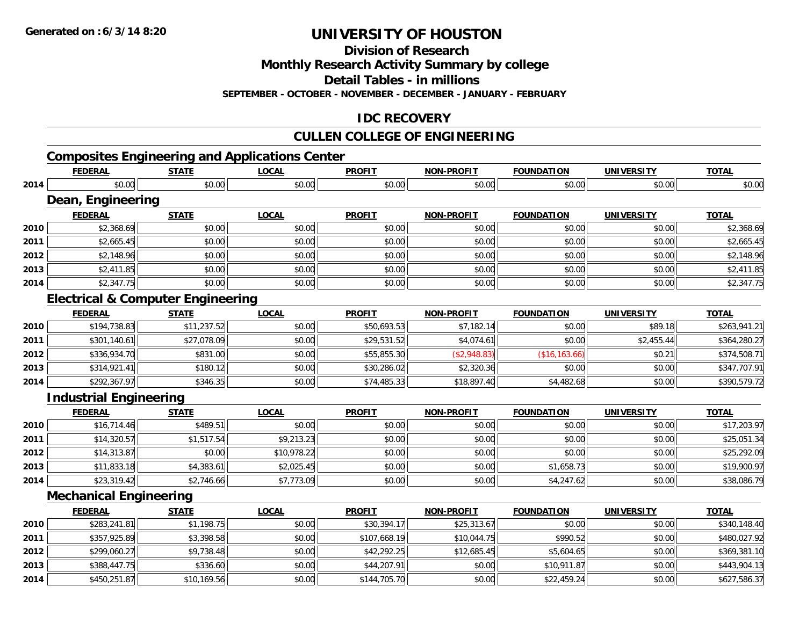**Division of Research**

**Monthly Research Activity Summary by college**

**Detail Tables - in millions**

**SEPTEMBER - OCTOBER - NOVEMBER - DECEMBER - JANUARY - FEBRUARY**

## **IDC RECOVERY**

## **CULLEN COLLEGE OF ENGINEERING**

## **Composites Engineering and Applications Center**

|      | <b>FEDERAL</b>                               | <b>STATE</b> | <b>LOCAL</b> | <b>PROFIT</b> | <b>NON-PROFIT</b> | <b>FOUNDATION</b> | <b>UNIVERSITY</b> | <b>TOTAL</b> |
|------|----------------------------------------------|--------------|--------------|---------------|-------------------|-------------------|-------------------|--------------|
| 2014 | \$0.00                                       | \$0.00       | \$0.00       | \$0.00        | \$0.00            | \$0.00            | \$0.00            | \$0.00       |
|      | Dean, Engineering                            |              |              |               |                   |                   |                   |              |
|      | <b>FEDERAL</b>                               | <b>STATE</b> | <b>LOCAL</b> | <b>PROFIT</b> | <b>NON-PROFIT</b> | <b>FOUNDATION</b> | <b>UNIVERSITY</b> | <b>TOTAL</b> |
| 2010 | \$2,368.69                                   | \$0.00       | \$0.00       | \$0.00        | \$0.00            | \$0.00            | \$0.00            | \$2,368.69   |
| 2011 | \$2,665.45                                   | \$0.00       | \$0.00       | \$0.00        | \$0.00            | \$0.00            | \$0.00            | \$2,665.45   |
| 2012 | \$2,148.96                                   | \$0.00       | \$0.00       | \$0.00        | \$0.00            | \$0.00            | \$0.00            | \$2,148.96   |
| 2013 | \$2,411.85                                   | \$0.00       | \$0.00       | \$0.00        | \$0.00            | \$0.00            | \$0.00            | \$2,411.85   |
| 2014 | \$2,347.75                                   | \$0.00       | \$0.00       | \$0.00        | \$0.00            | \$0.00            | \$0.00            | \$2,347.75   |
|      | <b>Electrical &amp; Computer Engineering</b> |              |              |               |                   |                   |                   |              |
|      | <b>FEDERAL</b>                               | <b>STATE</b> | <b>LOCAL</b> | <b>PROFIT</b> | <b>NON-PROFIT</b> | <b>FOUNDATION</b> | <b>UNIVERSITY</b> | <b>TOTAL</b> |
| 2010 | \$194,738.83                                 | \$11,237.52  | \$0.00       | \$50,693.53   | \$7,182.14        | \$0.00            | \$89.18           | \$263,941.21 |
| 2011 | \$301,140.61                                 | \$27,078.09  | \$0.00       | \$29,531.52   | \$4,074.61        | \$0.00            | \$2,455.44        | \$364,280.27 |
| 2012 | \$336,934.70                                 | \$831.00     | \$0.00       | \$55,855.30   | (\$2,948.83)      | (\$16, 163.66)    | \$0.21            | \$374,508.71 |
| 2013 | \$314,921.41                                 | \$180.12     | \$0.00       | \$30,286.02   | \$2,320.36        | \$0.00            | \$0.00            | \$347,707.91 |
| 2014 | \$292,367.97                                 | \$346.35     | \$0.00       | \$74,485.33   | \$18,897.40       | \$4,482.68        | \$0.00            | \$390,579.72 |
|      | <b>Industrial Engineering</b>                |              |              |               |                   |                   |                   |              |
|      | <b>FEDERAL</b>                               | <b>STATE</b> | <b>LOCAL</b> | <b>PROFIT</b> | <b>NON-PROFIT</b> | <b>FOUNDATION</b> | <b>UNIVERSITY</b> | <b>TOTAL</b> |
| 2010 | \$16,714.46                                  | \$489.51     | \$0.00       | \$0.00        | \$0.00            | \$0.00            | \$0.00            | \$17,203.97  |
| 2011 | \$14,320.57                                  | \$1,517.54   | \$9,213.23   | \$0.00        | \$0.00            | \$0.00            | \$0.00            | \$25,051.34  |
| 2012 | \$14,313.87                                  | \$0.00       | \$10,978.22  | \$0.00        | \$0.00            | \$0.00            | \$0.00            | \$25,292.09  |
| 2013 | \$11,833.18                                  | \$4,383.61   | \$2,025.45   | \$0.00        | \$0.00            | \$1,658.73        | \$0.00            | \$19,900.97  |
| 2014 | \$23,319.42                                  | \$2,746.66   | \$7,773.09   | \$0.00        | \$0.00            | \$4,247.62        | \$0.00            | \$38,086.79  |
|      | <b>Mechanical Engineering</b>                |              |              |               |                   |                   |                   |              |
|      | <b>FEDERAL</b>                               | <b>STATE</b> | <b>LOCAL</b> | <b>PROFIT</b> | <b>NON-PROFIT</b> | <b>FOUNDATION</b> | <b>UNIVERSITY</b> | <b>TOTAL</b> |
| 2010 | \$283,241.81                                 | \$1,198.75   | \$0.00       | \$30,394.17   | \$25,313.67       | \$0.00            | \$0.00            | \$340,148.40 |
| 2011 | \$357,925.89                                 | \$3,398.58   | \$0.00       | \$107,668.19  | \$10,044.75       | \$990.52          | \$0.00            | \$480,027.92 |
| 2012 | \$299,060.27                                 | \$9,738.48   | \$0.00       | \$42,292.25   | \$12,685.45       | \$5,604.65        | \$0.00            | \$369,381.10 |
| 2013 | \$388,447.75                                 | \$336.60     | \$0.00       | \$44,207.91   | \$0.00            | \$10,911.87       | \$0.00            | \$443,904.13 |
| 2014 | \$450,251.87                                 | \$10,169.56  | \$0.00       | \$144,705.70  | \$0.00            | \$22,459.24       | \$0.00            | \$627,586.37 |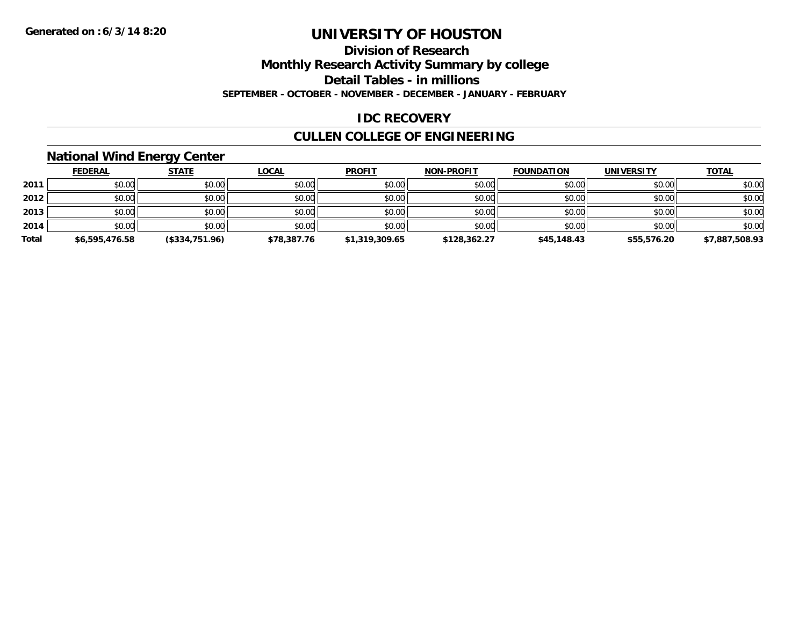#### **Division of Research**

**Monthly Research Activity Summary by college**

**Detail Tables - in millions**

**SEPTEMBER - OCTOBER - NOVEMBER - DECEMBER - JANUARY - FEBRUARY**

## **IDC RECOVERY**

## **CULLEN COLLEGE OF ENGINEERING**

## **National Wind Energy Center**

|       | <b>FEDERAL</b> | <u>STATE</u>   | <b>LOCAL</b> | <b>PROFIT</b>  | <b>NON-PROFIT</b> | <b>FOUNDATION</b> | <b>UNIVERSITY</b> | <b>TOTAL</b>   |
|-------|----------------|----------------|--------------|----------------|-------------------|-------------------|-------------------|----------------|
| 2011  | \$0.00         | \$0.00         | \$0.00       | \$0.00         | \$0.00            | \$0.00            | \$0.00            | \$0.00         |
| 2012  | \$0.00         | \$0.00         | \$0.00       | \$0.00         | \$0.00            | \$0.00            | \$0.00            | \$0.00         |
| 2013  | \$0.00         | \$0.00         | \$0.00       | \$0.00         | \$0.00            | \$0.00            | \$0.00            | \$0.00         |
| 2014  | \$0.00         | \$0.00         | \$0.00       | \$0.00         | \$0.00            | \$0.00            | \$0.00            | \$0.00         |
| Total | \$6,595,476.58 | (\$334,751.96) | \$78,387.76  | \$1,319,309.65 | \$128,362.27      | \$45,148.43       | \$55,576.20       | \$7,887,508.93 |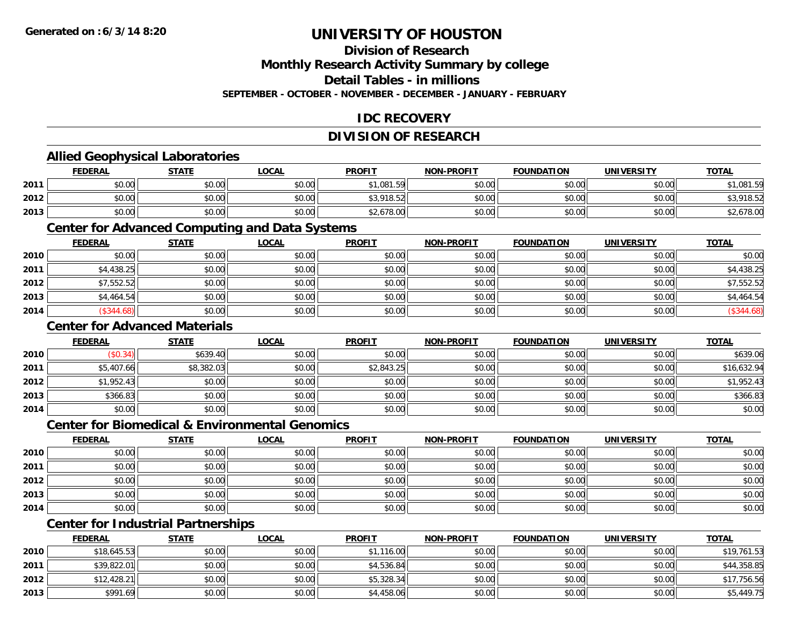## **Division of Research**

**Monthly Research Activity Summary by college**

**Detail Tables - in millions**

**SEPTEMBER - OCTOBER - NOVEMBER - DECEMBER - JANUARY - FEBRUARY**

## **IDC RECOVERY**

## **DIVISION OF RESEARCH**

## **Allied Geophysical Laboratories**

|      | <b>FEDERAL</b> | <b>STATE</b> | <u>LOCAL</u> | <b>PROFIT</b> | <b>NON-PROFIT</b> | <b>FOUNDATION</b> | <b>UNIVERSITY</b> | <b>TOTAL</b>         |
|------|----------------|--------------|--------------|---------------|-------------------|-------------------|-------------------|----------------------|
| 2011 | \$0.00         | \$0.00       | \$0.00       | \$1,081.59    | \$0.00            | \$0.00            | \$0.00            | 1,081.59             |
| 2012 | \$0.00         | \$0.00       | \$0.00       | \$3,918.52    | \$0.00            | \$0.00            | \$0.00            | 01852<br>7 I O . J Z |
| 2013 | \$0.00         | \$0.00       | \$0.00       | \$2,678.00    | \$0.00            | \$0.00            | \$0.00            | \$2,678.00           |

### **Center for Advanced Computing and Data Systems**

|      | <u>FEDERAL</u> | <b>STATE</b> | <u>LOCAL</u> | <b>PROFIT</b> | <b>NON-PROFIT</b> | <b>FOUNDATION</b> | <b>UNIVERSITY</b> | <b>TOTAL</b> |
|------|----------------|--------------|--------------|---------------|-------------------|-------------------|-------------------|--------------|
| 2010 | \$0.00         | \$0.00       | \$0.00       | \$0.00        | \$0.00            | \$0.00            | \$0.00            | \$0.00       |
| 2011 | \$4,438.25     | \$0.00       | \$0.00       | \$0.00        | \$0.00            | \$0.00            | \$0.00            | \$4,438.25   |
| 2012 | \$7,552.52     | \$0.00       | \$0.00       | \$0.00        | \$0.00            | \$0.00            | \$0.00            | \$7,552.52   |
| 2013 | \$4,464.54     | \$0.00       | \$0.00       | \$0.00        | \$0.00            | \$0.00            | \$0.00            | \$4,464.54   |
| 2014 | \$344.68       | \$0.00       | \$0.00       | \$0.00        | \$0.00            | \$0.00            | \$0.00            | (\$344.68)   |

## **Center for Advanced Materials**

|      | <b>FEDERAL</b> | <b>STATE</b> | <u>LOCAL</u> | <b>PROFIT</b> | <b>NON-PROFIT</b> | <b>FOUNDATION</b> | <b>UNIVERSITY</b> | <b>TOTAL</b> |
|------|----------------|--------------|--------------|---------------|-------------------|-------------------|-------------------|--------------|
| 2010 | (\$0.34)       | \$639.40     | \$0.00       | \$0.00        | \$0.00            | \$0.00            | \$0.00            | \$639.06     |
| 2011 | \$5,407.66     | \$8,382.03   | \$0.00       | \$2,843.25    | \$0.00            | \$0.00            | \$0.00            | \$16,632.94  |
| 2012 | \$1,952.43     | \$0.00       | \$0.00       | \$0.00        | \$0.00            | \$0.00            | \$0.00            | \$1,952.43   |
| 2013 | \$366.83       | \$0.00       | \$0.00       | \$0.00        | \$0.00            | \$0.00            | \$0.00            | \$366.83     |
| 2014 | \$0.00         | \$0.00       | \$0.00       | \$0.00        | \$0.00            | \$0.00            | \$0.00            | \$0.00       |

### **Center for Biomedical & Environmental Genomics**

|      | <u>FEDERAL</u> | <b>STATE</b> | <b>LOCAL</b> | <b>PROFIT</b> | NON-PROFIT | <b>FOUNDATION</b> | <b>UNIVERSITY</b> | <b>TOTAL</b> |
|------|----------------|--------------|--------------|---------------|------------|-------------------|-------------------|--------------|
| 2010 | \$0.00         | \$0.00       | \$0.00       | \$0.00        | \$0.00     | \$0.00            | \$0.00            | \$0.00       |
| 2011 | \$0.00         | \$0.00       | \$0.00       | \$0.00        | \$0.00     | \$0.00            | \$0.00            | \$0.00       |
| 2012 | \$0.00         | \$0.00       | \$0.00       | \$0.00        | \$0.00     | \$0.00            | \$0.00            | \$0.00       |
| 2013 | \$0.00         | \$0.00       | \$0.00       | \$0.00        | \$0.00     | \$0.00            | \$0.00            | \$0.00       |
| 2014 | \$0.00         | \$0.00       | \$0.00       | \$0.00        | \$0.00     | \$0.00            | \$0.00            | \$0.00       |

## **Center for Industrial Partnerships**

|      | <b>FEDERAL</b> | <u>STATE</u> | <u>LOCAL</u> | <b>PROFIT</b> | <b>NON-PROFIT</b> | <b>FOUNDATION</b> | <b>UNIVERSITY</b> | <b>TOTAL</b> |
|------|----------------|--------------|--------------|---------------|-------------------|-------------------|-------------------|--------------|
| 2010 | \$18,645.53    | \$0.00       | \$0.00       | \$1,116.00    | \$0.00            | \$0.00            | \$0.00            | \$19,761.53  |
| 2011 | \$39,822.01    | \$0.00       | \$0.00       | \$4,536.84    | \$0.00            | \$0.00            | \$0.00            | \$44,358.85  |
| 2012 | \$12,428.21    | \$0.00       | \$0.00       | \$5,328.34    | \$0.00            | \$0.00            | \$0.00            | \$17,756.56  |
| 2013 | \$991.69       | \$0.00       | \$0.00       | \$4,458.06    | \$0.00            | \$0.00            | \$0.00            | \$5,449.75   |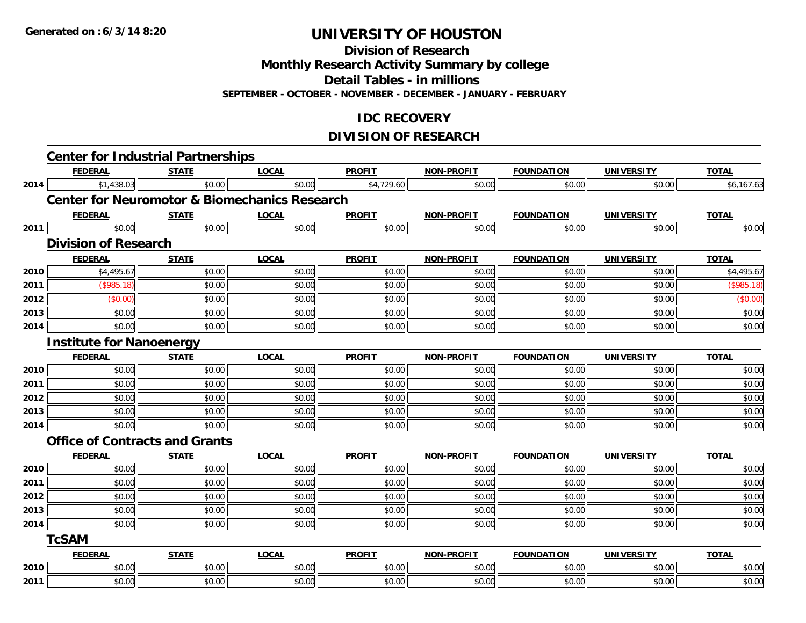**Division of Research**

**Monthly Research Activity Summary by college**

**Detail Tables - in millions**

**SEPTEMBER - OCTOBER - NOVEMBER - DECEMBER - JANUARY - FEBRUARY**

## **IDC RECOVERY**

## **DIVISION OF RESEARCH**

|      | <b>Center for Industrial Partnerships</b>                |              |              |               |                   |                   |                   |              |
|------|----------------------------------------------------------|--------------|--------------|---------------|-------------------|-------------------|-------------------|--------------|
|      | <b>FEDERAL</b>                                           | <b>STATE</b> | <b>LOCAL</b> | <b>PROFIT</b> | NON-PROFIT        | <b>FOUNDATION</b> | <b>UNIVERSITY</b> | <b>TOTAL</b> |
| 2014 | \$1,438.03                                               | \$0.00       | \$0.00       | \$4,729.60    | \$0.00            | \$0.00            | \$0.00            | \$6,167.63   |
|      | <b>Center for Neuromotor &amp; Biomechanics Research</b> |              |              |               |                   |                   |                   |              |
|      | <b>FEDERAL</b>                                           | <b>STATE</b> | <b>LOCAL</b> | <b>PROFIT</b> | <b>NON-PROFIT</b> | <b>FOUNDATION</b> | <b>UNIVERSITY</b> | <b>TOTAL</b> |
| 2011 | \$0.00                                                   | \$0.00       | \$0.00       | \$0.00        | \$0.00            | \$0.00            | \$0.00            | \$0.00       |
|      | <b>Division of Research</b>                              |              |              |               |                   |                   |                   |              |
|      | <b>FEDERAL</b>                                           | <b>STATE</b> | <b>LOCAL</b> | <b>PROFIT</b> | NON-PROFIT        | <b>FOUNDATION</b> | <b>UNIVERSITY</b> | <b>TOTAL</b> |
| 2010 | \$4,495.67                                               | \$0.00       | \$0.00       | \$0.00        | \$0.00            | \$0.00            | \$0.00            | \$4,495.67   |
| 2011 | (\$985.18)                                               | \$0.00       | \$0.00       | \$0.00        | \$0.00            | \$0.00            | \$0.00            | (\$985.18)   |
| 2012 | (\$0.00)                                                 | \$0.00       | \$0.00       | \$0.00        | \$0.00            | \$0.00            | \$0.00            | (\$0.00)     |
| 2013 | \$0.00                                                   | \$0.00       | \$0.00       | \$0.00        | \$0.00            | \$0.00            | \$0.00            | \$0.00       |
| 2014 | \$0.00                                                   | \$0.00       | \$0.00       | \$0.00        | \$0.00            | \$0.00            | \$0.00            | \$0.00       |
|      | <b>Institute for Nanoenergy</b>                          |              |              |               |                   |                   |                   |              |
|      | <b>FEDERAL</b>                                           | <b>STATE</b> | <b>LOCAL</b> | <b>PROFIT</b> | NON-PROFIT        | <b>FOUNDATION</b> | <b>UNIVERSITY</b> | <b>TOTAL</b> |
| 2010 | \$0.00                                                   | \$0.00       | \$0.00       | \$0.00        | \$0.00            | \$0.00            | \$0.00            | \$0.00       |
| 2011 | \$0.00                                                   | \$0.00       | \$0.00       | \$0.00        | \$0.00            | \$0.00            | \$0.00            | \$0.00       |
| 2012 | \$0.00                                                   | \$0.00       | \$0.00       | \$0.00        | \$0.00            | \$0.00            | \$0.00            | \$0.00       |
| 2013 | \$0.00                                                   | \$0.00       | \$0.00       | \$0.00        | \$0.00            | \$0.00            | \$0.00            | \$0.00       |
| 2014 | \$0.00                                                   | \$0.00       | \$0.00       | \$0.00        | \$0.00            | \$0.00            | \$0.00            | \$0.00       |
|      | <b>Office of Contracts and Grants</b>                    |              |              |               |                   |                   |                   |              |
|      | <b>FEDERAL</b>                                           | <b>STATE</b> | <b>LOCAL</b> | <b>PROFIT</b> | <b>NON-PROFIT</b> | <b>FOUNDATION</b> | <b>UNIVERSITY</b> | <b>TOTAL</b> |
| 2010 | \$0.00                                                   | \$0.00       | \$0.00       | \$0.00        | \$0.00            | \$0.00            | \$0.00            | \$0.00       |
| 2011 | \$0.00                                                   | \$0.00       | \$0.00       | \$0.00        | \$0.00            | \$0.00            | \$0.00            | \$0.00       |
| 2012 | \$0.00                                                   | \$0.00       | \$0.00       | \$0.00        | \$0.00            | \$0.00            | \$0.00            | \$0.00       |
| 2013 | \$0.00                                                   | \$0.00       | \$0.00       | \$0.00        | \$0.00            | \$0.00            | \$0.00            | \$0.00       |
| 2014 | \$0.00                                                   | \$0.00       | \$0.00       | \$0.00        | \$0.00            | \$0.00            | \$0.00            | \$0.00       |
|      | <b>TcSAM</b>                                             |              |              |               |                   |                   |                   |              |
|      | <b>FEDERAL</b>                                           | <b>STATE</b> | <b>LOCAL</b> | <b>PROFIT</b> | <b>NON-PROFIT</b> | <b>FOUNDATION</b> | <b>UNIVERSITY</b> | <b>TOTAL</b> |
| 2010 | \$0.00                                                   | \$0.00       | \$0.00       | \$0.00        | \$0.00            | \$0.00            | \$0.00            | \$0.00       |
| 2011 | \$0.00                                                   | \$0.00       | \$0.00       | \$0.00        | \$0.00            | \$0.00            | \$0.00            | \$0.00       |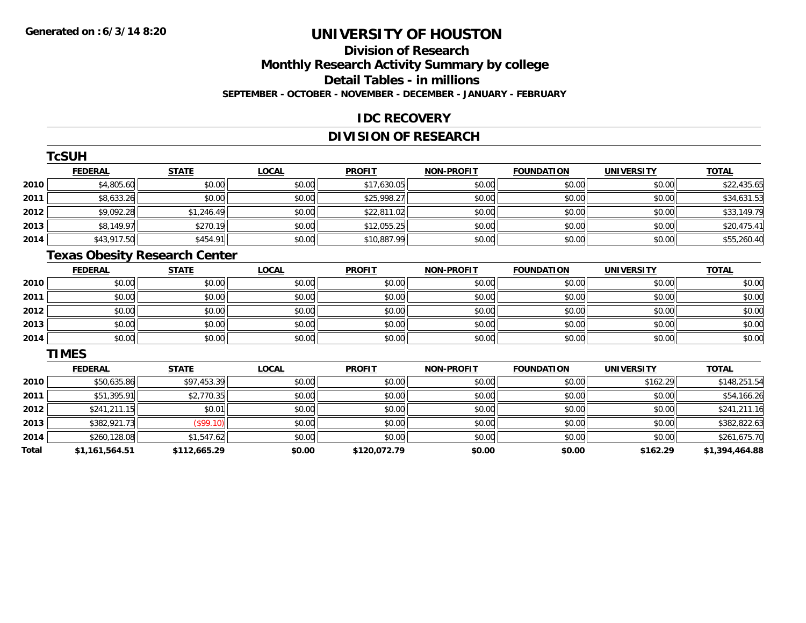**2014**

**Total**

# **UNIVERSITY OF HOUSTON**

## **Division of ResearchMonthly Research Activity Summary by college Detail Tables - in millions SEPTEMBER - OCTOBER - NOVEMBER - DECEMBER - JANUARY - FEBRUARY**

## **IDC RECOVERY**

## **DIVISION OF RESEARCH**

|      | <b>TcSUH</b>                         |              |              |               |                   |                   |                   |              |
|------|--------------------------------------|--------------|--------------|---------------|-------------------|-------------------|-------------------|--------------|
|      | <b>FEDERAL</b>                       | <b>STATE</b> | <b>LOCAL</b> | <b>PROFIT</b> | <b>NON-PROFIT</b> | <b>FOUNDATION</b> | <b>UNIVERSITY</b> | <b>TOTAL</b> |
| 2010 | \$4,805.60                           | \$0.00       | \$0.00       | \$17,630.05   | \$0.00            | \$0.00            | \$0.00            | \$22,435.65  |
| 2011 | \$8,633.26                           | \$0.00       | \$0.00       | \$25,998.27   | \$0.00            | \$0.00            | \$0.00            | \$34,631.53  |
| 2012 | \$9,092.28                           | \$1,246.49   | \$0.00       | \$22,811.02   | \$0.00            | \$0.00            | \$0.00            | \$33,149.79  |
| 2013 | \$8,149.97                           | \$270.19     | \$0.00       | \$12,055.25   | \$0.00            | \$0.00            | \$0.00            | \$20,475.41  |
| 2014 | \$43,917.50                          | \$454.91     | \$0.00       | \$10,887.99   | \$0.00            | \$0.00            | \$0.00            | \$55,260.40  |
|      | <b>Texas Obesity Research Center</b> |              |              |               |                   |                   |                   |              |
|      | <b>FEDERAL</b>                       | <b>STATE</b> | <b>LOCAL</b> | <b>PROFIT</b> | <b>NON-PROFIT</b> | <b>FOUNDATION</b> | <b>UNIVERSITY</b> | <b>TOTAL</b> |
| 2010 | \$0.00                               | \$0.00       | \$0.00       | \$0.00        | \$0.00            | \$0.00            | \$0.00            | \$0.00       |
| 2011 | \$0.00                               | \$0.00       | \$0.00       | \$0.00        | \$0.00            | \$0.00            | \$0.00            | \$0.00       |
| 2012 | \$0.00                               | \$0.00       | \$0.00       | \$0.00        | \$0.00            | \$0.00            | \$0.00            | \$0.00       |
| 2013 | \$0.00                               | \$0.00       | \$0.00       | \$0.00        | \$0.00            | \$0.00            | \$0.00            | \$0.00       |
| 2014 | \$0.00                               | \$0.00       | \$0.00       | \$0.00        | \$0.00            | \$0.00            | \$0.00            | \$0.00       |
|      | <b>TIMES</b>                         |              |              |               |                   |                   |                   |              |
|      | <b>FEDERAL</b>                       | <b>STATE</b> | <b>LOCAL</b> | <b>PROFIT</b> | <b>NON-PROFIT</b> | <b>FOUNDATION</b> | <b>UNIVERSITY</b> | <b>TOTAL</b> |
| 2010 | \$50,635.86                          | \$97,453.39  | \$0.00       | \$0.00        | \$0.00            | \$0.00            | \$162.29          | \$148,251.54 |
| 2011 | \$51,395.91                          | \$2,770.35   | \$0.00       | \$0.00        | \$0.00            | \$0.00            | \$0.00            | \$54,166.26  |
| 2012 | \$241,211.15                         | \$0.01       | \$0.00       | \$0.00        | \$0.00            | \$0.00            | \$0.00            | \$241,211.16 |
| 2013 | \$382,921.73                         | (\$99.10)    | \$0.00       | \$0.00        | \$0.00            | \$0.00            | \$0.00            | \$382,822.63 |

4 \$260,128.08 \$1,547.62 \$1,547.62 \$0.00 \$0.00 \$0.00 \$0.00 \$0.00 \$0.00 \$0.00 \$0.00 \$0.00 \$261,675.70

**\$1,161,564.51 \$112,665.29 \$0.00 \$120,072.79 \$0.00 \$0.00 \$162.29 \$1,394,464.88**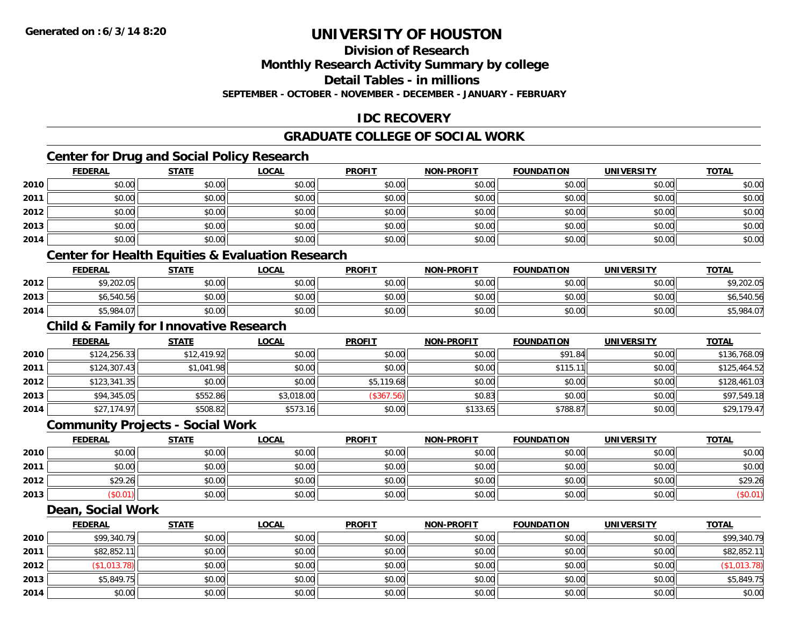## **Division of Research**

**Monthly Research Activity Summary by college**

**Detail Tables - in millions**

**SEPTEMBER - OCTOBER - NOVEMBER - DECEMBER - JANUARY - FEBRUARY**

## **IDC RECOVERY**

## **GRADUATE COLLEGE OF SOCIAL WORK**

## **Center for Drug and Social Policy Research**

|      | <b>FEDERAL</b> | <b>STATE</b> | <b>LOCAL</b> | <b>PROFIT</b> | <b>NON-PROFIT</b> | <b>FOUNDATION</b> | <b>UNIVERSITY</b> | <b>TOTAL</b> |
|------|----------------|--------------|--------------|---------------|-------------------|-------------------|-------------------|--------------|
| 2010 | \$0.00         | \$0.00       | \$0.00       | \$0.00        | \$0.00            | \$0.00            | \$0.00            | \$0.00       |
| 2011 | \$0.00         | \$0.00       | \$0.00       | \$0.00        | \$0.00            | \$0.00            | \$0.00            | \$0.00       |
| 2012 | \$0.00         | \$0.00       | \$0.00       | \$0.00        | \$0.00            | \$0.00            | \$0.00            | \$0.00       |
| 2013 | \$0.00         | \$0.00       | \$0.00       | \$0.00        | \$0.00            | \$0.00            | \$0.00            | \$0.00       |
| 2014 | \$0.00         | \$0.00       | \$0.00       | \$0.00        | \$0.00            | \$0.00            | \$0.00            | \$0.00       |

## **Center for Health Equities & Evaluation Research**

|      | <b>FEDERAL</b> | <b>STATE</b> | <u>LOCAL</u> | <b>PROFIT</b> | <b>NON-PROFIT</b> | <b>FOUNDATION</b> | UNIVERSITY | <b>TOTAL</b> |
|------|----------------|--------------|--------------|---------------|-------------------|-------------------|------------|--------------|
| 2012 | \$9,202.05     | \$0.00       | \$0.00       | \$0.00        | \$0.00            | \$0.00            | \$0.00     | ,202.05      |
| 2013 | \$6,540.56     | \$0.00       | \$0.00       | \$0.00        | \$0.00            | \$0.00            | \$0.00     | .540.56      |
| 2014 | \$5,984.07     | \$0.00       | \$0.00       | \$0.00        | \$0.00            | \$0.00            | \$0.00     | 5,984.07     |

## **Child & Family for Innovative Research**

|      | <b>FEDERAL</b> | <b>STATE</b> | <u>LOCAL</u> | <b>PROFIT</b> | <b>NON-PROFIT</b> | <b>FOUNDATION</b> | <b>UNIVERSITY</b> | <b>TOTAL</b> |
|------|----------------|--------------|--------------|---------------|-------------------|-------------------|-------------------|--------------|
| 2010 | \$124,256.33   | \$12,419.92  | \$0.00       | \$0.00        | \$0.00            | \$91.84           | \$0.00            | \$136,768.09 |
| 2011 | \$124,307.43   | \$1,041.98   | \$0.00       | \$0.00        | \$0.00            | \$115.11          | \$0.00            | \$125,464.52 |
| 2012 | \$123,341.35   | \$0.00       | \$0.00       | \$5,119.68    | \$0.00            | \$0.00            | \$0.00            | \$128,461.03 |
| 2013 | \$94,345.05    | \$552.86     | \$3,018.00   | (\$367.56)    | \$0.83            | \$0.00            | \$0.00            | \$97,549.18  |
| 2014 | \$27,174.97    | \$508.82     | \$573.16     | \$0.00        | \$133.65          | \$788.87          | \$0.00            | \$29,179.47  |

### **Community Projects - Social Work**

|      | <b>FEDERAL</b> | <b>STATE</b> | <b>LOCAL</b> | <b>PROFIT</b> | <b>NON-PROFIT</b> | <b>FOUNDATION</b> | UNIVERSITY | <b>TOTAL</b> |
|------|----------------|--------------|--------------|---------------|-------------------|-------------------|------------|--------------|
| 2010 | \$0.00         | \$0.00       | \$0.00       | \$0.00        | \$0.00            | \$0.00            | \$0.00     | \$0.00       |
| 2011 | \$0.00         | \$0.00       | \$0.00       | \$0.00        | \$0.00            | \$0.00            | \$0.00     | \$0.00       |
| 2012 | \$29.26        | \$0.00       | \$0.00       | \$0.00        | \$0.00            | \$0.00            | \$0.00     | \$29.26      |
| 2013 | \$0.01         | \$0.00       | \$0.00       | \$0.00        | \$0.00            | \$0.00            | \$0.00     | (\$0.01)     |

### **Dean, Social Work**

|      | <b>FEDERAL</b> | <b>STATE</b> | <u>LOCAL</u> | <b>PROFIT</b> | <b>NON-PROFIT</b> | <b>FOUNDATION</b> | <b>UNIVERSITY</b> | <u>TOTAL</u> |
|------|----------------|--------------|--------------|---------------|-------------------|-------------------|-------------------|--------------|
| 2010 | \$99,340.79    | \$0.00       | \$0.00       | \$0.00        | \$0.00            | \$0.00            | \$0.00            | \$99,340.79  |
| 2011 | \$82,852.11    | \$0.00       | \$0.00       | \$0.00        | \$0.00            | \$0.00            | \$0.00            | \$82,852.11  |
| 2012 | \$1,013.78)    | \$0.00       | \$0.00       | \$0.00        | \$0.00            | \$0.00            | \$0.00            | (\$1,013.78) |
| 2013 | \$5,849.75     | \$0.00       | \$0.00       | \$0.00        | \$0.00            | \$0.00            | \$0.00            | \$5,849.75   |
| 2014 | \$0.00         | \$0.00       | \$0.00       | \$0.00        | \$0.00            | \$0.00            | \$0.00            | \$0.00       |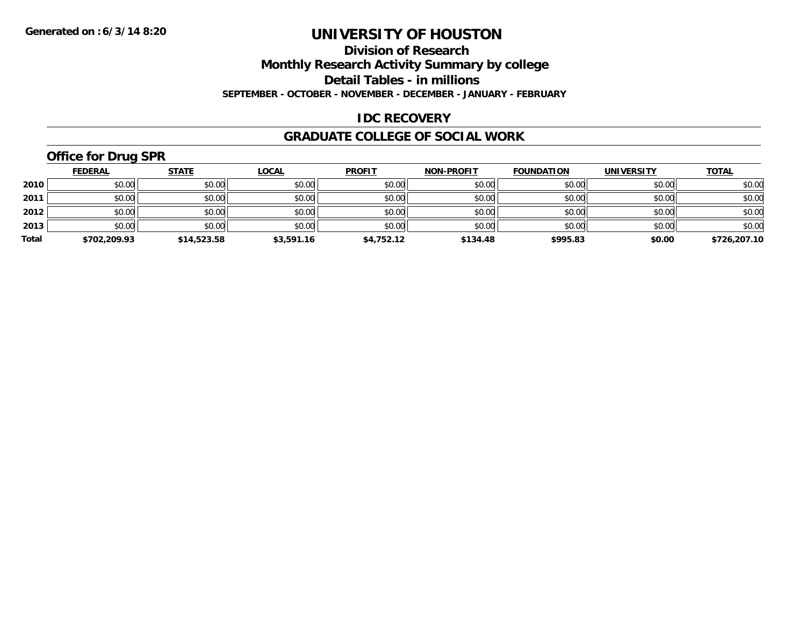#### **Division of Research**

**Monthly Research Activity Summary by college**

**Detail Tables - in millions**

**SEPTEMBER - OCTOBER - NOVEMBER - DECEMBER - JANUARY - FEBRUARY**

## **IDC RECOVERY**

### **GRADUATE COLLEGE OF SOCIAL WORK**

## **Office for Drug SPR**

|       | <b>FEDERAL</b> | <u>STATE</u> | <b>LOCAL</b> | <b>PROFIT</b> | <b>NON-PROFIT</b> | <b>FOUNDATION</b> | <b>UNIVERSITY</b> | <b>TOTAL</b> |
|-------|----------------|--------------|--------------|---------------|-------------------|-------------------|-------------------|--------------|
| 2010  | \$0.00         | \$0.00       | \$0.00       | \$0.00        | \$0.00            | \$0.00            | \$0.00            | \$0.00       |
| 2011  | \$0.00         | \$0.00       | \$0.00       | \$0.00        | \$0.00            | \$0.00            | \$0.00            | \$0.00       |
| 2012  | \$0.00         | \$0.00       | \$0.00       | \$0.00        | \$0.00            | \$0.00            | \$0.00            | \$0.00       |
| 2013  | \$0.00         | \$0.00       | \$0.00       | \$0.00        | \$0.00            | \$0.00            | \$0.00            | \$0.00       |
| Total | \$702,209.93   | \$14,523.58  | \$3,591.16   | \$4,752.12    | \$134.48          | \$995.83          | \$0.00            | \$726,207.10 |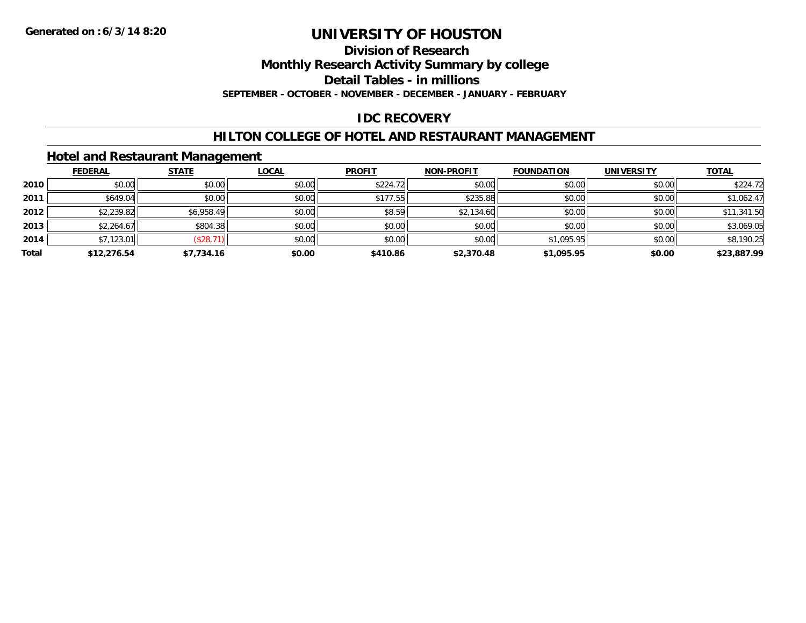#### **Division of Research**

**Monthly Research Activity Summary by college**

**Detail Tables - in millions**

**SEPTEMBER - OCTOBER - NOVEMBER - DECEMBER - JANUARY - FEBRUARY**

## **IDC RECOVERY**

### **HILTON COLLEGE OF HOTEL AND RESTAURANT MANAGEMENT**

## **Hotel and Restaurant Management**

|       | <b>FEDERAL</b> | <b>STATE</b> | <b>LOCAL</b> | <b>PROFIT</b> | <b>NON-PROFIT</b> | <b>FOUNDATION</b> | <b>UNIVERSITY</b> | <b>TOTAL</b> |
|-------|----------------|--------------|--------------|---------------|-------------------|-------------------|-------------------|--------------|
| 2010  | \$0.00         | \$0.00       | \$0.00       | \$224.72      | \$0.00            | \$0.00            | \$0.00            | \$224.72     |
| 2011  | \$649.04       | \$0.00       | \$0.00       | \$177.55      | \$235.88          | \$0.00            | \$0.00            | \$1,062.47   |
| 2012  | \$2,239.82     | \$6,958.49   | \$0.00       | \$8.59        | \$2,134.60        | \$0.00            | \$0.00            | \$11,341.50  |
| 2013  | \$2,264.67     | \$804.38     | \$0.00       | \$0.00        | \$0.00            | \$0.00            | \$0.00            | \$3,069.05   |
| 2014  | \$7,123.01     | (\$28.71)    | \$0.00       | \$0.00        | \$0.00            | \$1,095.95        | \$0.00            | \$8,190.25   |
| Total | \$12,276.54    | \$7,734.16   | \$0.00       | \$410.86      | \$2,370.48        | \$1,095.95        | \$0.00            | \$23,887.99  |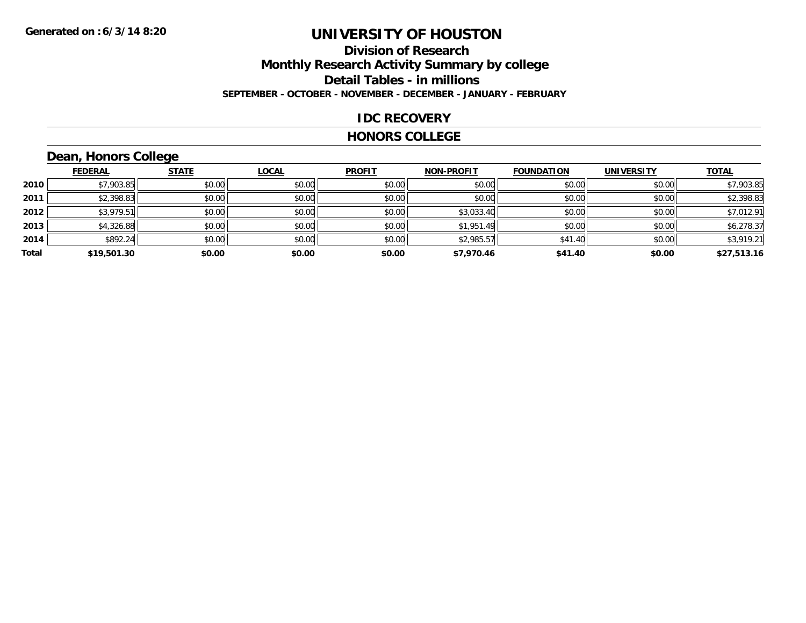## **Division of Research Monthly Research Activity Summary by college Detail Tables - in millions SEPTEMBER - OCTOBER - NOVEMBER - DECEMBER - JANUARY - FEBRUARY**

### **IDC RECOVERY**

### **HONORS COLLEGE**

## **Dean, Honors College**

|       | <b>FEDERAL</b> | <b>STATE</b> | <b>LOCAL</b> | <b>PROFIT</b> | <b>NON-PROFIT</b> | <b>FOUNDATION</b> | <b>UNIVERSITY</b> | <b>TOTAL</b> |
|-------|----------------|--------------|--------------|---------------|-------------------|-------------------|-------------------|--------------|
| 2010  | \$7,903.85     | \$0.00       | \$0.00       | \$0.00        | \$0.00            | \$0.00            | \$0.00            | \$7,903.85   |
| 2011  | \$2,398.83     | \$0.00       | \$0.00       | \$0.00        | \$0.00            | \$0.00            | \$0.00            | \$2,398.83   |
| 2012  | \$3,979.51     | \$0.00       | \$0.00       | \$0.00        | \$3,033.40        | \$0.00            | \$0.00            | \$7,012.91   |
| 2013  | \$4,326.88     | \$0.00       | \$0.00       | \$0.00        | \$1,951.49        | \$0.00            | \$0.00            | \$6,278.37   |
| 2014  | \$892.24       | \$0.00       | \$0.00       | \$0.00        | \$2,985.57        | \$41.40           | \$0.00            | \$3,919.21   |
| Total | \$19,501.30    | \$0.00       | \$0.00       | \$0.00        | \$7,970.46        | \$41.40           | \$0.00            | \$27,513.16  |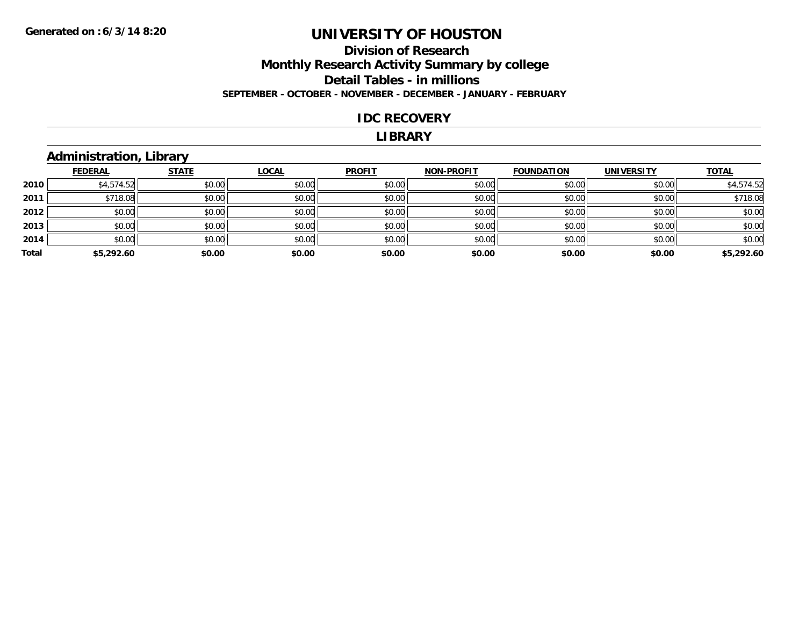## **Division of Research Monthly Research Activity Summary by college Detail Tables - in millions SEPTEMBER - OCTOBER - NOVEMBER - DECEMBER - JANUARY - FEBRUARY**

### **IDC RECOVERY**

### **LIBRARY**

## **Administration, Library**

|       | <b>FEDERAL</b> | <b>STATE</b> | <b>LOCAL</b> | <b>PROFIT</b> | <b>NON-PROFIT</b> | <b>FOUNDATION</b> | <b>UNIVERSITY</b> | <b>TOTAL</b> |
|-------|----------------|--------------|--------------|---------------|-------------------|-------------------|-------------------|--------------|
| 2010  | \$4,574.52     | \$0.00       | \$0.00       | \$0.00        | \$0.00            | \$0.00            | \$0.00            | \$4,574.52   |
| 2011  | \$718.08       | \$0.00       | \$0.00       | \$0.00        | \$0.00            | \$0.00            | \$0.00            | \$718.08     |
| 2012  | \$0.00         | \$0.00       | \$0.00       | \$0.00        | \$0.00            | \$0.00            | \$0.00            | \$0.00       |
| 2013  | \$0.00         | \$0.00       | \$0.00       | \$0.00        | \$0.00            | \$0.00            | \$0.00            | \$0.00       |
| 2014  | \$0.00         | \$0.00       | \$0.00       | \$0.00        | \$0.00            | \$0.00            | \$0.00            | \$0.00       |
| Total | \$5,292.60     | \$0.00       | \$0.00       | \$0.00        | \$0.00            | \$0.00            | \$0.00            | \$5,292.60   |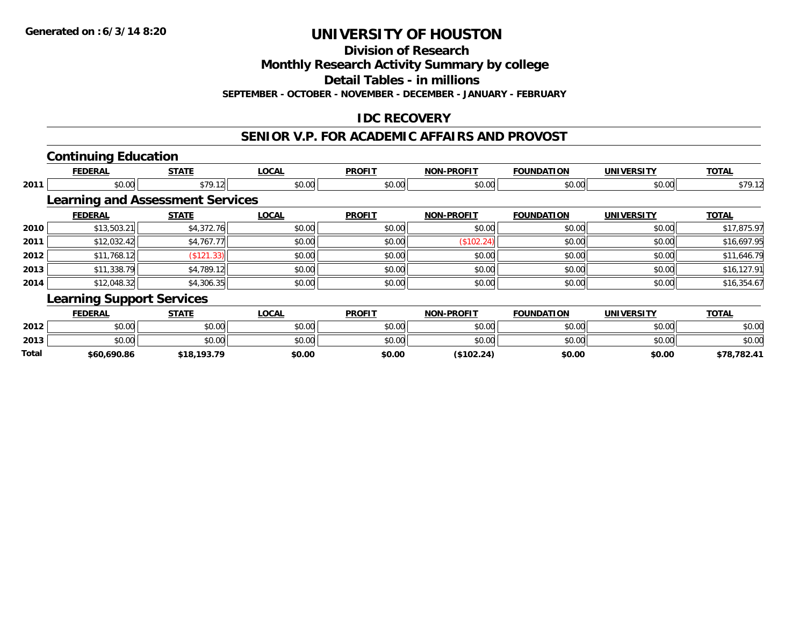**Division of Research**

**Monthly Research Activity Summary by college**

**Detail Tables - in millions**

**SEPTEMBER - OCTOBER - NOVEMBER - DECEMBER - JANUARY - FEBRUARY**

## **IDC RECOVERY**

### **SENIOR V.P. FOR ACADEMIC AFFAIRS AND PROVOST**

## **Continuing Education**

|      | <b>FEDERAL</b>                          | <b>STATE</b> | <b>LOCAL</b> | <b>PROFIT</b> | <b>NON-PROFIT</b> | <b>FOUNDATION</b> | <b>UNIVERSITY</b> | <b>TOTAL</b> |
|------|-----------------------------------------|--------------|--------------|---------------|-------------------|-------------------|-------------------|--------------|
| 2011 | \$0.00                                  | \$79.12      | \$0.00       | \$0.00        | \$0.00            | \$0.00            | \$0.00            | \$79.12      |
|      | <b>Learning and Assessment Services</b> |              |              |               |                   |                   |                   |              |
|      | <b>FEDERAL</b>                          | <b>STATE</b> | <b>LOCAL</b> | <b>PROFIT</b> | <b>NON-PROFIT</b> | <b>FOUNDATION</b> | <b>UNIVERSITY</b> | <b>TOTAL</b> |
| 2010 | \$13,503.21                             | \$4,372.76   | \$0.00       | \$0.00        | \$0.00            | \$0.00            | \$0.00            | \$17,875.97  |
| 2011 | \$12,032.42                             | \$4,767.77   | \$0.00       | \$0.00        | (\$102.24)        | \$0.00            | \$0.00            | \$16,697.95  |
| 2012 | \$11,768.12                             | (S121.33)    | \$0.00       | \$0.00        | \$0.00            | \$0.00            | \$0.00            | \$11,646.79  |
| 2013 | \$11,338.79                             | \$4,789.12   | \$0.00       | \$0.00        | \$0.00            | \$0.00            | \$0.00            | \$16,127.91  |
| 2014 | \$12,048.32                             | \$4,306.35   | \$0.00       | \$0.00        | \$0.00            | \$0.00            | \$0.00            | \$16,354.67  |
|      | <b>Learning Support Services</b>        |              |              |               |                   |                   |                   |              |
|      | <b>FEDERAL</b>                          | <b>STATE</b> | <b>LOCAL</b> | <b>PROFIT</b> | <b>NON-PROFIT</b> | <b>FOUNDATION</b> | <b>UNIVERSITY</b> | <b>TOTAL</b> |

| <b>DU.UG</b><br>\$0.00<br>0.000<br>\$0.00<br>2013<br>\$0.00<br>\$0.00<br>\$0.00<br>\$0.00<br>ง∪.∪บ | Total | \$60,690.86 | \$18,193.79 | \$0.00 | \$0.00 | (\$102.24) | \$0.00 | \$0.00 | \$78,782.41 |
|----------------------------------------------------------------------------------------------------|-------|-------------|-------------|--------|--------|------------|--------|--------|-------------|
|                                                                                                    |       |             |             |        |        |            |        |        | \$0.00      |
|                                                                                                    | 2012  | \$0.00      | \$0.00      | 0.000  | \$0.00 | \$0.00     | \$0.00 | \$0.00 | \$0.00      |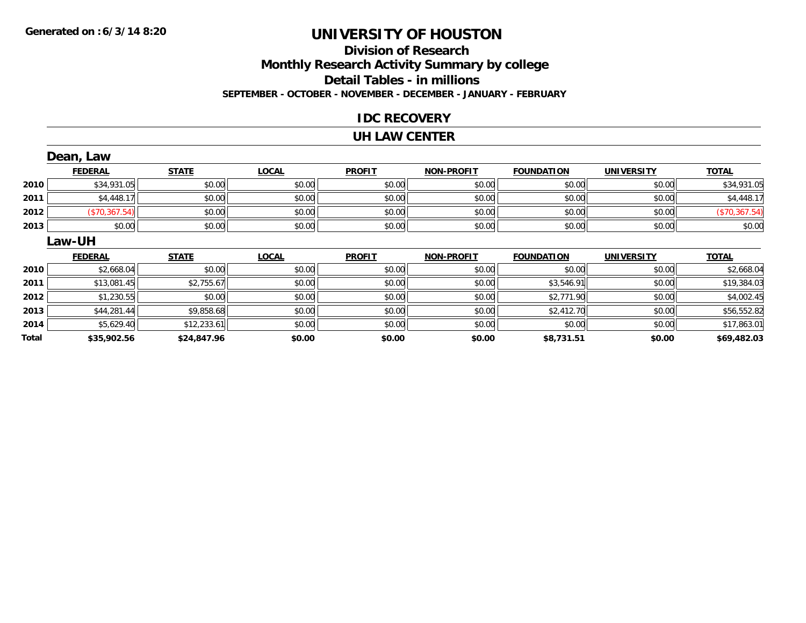## **Division of Research Monthly Research Activity Summary by college Detail Tables - in millions SEPTEMBER - OCTOBER - NOVEMBER - DECEMBER - JANUARY - FEBRUARY**

## **IDC RECOVERY**

### **UH LAW CENTER**

|       | Dean, Law      |              |              |               |                   |                   |                   |               |
|-------|----------------|--------------|--------------|---------------|-------------------|-------------------|-------------------|---------------|
|       | <b>FEDERAL</b> | <b>STATE</b> | <b>LOCAL</b> | <b>PROFIT</b> | <b>NON-PROFIT</b> | <b>FOUNDATION</b> | <b>UNIVERSITY</b> | <b>TOTAL</b>  |
| 2010  | \$34,931.05    | \$0.00       | \$0.00       | \$0.00        | \$0.00            | \$0.00            | \$0.00            | \$34,931.05   |
| 2011  | \$4,448.17     | \$0.00       | \$0.00       | \$0.00        | \$0.00            | \$0.00            | \$0.00            | \$4,448.17    |
| 2012  | (\$70,367.54)  | \$0.00       | \$0.00       | \$0.00        | \$0.00            | \$0.00            | \$0.00            | (\$70,367.54) |
| 2013  | \$0.00         | \$0.00       | \$0.00       | \$0.00        | \$0.00            | \$0.00            | \$0.00            | \$0.00        |
|       | Law-UH         |              |              |               |                   |                   |                   |               |
|       | <b>FEDERAL</b> | <b>STATE</b> | <b>LOCAL</b> | <b>PROFIT</b> | <b>NON-PROFIT</b> | <b>FOUNDATION</b> | <b>UNIVERSITY</b> | <b>TOTAL</b>  |
| 2010  | \$2,668.04     | \$0.00       | \$0.00       | \$0.00        | \$0.00            | \$0.00            | \$0.00            | \$2,668.04    |
| 2011  | \$13,081.45    | \$2,755.67   | \$0.00       | \$0.00        | \$0.00            | \$3,546.91        | \$0.00            | \$19,384.03   |
| 2012  | \$1,230.55     | \$0.00       | \$0.00       | \$0.00        | \$0.00            | \$2,771.90        | \$0.00            | \$4,002.45    |
| 2013  | \$44,281.44    | \$9,858.68   | \$0.00       | \$0.00        | \$0.00            | \$2,412.70        | \$0.00            | \$56,552.82   |
| 2014  | \$5,629.40     | \$12,233.61  | \$0.00       | \$0.00        | \$0.00            | \$0.00            | \$0.00            | \$17,863.01   |
| Total | \$35,902.56    | \$24,847.96  | \$0.00       | \$0.00        | \$0.00            | \$8,731.51        | \$0.00            | \$69,482.03   |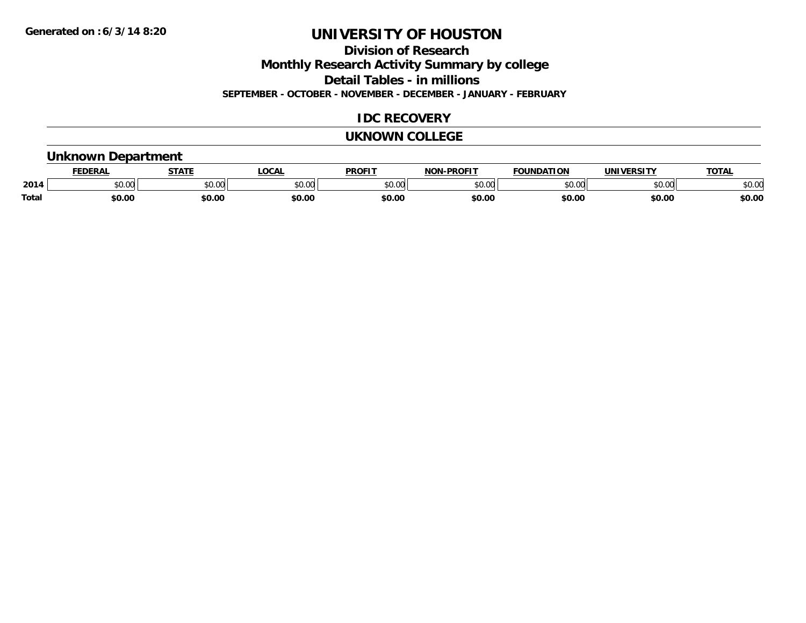**Division of Research**

**Monthly Research Activity Summary by college**

**Detail Tables - in millions**

**SEPTEMBER - OCTOBER - NOVEMBER - DECEMBER - JANUARY - FEBRUARY**

## **IDC RECOVERY**

### **UKNOWN COLLEGE**

## **Unknown Department**

|              | <b>JERAL</b> | <b>STATE</b>     | <b>LOCAL</b>      | <b>PROFIT</b>       | <b>DDACIT</b><br><b>BIAB</b> | ΙΑΤΙΩΝ | JNI)<br><b>VEDCITY</b> | TOTA.  |
|--------------|--------------|------------------|-------------------|---------------------|------------------------------|--------|------------------------|--------|
| 2014         | \$0.00       | $\cdots$<br>JU.J | $\sim$ 00<br>ט.טע | 0000<br>JU.UU       | ስ ለሰ<br>ט.טע                 | 0000   | \$0.00                 | \$0.00 |
| <b>Total</b> | 60.00        | \$0.00           | \$0.00            | <b>¢∩ ∩</b><br>DU.U | \$0.00                       | \$0.00 | \$0.00                 | \$0.00 |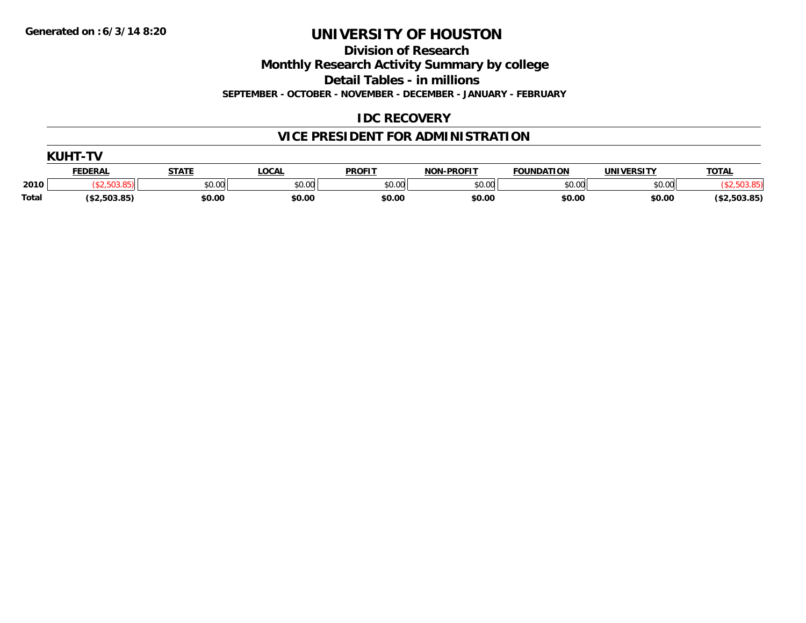**Division of Research**

**Monthly Research Activity Summary by college**

**Detail Tables - in millions**

**SEPTEMBER - OCTOBER - NOVEMBER - DECEMBER - JANUARY - FEBRUARY**

## **IDC RECOVERY**

## **VICE PRESIDENT FOR ADMINISTRATION**

|       | FEDERAI      | <b>STATI</b> | _OCAL  | <b>PROFIT</b> | <b>NON-PROFIT</b> | <b>FOUNDATION</b> | <b>UNIVERSITY</b> | <b>TOTAL</b> |  |  |  |
|-------|--------------|--------------|--------|---------------|-------------------|-------------------|-------------------|--------------|--|--|--|
| 2010  |              | \$0.00       | \$0.00 | \$0.00        | \$0.00            | \$0.00            | \$0.00            |              |  |  |  |
| Total | (\$2,503.85) | \$0.00       | \$0.00 | \$0.00        | \$0.00            | \$0.00            | \$0.00            | \$2,503.85   |  |  |  |